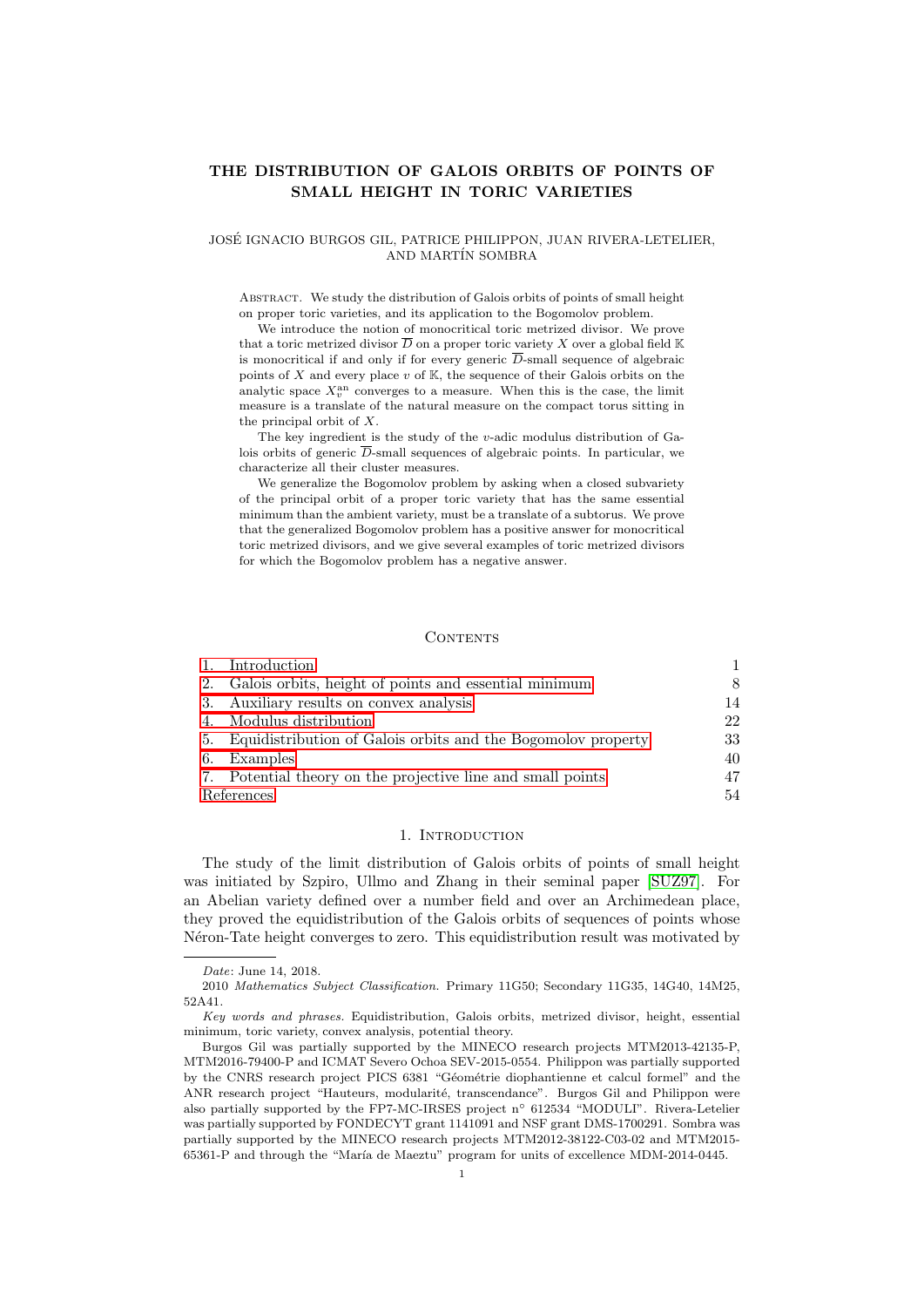## THE DISTRIBUTION OF GALOIS ORBITS OF POINTS OF SMALL HEIGHT IN TORIC VARIETIES

#### JOSE IGNACIO BURGOS GIL, PATRICE PHILIPPON, JUAN RIVERA-LETELIER, ´ AND MARTÍN SOMBRA

Abstract. We study the distribution of Galois orbits of points of small height on proper toric varieties, and its application to the Bogomolov problem.

We introduce the notion of monocritical toric metrized divisor. We prove that a toric metrized divisor  $\overline{D}$  on a proper toric variety X over a global field K is monocritical if and only if for every generic  $\overline{D}$ -small sequence of algebraic points of  $X$  and every place  $v$  of  $K$ , the sequence of their Galois orbits on the analytic space  $X_v^{\text{an}}$  converges to a measure. When this is the case, the limit measure is a translate of the natural measure on the compact torus sitting in the principal orbit of X.

The key ingredient is the study of the v-adic modulus distribution of Galois orbits of generic  $\overline{D}$ -small sequences of algebraic points. In particular, we characterize all their cluster measures.

We generalize the Bogomolov problem by asking when a closed subvariety of the principal orbit of a proper toric variety that has the same essential minimum than the ambient variety, must be a translate of a subtorus. We prove that the generalized Bogomolov problem has a positive answer for monocritical toric metrized divisors, and we give several examples of toric metrized divisors for which the Bogomolov problem has a negative answer.

## CONTENTS

|            | Introduction                                                 |    |
|------------|--------------------------------------------------------------|----|
| 2.         | Galois orbits, height of points and essential minimum        |    |
| 3.         | Auxiliary results on convex analysis                         | 14 |
| 4.         | Modulus distribution                                         | 22 |
| 5.         | Equidistribution of Galois orbits and the Bogomolov property | 33 |
| 6.         | Examples                                                     | 40 |
|            | 7. Potential theory on the projective line and small points  | 47 |
| References |                                                              | 54 |

#### 1. INTRODUCTION

<span id="page-0-0"></span>The study of the limit distribution of Galois orbits of points of small height was initiated by Szpiro, Ullmo and Zhang in their seminal paper [\[SUZ97\]](#page-54-0). For an Abelian variety defined over a number field and over an Archimedean place, they proved the equidistribution of the Galois orbits of sequences of points whose Néron-Tate height converges to zero. This equidistribution result was motivated by

Date: June 14, 2018.

<sup>2010</sup> Mathematics Subject Classification. Primary 11G50; Secondary 11G35, 14G40, 14M25, 52A41.

Key words and phrases. Equidistribution, Galois orbits, metrized divisor, height, essential minimum, toric variety, convex analysis, potential theory.

Burgos Gil was partially supported by the MINECO research projects MTM2013-42135-P, MTM2016-79400-P and ICMAT Severo Ochoa SEV-2015-0554. Philippon was partially supported by the CNRS research project PICS 6381 "Géométrie diophantienne et calcul formel" and the ANR research project "Hauteurs, modularité, transcendance". Burgos Gil and Philippon were also partially supported by the FP7-MC-IRSES project n◦ 612534 "MODULI". Rivera-Letelier was partially supported by FONDECYT grant 1141091 and NSF grant DMS-1700291. Sombra was partially supported by the MINECO research projects MTM2012-38122-C03-02 and MTM2015- 65361-P and through the "María de Maeztu" program for units of excellence MDM-2014-0445.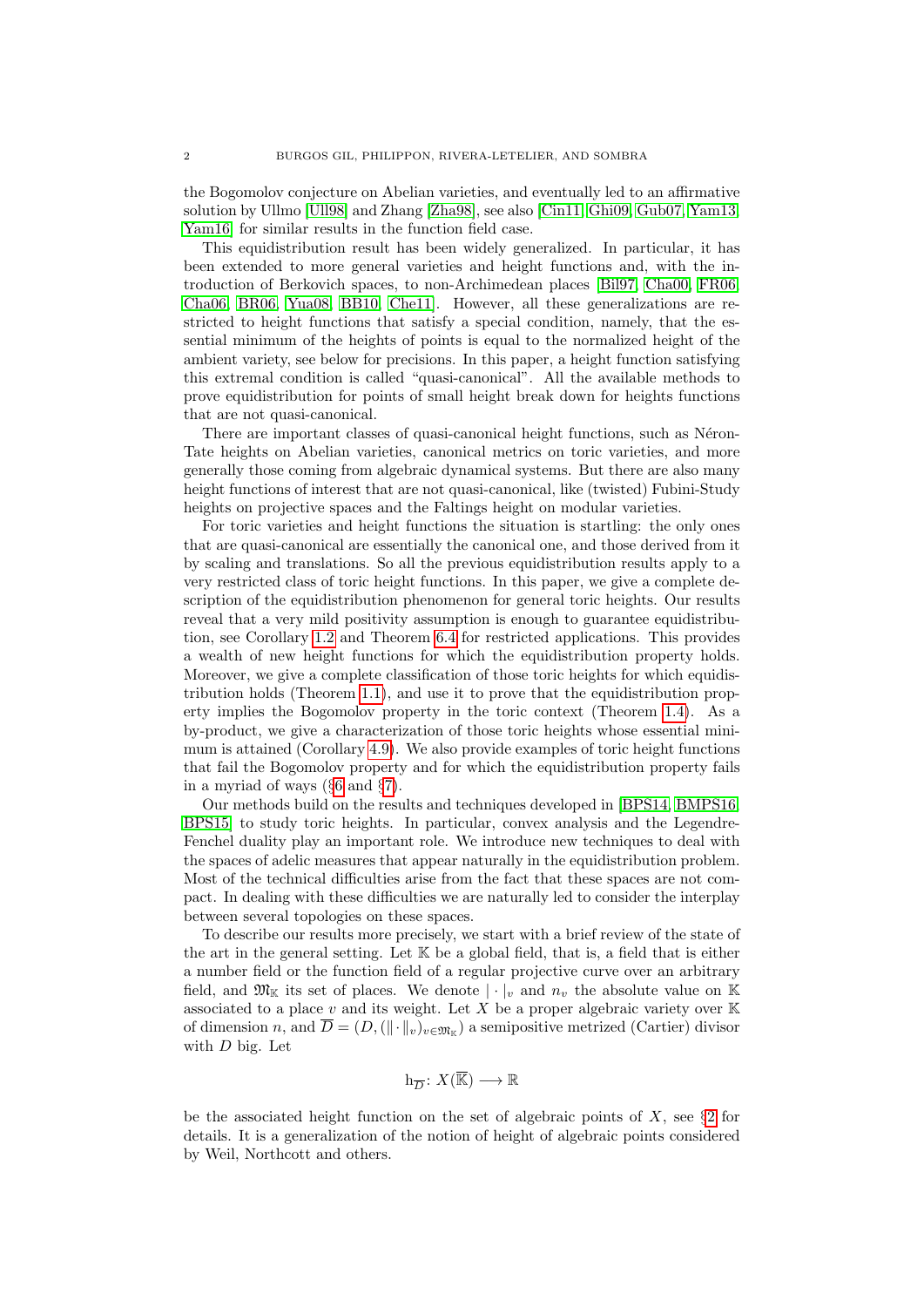the Bogomolov conjecture on Abelian varieties, and eventually led to an affirmative solution by Ullmo [\[Ull98\]](#page-54-1) and Zhang [\[Zha98\]](#page-54-2), see also [\[Cin11,](#page-53-1) [Ghi09,](#page-53-2) [Gub07,](#page-53-3) [Yam13,](#page-54-3) [Yam16\]](#page-54-4) for similar results in the function field case.

This equidistribution result has been widely generalized. In particular, it has been extended to more general varieties and height functions and, with the introduction of Berkovich spaces, to non-Archimedean places [\[Bil97,](#page-53-4) [Cha00,](#page-53-5) [FR06,](#page-53-6) [Cha06,](#page-53-7) [BR06,](#page-53-8) [Yua08,](#page-54-5) [BB10,](#page-53-9) [Che11\]](#page-53-10). However, all these generalizations are restricted to height functions that satisfy a special condition, namely, that the essential minimum of the heights of points is equal to the normalized height of the ambient variety, see below for precisions. In this paper, a height function satisfying this extremal condition is called "quasi-canonical". All the available methods to prove equidistribution for points of small height break down for heights functions that are not quasi-canonical.

There are important classes of quasi-canonical height functions, such as Néron-Tate heights on Abelian varieties, canonical metrics on toric varieties, and more generally those coming from algebraic dynamical systems. But there are also many height functions of interest that are not quasi-canonical, like (twisted) Fubini-Study heights on projective spaces and the Faltings height on modular varieties.

For toric varieties and height functions the situation is startling: the only ones that are quasi-canonical are essentially the canonical one, and those derived from it by scaling and translations. So all the previous equidistribution results apply to a very restricted class of toric height functions. In this paper, we give a complete description of the equidistribution phenomenon for general toric heights. Our results reveal that a very mild positivity assumption is enough to guarantee equidistribution, see Corollary [1.2](#page-4-0) and Theorem [6.4](#page-43-0) for restricted applications. This provides a wealth of new height functions for which the equidistribution property holds. Moreover, we give a complete classification of those toric heights for which equidistribution holds (Theorem [1.1\)](#page-4-1), and use it to prove that the equidistribution property implies the Bogomolov property in the toric context (Theorem [1.4\)](#page-6-0). As a by-product, we give a characterization of those toric heights whose essential minimum is attained (Corollary [4.9\)](#page-26-0). We also provide examples of toric height functions that fail the Bogomolov property and for which the equidistribution property fails in a myriad of ways (§[6](#page-39-0) and §[7\)](#page-46-0).

Our methods build on the results and techniques developed in [\[BPS14,](#page-53-11) [BMPS16,](#page-53-12) [BPS15\]](#page-53-13) to study toric heights. In particular, convex analysis and the Legendre-Fenchel duality play an important role. We introduce new techniques to deal with the spaces of adelic measures that appear naturally in the equidistribution problem. Most of the technical difficulties arise from the fact that these spaces are not compact. In dealing with these difficulties we are naturally led to consider the interplay between several topologies on these spaces.

To describe our results more precisely, we start with a brief review of the state of the art in the general setting. Let  $\mathbb K$  be a global field, that is, a field that is either a number field or the function field of a regular projective curve over an arbitrary field, and  $\mathfrak{M}_{\mathbb{K}}$  its set of places. We denote  $|\cdot|_v$  and  $n_v$  the absolute value on K associated to a place  $v$  and its weight. Let  $X$  be a proper algebraic variety over  $\mathbb K$ of dimension n, and  $D = (D, (|| \cdot ||_v)_{v \in \mathfrak{M}_{\mathbb{K}}})$  a semipositive metrized (Cartier) divisor with  $D$  big. Let

# $h_{\overline{D}}: X(\overline{\mathbb{K}}) \longrightarrow \mathbb{R}$

be the associated height function on the set of algebraic points of  $X$ , see §[2](#page-7-0) for details. It is a generalization of the notion of height of algebraic points considered by Weil, Northcott and others.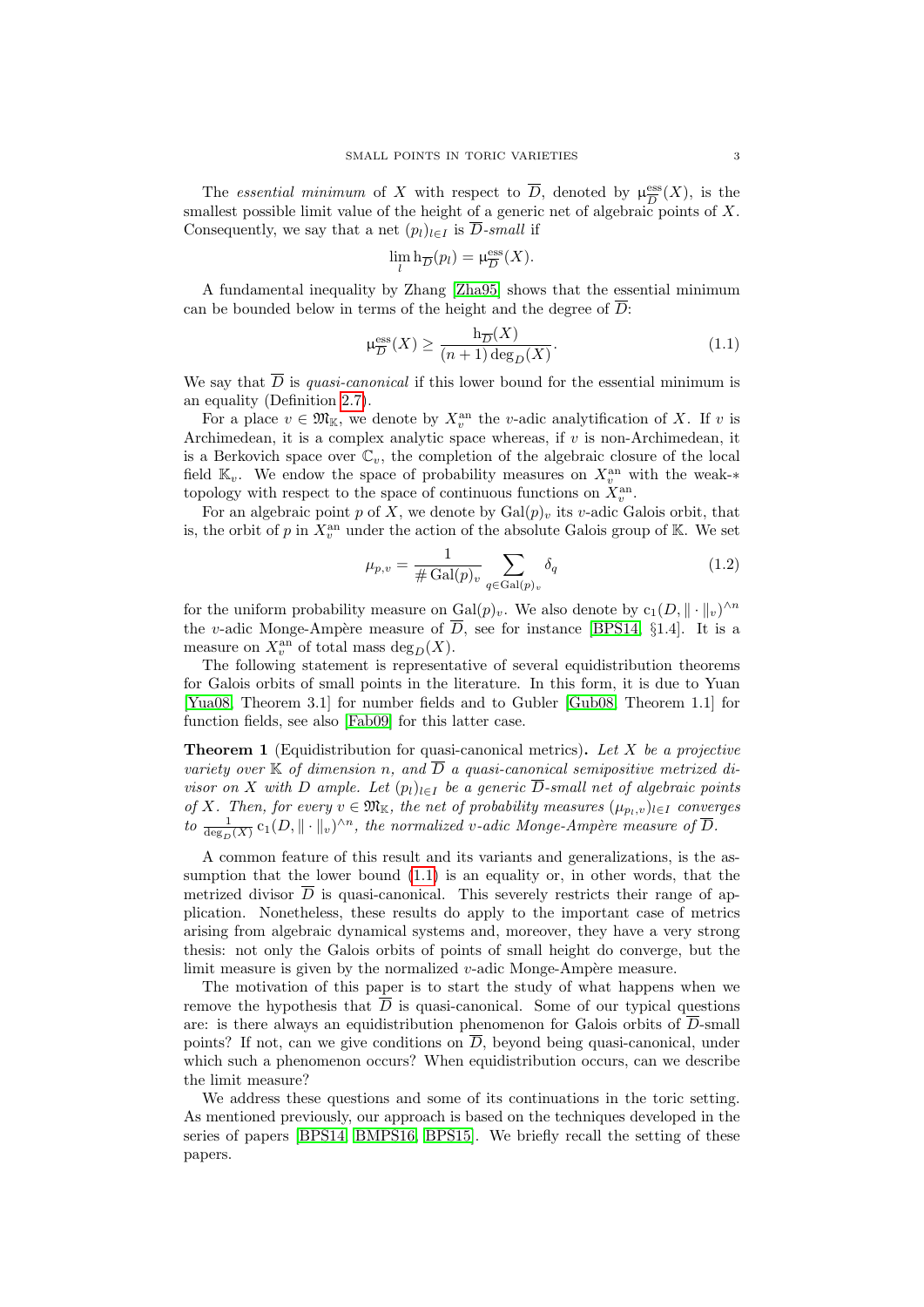The *essential minimum* of X with respect to  $\overline{D}$ , denoted by  $\mu_{\overline{D}}^{\text{ess}}$  $\frac{\text{ess}}{D}(X)$ , is the smallest possible limit value of the height of a generic net of algebraic points of  $X$ . Consequently, we say that a net  $(p_l)_{l \in I}$  is  $\overline{D}$ -small if

$$
\lim_{l} \mathbf{h}_{\overline{D}}(p_l) = \mu_{\overline{D}}^{\text{ess}}(X).
$$

A fundamental inequality by Zhang [\[Zha95\]](#page-54-6) shows that the essential minimum can be bounded below in terms of the height and the degree of  $D$ :

<span id="page-2-0"></span>
$$
\mu_{\overline{D}}^{\text{ess}}(X) \ge \frac{\mathbf{h}_{\overline{D}}(X)}{(n+1)\deg_D(X)}.\tag{1.1}
$$

We say that  $\overline{D}$  is *quasi-canonical* if this lower bound for the essential minimum is an equality (Definition [2.7\)](#page-11-0).

For a place  $v \in \mathfrak{M}_{\mathbb{K}}$ , we denote by  $X_v^{\text{an}}$  the v-adic analytification of X. If v is Archimedean, it is a complex analytic space whereas, if v is non-Archimedean, it is a Berkovich space over  $\mathbb{C}_v$ , the completion of the algebraic closure of the local field  $\mathbb{K}_v$ . We endow the space of probability measures on  $X_v^{\text{an}}$  with the weak-\* topology with respect to the space of continuous functions on  $X_v^{\text{an}}$ .

For an algebraic point p of X, we denote by  $Gal(p)_v$  its v-adic Galois orbit, that is, the orbit of p in  $X_v^{\text{an}}$  under the action of the absolute Galois group of K. We set

<span id="page-2-2"></span>
$$
\mu_{p,v} = \frac{1}{\#\operatorname{Gal}(p)_v} \sum_{q \in \operatorname{Gal}(p)_v} \delta_q \tag{1.2}
$$

for the uniform probability measure on  $Gal(p)_v$ . We also denote by  $c_1(D, \|\cdot\|_v)^{\wedge n}$ the v-adic Monge-Ampère measure of  $\overline{D}$ , see for instance [\[BPS14,](#page-53-11) §1.4]. It is a measure on  $X_v^{\text{an}}$  of total mass  $\text{deg}_D(X)$ .

The following statement is representative of several equidistribution theorems for Galois orbits of small points in the literature. In this form, it is due to Yuan [\[Yua08,](#page-54-5) Theorem 3.1] for number fields and to Gubler [\[Gub08,](#page-53-14) Theorem 1.1] for function fields, see also [\[Fab09\]](#page-53-15) for this latter case.

<span id="page-2-1"></span>**Theorem 1** (Equidistribution for quasi-canonical metrics). Let  $X$  be a projective variety over  $\mathbb K$  of dimension n, and  $\overline{D}$  a quasi-canonical semipositive metrized divisor on X with D ample. Let  $(p_l)_{l\in I}$  be a generic  $\overline{D}$ -small net of algebraic points of X. Then, for every  $v \in \mathfrak{M}_{\mathbb{K}}$ , the net of probability measures  $(\mu_{p_l,v})_{l \in I}$  converges to  $\frac{1}{\deg_D(X)}$  c<sub>1</sub>(D,  $\|\cdot\|_v$ )<sup> $\wedge n$ </sup>, the normalized v-adic Monge-Ampère measure of  $\overline{D}$ .

A common feature of this result and its variants and generalizations, is the assumption that the lower bound [\(1.1\)](#page-2-0) is an equality or, in other words, that the metrized divisor  $\overline{D}$  is quasi-canonical. This severely restricts their range of application. Nonetheless, these results do apply to the important case of metrics arising from algebraic dynamical systems and, moreover, they have a very strong thesis: not only the Galois orbits of points of small height do converge, but the limit measure is given by the normalized  $v$ -adic Monge-Ampère measure.

The motivation of this paper is to start the study of what happens when we remove the hypothesis that  $\overline{D}$  is quasi-canonical. Some of our typical questions are: is there always an equidistribution phenomenon for Galois orbits of  $\overline{D}$ -small points? If not, can we give conditions on  $\overline{D}$ , beyond being quasi-canonical, under which such a phenomenon occurs? When equidistribution occurs, can we describe the limit measure?

We address these questions and some of its continuations in the toric setting. As mentioned previously, our approach is based on the techniques developed in the series of papers [\[BPS14,](#page-53-11) [BMPS16,](#page-53-12) [BPS15\]](#page-53-13). We briefly recall the setting of these papers.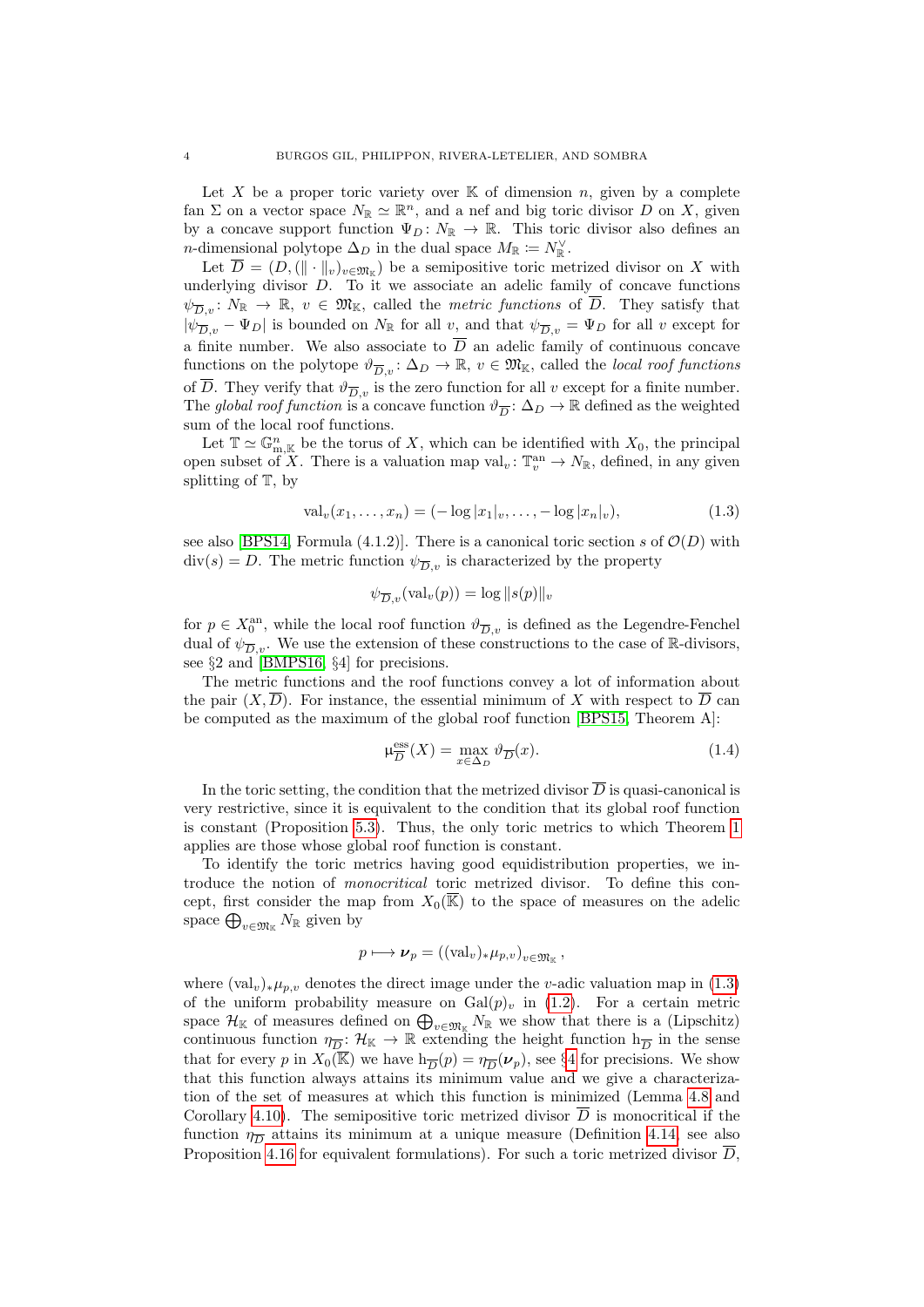Let X be a proper toric variety over  $K$  of dimension n, given by a complete fan  $\Sigma$  on a vector space  $N_{\mathbb{R}} \simeq \mathbb{R}^n$ , and a nef and big toric divisor D on X, given by a concave support function  $\Psi_D \colon N_{\mathbb{R}} \to \mathbb{R}$ . This toric divisor also defines an *n*-dimensional polytope  $\Delta_D$  in the dual space  $M_{\mathbb{R}} \coloneqq N_{\mathbb{R}}^{\vee}$ .

Let  $D = (D, (\|\cdot\|_v)_{v \in \mathfrak{M}_{\mathbb{K}}})$  be a semipositive toric metrized divisor on X with underlying divisor  $D$ . To it we associate an adelic family of concave functions  $\psi_{\overline{D},v} \colon N_{\mathbb{R}} \to \mathbb{R}, v \in \mathfrak{M}_{\mathbb{K}}$ , called the *metric functions* of  $\overline{D}$ . They satisfy that  $|\psi_{\overline{D},v} - \Psi_D|$  is bounded on  $N_{\mathbb{R}}$  for all v, and that  $\psi_{\overline{D},v} = \Psi_D$  for all v except for a finite number. We also associate to  $\overline{D}$  an adelic family of continuous concave functions on the polytope  $\vartheta_{\overline{D},v} : \Delta_D \to \mathbb{R}, v \in \mathfrak{M}_{\mathbb{K}}$ , called the *local roof functions* of  $\overline{D}$ . They verify that  $\vartheta_{\overline{D},v}$  is the zero function for all v except for a finite number. The global roof function is a concave function  $\vartheta_{\overline{D}}: \Delta_D \to \mathbb{R}$  defined as the weighted sum of the local roof functions.

Let  $\mathbb{T} \simeq \mathbb{G}_{m,\mathbb{K}}^n$  be the torus of X, which can be identified with  $X_0$ , the principal open subset of X. There is a valuation map val<sub>v</sub>:  $\mathbb{T}_v^{\text{an}} \to N_{\mathbb{R}}$ , defined, in any given splitting of T, by

<span id="page-3-0"></span>
$$
\text{val}_v(x_1, \dots, x_n) = (-\log |x_1|_v, \dots, -\log |x_n|_v),\tag{1.3}
$$

see also [\[BPS14,](#page-53-11) Formula (4.1.2)]. There is a canonical toric section s of  $\mathcal{O}(D)$  with  $div(s) = D$ . The metric function  $\psi_{\overline{D},v}$  is characterized by the property

$$
\psi_{\overline{D},v}(\text{val}_v(p)) = \log ||s(p)||_v
$$

for  $p \in X_0^{\text{an}}$ , while the local roof function  $\vartheta_{\overline{D},v}$  is defined as the Legendre-Fenchel dual of  $\psi_{\overline{D},v}$ . We use the extension of these constructions to the case of R-divisors, see §2 and [\[BMPS16,](#page-53-12) §4] for precisions.

The metric functions and the roof functions convey a lot of information about the pair  $(X, D)$ . For instance, the essential minimum of X with respect to D can be computed as the maximum of the global roof function [\[BPS15,](#page-53-13) Theorem A]:

<span id="page-3-1"></span>
$$
\mu_{\overline{D}}^{\text{ess}}(X) = \max_{x \in \Delta_D} \vartheta_{\overline{D}}(x). \tag{1.4}
$$

In the toric setting, the condition that the metrized divisor  $\overline{D}$  is quasi-canonical is very restrictive, since it is equivalent to the condition that its global roof function is constant (Proposition [5.3\)](#page-32-1). Thus, the only toric metrics to which Theorem [1](#page-2-1) applies are those whose global roof function is constant.

To identify the toric metrics having good equidistribution properties, we introduce the notion of monocritical toric metrized divisor. To define this concept, first consider the map from  $X_0(\overline{\mathbb{K}})$  to the space of measures on the adelic space  $\bigoplus_{v \in \mathfrak{M}_{\mathbb{K}}} N_{\mathbb{R}}$  given by

$$
p \longmapsto \nu_p = \left( (\text{val}_v)_* \mu_{p,v} \right)_{v \in \mathfrak{M}_{\mathbb{K}}},
$$

where  $\text{(val}_v)_*\mu_{p,v}$  denotes the direct image under the v-adic valuation map in [\(1.3\)](#page-3-0) of the uniform probability measure on  $Gal(p)_v$  in  $(1.2)$ . For a certain metric space  $\mathcal{H}_{\mathbb{K}}$  of measures defined on  $\bigoplus_{v\in\mathfrak{M}_{\mathbb{K}}}N_{\mathbb{R}}$  we show that there is a (Lipschitz) continuous function  $\eta_{\overline{D}}: \mathcal{H}_{\mathbb{K}} \to \mathbb{R}$  extending the height function  $h_{\overline{D}}$  in the sense that for every p in  $X_0(\overline{\mathbb{K}})$  we have  $h_{\overline{D}}(p) = \eta_{\overline{D}}(\nu_p)$ , see §[4](#page-21-0) for precisions. We show that this function always attains its minimum value and we give a characterization of the set of measures at which this function is minimized (Lemma [4.8](#page-25-0) and Corollary [4.10\)](#page-26-1). The semipositive toric metrized divisor  $\overline{D}$  is monocritical if the function  $\eta_{\overline{D}}$  attains its minimum at a unique measure (Definition [4.14,](#page-29-0) see also Proposition [4.16](#page-29-1) for equivalent formulations). For such a toric metrized divisor  $\overline{D}$ .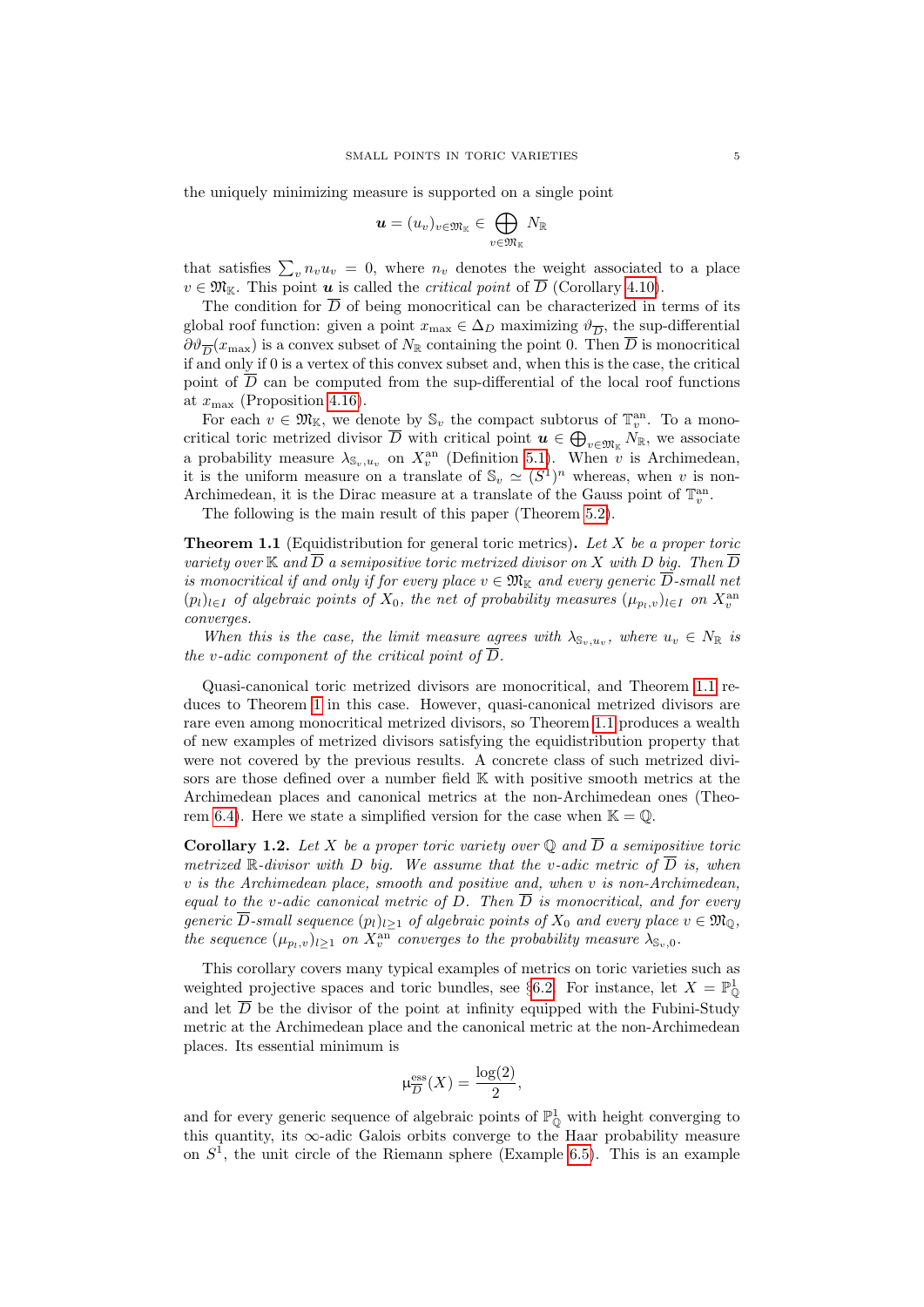the uniquely minimizing measure is supported on a single point

$$
\boldsymbol{u}=(u_v)_{v\in\mathfrak{M}_\mathbb{K}}\in\bigoplus_{v\in\mathfrak{M}_\mathbb{K}}N_\mathbb{R}
$$

that satisfies  $\sum_{v} n_v u_v = 0$ , where  $n_v$  denotes the weight associated to a place  $v \in \mathfrak{M}_{\mathbb{K}}$ . This point **u** is called the *critical point* of  $\overline{D}$  (Corollary [4.10\)](#page-26-1).

The condition for  $\overline{D}$  of being monocritical can be characterized in terms of its global roof function: given a point  $x_{\text{max}} \in \Delta_D$  maximizing  $\vartheta_{\overline{D}}$ , the sup-differential  $\partial \vartheta_{\overline{D}}(x_{\max})$  is a convex subset of  $N_{\mathbb{R}}$  containing the point 0. Then  $\overline{D}$  is monocritical if and only if 0 is a vertex of this convex subset and, when this is the case, the critical point of  $\overline{D}$  can be computed from the sup-differential of the local roof functions at  $x_{\text{max}}$  (Proposition [4.16\)](#page-29-1).

For each  $v \in \mathfrak{M}_{\mathbb{K}}$ , we denote by  $\mathbb{S}_v$  the compact subtorus of  $\mathbb{T}_v^{\text{an}}$ . To a monocritical toric metrized divisor  $\overline{D}$  with critical point  $u \in \bigoplus_{v \in \mathfrak{M}_{\mathbb{K}}} N_{\mathbb{R}}$ , we associate a probability measure  $\lambda_{\mathbb{S}_v,u_v}$  on  $X_v^{\text{an}}$  (Definition [5.1\)](#page-32-2). When  $\hat{v}$  is Archimedean, it is the uniform measure on a translate of  $\mathcal{S}_v \simeq (S^1)^n$  whereas, when v is non-Archimedean, it is the Dirac measure at a translate of the Gauss point of  $\mathbb{T}^{an}_v$ .

The following is the main result of this paper (Theorem [5.2\)](#page-32-3).

<span id="page-4-1"></span>**Theorem 1.1** (Equidistribution for general toric metrics). Let X be a proper toric variety over  $\mathbb K$  and  $\overline D$  a semipositive toric metrized divisor on  $X$  with  $D$  big. Then  $\overline D$ is monocritical if and only if for every place  $v \in \mathfrak{M}_{\mathbb K}$  and every generic  $\overline{D}$ -small net  $(p_l)_{l\in I}$  of algebraic points of  $X_0$ , the net of probability measures  $(\mu_{p_l,v})_{l\in I}$  on  $X_v^{\text{an}}$ converges.

When this is the case, the limit measure agrees with  $\lambda_{\mathbb{S}_v,u_v}$ , where  $u_v \in N_{\mathbb{R}}$  is the v-adic component of the critical point of  $\overline{D}$ .

Quasi-canonical toric metrized divisors are monocritical, and Theorem [1.1](#page-4-1) reduces to Theorem [1](#page-2-1) in this case. However, quasi-canonical metrized divisors are rare even among monocritical metrized divisors, so Theorem [1.1](#page-4-1) produces a wealth of new examples of metrized divisors satisfying the equidistribution property that were not covered by the previous results. A concrete class of such metrized divisors are those defined over a number field K with positive smooth metrics at the Archimedean places and canonical metrics at the non-Archimedean ones (Theo-rem [6.4\)](#page-43-0). Here we state a simplified version for the case when  $\mathbb{K} = \mathbb{Q}$ .

<span id="page-4-0"></span>**Corollary 1.2.** Let X be a proper toric variety over  $\mathbb Q$  and  $\overline{D}$  a semipositive toric metrized  $\mathbb R$ -divisor with D big. We assume that the v-adic metric of  $\overline{D}$  is, when v is the Archimedean place, smooth and positive and, when v is non-Archimedean, equal to the v-adic canonical metric of D. Then  $\overline{D}$  is monocritical, and for every generic  $\overline{D}$ -small sequence  $(p_l)_{l\geq 1}$  of algebraic points of  $X_0$  and every place  $v \in \mathfrak{M}_{\mathbb{Q}}$ , the sequence  $(\mu_{p_l,v})_{l\geq 1}$  on  $X_v^{\text{an}}$  converges to the probability measure  $\lambda_{\mathbb{S}_v,0}$ .

This corollary covers many typical examples of metrics on toric varieties such as weighted projective spaces and toric bundles, see §[6.2.](#page-43-1) For instance, let  $X = \mathbb{P}^1_0$ and let  $\overline{D}$  be the divisor of the point at infinity equipped with the Fubini-Study metric at the Archimedean place and the canonical metric at the non-Archimedean places. Its essential minimum is

$$
\mu_{\overline{D}}^{\text{ess}}(X) = \frac{\log(2)}{2},
$$

and for every generic sequence of algebraic points of  $\mathbb{P}^1_{\mathbb{Q}}$  with height converging to this quantity, its  $\infty$ -adic Galois orbits converge to the Haar probability measure on  $S<sup>1</sup>$ , the unit circle of the Riemann sphere (Example [6.5\)](#page-43-2). This is an example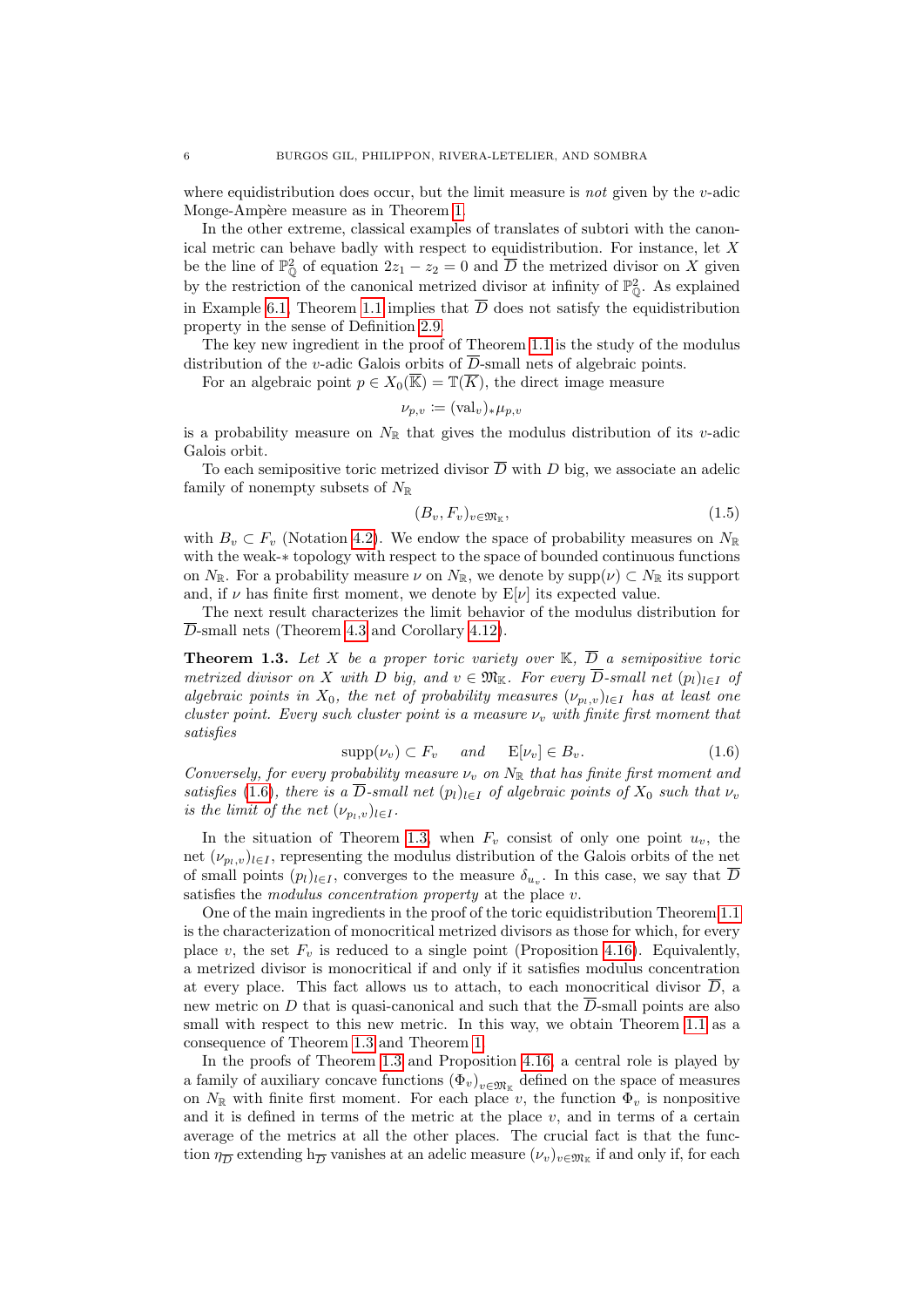where equidistribution does occur, but the limit measure is *not* given by the  $v$ -adic Monge-Ampère measure as in Theorem [1.](#page-2-1)

In the other extreme, classical examples of translates of subtori with the canonical metric can behave badly with respect to equidistribution. For instance, let  $X$ be the line of  $\mathbb{P}^2_{\mathbb{Q}}$  of equation  $2z_1 - z_2 = 0$  and  $\overline{D}$  the metrized divisor on X given by the restriction of the canonical metrized divisor at infinity of  $\mathbb{P}^2_{\mathbb{O}}$ . As explained in Example [6.1,](#page-40-0) Theorem [1.1](#page-4-1) implies that  $\overline{D}$  does not satisfy the equidistribution property in the sense of Definition [2.9.](#page-12-0)

The key new ingredient in the proof of Theorem [1.1](#page-4-1) is the study of the modulus distribution of the v-adic Galois orbits of  $\overline{D}$ -small nets of algebraic points.

For an algebraic point  $p \in X_0(\overline{\mathbb{K}}) = \mathbb{T}(\overline{K})$ , the direct image measure

$$
\nu_{p,v} \coloneqq (\text{val}_v)_*\mu_{p,v}
$$

is a probability measure on  $N_{\mathbb{R}}$  that gives the modulus distribution of its v-adic Galois orbit.

To each semipositive toric metrized divisor  $\overline{D}$  with D big, we associate an adelic family of nonempty subsets of  $N_{\mathbb{R}}$ 

<span id="page-5-2"></span>
$$
(B_v, F_v)_{v \in \mathfrak{M}_{\mathbb{K}}},\tag{1.5}
$$

with  $B_v \subset F_v$  (Notation [4.2\)](#page-22-0). We endow the space of probability measures on  $N_{\mathbb{R}}$ with the weak-∗ topology with respect to the space of bounded continuous functions on  $N_{\mathbb{R}}$ . For a probability measure  $\nu$  on  $N_{\mathbb{R}}$ , we denote by  $\text{supp}(\nu) \subset N_{\mathbb{R}}$  its support and, if  $\nu$  has finite first moment, we denote by  $E[\nu]$  its expected value.

The next result characterizes the limit behavior of the modulus distribution for  $\overline{D}$ -small nets (Theorem [4.3](#page-23-0) and Corollary [4.12\)](#page-28-0).

<span id="page-5-1"></span>**Theorem 1.3.** Let X be a proper toric variety over  $\mathbb{K}, \overline{D}$  a semipositive toric metrized divisor on X with D big, and  $v \in \mathfrak{M}_{\mathbb{K}}$ . For every  $\overline{D}$ -small net  $(p_l)_{l \in I}$  of algebraic points in  $X_0$ , the net of probability measures  $(\nu_{p_1,v})_{l\in I}$  has at least one cluster point. Every such cluster point is a measure  $\nu_v$  with finite first moment that satisfies

<span id="page-5-0"></span>
$$
supp(\nu_v) \subset F_v \quad \text{and} \quad \mathbb{E}[\nu_v] \in B_v. \tag{1.6}
$$

Conversely, for every probability measure  $\nu_v$  on  $N_{\mathbb{R}}$  that has finite first moment and satisfies [\(1.6\)](#page-5-0), there is a D-small net  $(p_l)_{l\in I}$  of algebraic points of  $X_0$  such that  $\nu_v$ is the limit of the net  $(\nu_{p_l,v})_{l\in I}$ .

In the situation of Theorem [1.3,](#page-5-1) when  $F_v$  consist of only one point  $u_v$ , the net  $(\nu_{p_l,v})_{l\in I}$ , representing the modulus distribution of the Galois orbits of the net of small points  $(p_l)_{l \in I}$ , converges to the measure  $\delta_{u_v}$ . In this case, we say that D satisfies the *modulus concentration property* at the place  $v$ .

One of the main ingredients in the proof of the toric equidistribution Theorem [1.1](#page-4-1) is the characterization of monocritical metrized divisors as those for which, for every place v, the set  $F_v$  is reduced to a single point (Proposition [4.16\)](#page-29-1). Equivalently, a metrized divisor is monocritical if and only if it satisfies modulus concentration at every place. This fact allows us to attach, to each monocritical divisor  $D$ , a new metric on D that is quasi-canonical and such that the  $\overline{D}$ -small points are also small with respect to this new metric. In this way, we obtain Theorem [1.1](#page-4-1) as a consequence of Theorem [1.3](#page-5-1) and Theorem [1.](#page-2-1)

In the proofs of Theorem [1.3](#page-5-1) and Proposition [4.16,](#page-29-1) a central role is played by a family of auxiliary concave functions  $(\Phi_v)_{v \in \mathfrak{M}_{\mathbb{K}}}$  defined on the space of measures on  $N_{\mathbb{R}}$  with finite first moment. For each place v, the function  $\Phi_v$  is nonpositive and it is defined in terms of the metric at the place  $v$ , and in terms of a certain average of the metrics at all the other places. The crucial fact is that the function  $\eta_{\overline{D}}$  extending  $h_{\overline{D}}$  vanishes at an adelic measure  $(\nu_v)_{v \in \mathfrak{M}_{\mathbb{K}}}$  if and only if, for each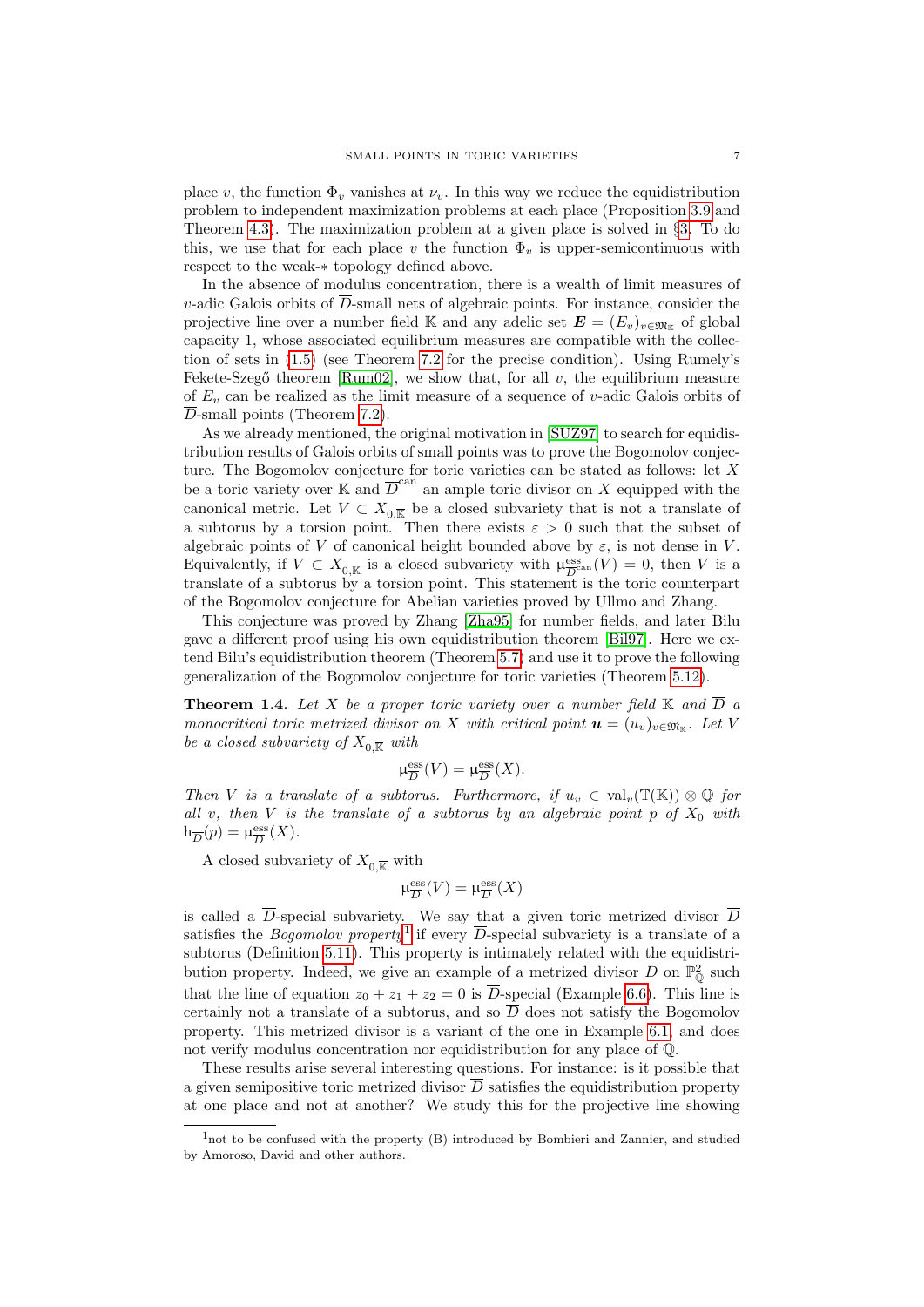place v, the function  $\Phi_v$  vanishes at  $\nu_v$ . In this way we reduce the equidistribution problem to independent maximization problems at each place (Proposition [3.9](#page-17-0) and Theorem [4.3\)](#page-23-0). The maximization problem at a given place is solved in §[3.](#page-13-0) To do this, we use that for each place v the function  $\Phi_v$  is upper-semicontinuous with respect to the weak-∗ topology defined above.

In the absence of modulus concentration, there is a wealth of limit measures of v-adic Galois orbits of  $\overline{D}$ -small nets of algebraic points. For instance, consider the projective line over a number field K and any adelic set  $\mathbf{E} = (E_v)_{v \in \mathfrak{M}_{\mathbb{K}}}$  of global capacity 1, whose associated equilibrium measures are compatible with the collection of sets in [\(1.5\)](#page-5-2) (see Theorem [7.2](#page-48-0) for the precise condition). Using Rumely's Fekete-Szegő theorem [\[Rum02\]](#page-54-7), we show that, for all  $v$ , the equilibrium measure of  $E_v$  can be realized as the limit measure of a sequence of v-adic Galois orbits of  $\overline{D}$ -small points (Theorem [7.2\)](#page-48-0).

As we already mentioned, the original motivation in [\[SUZ97\]](#page-54-0) to search for equidistribution results of Galois orbits of small points was to prove the Bogomolov conjecture. The Bogomolov conjecture for toric varieties can be stated as follows: let X be a toric variety over  $\mathbb K$  and  $\overline{D}^{\text{can}}$  an ample toric divisor on X equipped with the canonical metric. Let  $V \subset X_{0,\overline{\mathbb{R}}}$  be a closed subvariety that is not a translate of a subtorus by a torsion point. Then there exists  $\varepsilon > 0$  such that the subset of algebraic points of V of canonical height bounded above by  $\varepsilon$ , is not dense in V. Equivalently, if  $V \subset X_{0,\overline{\mathbb{R}}}$  is a closed subvariety with  $\mu_{\overline{D}^{\circ}}^{\text{ess}}$  $\frac{\text{ess}}{D}$ can  $(V) = 0$ , then V is a translate of a subtorus by a torsion point. This statement is the toric counterpart of the Bogomolov conjecture for Abelian varieties proved by Ullmo and Zhang.

This conjecture was proved by Zhang [\[Zha95\]](#page-54-6) for number fields, and later Bilu gave a different proof using his own equidistribution theorem [\[Bil97\]](#page-53-4). Here we extend Bilu's equidistribution theorem (Theorem [5.7\)](#page-34-0) and use it to prove the following generalization of the Bogomolov conjecture for toric varieties (Theorem [5.12\)](#page-36-0).

<span id="page-6-0"></span>**Theorem 1.4.** Let X be a proper toric variety over a number field  $\mathbb{K}$  and  $\overline{D}$  a monocritical toric metrized divisor on X with critical point  $\mathbf{u} = (u_v)_{v \in \mathfrak{M}_{\mathbb{K}}}$ . Let V be a closed subvariety of  $X_{0,\overline{\mathbb{R}}}$  with

$$
\mu_{\overline{D}}^{\mathrm{ess}}(V)=\mu_{\overline{D}}^{\mathrm{ess}}(X).
$$

Then V is a translate of a subtorus. Furthermore, if  $u_v \in val_v(\mathbb{T}(\mathbb{K})) \otimes \mathbb{Q}$  for all v, then V is the translate of a subtorus by an algebraic point  $p$  of  $X_0$  with  $h_{\overline{D}}(p) = \mu_{\overline{D}}^{\text{ess}}$  $\frac{\text{ess}}{D}(X)$ .

A closed subvariety of  $X_0\overline{\mathbb{R}}$  with

$$
\mu_{\overline{D}}^{\mathrm{ess}}(V)=\mu_{\overline{D}}^{\mathrm{ess}}(X)
$$

is called a  $\overline{D}$ -special subvariety. We say that a given toric metrized divisor  $\overline{D}$ satisfies the *Bogomolov property*<sup>[1](#page-6-1)</sup> if every  $\overline{D}$ -special subvariety is a translate of a subtorus (Definition [5.11\)](#page-36-1). This property is intimately related with the equidistribution property. Indeed, we give an example of a metrized divisor  $\overline{D}$  on  $\mathbb{P}^2_0$  such that the line of equation  $z_0 + z_1 + z_2 = 0$  is  $\overline{D}$ -special (Example [6.6\)](#page-44-0). This line is certainly not a translate of a subtorus, and so  $\overline{D}$  does not satisfy the Bogomolov property. This metrized divisor is a variant of the one in Example [6.1,](#page-40-0) and does not verify modulus concentration nor equidistribution for any place of Q.

These results arise several interesting questions. For instance: is it possible that a given semipositive toric metrized divisor  $\overline{D}$  satisfies the equidistribution property at one place and not at another? We study this for the projective line showing

<span id="page-6-1"></span> $1$ not to be confused with the property  $(B)$  introduced by Bombieri and Zannier, and studied by Amoroso, David and other authors.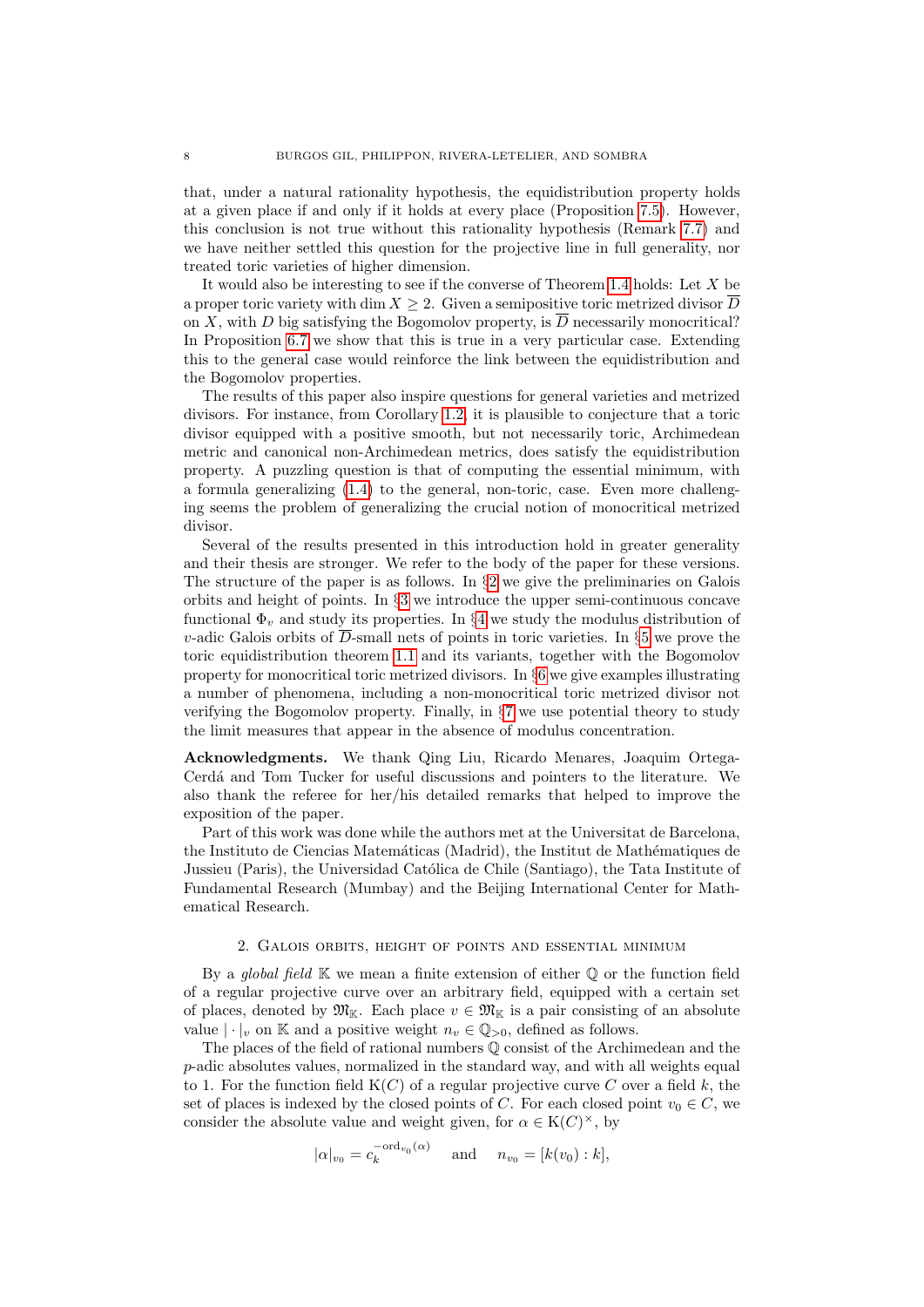that, under a natural rationality hypothesis, the equidistribution property holds at a given place if and only if it holds at every place (Proposition [7.5\)](#page-50-0). However, this conclusion is not true without this rationality hypothesis (Remark [7.7\)](#page-53-16) and we have neither settled this question for the projective line in full generality, nor treated toric varieties of higher dimension.

It would also be interesting to see if the converse of Theorem [1.4](#page-6-0) holds: Let  $X$  be a proper toric variety with dim  $X \geq 2$ . Given a semipositive toric metrized divisor  $\overline{D}$ on X, with D big satisfying the Bogomolov property, is  $\overline{D}$  necessarily monocritical? In Proposition [6.7](#page-45-0) we show that this is true in a very particular case. Extending this to the general case would reinforce the link between the equidistribution and the Bogomolov properties.

The results of this paper also inspire questions for general varieties and metrized divisors. For instance, from Corollary [1.2,](#page-4-0) it is plausible to conjecture that a toric divisor equipped with a positive smooth, but not necessarily toric, Archimedean metric and canonical non-Archimedean metrics, does satisfy the equidistribution property. A puzzling question is that of computing the essential minimum, with a formula generalizing [\(1.4\)](#page-3-1) to the general, non-toric, case. Even more challenging seems the problem of generalizing the crucial notion of monocritical metrized divisor.

Several of the results presented in this introduction hold in greater generality and their thesis are stronger. We refer to the body of the paper for these versions. The structure of the paper is as follows. In  $\S2$  $\S2$  we give the preliminaries on Galois orbits and height of points. In §[3](#page-13-0) we introduce the upper semi-continuous concave functional  $\Phi_v$  and study its properties. In §[4](#page-21-0) we study the modulus distribution of v-adic Galois orbits of  $\overline{D}$ -small nets of points in toric varieties. In §[5](#page-32-0) we prove the toric equidistribution theorem [1.1](#page-4-1) and its variants, together with the Bogomolov property for monocritical toric metrized divisors. In §[6](#page-39-0) we give examples illustrating a number of phenomena, including a non-monocritical toric metrized divisor not verifying the Bogomolov property. Finally, in §[7](#page-46-0) we use potential theory to study the limit measures that appear in the absence of modulus concentration.

Acknowledgments. We thank Qing Liu, Ricardo Menares, Joaquim Ortega-Cerdá and Tom Tucker for useful discussions and pointers to the literature. We also thank the referee for her/his detailed remarks that helped to improve the exposition of the paper.

Part of this work was done while the authors met at the Universitat de Barcelona, the Instituto de Ciencias Matemáticas (Madrid), the Institut de Mathématiques de Jussieu (Paris), the Universidad Católica de Chile (Santiago), the Tata Institute of Fundamental Research (Mumbay) and the Beijing International Center for Mathematical Research.

## 2. Galois orbits, height of points and essential minimum

<span id="page-7-0"></span>By a global field  $\mathbb K$  we mean a finite extension of either  $\mathbb Q$  or the function field of a regular projective curve over an arbitrary field, equipped with a certain set of places, denoted by  $\mathfrak{M}_{\mathbb{K}}$ . Each place  $v \in \mathfrak{M}_{\mathbb{K}}$  is a pair consisting of an absolute value  $|\cdot|_v$  on K and a positive weight  $n_v \in \mathbb{Q}_{>0}$ , defined as follows.

The places of the field of rational numbers Q consist of the Archimedean and the p-adic absolutes values, normalized in the standard way, and with all weights equal to 1. For the function field  $K(C)$  of a regular projective curve C over a field k, the set of places is indexed by the closed points of C. For each closed point  $v_0 \in C$ , we consider the absolute value and weight given, for  $\alpha \in K(C)^{\times}$ , by

$$
|\alpha|_{v_0} = c_k^{-\text{ord}_{v_0}(\alpha)}
$$
 and  $n_{v_0} = [k(v_0):k],$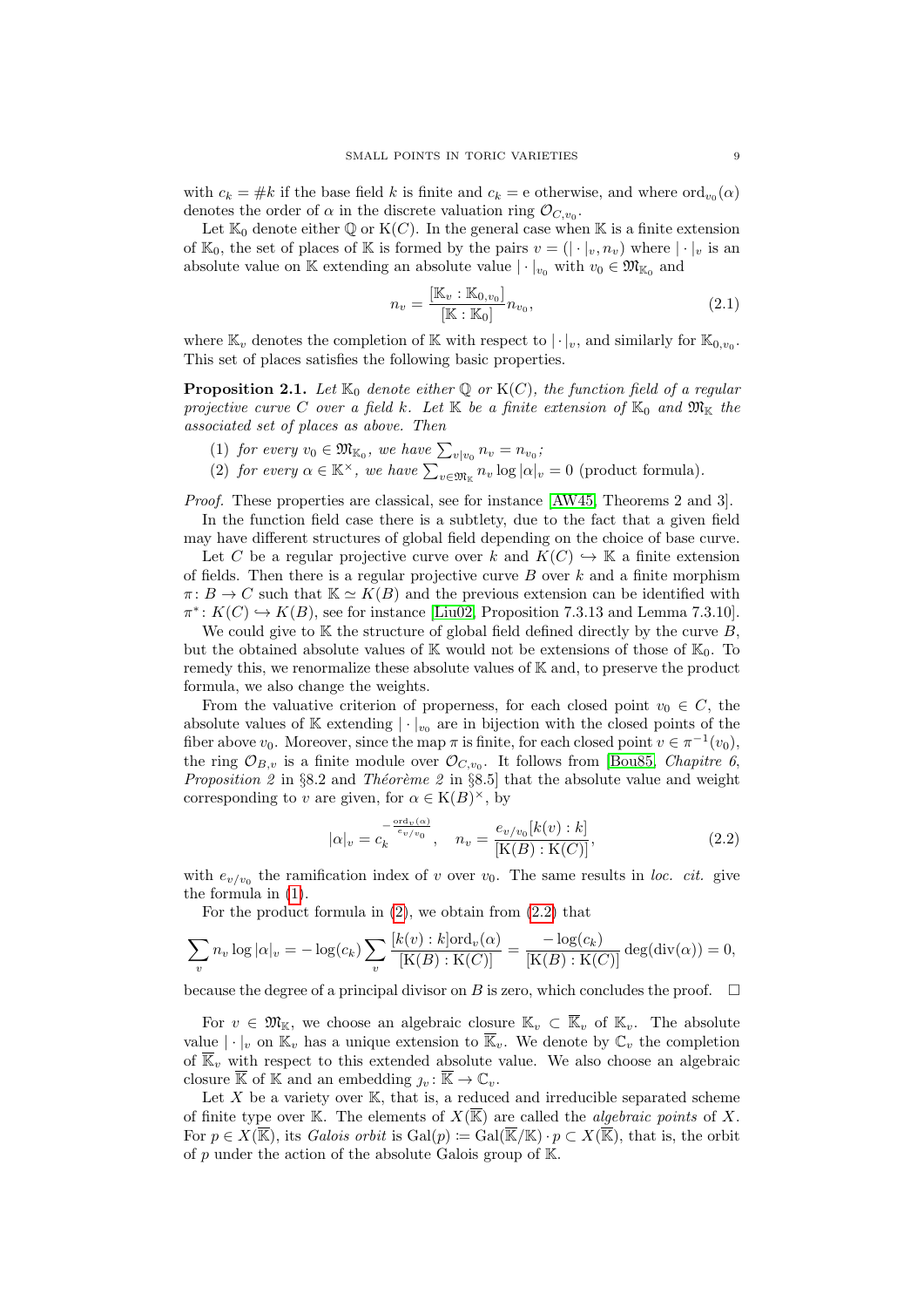with  $c_k = \#k$  if the base field k is finite and  $c_k = e$  otherwise, and where  $\text{ord}_{v_0}(\alpha)$ denotes the order of  $\alpha$  in the discrete valuation ring  $\mathcal{O}_{C,v_0}$ .

Let  $\mathbb{K}_0$  denote either  $\mathbb{Q}$  or  $\mathrm{K}(C)$ . In the general case when  $\mathbb{K}$  is a finite extension of  $\mathbb{K}_0$ , the set of places of  $\mathbb K$  is formed by the pairs  $v = (|\cdot|_v, n_v)$  where  $|\cdot|_v$  is an absolute value on K extending an absolute value  $|\cdot|_{v_0}$  with  $v_0 \in \mathfrak{M}_{\mathbb{K}_0}$  and

$$
n_v = \frac{[\mathbb{K}_v : \mathbb{K}_{0,v_0}]}{[\mathbb{K} : \mathbb{K}_0]} n_{v_0},
$$
\n(2.1)

where  $\mathbb{K}_v$  denotes the completion of  $\mathbb{K}$  with respect to  $|\cdot|_v$ , and similarly for  $\mathbb{K}_{0,v_0}$ . This set of places satisfies the following basic properties.

<span id="page-8-3"></span>**Proposition 2.1.** Let  $\mathbb{K}_0$  denote either Q or  $K(C)$ , the function field of a regular projective curve C over a field k. Let K be a finite extension of  $\mathbb{K}_0$  and  $\mathfrak{M}_{\mathbb{K}}$  the associated set of places as above. Then

- <span id="page-8-0"></span>(1) for every  $v_0 \in \mathfrak{M}_{\mathbb{K}_0}$ , we have  $\sum_{v|v_0} n_v = n_{v_0}$ ;
- <span id="page-8-1"></span>(2) for every  $\alpha \in \mathbb{K}^{\times}$ , we have  $\sum_{v \in \mathfrak{M}_{\mathbb{K}}} n_v \log |\alpha|_v = 0$  (product formula).

Proof. These properties are classical, see for instance [\[AW45,](#page-53-17) Theorems 2 and 3].

In the function field case there is a subtlety, due to the fact that a given field may have different structures of global field depending on the choice of base curve.

Let C be a regular projective curve over k and  $K(C) \hookrightarrow \mathbb{K}$  a finite extension of fields. Then there is a regular projective curve  $B$  over  $k$  and a finite morphism  $\pi: B \to C$  such that  $\mathbb{K} \simeq K(B)$  and the previous extension can be identified with  $\pi^*: K(C) \hookrightarrow K(B)$ , see for instance [\[Liu02,](#page-53-18) Proposition 7.3.13 and Lemma 7.3.10].

We could give to  $K$  the structure of global field defined directly by the curve  $B$ , but the obtained absolute values of  $\mathbb K$  would not be extensions of those of  $\mathbb K_0$ . To remedy this, we renormalize these absolute values of K and, to preserve the product formula, we also change the weights.

From the valuative criterion of properness, for each closed point  $v_0 \in C$ , the absolute values of  $\mathbb K$  extending  $|\cdot|_{v_0}$  are in bijection with the closed points of the fiber above  $v_0$ . Moreover, since the map  $\pi$  is finite, for each closed point  $v \in \pi^{-1}(v_0)$ , the ring  $\mathcal{O}_{B,v}$  is a finite module over  $\mathcal{O}_{C,v_0}$ . It follows from [\[Bou85,](#page-53-19) *Chapitre 6*, *Proposition 2* in §8.2 and *Théorème 2* in §8.5] that the absolute value and weight corresponding to v are given, for  $\alpha \in K(B)^{\times}$ , by

<span id="page-8-2"></span>
$$
|\alpha|_v = c_k^{-\frac{\text{ord}_v(\alpha)}{e_v/v_0}}, \quad n_v = \frac{e_{v/v_0}[k(v):k]}{[K(B):K(C)]},
$$
\n(2.2)

with  $e_{v/v_0}$  the ramification index of v over  $v_0$ . The same results in loc. cit. give the formula in [\(1\)](#page-8-0).

For the product formula in  $(2)$ , we obtain from  $(2.2)$  that

$$
\sum_{v} n_{v} \log |\alpha|_{v} = -\log(c_{k}) \sum_{v} \frac{[k(v) : k] \text{ord}_{v}(\alpha)}{[K(B) : K(C)]} = \frac{-\log(c_{k})}{[K(B) : K(C)]} \deg(\text{div}(\alpha)) = 0,
$$

because the degree of a principal divisor on B is zero, which concludes the proof.  $\Box$ 

For  $v \in \mathfrak{M}_{\mathbb{K}}$ , we choose an algebraic closure  $\mathbb{K}_v \subset \overline{\mathbb{K}}_v$  of  $\mathbb{K}_v$ . The absolute value  $|\cdot|_v$  on  $\mathbb{K}_v$  has a unique extension to  $\overline{\mathbb{K}}_v$ . We denote by  $\mathbb{C}_v$  the completion of  $\overline{\mathbb{K}}_v$  with respect to this extended absolute value. We also choose an algebraic closure  $\overline{\mathbb{K}}$  of  $\mathbb{K}$  and an embedding  $\eta_v : \overline{\mathbb{K}} \to \mathbb{C}_v$ .

Let  $X$  be a variety over  $K$ , that is, a reduced and irreducible separated scheme of finite type over K. The elements of  $X(\overline{\mathbb{K}})$  are called the *algebraic points* of X. For  $p \in X(\overline{\mathbb{K}})$ , its Galois orbit is  $Gal(p) := Gal(\overline{\mathbb{K}}/\mathbb{K}) \cdot p \subset X(\overline{\mathbb{K}})$ , that is, the orbit of p under the action of the absolute Galois group of  $K$ .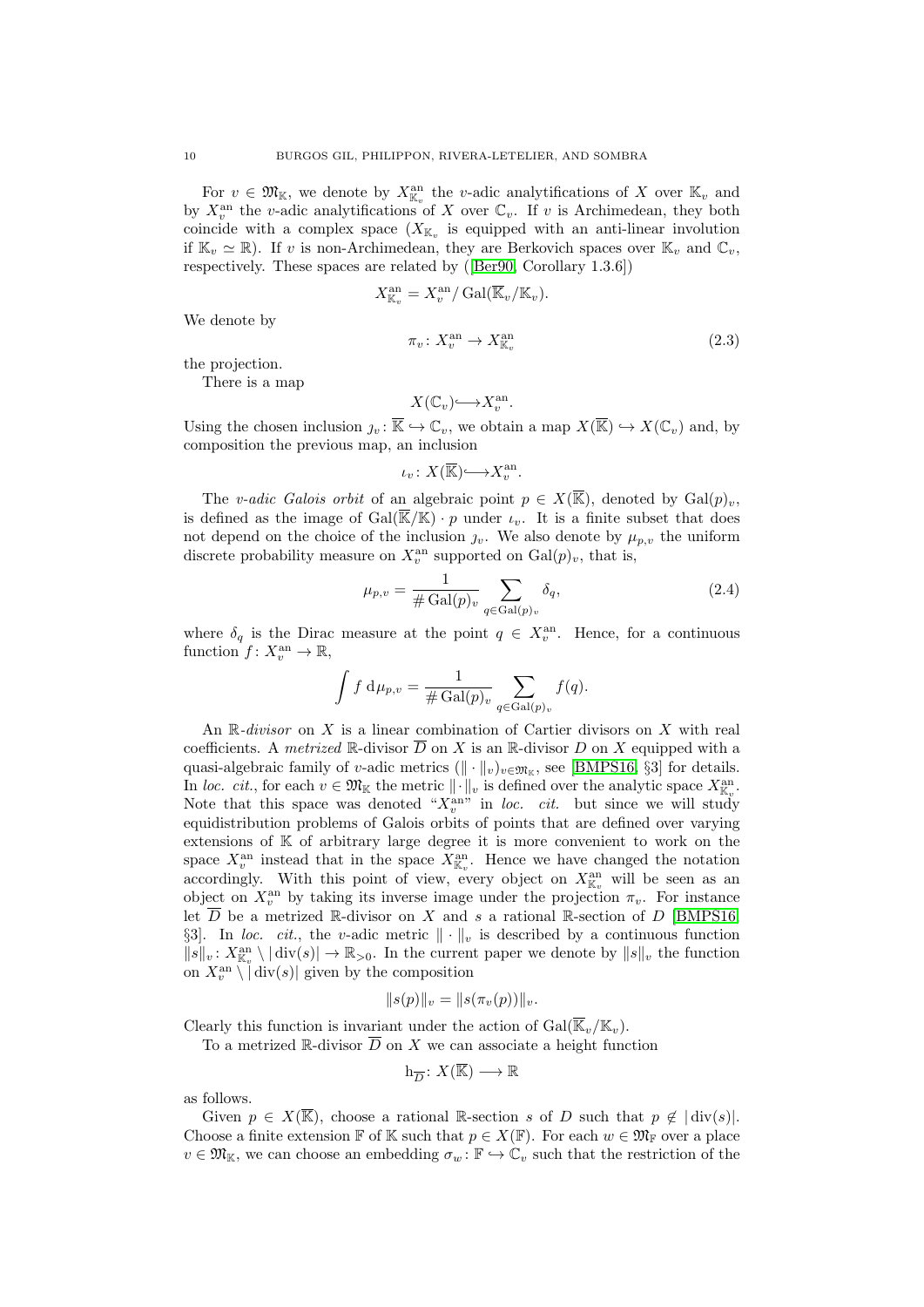For  $v \in \mathfrak{M}_{\mathbb{K}}$ , we denote by  $X_{\mathbb{K}_v}^{\text{an}}$  the *v*-adic analytifications of X over  $\mathbb{K}_v$  and by  $X_v^{\text{an}}$  the v-adic analytifications of X over  $\mathbb{C}_v$ . If v is Archimedean, they both coincide with a complex space  $(X_{\mathbb{K}_v}$  is equipped with an anti-linear involution if  $\mathbb{K}_v \simeq \mathbb{R}$ ). If v is non-Archimedean, they are Berkovich spaces over  $\mathbb{K}_v$  and  $\mathbb{C}_v$ . respectively. These spaces are related by([\[Ber90,](#page-53-20) Corollary 1.3.6])

$$
X_{\mathbb{K}_v}^{\text{an}} = X_v^{\text{an}} / \text{Gal}(\overline{\mathbb{K}}_v / \mathbb{K}_v).
$$
  

$$
\pi_v \colon X_v^{\text{an}} \to X_{\mathbb{K}_v}^{\text{an}}
$$
(2.3)

We denote by

the projection.

There is a map

$$
X(\mathbb{C}_v) \longrightarrow X_v^{\mathrm{an}}.
$$

Using the chosen inclusion  $y_v : \overline{\mathbb{K}} \hookrightarrow \mathbb{C}_v$ , we obtain a map  $X(\overline{\mathbb{K}}) \hookrightarrow X(\mathbb{C}_v)$  and, by composition the previous map, an inclusion

$$
\iota_v \colon X(\overline{\mathbb{K}}) \longrightarrow X_v^{\mathrm{an}}.
$$

The v-adic Galois orbit of an algebraic point  $p \in X(\overline{\mathbb{K}})$ , denoted by  $Gal(p)_v$ , is defined as the image of  $Gal(\overline{\mathbb{K}}/\mathbb{K})\cdot p$  under  $\iota_v$ . It is a finite subset that does not depend on the choice of the inclusion  $j_v$ . We also denote by  $\mu_{p,v}$  the uniform discrete probability measure on  $X_v^{\text{an}}$  supported on  $\text{Gal}(p)_v$ , that is,

<span id="page-9-0"></span>
$$
\mu_{p,v} = \frac{1}{\#\operatorname{Gal}(p)_v} \sum_{q \in \operatorname{Gal}(p)_v} \delta_q,\tag{2.4}
$$

where  $\delta_q$  is the Dirac measure at the point  $q \in X_v^{\text{an}}$ . Hence, for a continuous function  $f: X_v^{\text{an}} \to \mathbb{R}$ ,

$$
\int f \, \mathrm{d}\mu_{p,v} = \frac{1}{\# \mathrm{Gal}(p)_v} \sum_{q \in \mathrm{Gal}(p)_v} f(q).
$$

An  $\mathbb R$ -divisor on X is a linear combination of Cartier divisors on X with real coefficients. A metrized R-divisor  $\overline{D}$  on X is an R-divisor D on X equipped with a quasi-algebraic family of v-adic metrics  $(\|\cdot\|_v)_{v \in \mathfrak{M}_{\mathbb{K}}}$ , see [\[BMPS16,](#page-53-12) §3] for details. In loc. cit., for each  $v \in \mathfrak{M}_{\mathbb{K}}$  the metric  $\|\cdot\|_v$  is defined over the analytic space  $X^{\text{an}}_{\mathbb{K}_v}$ . Note that this space was denoted " $X_v^{\text{an}}$ " in loc. cit. but since we will study equidistribution problems of Galois orbits of points that are defined over varying extensions of K of arbitrary large degree it is more convenient to work on the space  $X_v^{\text{an}}$  instead that in the space  $X_{\mathbb{K}_v}^{\text{an}}$ . Hence we have changed the notation accordingly. With this point of view, every object on  $X_{\mathbb{K}_v}^{\text{an}}$  will be seen as an object on  $X_v^{\text{an}}$  by taking its inverse image under the projection  $\pi_v$ . For instance let  $\overline{D}$  be a metrized R-divisor on X and s a rational R-section of D [\[BMPS16,](#page-53-12) §3]. In loc. cit., the v-adic metric  $\|\cdot\|_v$  is described by a continuous function  $||s||_v: X_{\mathbb{K}_v}^{\text{an}} \setminus |\text{div}(s)| \to \mathbb{R}_{>0}$ . In the current paper we denote by  $||s||_v$  the function on  $X_v^{\text{an}} \setminus |\text{div}(s)|$  given by the composition

$$
||s(p)||_v = ||s(\pi_v(p))||_v.
$$

Clearly this function is invariant under the action of  $Gal(\overline{\mathbb{K}}_v/\mathbb{K}_v)$ .

To a metrized R-divisor  $\overline{D}$  on X we can associate a height function

$$
\mathbf{h}_{\overline{D}}\colon X(\overline{\mathbb{K}})\longrightarrow \mathbb{R}
$$

as follows.

Given  $p \in X(\overline{\mathbb{K}})$ , choose a rational R-section s of D such that  $p \notin |div(s)|$ . Choose a finite extension F of K such that  $p \in X(\mathbb{F})$ . For each  $w \in \mathfrak{M}_{\mathbb{F}}$  over a place  $v \in \mathfrak{M}_{\mathbb{K}}$ , we can choose an embedding  $\sigma_w : \mathbb{F} \hookrightarrow \mathbb{C}_v$  such that the restriction of the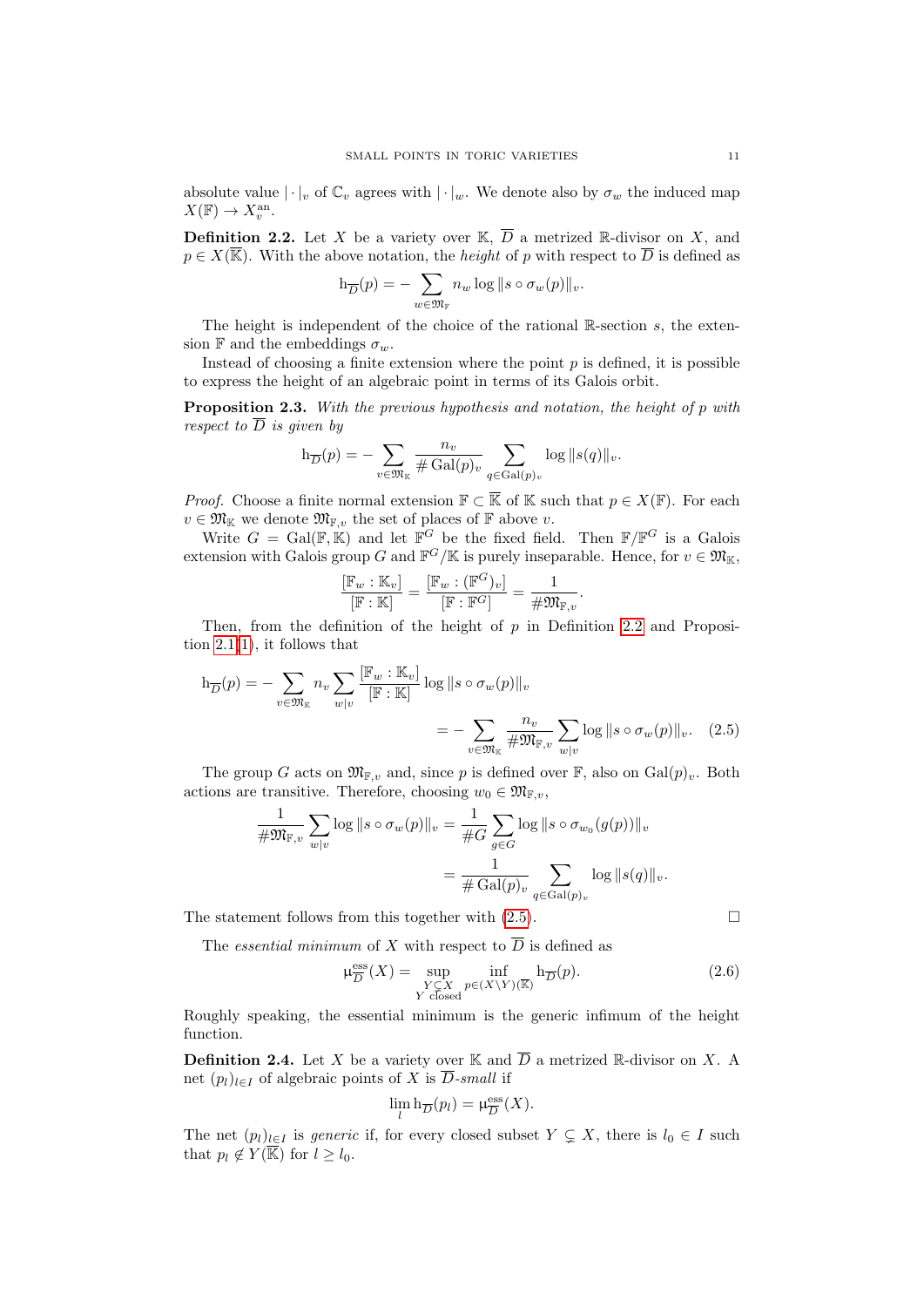absolute value  $|\cdot|_v$  of  $\mathbb{C}_v$  agrees with  $|\cdot|_w$ . We denote also by  $\sigma_w$  the induced map  $X(\mathbb{F}) \to X_v^{\text{an}}.$ 

<span id="page-10-0"></span>**Definition 2.2.** Let X be a variety over K,  $\overline{D}$  a metrized R-divisor on X, and  $p \in X(\overline{\mathbb{K}})$ . With the above notation, the *height* of p with respect to  $\overline{D}$  is defined as

$$
\mathrm{h}_{\overline{D}}(p) = -\sum_{w \in \mathfrak{M}_{\mathbb{F}}} n_w \log \|s \circ \sigma_w(p)\|_v.
$$

The height is independent of the choice of the rational  $\mathbb{R}$ -section s, the extension F and the embeddings  $\sigma_w$ .

Instead of choosing a finite extension where the point  $p$  is defined, it is possible to express the height of an algebraic point in terms of its Galois orbit.

<span id="page-10-3"></span>**Proposition 2.3.** With the previous hypothesis and notation, the height of p with respect to  $\overline{D}$  is given by

$$
h_{\overline{D}}(p) = -\sum_{v \in \mathfrak{M}_{K}} \frac{n_{v}}{\# \operatorname{Gal}(p)_{v}} \sum_{q \in \operatorname{Gal}(p)_{v}} \log ||s(q)||_{v}.
$$

*Proof.* Choose a finite normal extension  $\mathbb{F} \subset \overline{\mathbb{K}}$  of K such that  $p \in X(\mathbb{F})$ . For each  $v \in \mathfrak{M}_{\mathbb{K}}$  we denote  $\mathfrak{M}_{\mathbb{F}_p}$ , the set of places of  $\mathbb{F}$  above v.

Write  $G = \text{Gal}(\mathbb{F}, \mathbb{K})$  and let  $\mathbb{F}^G$  be the fixed field. Then  $\mathbb{F}/\mathbb{F}^G$  is a Galois extension with Galois group G and  $\mathbb{F}^G/\mathbb{K}$  is purely inseparable. Hence, for  $v \in \mathfrak{M}_{\mathbb{K}}$ ,

<span id="page-10-1"></span>
$$
\frac{[\mathbb{F}_w:\mathbb{K}_v]}{[\mathbb{F}:\mathbb{K}]}=\frac{[\mathbb{F}_w:(\mathbb{F}^G)_v]}{[\mathbb{F}:\mathbb{F}^G]}=\frac{1}{\#\mathfrak{M}_{\mathbb{F},v}}.
$$

Then, from the definition of the height of  $p$  in Definition [2.2](#page-10-0) and Proposition  $2.1(1)$  $2.1(1)$ , it follows that

$$
h_{\overline{D}}(p) = -\sum_{v \in \mathfrak{M}_{\mathbb{K}}} n_v \sum_{w|v} \frac{[\mathbb{F}_w : \mathbb{K}_v]}{[\mathbb{F} : \mathbb{K}]} \log \|s \circ \sigma_w(p)\|_v
$$
  
= 
$$
-\sum_{v \in \mathfrak{M}_{\mathbb{K}}} \frac{n_v}{\# \mathfrak{M}_{\mathbb{F},v}} \sum_{w|v} \log \|s \circ \sigma_w(p)\|_v. \quad (2.5)
$$

The group G acts on  $\mathfrak{M}_{\mathbb{F},v}$  and, since p is defined over  $\mathbb{F}$ , also on  $Gal(p)_v$ . Both actions are transitive. Therefore, choosing  $w_0 \in \mathfrak{M}_{\mathbb{F}_n}$ ,

$$
\frac{1}{\#\mathfrak{M}_{\mathbb{F},v}} \sum_{w|v} \log ||s \circ \sigma_w(p)||_v = \frac{1}{\#G} \sum_{g \in G} \log ||s \circ \sigma_{w_0}(g(p))||_v
$$

$$
= \frac{1}{\#\operatorname{Gal}(p)_v} \sum_{q \in \operatorname{Gal}(p)_v} \log ||s(q)||_v.
$$

The statement follows from this together with  $(2.5)$ .

The *essential minimum* of X with respect to  $\overline{D}$  is defined as

<span id="page-10-2"></span>
$$
\mu_{\overline{D}}^{\text{ess}}(X) = \sup_{\substack{Y \subseteq X \\ Y \text{ closed}}} \inf_{p \in (X \setminus Y)(\overline{\mathbb{R}})} h_{\overline{D}}(p). \tag{2.6}
$$

Roughly speaking, the essential minimum is the generic infimum of the height function.

**Definition 2.4.** Let X be a variety over K and  $\overline{D}$  a metrized R-divisor on X. A net  $(p_l)_{l\in I}$  of algebraic points of X is  $\overline{D}$ -small if

$$
\lim_{l} \mathbf{h}_{\overline{D}}(p_l) = \mu_{\overline{D}}^{\text{ess}}(X).
$$

The net  $(p_l)_{l\in I}$  is *generic* if, for every closed subset  $Y \subsetneq X$ , there is  $l_0 \in I$  such that  $p_l \notin Y(\overline{\mathbb{K}})$  for  $l \geq l_0$ .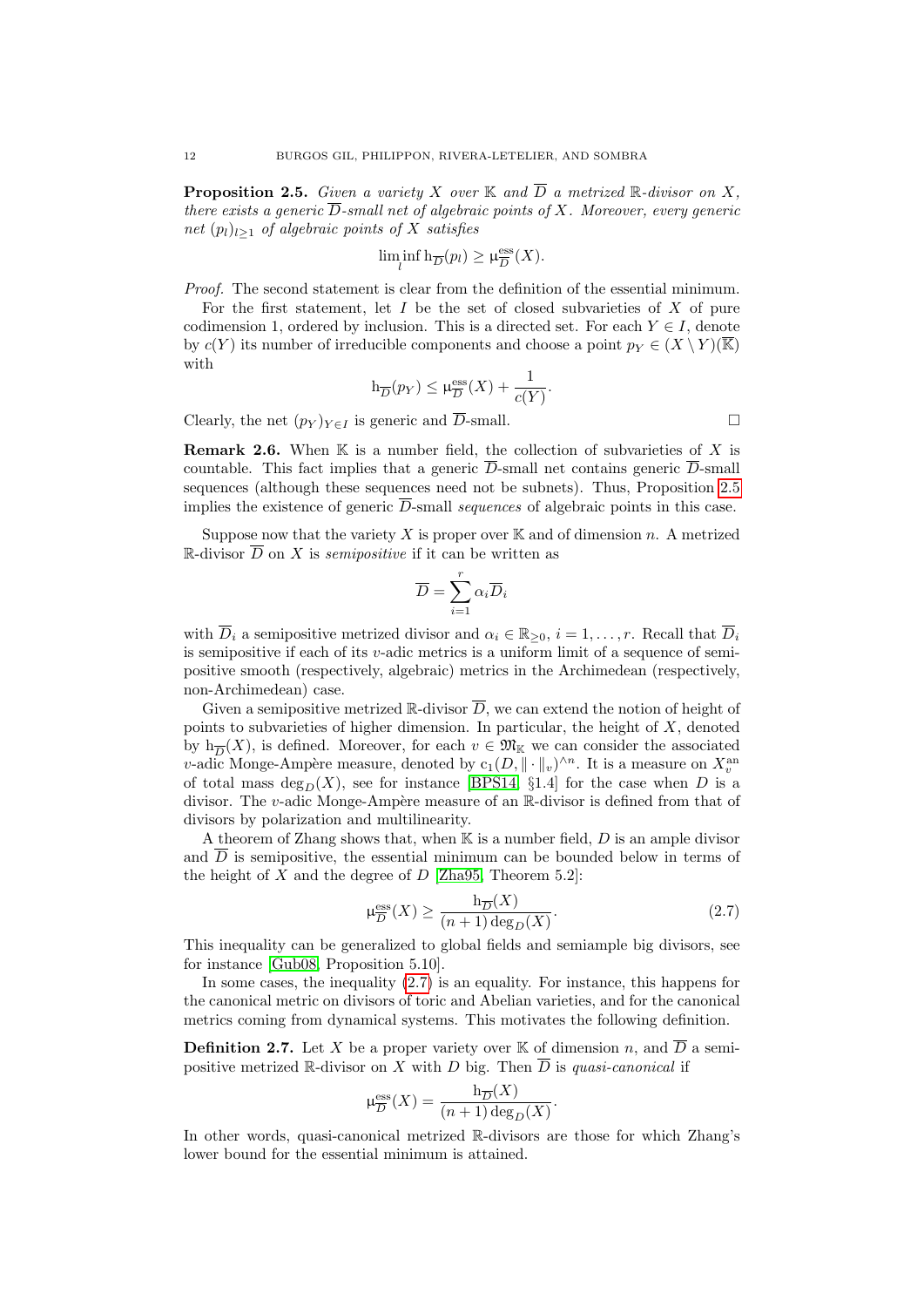<span id="page-11-1"></span>**Proposition 2.5.** Given a variety X over K and  $\overline{D}$  a metrized R-divisor on X, there exists a generic  $\overline{D}$ -small net of algebraic points of X. Moreover, every generic net  $(p_l)_{l\geq 1}$  of algebraic points of X satisfies

$$
\liminf_{l} \ln_{\overline{D}}(p_l) \ge \mu_{\overline{D}}^{\text{ess}}(X).
$$

Proof. The second statement is clear from the definition of the essential minimum.

For the first statement, let  $I$  be the set of closed subvarieties of  $X$  of pure codimension 1, ordered by inclusion. This is a directed set. For each  $Y \in I$ , denote by  $c(Y)$  its number of irreducible components and choose a point  $p_Y \in (X \setminus Y)(\mathbb{K})$ with

$$
h_{\overline{D}}(p_Y) \le \mu_{\overline{D}}^{\text{ess}}(X) + \frac{1}{c(Y)}.
$$

Clearly, the net  $(p_Y)_{Y \in I}$  is generic and  $\overline{D}$ -small.

<span id="page-11-3"></span>**Remark 2.6.** When  $K$  is a number field, the collection of subvarieties of X is countable. This fact implies that a generic  $\overline{D}$ -small net contains generic  $\overline{D}$ -small sequences (although these sequences need not be subnets). Thus, Proposition [2.5](#page-11-1) implies the existence of generic  $\overline{D}$ -small sequences of algebraic points in this case.

Suppose now that the variety X is proper over  $\mathbb K$  and of dimension n. A metrized R-divisor  $\overline{D}$  on X is *semipositive* if it can be written as

$$
\overline{D} = \sum_{i=1}^{r} \alpha_i \overline{D}_i
$$

with  $\overline{D}_i$  a semipositive metrized divisor and  $\alpha_i \in \mathbb{R}_{\geq 0}$ ,  $i = 1, \ldots, r$ . Recall that  $\overline{D}_i$ is semipositive if each of its v-adic metrics is a uniform limit of a sequence of semipositive smooth (respectively, algebraic) metrics in the Archimedean (respectively, non-Archimedean) case.

Given a semipositive metrized  $\mathbb{R}$ -divisor  $\overline{D}$ , we can extend the notion of height of points to subvarieties of higher dimension. In particular, the height of  $X$ , denoted by  $h_{\overline{D}}(X)$ , is defined. Moreover, for each  $v \in \mathfrak{M}_{\mathbb{K}}$  we can consider the associated v-adic Monge-Ampère measure, denoted by  $c_1(D, \|\cdot\|_v)^{\wedge n}$ . It is a measure on  $X_v^{\text{an}}$ of total mass  $\deg_D(X)$ , see for instance [\[BPS14,](#page-53-11) §1.4] for the case when D is a divisor. The v-adic Monge-Ampère measure of an  $\mathbb{R}$ -divisor is defined from that of divisors by polarization and multilinearity.

A theorem of Zhang shows that, when  $K$  is a number field,  $D$  is an ample divisor and  $\overline{D}$  is semipositive, the essential minimum can be bounded below in terms of the height of  $X$  and the degree of  $D$  [\[Zha95,](#page-54-6) Theorem 5.2]:

<span id="page-11-2"></span>
$$
\mu_{\overline{D}}^{\text{ess}}(X) \ge \frac{\mathbf{h}_{\overline{D}}(X)}{(n+1)\deg_D(X)}.\tag{2.7}
$$

This inequality can be generalized to global fields and semiample big divisors, see for instance [\[Gub08,](#page-53-14) Proposition 5.10].

In some cases, the inequality [\(2.7\)](#page-11-2) is an equality. For instance, this happens for the canonical metric on divisors of toric and Abelian varieties, and for the canonical metrics coming from dynamical systems. This motivates the following definition.

<span id="page-11-0"></span>**Definition 2.7.** Let X be a proper variety over K of dimension n, and  $\overline{D}$  a semipositive metrized R-divisor on X with D big. Then  $\overline{D}$  is quasi-canonical if

$$
\mu_{\overline{D}}^{\text{ess}}(X) = \frac{\mathbf{h}_{\overline{D}}(X)}{(n+1)\deg_D(X)}.
$$

In other words, quasi-canonical metrized R-divisors are those for which Zhang's lower bound for the essential minimum is attained.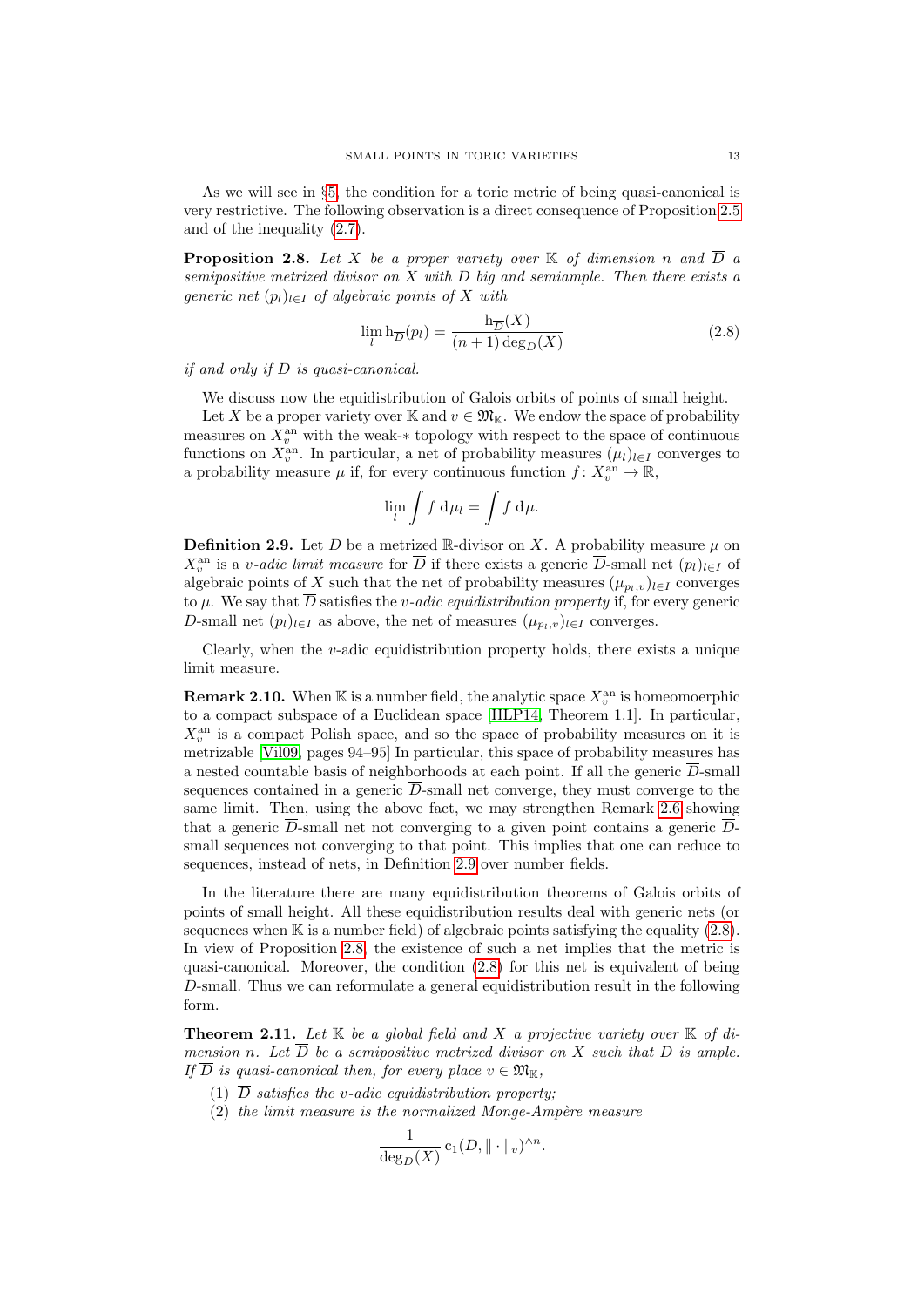As we will see in §[5,](#page-32-0) the condition for a toric metric of being quasi-canonical is very restrictive. The following observation is a direct consequence of Proposition [2.5](#page-11-1) and of the inequality [\(2.7\)](#page-11-2).

<span id="page-12-2"></span>**Proposition 2.8.** Let X be a proper variety over  $\mathbb K$  of dimension n and  $\overline{D}$  a semipositive metrized divisor on  $X$  with  $D$  big and semiample. Then there exists a generic net  $(p_l)_{l \in I}$  of algebraic points of X with

<span id="page-12-1"></span>
$$
\lim_{l} \mathbf{h}_{\overline{D}}(p_l) = \frac{\mathbf{h}_{\overline{D}}(X)}{(n+1)\deg_D(X)}\tag{2.8}
$$

if and only if  $\overline{D}$  is quasi-canonical.

We discuss now the equidistribution of Galois orbits of points of small height.

Let X be a proper variety over K and  $v \in \mathfrak{M}_{K}$ . We endow the space of probability measures on  $X_v^{\text{an}}$  with the weak- $*$  topology with respect to the space of continuous functions on  $X_v^{\text{an}}$ . In particular, a net of probability measures  $(\mu_l)_{l\in I}$  converges to a probability measure  $\mu$  if, for every continuous function  $f: X_v^{\text{an}} \to \mathbb{R}$ ,

$$
\lim_{l} \int f \, \mathrm{d}\mu_l = \int f \, \mathrm{d}\mu.
$$

<span id="page-12-0"></span>**Definition 2.9.** Let  $\overline{D}$  be a metrized R-divisor on X. A probability measure  $\mu$  on  $X_v^{\text{an}}$  is a v-adic limit measure for  $\overline{D}$  if there exists a generic  $\overline{D}$ -small net  $(p_l)_{l\in I}$  of algebraic points of X such that the net of probability measures  $(\mu_{p_l,v})_{l\in I}$  converges to  $\mu$ . We say that  $\overline{D}$  satisfies the *v*-adic equidistribution property if, for every generic  $\overline{D}$ -small net  $(p_l)_{l \in I}$  as above, the net of measures  $(\mu_{p_l,v})_{l \in I}$  converges.

Clearly, when the v-adic equidistribution property holds, there exists a unique limit measure.

<span id="page-12-4"></span>**Remark 2.10.** When K is a number field, the analytic space  $X_v^{\text{an}}$  is homeomoerphic to a compact subspace of a Euclidean space [\[HLP14,](#page-53-21) Theorem 1.1]. In particular,  $X_v^{\text{an}}$  is a compact Polish space, and so the space of probability measures on it is metrizable [\[Vil09,](#page-54-8) pages 94–95] In particular, this space of probability measures has a nested countable basis of neighborhoods at each point. If all the generic  $\overline{D}$ -small sequences contained in a generic  $\overline{D}$ -small net converge, they must converge to the same limit. Then, using the above fact, we may strengthen Remark [2.6](#page-11-3) showing that a generic  $\overline{D}$ -small net not converging to a given point contains a generic  $\overline{D}$ small sequences not converging to that point. This implies that one can reduce to sequences, instead of nets, in Definition [2.9](#page-12-0) over number fields.

In the literature there are many equidistribution theorems of Galois orbits of points of small height. All these equidistribution results deal with generic nets (or sequences when  $\mathbb K$  is a number field) of algebraic points satisfying the equality [\(2.8\)](#page-12-1). In view of Proposition [2.8,](#page-12-2) the existence of such a net implies that the metric is quasi-canonical. Moreover, the condition [\(2.8\)](#page-12-1) for this net is equivalent of being  $\overline{D}$ -small. Thus we can reformulate a general equidistribution result in the following form.

<span id="page-12-3"></span>**Theorem 2.11.** Let  $K$  be a global field and X a projective variety over  $K$  of dimension n. Let  $\overline{D}$  be a semipositive metrized divisor on X such that D is ample. If  $\overline{D}$  is quasi-canonical then, for every place  $v \in \mathfrak{M}_{\mathbb{K}}$ ,

- (1)  $\overline{D}$  satisfies the v-adic equidistribution property:
- $(2)$  the limit measure is the normalized Monge-Ampère measure

$$
\frac{1}{\deg_D(X)} \, \mathbf{c}_1(D, \|\cdot\|_v)^{\wedge n}.
$$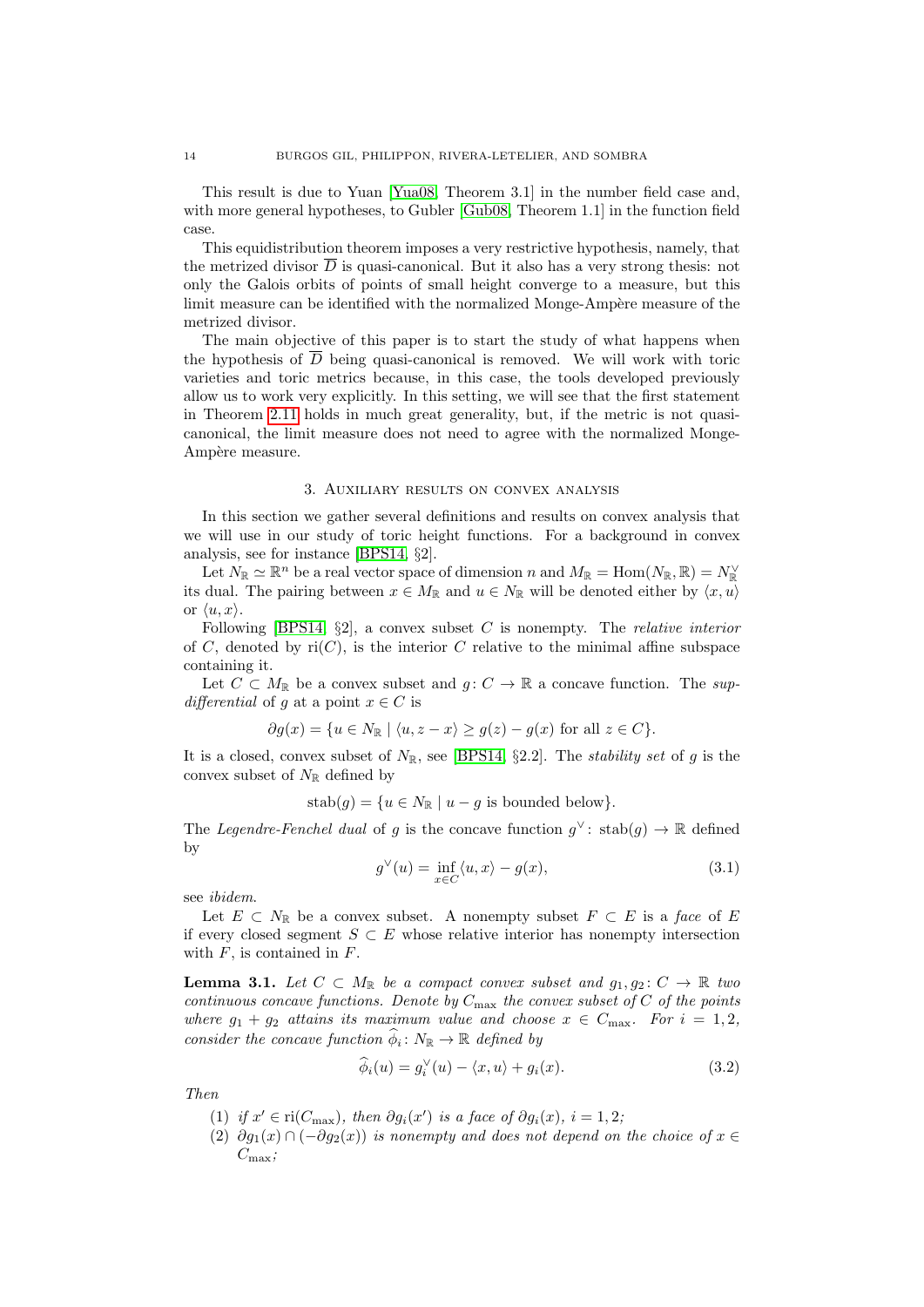This result is due to Yuan [\[Yua08,](#page-54-5) Theorem 3.1] in the number field case and, with more general hypotheses, to Gubler [\[Gub08,](#page-53-14) Theorem 1.1] in the function field case.

This equidistribution theorem imposes a very restrictive hypothesis, namely, that the metrized divisor  $\overline{D}$  is quasi-canonical. But it also has a very strong thesis: not only the Galois orbits of points of small height converge to a measure, but this limit measure can be identified with the normalized Monge-Ampère measure of the metrized divisor.

The main objective of this paper is to start the study of what happens when the hypothesis of  $\overline{D}$  being quasi-canonical is removed. We will work with toric varieties and toric metrics because, in this case, the tools developed previously allow us to work very explicitly. In this setting, we will see that the first statement in Theorem [2.11](#page-12-3) holds in much great generality, but, if the metric is not quasicanonical, the limit measure does not need to agree with the normalized Monge-Ampère measure.

#### 3. Auxiliary results on convex analysis

<span id="page-13-0"></span>In this section we gather several definitions and results on convex analysis that we will use in our study of toric height functions. For a background in convex analysis, see for instance [\[BPS14,](#page-53-11) §2].

Let  $N_{\mathbb{R}} \simeq \mathbb{R}^n$  be a real vector space of dimension n and  $M_{\mathbb{R}} = \text{Hom}(N_{\mathbb{R}}, \mathbb{R}) = N_{\mathbb{R}}^{\vee}$ its dual. The pairing between  $x \in M_{\mathbb{R}}$  and  $u \in N_{\mathbb{R}}$  will be denoted either by  $\langle x, u \rangle$ or  $\langle u, x \rangle$ .

Following [\[BPS14,](#page-53-11)  $\S2$ ], a convex subset C is nonempty. The *relative interior* of C, denoted by  $ri(C)$ , is the interior C relative to the minimal affine subspace containing it.

Let  $C \subset M_{\mathbb{R}}$  be a convex subset and  $g: C \to \mathbb{R}$  a concave function. The supdifferential of g at a point  $x \in C$  is

$$
\partial g(x) = \{ u \in N_{\mathbb{R}} \mid \langle u, z - x \rangle \ge g(z) - g(x) \text{ for all } z \in C \}.
$$

It is a closed, convex subset of  $N_{\mathbb{R}}$ , see [\[BPS14,](#page-53-11) §2.2]. The *stability set* of g is the convex subset of  $N_{\mathbb{R}}$  defined by

 $stab(q) = \{u \in N_{\mathbb{R}} \mid u - q \text{ is bounded below}\}.$ 

The Legendre-Fenchel dual of g is the concave function  $g^{\vee}$ : stab $(g) \to \mathbb{R}$  defined by

<span id="page-13-5"></span>
$$
g^{\vee}(u) = \inf_{x \in C} \langle u, x \rangle - g(x), \tag{3.1}
$$

see ibidem.

Let  $E \subset N_{\mathbb{R}}$  be a convex subset. A nonempty subset  $F \subset E$  is a face of E if every closed segment  $S \subset E$  whose relative interior has nonempty intersection with  $F$ , is contained in  $F$ .

<span id="page-13-3"></span>**Lemma 3.1.** Let  $C \subset M_{\mathbb{R}}$  be a compact convex subset and  $g_1, g_2 \colon C \to \mathbb{R}$  two continuous concave functions. Denote by  $C_{\text{max}}$  the convex subset of C of the points where  $g_1 + g_2$  attains its maximum value and choose  $x \in C_{\text{max}}$ . For  $i = 1, 2$ , consider the concave function  $\widehat{\phi}_i \colon N_{\mathbb{R}} \to \mathbb{R}$  defined by

<span id="page-13-4"></span>
$$
\widehat{\phi}_i(u) = g_i^{\vee}(u) - \langle x, u \rangle + g_i(x). \tag{3.2}
$$

<span id="page-13-1"></span>Then

- (1) if  $x' \in \text{ri}(C_{\text{max}})$ , then  $\partial g_i(x')$  is a face of  $\partial g_i(x)$ ,  $i = 1, 2$ ;
- <span id="page-13-2"></span>(2)  $\partial g_1(x) \cap (-\partial g_2(x))$  is nonempty and does not depend on the choice of  $x \in$  $C_{\text{max}}$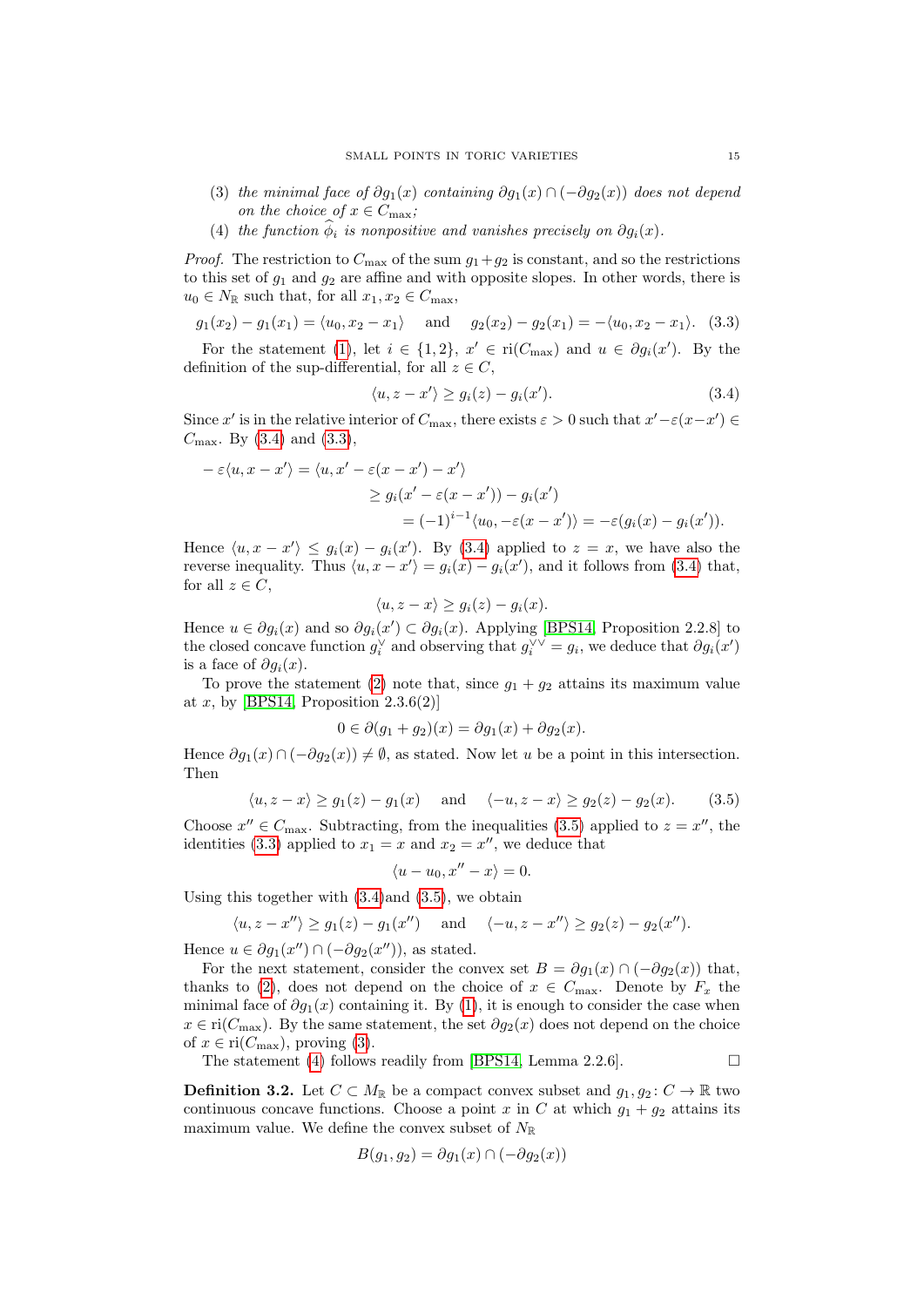- <span id="page-14-3"></span>(3) the minimal face of  $\partial g_1(x)$  containing  $\partial g_1(x) \cap (-\partial g_2(x))$  does not depend on the choice of  $x \in C_{\text{max}}$ ;
- <span id="page-14-4"></span>(4) the function  $\hat{\phi}_i$  is nonpositive and vanishes precisely on  $\partial q_i(x)$ .

*Proof.* The restriction to  $C_{\text{max}}$  of the sum  $g_1+g_2$  is constant, and so the restrictions to this set of  $g_1$  and  $g_2$  are affine and with opposite slopes. In other words, there is  $u_0 \in N_{\mathbb{R}}$  such that, for all  $x_1, x_2 \in C_{\text{max}}$ ,

<span id="page-14-1"></span>
$$
g_1(x_2) - g_1(x_1) = \langle u_0, x_2 - x_1 \rangle
$$
 and  $g_2(x_2) - g_2(x_1) = -\langle u_0, x_2 - x_1 \rangle$ . (3.3)

For the statement [\(1\)](#page-13-1), let  $i \in \{1,2\}$ ,  $x' \in ri(C_{\text{max}})$  and  $u \in \partial g_i(x')$ . By the definition of the sup-differential, for all  $z \in C$ ,

<span id="page-14-0"></span>
$$
\langle u, z - x' \rangle \ge g_i(z) - g_i(x'). \tag{3.4}
$$

Since x' is in the relative interior of  $C_{\text{max}}$ , there exists  $\varepsilon > 0$  such that  $x' - \varepsilon (x - x') \in$  $C_{\text{max}}$ . By [\(3.4\)](#page-14-0) and [\(3.3\)](#page-14-1),

$$
-\varepsilon \langle u, x - x' \rangle = \langle u, x' - \varepsilon (x - x') - x' \rangle
$$
  
\n
$$
\ge g_i(x' - \varepsilon (x - x')) - g_i(x')
$$
  
\n
$$
= (-1)^{i-1} \langle u_0, -\varepsilon (x - x') \rangle = -\varepsilon (g_i(x) - g_i(x')).
$$

Hence  $\langle u, x - x' \rangle \le g_i(x) - g_i(x')$ . By [\(3.4\)](#page-14-0) applied to  $z = x$ , we have also the reverse inequality. Thus  $\langle u, x - x' \rangle = g_i(x) - g_i(x')$ , and it follows from [\(3.4\)](#page-14-0) that, for all  $z \in C$ ,

$$
\langle u, z - x \rangle \ge g_i(z) - g_i(x).
$$

Hence  $u \in \partial g_i(x)$  and so  $\partial g_i(x') \subset \partial g_i(x)$ . Applying [\[BPS14,](#page-53-11) Proposition 2.2.8] to the closed concave function  $g_i^{\vee}$  and observing that  $g_i^{\vee \vee} = g_i$ , we deduce that  $\partial g_i(x')$ is a face of  $\partial g_i(x)$ .

To prove the statement [\(2\)](#page-13-2) note that, since  $g_1 + g_2$  attains its maximum value at  $x$ , by [\[BPS14,](#page-53-11) Proposition 2.3.6(2)]

$$
0 \in \partial(g_1 + g_2)(x) = \partial g_1(x) + \partial g_2(x).
$$

Hence  $\partial g_1(x) \cap (-\partial g_2(x)) \neq \emptyset$ , as stated. Now let u be a point in this intersection. Then

<span id="page-14-2"></span>
$$
\langle u, z - x \rangle \ge g_1(z) - g_1(x) \quad \text{and} \quad \langle -u, z - x \rangle \ge g_2(z) - g_2(x). \tag{3.5}
$$

Choose  $x'' \in C_{\text{max}}$ . Subtracting, from the inequalities [\(3.5\)](#page-14-2) applied to  $z = x''$ , the identities [\(3.3\)](#page-14-1) applied to  $x_1 = x$  and  $x_2 = x''$ , we deduce that

$$
\langle u - u_0, x'' - x \rangle = 0.
$$

Using this together with  $(3.4)$  and  $(3.5)$ , we obtain

$$
\langle u, z - x'' \rangle \ge g_1(z) - g_1(x'') \quad \text{and} \quad \langle -u, z - x'' \rangle \ge g_2(z) - g_2(x'').
$$

Hence  $u \in \partial g_1(x'') \cap (-\partial g_2(x''))$ , as stated.

For the next statement, consider the convex set  $B = \partial g_1(x) \cap (-\partial g_2(x))$  that, thanks to [\(2\)](#page-13-2), does not depend on the choice of  $x \in C_{\text{max}}$ . Denote by  $F_x$  the minimal face of  $\partial g_1(x)$  containing it. By [\(1\)](#page-13-1), it is enough to consider the case when  $x \in \text{ri}(C_{\text{max}})$ . By the same statement, the set  $\partial g_2(x)$  does not depend on the choice of  $x \in \text{ri}(C_{\text{max}})$ , proving [\(3\)](#page-14-3).

The statement [\(4\)](#page-14-4) follows readily from [\[BPS14,](#page-53-11) Lemma 2.2.6].  $\Box$ 

<span id="page-14-5"></span>**Definition 3.2.** Let  $C \subset M_{\mathbb{R}}$  be a compact convex subset and  $g_1, g_2: C \to \mathbb{R}$  two continuous concave functions. Choose a point x in C at which  $g_1 + g_2$  attains its maximum value. We define the convex subset of  $N_{\mathbb R}$ 

$$
B(g_1, g_2) = \partial g_1(x) \cap (-\partial g_2(x))
$$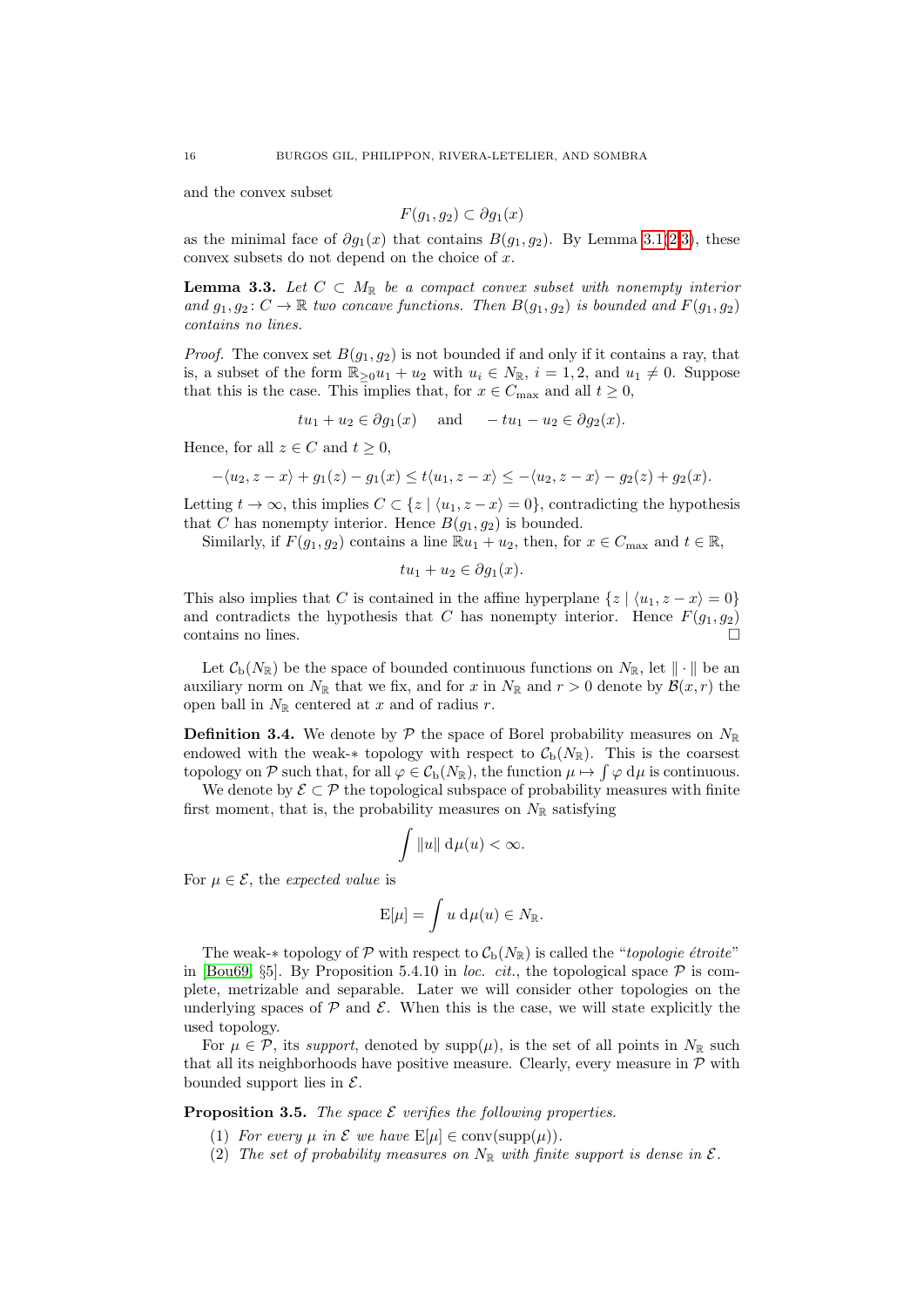and the convex subset

$$
F(g_1, g_2) \subset \partial g_1(x)
$$

as the minimal face of  $\partial g_1(x)$  that contains  $B(g_1, g_2)$  $B(g_1, g_2)$  $B(g_1, g_2)$ . By Lemma [3.1\(](#page-13-3)2[,3\)](#page-14-3), these convex subsets do not depend on the choice of  $x$ .

**Lemma 3.3.** Let  $C \subset M_{\mathbb{R}}$  be a compact convex subset with nonempty interior and  $g_1, g_2 \colon C \to \mathbb{R}$  two concave functions. Then  $B(g_1, g_2)$  is bounded and  $F(g_1, g_2)$ contains no lines.

*Proof.* The convex set  $B(g_1, g_2)$  is not bounded if and only if it contains a ray, that is, a subset of the form  $\mathbb{R}_{\geq 0}u_1 + u_2$  with  $u_i \in N_{\mathbb{R}}$ ,  $i = 1, 2$ , and  $u_1 \neq 0$ . Suppose that this is the case. This implies that, for  $x \in C_{\text{max}}$  and all  $t \geq 0$ ,

$$
tu_1 + u_2 \in \partial g_1(x)
$$
 and  $-tu_1 - u_2 \in \partial g_2(x)$ .

Hence, for all  $z \in C$  and  $t \geq 0$ ,

$$
-\langle u_2, z - x \rangle + g_1(z) - g_1(x) \le t \langle u_1, z - x \rangle \le -\langle u_2, z - x \rangle - g_2(z) + g_2(x).
$$

Letting  $t \to \infty$ , this implies  $C \subset \{z \mid \langle u_1, z - x \rangle = 0\}$ , contradicting the hypothesis that C has nonempty interior. Hence  $B(g_1, g_2)$  is bounded.

Similarly, if  $F(g_1, g_2)$  contains a line  $\mathbb{R}u_1 + u_2$ , then, for  $x \in C_{\text{max}}$  and  $t \in \mathbb{R}$ ,

$$
tu_1+u_2\in\partial g_1(x).
$$

This also implies that C is contained in the affine hyperplane  $\{z \mid \langle u_1, z - x \rangle = 0\}$ and contradicts the hypothesis that C has nonempty interior. Hence  $F(g_1, g_2)$ contains no lines.  $\Box$ 

Let  $\mathcal{C}_{b}(N_{\mathbb{R}})$  be the space of bounded continuous functions on  $N_{\mathbb{R}}$ , let  $\|\cdot\|$  be an auxiliary norm on  $N_{\mathbb{R}}$  that we fix, and for x in  $N_{\mathbb{R}}$  and  $r > 0$  denote by  $\mathcal{B}(x, r)$  the open ball in  $N_{\mathbb{R}}$  centered at x and of radius r.

<span id="page-15-2"></span>**Definition 3.4.** We denote by  $\mathcal{P}$  the space of Borel probability measures on  $N_{\mathbb{R}}$ endowed with the weak-∗ topology with respect to  $\mathcal{C}_{b}(N_{\mathbb{R}})$ . This is the coarsest topology on P such that, for all  $\varphi \in C_{\rm b}(N_{\mathbb{R}})$ , the function  $\mu \mapsto \int \varphi \, d\mu$  is continuous.

We denote by  $\mathcal{E} \subset \mathcal{P}$  the topological subspace of probability measures with finite first moment, that is, the probability measures on  $N_{\mathbb{R}}$  satisfying

$$
\int \|u\| \, \mathrm{d}\mu(u) < \infty.
$$

For  $\mu \in \mathcal{E}$ , the expected value is

$$
E[\mu] = \int u \, d\mu(u) \in N_{\mathbb{R}}.
$$

The weak-∗ topology of P with respect to  $\mathcal{C}_{b}(N_{\mathbb{R}})$  is called the "*topologie étroite*" in [\[Bou69,](#page-53-22) §5]. By Proposition 5.4.10 in loc. cit., the topological space  $\mathcal P$  is complete, metrizable and separable. Later we will consider other topologies on the underlying spaces of  $P$  and  $E$ . When this is the case, we will state explicitly the used topology.

For  $\mu \in \mathcal{P}$ , its support, denoted by supp $(\mu)$ , is the set of all points in  $N_{\mathbb{R}}$  such that all its neighborhoods have positive measure. Clearly, every measure in  $P$  with bounded support lies in  $\mathcal{E}$ .

<span id="page-15-1"></span><span id="page-15-0"></span>**Proposition 3.5.** The space  $\mathcal E$  verifies the following properties.

- (1) For every  $\mu$  in  $\mathcal E$  we have  $E[\mu] \in \text{conv}(\text{supp}(\mu)).$
- (2) The set of probability measures on  $N_{\mathbb{R}}$  with finite support is dense in  $\mathcal{E}$ .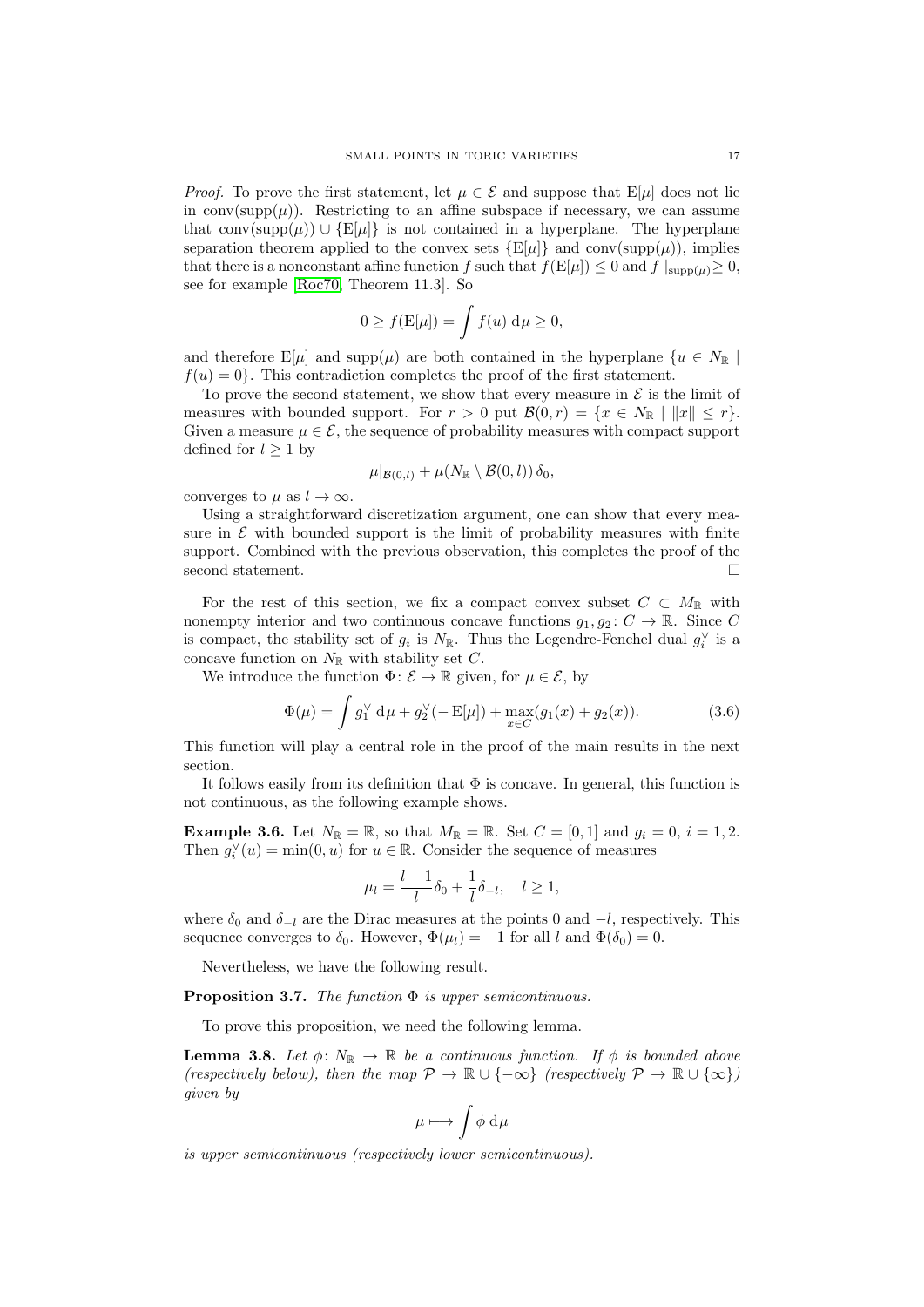*Proof.* To prove the first statement, let  $\mu \in \mathcal{E}$  and suppose that  $E[\mu]$  does not lie in conv( $\text{supp}(\mu)$ ). Restricting to an affine subspace if necessary, we can assume that conv(supp $(\mu)$ ) ∪ {E[ $\mu$ ]} is not contained in a hyperplane. The hyperplane separation theorem applied to the convex sets  $\{E[\mu]\}\$  and  $conv(supp(\mu))$ , implies that there is a nonconstant affine function f such that  $f(E[\mu]) \leq 0$  and  $f|_{\text{supp}(\mu)} \geq 0$ , see for example [\[Roc70,](#page-53-23) Theorem 11.3]. So

$$
0 \ge f(\mathbf{E}[\mu]) = \int f(u) \, \mathrm{d}\mu \ge 0,
$$

and therefore  $E[\mu]$  and supp $(\mu)$  are both contained in the hyperplane  $\{u \in N_{\mathbb{R}}\}\$  $f(u) = 0$ . This contradiction completes the proof of the first statement.

To prove the second statement, we show that every measure in  $\mathcal E$  is the limit of measures with bounded support. For  $r > 0$  put  $\mathcal{B}(0,r) = \{x \in N_{\mathbb{R}} \mid ||x|| \leq r\}.$ Given a measure  $\mu \in \mathcal{E}$ , the sequence of probability measures with compact support defined for  $l\geq 1$  by

$$
\mu|_{\mathcal{B}(0,l)} + \mu(N_{\mathbb{R}} \setminus \mathcal{B}(0,l)) \delta_0,
$$

converges to  $\mu$  as  $l \to \infty$ .

Using a straightforward discretization argument, one can show that every measure in  $\mathcal E$  with bounded support is the limit of probability measures with finite support. Combined with the previous observation, this completes the proof of the second statement.

For the rest of this section, we fix a compact convex subset  $C \subset M_{\mathbb{R}}$  with nonempty interior and two continuous concave functions  $g_1, g_2: C \to \mathbb{R}$ . Since C is compact, the stability set of  $g_i$  is  $N_{\mathbb{R}}$ . Thus the Legendre-Fenchel dual  $g_i^{\vee}$  is a concave function on  $N_{\mathbb{R}}$  with stability set C.

We introduce the function  $\Phi: \mathcal{E} \to \mathbb{R}$  given, for  $\mu \in \mathcal{E}$ , by

<span id="page-16-3"></span>
$$
\Phi(\mu) = \int g_1^{\vee} d\mu + g_2^{\vee}(-E[\mu]) + \max_{x \in C} (g_1(x) + g_2(x)).
$$
\n(3.6)

This function will play a central role in the proof of the main results in the next section.

It follows easily from its definition that  $\Phi$  is concave. In general, this function is not continuous, as the following example shows.

<span id="page-16-2"></span>**Example 3.6.** Let  $N_{\mathbb{R}} = \mathbb{R}$ , so that  $M_{\mathbb{R}} = \mathbb{R}$ . Set  $C = [0, 1]$  and  $g_i = 0$ ,  $i = 1, 2$ . Then  $g_i^{\vee}(u) = \min(0, u)$  for  $u \in \mathbb{R}$ . Consider the sequence of measures

$$
u_l = \frac{l-1}{l} \delta_0 + \frac{1}{l} \delta_{-l}, \quad l \ge 1,
$$

where  $\delta_0$  and  $\delta_{-l}$  are the Dirac measures at the points 0 and  $-l$ , respectively. This sequence converges to  $\delta_0$ . However,  $\Phi(\mu_l) = -1$  for all l and  $\Phi(\delta_0) = 0$ .

Nevertheless, we have the following result.

 $\mu$ 

<span id="page-16-0"></span>**Proposition 3.7.** The function  $\Phi$  is upper semicontinuous.

To prove this proposition, we need the following lemma.

<span id="page-16-1"></span>**Lemma 3.8.** Let  $\phi: N_{\mathbb{R}} \to \mathbb{R}$  be a continuous function. If  $\phi$  is bounded above (respectively below), then the map  $\mathcal{P} \to \mathbb{R} \cup \{-\infty\}$  (respectively  $\mathcal{P} \to \mathbb{R} \cup \{\infty\}$ ) given by

$$
\mu\longmapsto \int \phi\ \mathrm{d}\mu
$$

is upper semicontinuous (respectively lower semicontinuous).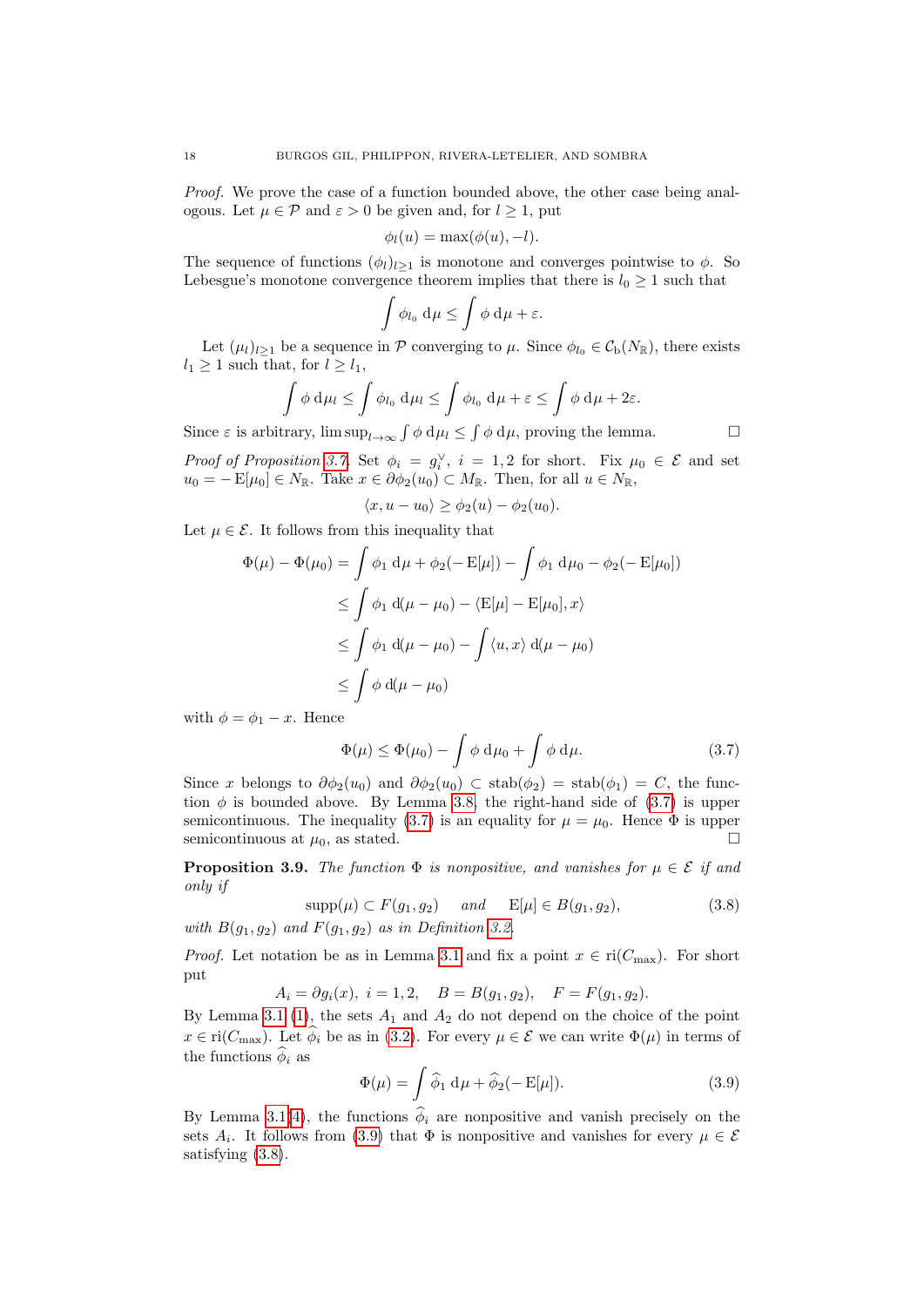Proof. We prove the case of a function bounded above, the other case being analogous. Let  $\mu \in \mathcal{P}$  and  $\varepsilon > 0$  be given and, for  $l \geq 1$ , put

$$
\phi_l(u) = \max(\phi(u), -l).
$$

The sequence of functions  $(\phi_l)_{l>1}$  is monotone and converges pointwise to  $\phi$ . So Lebesgue's monotone convergence theorem implies that there is  $l_0 \geq 1$  such that

$$
\int \phi_{l_0} \, \mathrm{d}\mu \le \int \phi \, \mathrm{d}\mu + \varepsilon.
$$

Let  $(\mu_l)_{l\geq 1}$  be a sequence in P converging to  $\mu$ . Since  $\phi_{l_0} \in C_{\rm b}(N_{\mathbb{R}})$ , there exists  $l_1 \geq 1$  such that, for  $l \geq l_1$ ,

$$
\int \phi \, \mathrm{d}\mu_l \le \int \phi_{l_0} \, \mathrm{d}\mu_l \le \int \phi_{l_0} \, \mathrm{d}\mu + \varepsilon \le \int \phi \, \mathrm{d}\mu + 2\varepsilon.
$$

Since  $\varepsilon$  is arbitrary,  $\limsup_{l\to\infty} \int \phi \, d\mu_l \leq \int \phi \, d\mu$ , proving the lemma.

Proof of Proposition [3.7.](#page-16-0) Set  $\phi_i = g_i^{\vee}$ ,  $i = 1, 2$  for short. Fix  $\mu_0 \in \mathcal{E}$  and set  $u_0 = - \mathbb{E}[\mu_0] \in N_{\mathbb{R}}$ . Take  $x \in \partial \phi_2(u_0) \subset M_{\mathbb{R}}$ . Then, for all  $u \in N_{\mathbb{R}}$ ,

$$
\langle x, u - u_0 \rangle \ge \phi_2(u) - \phi_2(u_0).
$$

Let  $\mu \in \mathcal{E}$ . It follows from this inequality that

$$
\Phi(\mu) - \Phi(\mu_0) = \int \phi_1 \, d\mu + \phi_2(-E[\mu]) - \int \phi_1 \, d\mu_0 - \phi_2(-E[\mu_0])
$$
  
\n
$$
\leq \int \phi_1 \, d(\mu - \mu_0) - \langle E[\mu] - E[\mu_0], x \rangle
$$
  
\n
$$
\leq \int \phi_1 \, d(\mu - \mu_0) - \int \langle u, x \rangle \, d(\mu - \mu_0)
$$
  
\n
$$
\leq \int \phi \, d(\mu - \mu_0)
$$

with  $\phi = \phi_1 - x$ . Hence

<span id="page-17-1"></span>
$$
\Phi(\mu) \le \Phi(\mu_0) - \int \phi \, \mathrm{d}\mu_0 + \int \phi \, \mathrm{d}\mu. \tag{3.7}
$$

Since x belongs to  $\partial \phi_2(u_0)$  and  $\partial \phi_2(u_0) \subset \operatorname{stab}(\phi_2) = \operatorname{stab}(\phi_1) = C$ , the function  $\phi$  is bounded above. By Lemma [3.8,](#page-16-1) the right-hand side of [\(3.7\)](#page-17-1) is upper semicontinuous. The inequality [\(3.7\)](#page-17-1) is an equality for  $\mu = \mu_0$ . Hence  $\Phi$  is upper semicontinuous at  $\mu_0$ , as stated.

<span id="page-17-0"></span>**Proposition 3.9.** The function  $\Phi$  is nonpositive, and vanishes for  $\mu \in \mathcal{E}$  if and only if

<span id="page-17-3"></span>
$$
\sup p(\mu) \subset F(g_1, g_2) \quad and \quad \mathbb{E}[\mu] \in B(g_1, g_2),\tag{3.8}
$$

with  $B(g_1, g_2)$  and  $F(g_1, g_2)$  as in Definition [3.2.](#page-14-5)

*Proof.* Let notation be as in Lemma [3.1](#page-13-3) and fix a point  $x \in \text{ri}(C_{\text{max}})$ . For short put

 $A_i = \partial g_i(x), i = 1, 2, B = B(g_1, g_2), F = F(g_1, g_2).$ 

By Lemma [3.1](#page-13-3) [\(1\)](#page-13-1), the sets  $A_1$  and  $A_2$  do not depend on the choice of the point  $x \in \text{ri}(C_{\text{max}})$ . Let  $\phi_i$  be as in [\(3.2\)](#page-13-4). For every  $\mu \in \mathcal{E}$  we can write  $\Phi(\mu)$  in terms of the functions  $\phi_i$  as

<span id="page-17-2"></span>
$$
\Phi(\mu) = \int \widehat{\phi}_1 \, \mathrm{d}\mu + \widehat{\phi}_2(-E[\mu]). \tag{3.9}
$$

By Lemma [3.1\(](#page-13-3)[4\)](#page-14-4), the functions  $\phi_i$  are nonpositive and vanish precisely on the sets  $A_i$ . It follows from [\(3.9\)](#page-17-2) that  $\Phi$  is nonpositive and vanishes for every  $\mu \in \mathcal{E}$ satisfying [\(3.8\)](#page-17-3).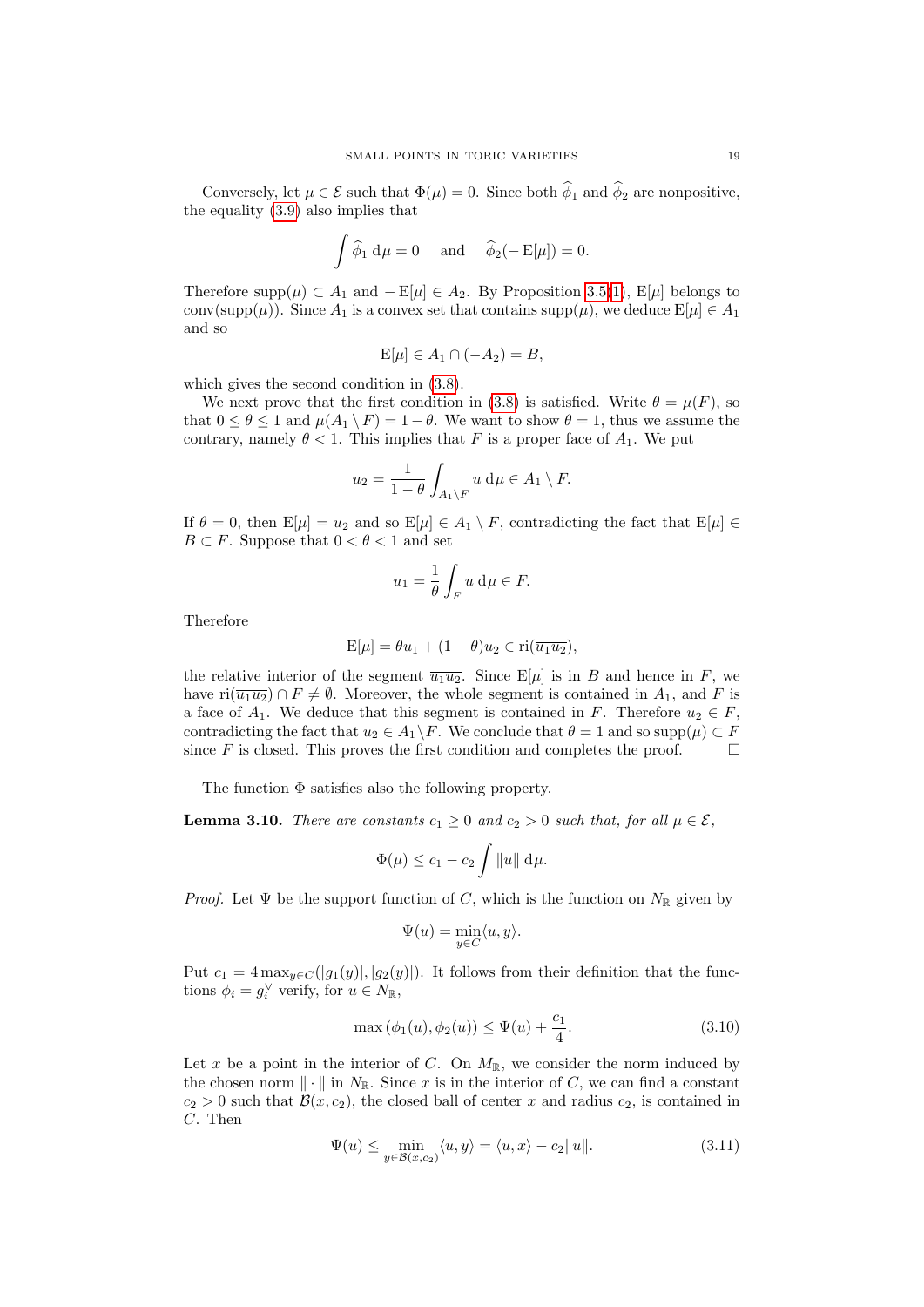Conversely, let  $\mu \in \mathcal{E}$  such that  $\Phi(\mu) = 0$ . Since both  $\hat{\phi}_1$  and  $\hat{\phi}_2$  are nonpositive, the equality [\(3.9\)](#page-17-2) also implies that

$$
\int \widehat{\phi}_1 \, d\mu = 0 \quad \text{and} \quad \widehat{\phi}_2(-E[\mu]) = 0.
$$

Therefore supp $(\mu) \subset A_1$  and  $-E[\mu] \in A_2$ . By Proposition [3.5\(](#page-15-0)[1\)](#page-15-1), E[ $\mu$ ] belongs to conv(supp( $\mu$ )). Since  $A_1$  is a convex set that contains supp( $\mu$ ), we deduce  $E[\mu] \in A_1$ and so

$$
E[\mu] \in A_1 \cap (-A_2) = B,
$$

which gives the second condition in [\(3.8\)](#page-17-3).

We next prove that the first condition in [\(3.8\)](#page-17-3) is satisfied. Write  $\theta = \mu(F)$ , so that  $0 \le \theta \le 1$  and  $\mu(A_1 \setminus F) = 1 - \theta$ . We want to show  $\theta = 1$ , thus we assume the contrary, namely  $\theta < 1$ . This implies that F is a proper face of  $A_1$ . We put

$$
u_2 = \frac{1}{1-\theta} \int_{A_1 \setminus F} u \, \mathrm{d}\mu \in A_1 \setminus F.
$$

If  $\theta = 0$ , then  $E[\mu] = u_2$  and so  $E[\mu] \in A_1 \setminus F$ , contradicting the fact that  $E[\mu] \in$  $B \subset F$ . Suppose that  $0 < \theta < 1$  and set

$$
u_1 = \frac{1}{\theta} \int_F u \, \mathrm{d}\mu \in F.
$$

Therefore

$$
E[\mu] = \theta u_1 + (1 - \theta)u_2 \in \text{ri}(\overline{u_1 u_2}),
$$

the relative interior of the segment  $\overline{u_1u_2}$ . Since  $E[\mu]$  is in B and hence in F, we have  $ri(\overline{u_1u_2}) \cap F \neq \emptyset$ . Moreover, the whole segment is contained in  $A_1$ , and F is a face of  $A_1$ . We deduce that this segment is contained in F. Therefore  $u_2 \in F$ , contradicting the fact that  $u_2 \in A_1 \backslash F$ . We conclude that  $\theta = 1$  and so supp $(\mu) \subset F$ since F is closed. This proves the first condition and completes the proof.  $\Box$ 

The function Φ satisfies also the following property.

<span id="page-18-2"></span>**Lemma 3.10.** There are constants  $c_1 \geq 0$  and  $c_2 > 0$  such that, for all  $\mu \in \mathcal{E}$ ,

$$
\Phi(\mu) \leq c_1 - c_2 \int ||u|| \, \mathrm{d}\mu.
$$

*Proof.* Let  $\Psi$  be the support function of C, which is the function on  $N_{\mathbb{R}}$  given by

$$
\Psi(u) = \min_{y \in C} \langle u, y \rangle.
$$

Put  $c_1 = 4 \max_{y \in C} (|g_1(y)|, |g_2(y)|)$ . It follows from their definition that the functions  $\phi_i = g_i^{\vee}$  verify, for  $u \in N_{\mathbb{R}}$ ,

<span id="page-18-0"></span>
$$
\max(\phi_1(u), \phi_2(u)) \le \Psi(u) + \frac{c_1}{4}.\tag{3.10}
$$

Let x be a point in the interior of C. On  $M_{\mathbb{R}}$ , we consider the norm induced by the chosen norm  $\|\cdot\|$  in  $N_{\mathbb{R}}$ . Since x is in the interior of C, we can find a constant  $c_2 > 0$  such that  $\mathcal{B}(x, c_2)$ , the closed ball of center x and radius  $c_2$ , is contained in C. Then

<span id="page-18-1"></span>
$$
\Psi(u) \le \min_{y \in \mathcal{B}(x,c_2)} \langle u, y \rangle = \langle u, x \rangle - c_2 ||u||. \tag{3.11}
$$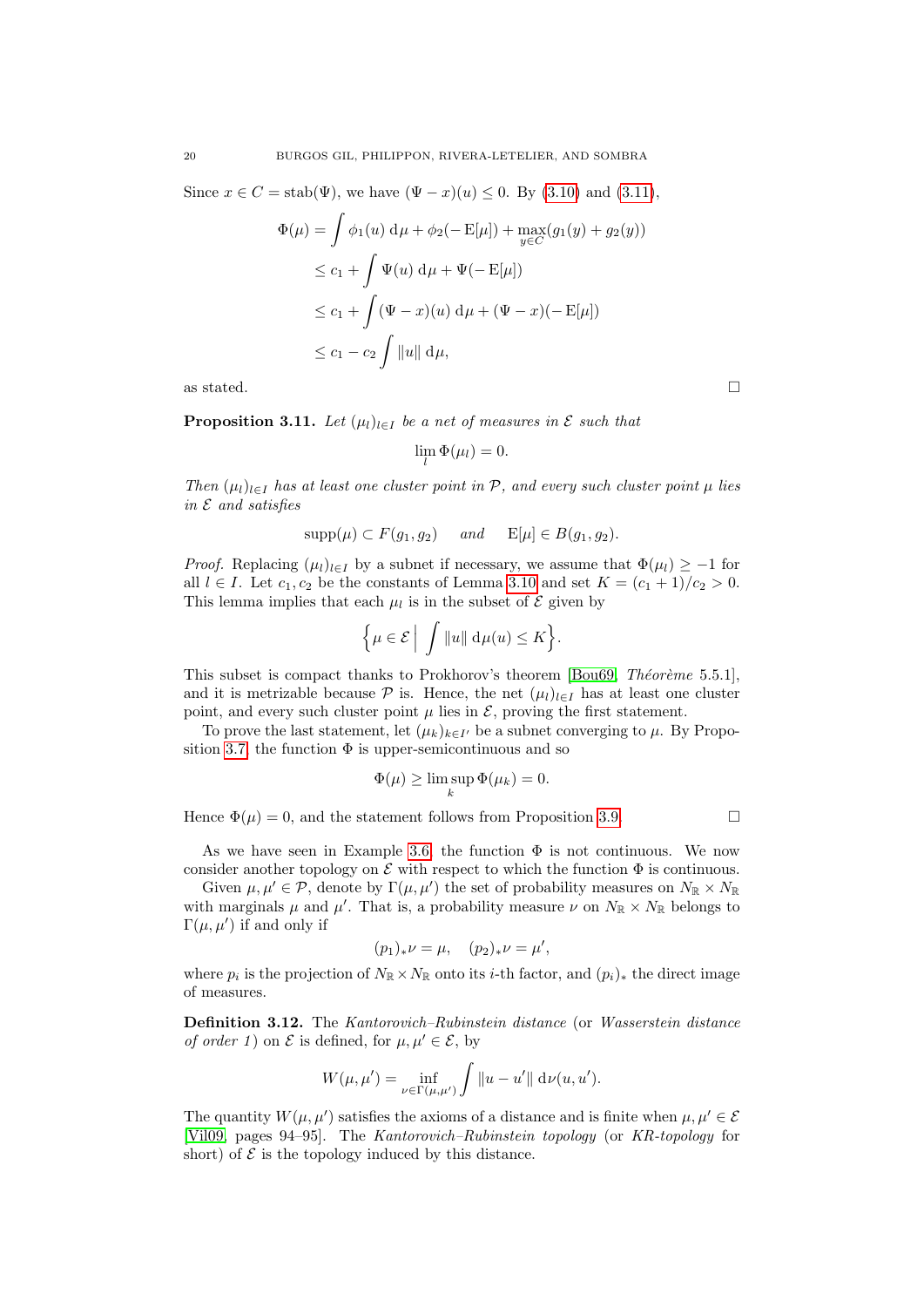Since  $x \in C = \text{stab}(\Psi)$ , we have  $(\Psi - x)(u) \leq 0$ . By [\(3.10\)](#page-18-0) and [\(3.11\)](#page-18-1),

$$
\Phi(\mu) = \int \phi_1(u) \, d\mu + \phi_2(-E[\mu]) + \max_{y \in C} (g_1(y) + g_2(y))
$$
  
\n
$$
\leq c_1 + \int \Psi(u) \, d\mu + \Psi(-E[\mu])
$$
  
\n
$$
\leq c_1 + \int (\Psi - x)(u) \, d\mu + (\Psi - x)(-E[\mu])
$$
  
\n
$$
\leq c_1 - c_2 \int ||u|| \, d\mu,
$$

as stated.  $\Box$ 

<span id="page-19-0"></span>**Proposition 3.11.** Let  $(\mu_l)_{l \in I}$  be a net of measures in  $\mathcal E$  such that

$$
\lim_{l} \Phi(\mu_l) = 0.
$$

Then  $(\mu_l)_{l \in I}$  has at least one cluster point in P, and every such cluster point  $\mu$  lies in  $E$  and satisfies

$$
supp(\mu) \subset F(g_1, g_2)
$$
 and  $E[\mu] \in B(g_1, g_2)$ .

*Proof.* Replacing  $(\mu_l)_{l\in I}$  by a subnet if necessary, we assume that  $\Phi(\mu_l) \geq -1$  for all  $l \in I$ . Let  $c_1, c_2$  be the constants of Lemma [3.10](#page-18-2) and set  $K = (c_1 + 1)/c_2 > 0$ . This lemma implies that each  $\mu_l$  is in the subset of  $\mathcal E$  given by

$$
\Big\{\mu\in\mathcal{E}\,\Big|\,\,\int\|u\|\;\text{d}\mu(u)\leq K\Big\}.
$$

This subset is compact thanks to Prokhorov's theorem [\[Bou69,](#page-53-22) Theoreme 5.5.1], and it is metrizable because  $\mathcal P$  is. Hence, the net  $(\mu_l)_{l\in I}$  has at least one cluster point, and every such cluster point  $\mu$  lies in  $\mathcal{E}$ , proving the first statement.

To prove the last statement, let  $(\mu_k)_{k \in I'}$  be a subnet converging to  $\mu$ . By Propo-sition [3.7,](#page-16-0) the function  $\Phi$  is upper-semicontinuous and so

$$
\Phi(\mu) \ge \limsup_k \Phi(\mu_k) = 0.
$$

Hence  $\Phi(\mu) = 0$ , and the statement follows from Proposition [3.9.](#page-17-0)

As we have seen in Example [3.6,](#page-16-2) the function  $\Phi$  is not continuous. We now consider another topology on  $\mathcal E$  with respect to which the function  $\Phi$  is continuous.

Given  $\mu, \mu' \in \mathcal{P}$ , denote by  $\Gamma(\mu, \mu')$  the set of probability measures on  $N_{\mathbb{R}} \times N_{\mathbb{R}}$ with marginals  $\mu$  and  $\mu'$ . That is, a probability measure  $\nu$  on  $N_{\mathbb{R}} \times N_{\mathbb{R}}$  belongs to  $\Gamma(\mu, \mu')$  if and only if

$$
(p_1)_*\nu = \mu, \quad (p_2)_*\nu = \mu',
$$

where  $p_i$  is the projection of  $N_{\mathbb{R}} \times N_{\mathbb{R}}$  onto its *i*-th factor, and  $(p_i)_*$  the direct image of measures.

<span id="page-19-1"></span>Definition 3.12. The Kantorovich–Rubinstein distance (or Wasserstein distance *of order 1*) on  $\mathcal E$  is defined, for  $\mu, \mu' \in \mathcal E$ , by

$$
W(\mu, \mu') = \inf_{\nu \in \Gamma(\mu, \mu')} \int ||u - u'|| \, d\nu(u, u').
$$

The quantity  $W(\mu, \mu')$  satisfies the axioms of a distance and is finite when  $\mu, \mu' \in \mathcal{E}$ [\[Vil09,](#page-54-8) pages 94–95]. The Kantorovich–Rubinstein topology (or KR-topology for short) of  $\mathcal E$  is the topology induced by this distance.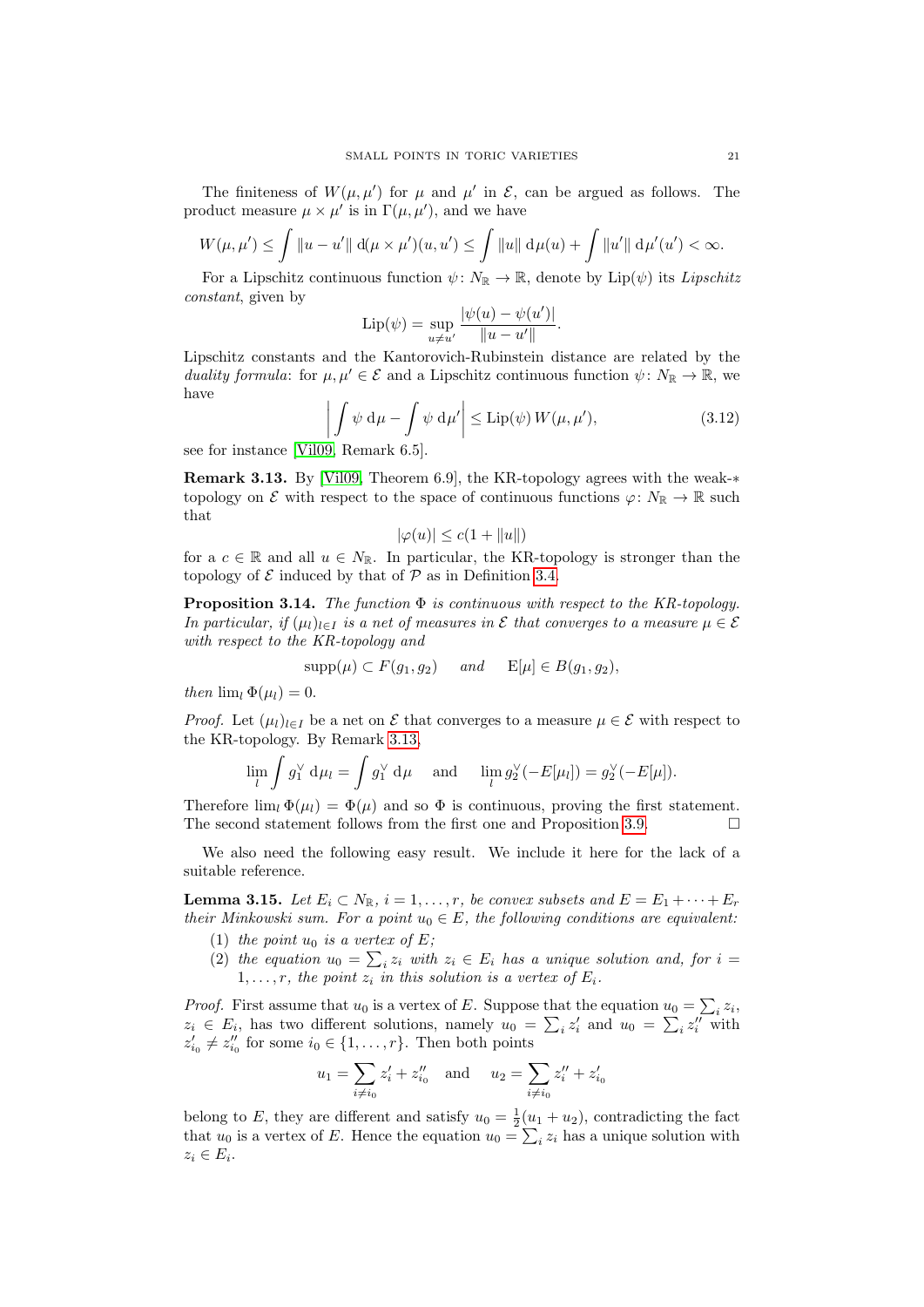The finiteness of  $W(\mu, \mu')$  for  $\mu$  and  $\mu'$  in  $\mathcal{E}$ , can be argued as follows. The product measure  $\mu \times \mu'$  is in  $\Gamma(\mu, \mu')$ , and we have

$$
W(\mu, \mu') \le \int \|u - u'\| \, d(\mu \times \mu')(u, u') \le \int \|u\| \, d\mu(u) + \int \|u'\| \, d\mu'(u') < \infty.
$$

For a Lipschitz continuous function  $\psi \colon N_{\mathbb{R}} \to \mathbb{R}$ , denote by Lip $(\psi)$  its Lipschitz constant, given by

$$
Lip(\psi) = \sup_{u \neq u'} \frac{|\psi(u) - \psi(u')|}{\|u - u'\|}.
$$

Lipschitz constants and the Kantorovich-Rubinstein distance are related by the duality formula: for  $\mu, \mu' \in \mathcal{E}$  and a Lipschitz continuous function  $\psi \colon N_{\mathbb{R}} \to \mathbb{R}$ , we have

<span id="page-20-3"></span>
$$
\left| \int \psi \, \mathrm{d}\mu - \int \psi \, \mathrm{d}\mu' \right| \le \mathrm{Lip}(\psi) \, W(\mu, \mu'), \tag{3.12}
$$

see for instance [\[Vil09,](#page-54-8) Remark 6.5].

<span id="page-20-0"></span>Remark 3.13. By [\[Vil09,](#page-54-8) Theorem 6.9], the KR-topology agrees with the weak-∗ topology on  $\mathcal E$  with respect to the space of continuous functions  $\varphi: N_{\mathbb R} \to \mathbb R$  such that

$$
|\varphi(u)| \le c(1 + \|u\|)
$$

for a  $c \in \mathbb{R}$  and all  $u \in N_{\mathbb{R}}$ . In particular, the KR-topology is stronger than the topology of  $\mathcal E$  induced by that of  $\mathcal P$  as in Definition [3.4.](#page-15-2)

**Proposition 3.14.** The function  $\Phi$  is continuous with respect to the KR-topology. In particular, if  $(\mu_l)_{l\in I}$  is a net of measures in  $\mathcal E$  that converges to a measure  $\mu \in \mathcal E$ with respect to the KR-topology and

$$
supp(\mu) \subset F(g_1, g_2) \quad and \quad E[\mu] \in B(g_1, g_2),
$$

then  $\lim_{l} \Phi(\mu_l) = 0$ .

*Proof.* Let  $(\mu_l)_{l\in I}$  be a net on  $\mathcal E$  that converges to a measure  $\mu \in \mathcal E$  with respect to the KR-topology. By Remark [3.13,](#page-20-0)

$$
\lim_{l} \int g_1^{\vee} d\mu_l = \int g_1^{\vee} d\mu \quad \text{and} \quad \lim_{l} g_2^{\vee}(-E[\mu_l]) = g_2^{\vee}(-E[\mu]).
$$

Therefore  $\lim_{l} \Phi(\mu_{l}) = \Phi(\mu)$  and so  $\Phi$  is continuous, proving the first statement. The second statement follows from the first one and Proposition [3.9.](#page-17-0)  $\Box$ 

We also need the following easy result. We include it here for the lack of a suitable reference.

<span id="page-20-4"></span>**Lemma 3.15.** Let  $E_i \subset N_{\mathbb{R}}$ ,  $i = 1, \ldots, r$ , be convex subsets and  $E = E_1 + \cdots + E_r$ their Minkowski sum. For a point  $u_0 \in E$ , the following conditions are equivalent:

- <span id="page-20-1"></span>(1) the point  $u_0$  is a vertex of E;
- <span id="page-20-2"></span>(2) the equation  $u_0 = \sum_i z_i$  with  $z_i \in E_i$  has a unique solution and, for  $i =$  $1, \ldots, r$ , the point  $z_i$  in this solution is a vertex of  $E_i$ .

*Proof.* First assume that  $u_0$  is a vertex of E. Suppose that the equation  $u_0 = \sum_i z_i$ ,  $z_i \in E_i$ , has two different solutions, namely  $u_0 = \sum_i z'_i$  and  $u_0 = \sum_i z''_i$  with  $z'_{i_0} \neq z''_{i_0}$  for some  $i_0 \in \{1, \ldots, r\}$ . Then both points

$$
u_1 = \sum_{i \neq i_0} z'_i + z''_{i_0} \quad \text{and} \quad u_2 = \sum_{i \neq i_0} z''_i + z'_{i_0}
$$

belong to E, they are different and satisfy  $u_0 = \frac{1}{2}(u_1 + u_2)$ , contradicting the fact that  $u_0$  is a vertex of E. Hence the equation  $u_0 = \sum_i z_i$  has a unique solution with  $z_i \in E_i$ .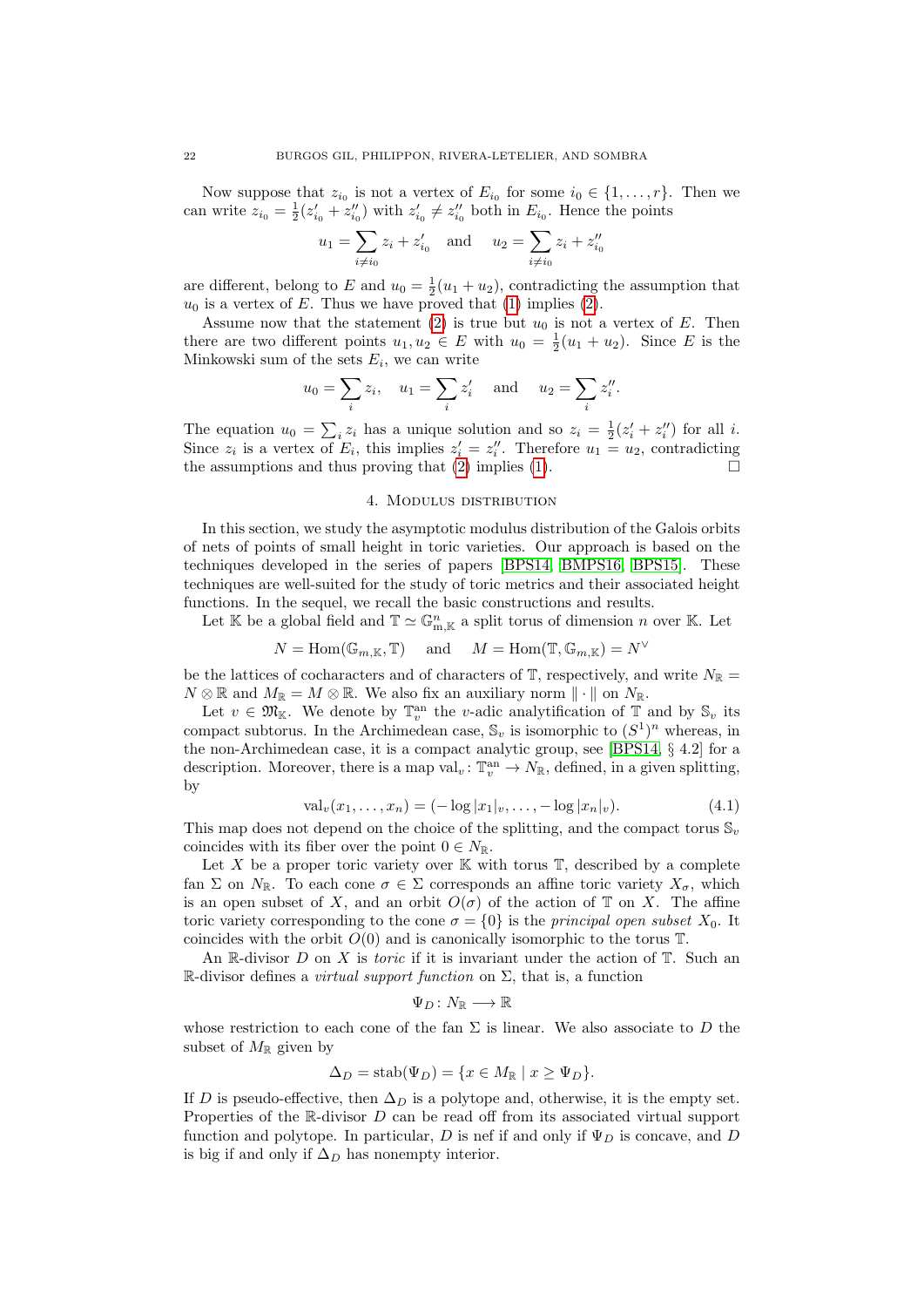Now suppose that  $z_{i_0}$  is not a vertex of  $E_{i_0}$  for some  $i_0 \in \{1, \ldots, r\}$ . Then we can write  $z_{i_0} = \frac{1}{2}(z'_{i_0} + z''_{i_0})$  with  $z'_{i_0} \neq z''_{i_0}$  both in  $E_{i_0}$ . Hence the points

$$
u_1 = \sum_{i \neq i_0} z_i + z'_{i_0}
$$
 and  $u_2 = \sum_{i \neq i_0} z_i + z''_{i_0}$ 

are different, belong to E and  $u_0 = \frac{1}{2}(u_1 + u_2)$ , contradicting the assumption that  $u_0$  is a vertex of E. Thus we have proved that [\(1\)](#page-20-1) implies [\(2\)](#page-20-2).

Assume now that the statement  $(2)$  is true but  $u_0$  is not a vertex of E. Then there are two different points  $u_1, u_2 \in E$  with  $u_0 = \frac{1}{2}(u_1 + u_2)$ . Since E is the Minkowski sum of the sets  $E_i$ , we can write

$$
u_0 = \sum_i z_i
$$
,  $u_1 = \sum_i z'_i$  and  $u_2 = \sum_i z''_i$ .

The equation  $u_0 = \sum_i z_i$  has a unique solution and so  $z_i = \frac{1}{2}(z_i' + z_i'')$  for all i. Since  $z_i$  is a vertex of  $E_i$ , this implies  $z'_i = z''_i$ . Therefore  $u_1 = u_2$ , contradicting the assumptions and thus proving that  $(2)$  implies  $(1)$ .

#### 4. Modulus distribution

<span id="page-21-0"></span>In this section, we study the asymptotic modulus distribution of the Galois orbits of nets of points of small height in toric varieties. Our approach is based on the techniques developed in the series of papers [\[BPS14,](#page-53-11) [BMPS16,](#page-53-12) [BPS15\]](#page-53-13). These techniques are well-suited for the study of toric metrics and their associated height functions. In the sequel, we recall the basic constructions and results.

Let K be a global field and  $\mathbb{T} \simeq \mathbb{G}_{m,\mathbb{K}}^n$  a split torus of dimension n over K. Let

$$
N = \text{Hom}(\mathbb{G}_{m,\mathbb{K}}, \mathbb{T})
$$
 and  $M = \text{Hom}(\mathbb{T}, \mathbb{G}_{m,\mathbb{K}}) = N$ 

be the lattices of cocharacters and of characters of  $\mathbb{T}$ , respectively, and write  $N_{\mathbb{R}} =$  $N \otimes \mathbb{R}$  and  $M_{\mathbb{R}} = M \otimes \mathbb{R}$ . We also fix an auxiliary norm  $\|\cdot\|$  on  $N_{\mathbb{R}}$ .

Let  $v \in \mathfrak{M}_{\mathbb{K}}$ . We denote by  $\mathbb{T}_v^{\text{an}}$  the *v*-adic analytification of  $\mathbb{T}$  and by  $\mathbb{S}_v$  its compact subtorus. In the Archimedean case,  $\mathbb{S}_v$  is isomorphic to  $(S^1)^n$  whereas, in the non-Archimedean case, it is a compact analytic group, see [\[BPS14,](#page-53-11) § 4.2] for a description. Moreover, there is a map  $val_v: \mathbb{T}_v^{an} \to N_{\mathbb{R}}$ , defined, in a given splitting, by

<span id="page-21-1"></span>
$$
\text{val}_v(x_1, \dots, x_n) = (-\log |x_1|_v, \dots, -\log |x_n|_v). \tag{4.1}
$$

∨

This map does not depend on the choice of the splitting, and the compact torus  $\mathbb{S}_v$ coincides with its fiber over the point  $0 \in N_{\mathbb{R}}$ .

Let X be a proper toric variety over  $\mathbb K$  with torus  $\mathbb T$ , described by a complete fan  $\Sigma$  on  $N_{\mathbb{R}}$ . To each cone  $\sigma \in \Sigma$  corresponds an affine toric variety  $X_{\sigma}$ , which is an open subset of X, and an orbit  $O(\sigma)$  of the action of T on X. The affine toric variety corresponding to the cone  $\sigma = \{0\}$  is the *principal open subset*  $X_0$ . It coincides with the orbit  $O(0)$  and is canonically isomorphic to the torus  $\mathbb{T}$ .

An R-divisor  $D$  on  $X$  is *toric* if it is invariant under the action of  $T$ . Such an R-divisor defines a *virtual support function* on  $\Sigma$ , that is, a function

$$
\Psi_D\colon N_{\mathbb{R}}\longrightarrow {\mathbb{R}}
$$

whose restriction to each cone of the fan  $\Sigma$  is linear. We also associate to D the subset of  $M_{\mathbb{R}}$  given by

$$
\Delta_D = \operatorname{stab}(\Psi_D) = \{ x \in M_{\mathbb{R}} \mid x \ge \Psi_D \}.
$$

If D is pseudo-effective, then  $\Delta_D$  is a polytope and, otherwise, it is the empty set. Properties of the  $\mathbb R$ -divisor  $D$  can be read off from its associated virtual support function and polytope. In particular, D is nef if and only if  $\Psi_D$  is concave, and D is big if and only if  $\Delta_D$  has nonempty interior.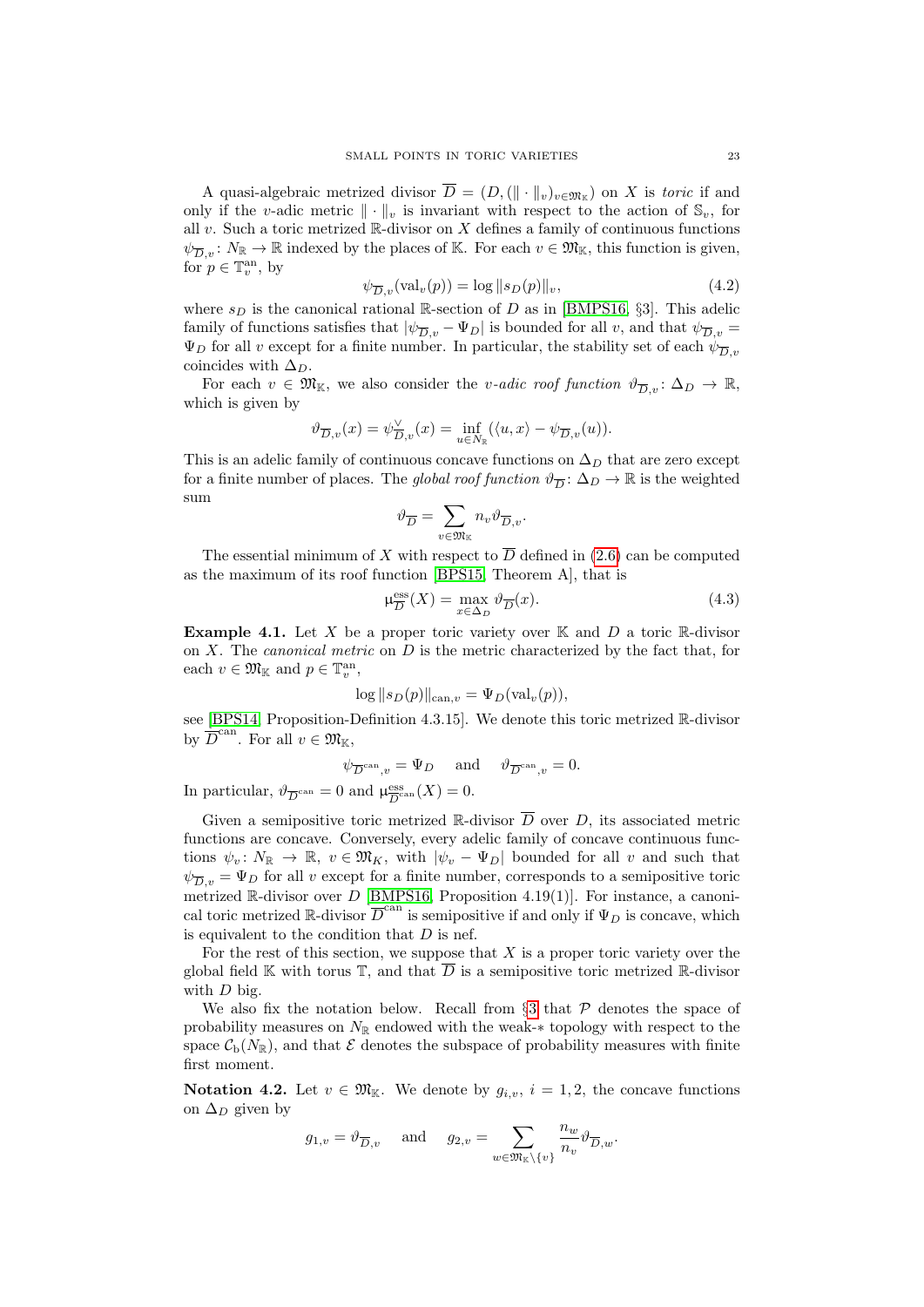A quasi-algebraic metrized divisor  $D = (D, (\|\cdot\|_v)_{v \in \mathfrak{M}_{\mathbb{K}}})$  on X is toric if and only if the v-adic metric  $\|\cdot\|_v$  is invariant with respect to the action of  $\mathbb{S}_v$ , for all v. Such a toric metrized  $\mathbb R$ -divisor on X defines a family of continuous functions  $\psi_{\overline{D}_v}: N_{\mathbb{R}} \to \mathbb{R}$  indexed by the places of K. For each  $v \in \mathfrak{M}_{\mathbb{K}}$ , this function is given, for  $p \in \mathbb{T}^{\text{an}}_v$ , by

<span id="page-22-1"></span>
$$
\psi_{\overline{D},v}(\text{val}_v(p)) = \log \|s_D(p)\|_v,\tag{4.2}
$$

where  $s_D$  is the canonical rational R-section of D as in [\[BMPS16,](#page-53-12) §3]. This adelic family of functions satisfies that  $|\psi_{\overline{D},v} - \Psi_D|$  is bounded for all v, and that  $\psi_{\overline{D},v} =$  $\Psi_D$  for all v except for a finite number. In particular, the stability set of each  $\psi_{\overline{D},v}$ coincides with  $\Delta_D$ .

For each  $v \in \mathfrak{M}_{\mathbb{K}}$ , we also consider the *v-adic roof function*  $\vartheta_{\overline{D}_v} : \Delta_D \to \mathbb{R}$ , which is given by

$$
\vartheta_{\overline{D},v}(x) = \psi_{\overline{D},v}^{\vee}(x) = \inf_{u \in N_{\mathbb{R}}} (\langle u, x \rangle - \psi_{\overline{D},v}(u)).
$$

This is an adelic family of continuous concave functions on  $\Delta_D$  that are zero except for a finite number of places. The global roof function  $\vartheta_{\overline{D}}: \Delta_D \to \mathbb{R}$  is the weighted sum

$$
\vartheta_{\overline{D}}=\sum_{v\in\mathfrak{M}_{\mathbb{K}}}n_{v}\vartheta_{\overline{D},v}.
$$

The essential minimum of X with respect to  $\overline{D}$  defined in [\(2.6\)](#page-10-2) can be computed as the maximum of its roof function [\[BPS15,](#page-53-13) Theorem A], that is

<span id="page-22-2"></span>
$$
\mu_{\overline{D}}^{\text{ess}}(X) = \max_{x \in \Delta_D} \vartheta_{\overline{D}}(x). \tag{4.3}
$$

<span id="page-22-3"></span>**Example 4.1.** Let X be a proper toric variety over  $\mathbb{K}$  and D a toric  $\mathbb{R}$ -divisor on  $X$ . The *canonical metric* on  $D$  is the metric characterized by the fact that, for each  $v \in \mathfrak{M}_{\mathbb{K}}$  and  $p \in \mathbb{T}_v^{\text{an}},$ 

$$
\log ||s_D(p)||_{\text{can},v} = \Psi_D(\text{val}_v(p)),
$$

see [\[BPS14,](#page-53-11) Proposition-Definition 4.3.15]. We denote this toric metrized R-divisor by  $\overline{D}^{\text{can}}$ . For all  $v \in \mathfrak{M}_{\mathbb{K}}$ ,

$$
\psi_{\overline{D}^{\text{can}},v} = \Psi_D \quad \text{and} \quad \vartheta_{\overline{D}^{\text{can}},v} = 0.
$$

In particular,  $\vartheta_{\overline{D}^{\text{can}}} = 0$  and  $\mu_{\overline{D}^{\text{c}}^{\text{}}_{\overline{D}^{\text{}}}}$  $\frac{\text{ess}}{D}$ <sup>can</sup> $(X) = 0$ .

Given a semipositive toric metrized R-divisor  $\overline{D}$  over D, its associated metric functions are concave. Conversely, every adelic family of concave continuous functions  $\psi_v \colon N_{\mathbb{R}} \to \mathbb{R}, v \in \mathfrak{M}_K$ , with  $|\psi_v - \Psi_D|$  bounded for all v and such that  $\psi_{\overline{D},v} = \Psi_D$  for all v except for a finite number, corresponds to a semipositive toric metrized R-divisor over D [\[BMPS16,](#page-53-12) Proposition 4.19(1)]. For instance, a canonical toric metrized  $\mathbb R$ -divisor  $\overline{D}^{\text{can}}$  is semipositive if and only if  $\Psi_D$  is concave, which is equivalent to the condition that  $D$  is nef.

For the rest of this section, we suppose that  $X$  is a proper toric variety over the global field K with torus T, and that  $\overline{D}$  is a semipositive toric metrized R-divisor with  $D$  big.

We also fix the notation below. Recall from  $\S 3$  $\S 3$  that  $P$  denotes the space of probability measures on  $N_{\mathbb{R}}$  endowed with the weak-∗ topology with respect to the space  $\mathcal{C}_{b}(N_{\mathbb{R}})$ , and that  $\mathcal E$  denotes the subspace of probability measures with finite first moment.

<span id="page-22-0"></span>**Notation 4.2.** Let  $v \in \mathfrak{M}_{\mathbb{K}}$ . We denote by  $g_{i,v}$ ,  $i = 1, 2$ , the concave functions on  $\Delta_D$  given by

$$
g_{1,v} = \vartheta_{\overline{D},v} \quad \text{ and } \quad g_{2,v} = \sum_{w \in \mathfrak{M}_\mathbb{K} \backslash \{v\}} \frac{n_w}{n_v} \vartheta_{\overline{D},w}.
$$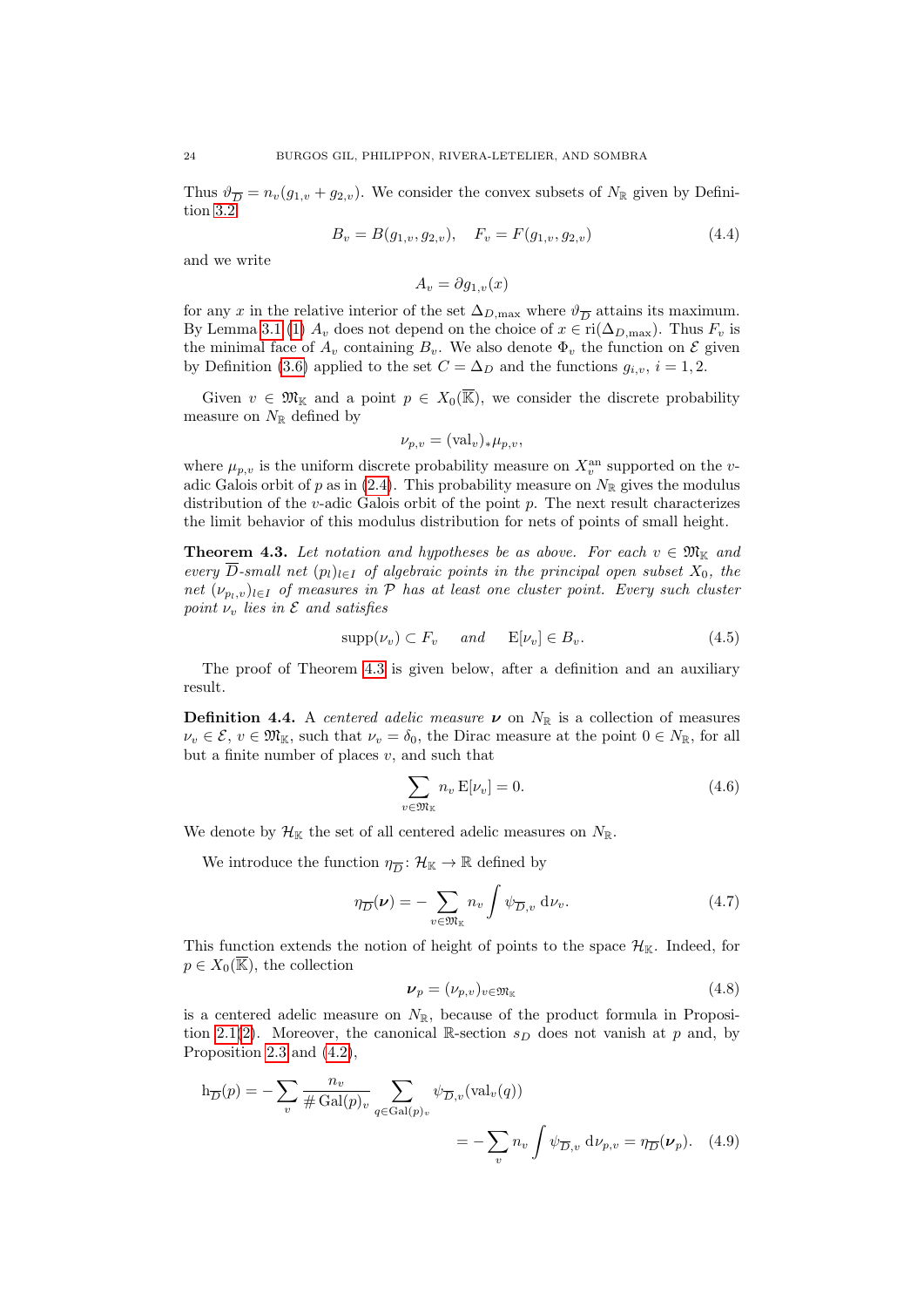Thus  $\vartheta_{\overline{D}} = n_v(g_{1,v} + g_{2,v})$ . We consider the convex subsets of  $N_{\mathbb{R}}$  given by Definition [3.2](#page-14-5)

<span id="page-23-5"></span>
$$
B_v = B(g_{1,v}, g_{2,v}), \quad F_v = F(g_{1,v}, g_{2,v})
$$
\n(4.4)

and we write

 $A_v = \partial q_{1,v}(x)$ 

for any x in the relative interior of the set  $\Delta_{D,\text{max}}$  where  $\vartheta_{\overline{D}}$  attains its maximum. By Lemma [3.1](#page-13-3) [\(1\)](#page-13-1)  $A_v$  does not depend on the choice of  $x \in \text{ri}(\Delta_{D,\text{max}})$ . Thus  $F_v$  is the minimal face of  $A_v$  containing  $B_v$ . We also denote  $\Phi_v$  the function on  $\mathcal E$  given by Definition [\(3.6\)](#page-16-3) applied to the set  $C = \Delta_D$  and the functions  $g_{i,v}$ ,  $i = 1, 2$ .

Given  $v \in \mathfrak{M}_{\mathbb{K}}$  and a point  $p \in X_0(\overline{\mathbb{K}})$ , we consider the discrete probability measure on  $N_{\mathbb{R}}$  defined by

$$
\nu_{p,v} = (\text{val}_v)_*\mu_{p,v},
$$

where  $\mu_{p,v}$  is the uniform discrete probability measure on  $X_v^{\text{an}}$  supported on the v-adic Galois orbit of p as in [\(2.4\)](#page-9-0). This probability measure on  $N_{\mathbb{R}}$  gives the modulus distribution of the  $v$ -adic Galois orbit of the point  $p$ . The next result characterizes the limit behavior of this modulus distribution for nets of points of small height.

<span id="page-23-0"></span>**Theorem 4.3.** Let notation and hypotheses be as above. For each  $v \in \mathfrak{M}_{\mathbb{K}}$  and every  $\overline{D}$ -small net  $(p_l)_{l\in I}$  of algebraic points in the principal open subset  $X_0$ , the net  $(\nu_{p_1,v})_{l\in I}$  of measures in P has at least one cluster point. Every such cluster point  $\nu_v$  lies in  $\mathcal E$  and satisfies

<span id="page-23-4"></span>
$$
supp(\nu_v) \subset F_v \quad \text{and} \quad \mathbb{E}[\nu_v] \in B_v. \tag{4.5}
$$

The proof of Theorem [4.3](#page-23-0) is given below, after a definition and an auxiliary result.

<span id="page-23-6"></span>**Definition 4.4.** A *centered adelic measure*  $\nu$  on  $N_{\mathbb{R}}$  is a collection of measures  $\nu_v \in \mathcal{E}, v \in \mathfrak{M}_{\mathbb{K}}, \text{ such that } \nu_v = \delta_0, \text{ the Dirac measure at the point } 0 \in N_{\mathbb{R}}, \text{ for all }$ but a finite number of places  $v$ , and such that

<span id="page-23-1"></span>
$$
\sum_{v \in \mathfrak{M}_{\mathbb{K}}} n_v \mathbf{E}[\nu_v] = 0. \tag{4.6}
$$

We denote by  $\mathcal{H}_{\mathbb{K}}$  the set of all centered adelic measures on  $N_{\mathbb{R}}$ .

We introduce the function  $\eta_{\overline{D}}: \mathcal{H}_{\mathbb{K}} \to \mathbb{R}$  defined by

$$
\eta_{\overline{D}}(\nu) = -\sum_{v \in \mathfrak{M}_{\mathbb{K}}} n_v \int \psi_{\overline{D}, v} \, \mathrm{d}\nu_v. \tag{4.7}
$$

This function extends the notion of height of points to the space  $\mathcal{H}_{K}$ . Indeed, for  $p \in X_0(\overline{\mathbb{K}})$ , the collection

<span id="page-23-3"></span><span id="page-23-2"></span>
$$
\nu_p = (\nu_{p,v})_{v \in \mathfrak{M}_{\mathbb{K}}} \tag{4.8}
$$

is a centered adelic measure on  $N_{\mathbb{R}}$ , because of the product formula in Proposi-tion [2.1](#page-8-3)[\(2\)](#page-8-1). Moreover, the canonical R-section  $s_D$  does not vanish at p and, by Proposition [2.3](#page-10-3) and [\(4.2\)](#page-22-1),

$$
h_{\overline{D}}(p) = -\sum_{v} \frac{n_v}{\# \operatorname{Gal}(p)_v} \sum_{q \in \operatorname{Gal}(p)_v} \psi_{\overline{D}, v}(\text{val}_v(q))
$$
  

$$
= -\sum_{v} n_v \int \psi_{\overline{D}, v} d\nu_{p,v} = \eta_{\overline{D}}(\nu_p). \quad (4.9)
$$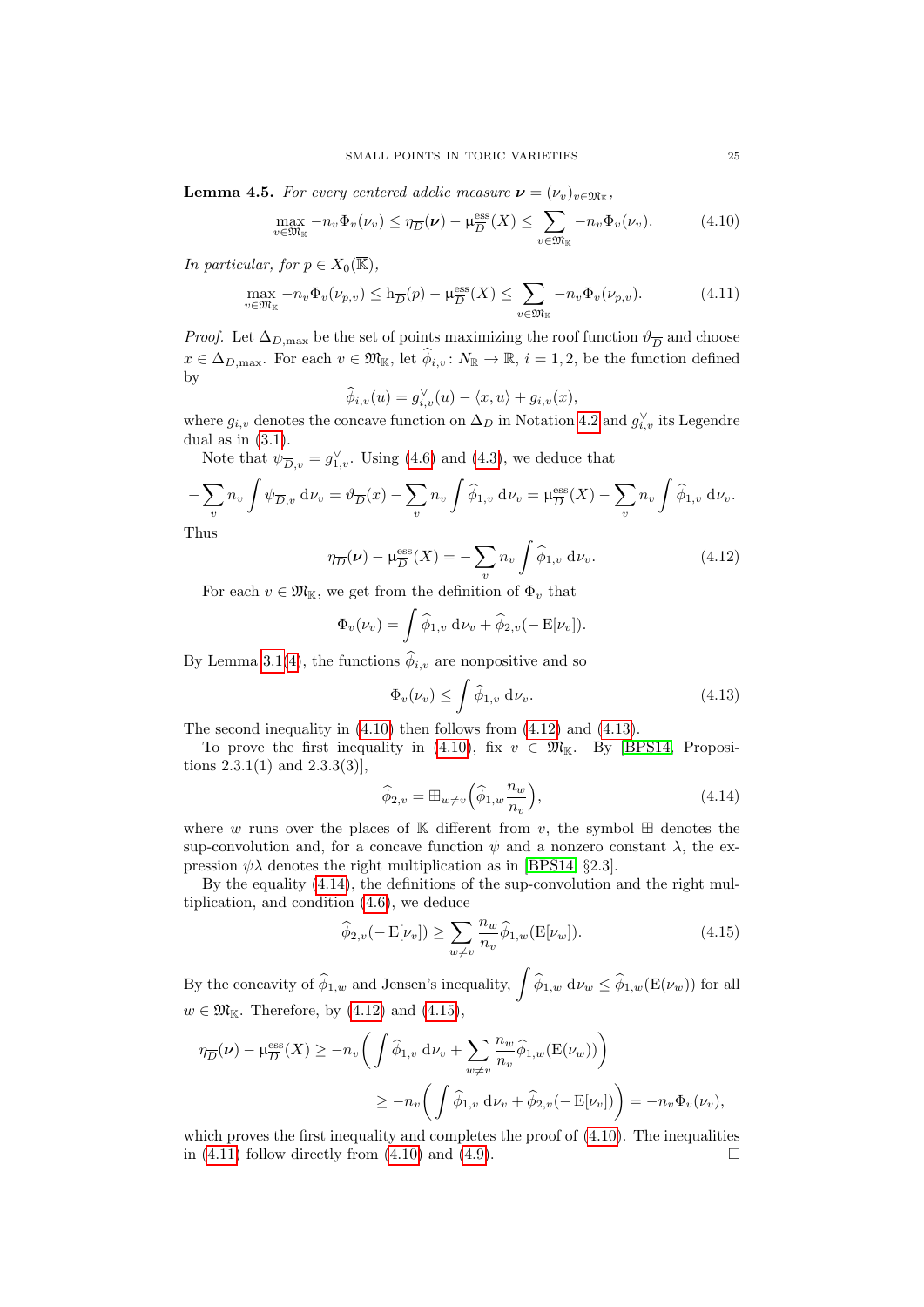<span id="page-24-6"></span>**Lemma 4.5.** For every centered adelic measure  $\boldsymbol{\nu} = (\nu_v)_{v \in \mathfrak{M}_{\mathbb{K}}}$ ,

<span id="page-24-0"></span>
$$
\max_{v \in \mathfrak{M}_{\mathbb{K}}} -n_v \Phi_v(\nu_v) \le \eta_{\overline{D}}(\nu) - \mu_{\overline{D}}^{\mathrm{ess}}(X) \le \sum_{v \in \mathfrak{M}_{\mathbb{K}}} -n_v \Phi_v(\nu_v). \tag{4.10}
$$

In particular, for  $p \in X_0(\overline{\mathbb{K}})$ ,

<span id="page-24-5"></span>
$$
\max_{v \in \mathfrak{M}_{\mathbb{K}}} -n_v \Phi_v(\nu_{p,v}) \le \mathbf{h}_{\overline{D}}(p) - \mu_{\overline{D}}^{\text{ess}}(X) \le \sum_{v \in \mathfrak{M}_{\mathbb{K}}} -n_v \Phi_v(\nu_{p,v}).\tag{4.11}
$$

*Proof.* Let  $\Delta_{D,\text{max}}$  be the set of points maximizing the roof function  $\vartheta_{\overline{D}}$  and choose  $x \in \Delta_{D,\max}$ . For each  $v \in \mathfrak{M}_{\mathbb{K}}$ , let  $\widehat{\phi}_{i,v} \colon N_{\mathbb{R}} \to \mathbb{R}$ ,  $i = 1, 2$ , be the function defined by

$$
\widehat{\phi}_{i,v}(u) = g_{i,v}^{\vee}(u) - \langle x, u \rangle + g_{i,v}(x),
$$

where  $g_{i,v}$  denotes the concave function on  $\Delta_D$  in Notation [4.2](#page-22-0) and  $g_{i,v}^{\vee}$  its Legendre dual as in  $(3.1)$ .

Note that  $\psi_{\overline{D},v} = g_{1,v}^{\vee}$ . Using [\(4.6\)](#page-23-1) and [\(4.3\)](#page-22-2), we deduce that

$$
-\sum_{v} n_{v} \int \psi_{\overline{D},v} \, \mathrm{d}\nu_{v} = \vartheta_{\overline{D}}(x) - \sum_{v} n_{v} \int \widehat{\phi}_{1,v} \, \mathrm{d}\nu_{v} = \mu_{\overline{D}}^{\mathrm{ess}}(X) - \sum_{v} n_{v} \int \widehat{\phi}_{1,v} \, \mathrm{d}\nu_{v}.
$$
  
Thus

<span id="page-24-1"></span>
$$
\eta_{\overline{D}}(\nu) - \mu_{\overline{D}}^{\text{ess}}(X) = -\sum_{v} n_{v} \int \widehat{\phi}_{1,v} \, \mathrm{d}\nu_{v}. \tag{4.12}
$$

For each  $v \in \mathfrak{M}_{\mathbb{K}}$ , we get from the definition of  $\Phi_v$  that

$$
\Phi_v(\nu_v) = \int \widehat{\phi}_{1,v} \, \mathrm{d}\nu_v + \widehat{\phi}_{2,v}(-\mathrm{E}[\nu_v]).
$$

By Lemma [3.1](#page-13-3)[\(4\)](#page-14-4), the functions  $\phi_{i,v}$  are nonpositive and so

<span id="page-24-2"></span>
$$
\Phi_v(\nu_v) \le \int \widehat{\phi}_{1,v} \, \mathrm{d}\nu_v. \tag{4.13}
$$

The second inequality in [\(4.10\)](#page-24-0) then follows from [\(4.12\)](#page-24-1) and [\(4.13\)](#page-24-2).

To prove the first inequality in [\(4.10\)](#page-24-0), fix  $v \in \mathfrak{M}_{\mathbb{K}}$ . By [\[BPS14,](#page-53-11) Propositions  $2.3.1(1)$  and  $2.3.3(3)$ ],

<span id="page-24-3"></span>
$$
\widehat{\phi}_{2,v} = \boxplus_{w \neq v} \left( \widehat{\phi}_{1,w} \frac{n_w}{n_v} \right),\tag{4.14}
$$

where w runs over the places of K different from v, the symbol  $\boxplus$  denotes the sup-convolution and, for a concave function  $\psi$  and a nonzero constant  $\lambda$ , the expression  $\psi \lambda$  denotes the right multiplication as in [\[BPS14,](#page-53-11) §2.3].

By the equality [\(4.14\)](#page-24-3), the definitions of the sup-convolution and the right multiplication, and condition [\(4.6\)](#page-23-1), we deduce

<span id="page-24-4"></span>
$$
\widehat{\phi}_{2,v}(-\mathcal{E}[\nu_v]) \ge \sum_{w \ne v} \frac{n_w}{n_v} \widehat{\phi}_{1,w}(\mathcal{E}[\nu_w]). \tag{4.15}
$$

By the concavity of  $\hat{\phi}_{1,w}$  and Jensen's inequality,  $\int \hat{\phi}_{1,w} d\nu_w \leq \hat{\phi}_{1,w}(\mathcal{E}(\nu_w))$  for all  $w \in \mathfrak{M}_{\mathbb{K}}$ . Therefore, by  $(4.12)$  and  $(4.15)$ ,

$$
\eta_{\overline{D}}(\nu) - \mu_{\overline{D}}^{\text{ess}}(X) \ge -n_v \bigg( \int \widehat{\phi}_{1,v} \, \mathrm{d}\nu_v + \sum_{w \neq v} \frac{n_w}{n_v} \widehat{\phi}_{1,w}(\mathcal{E}(\nu_w)) \bigg) \n\ge -n_v \bigg( \int \widehat{\phi}_{1,v} \, \mathrm{d}\nu_v + \widehat{\phi}_{2,v}(-\mathcal{E}[\nu_v]) \bigg) = -n_v \Phi_v(\nu_v),
$$

which proves the first inequality and completes the proof of  $(4.10)$ . The inequalities in  $(4.11)$  follow directly from  $(4.10)$  and  $(4.9)$ .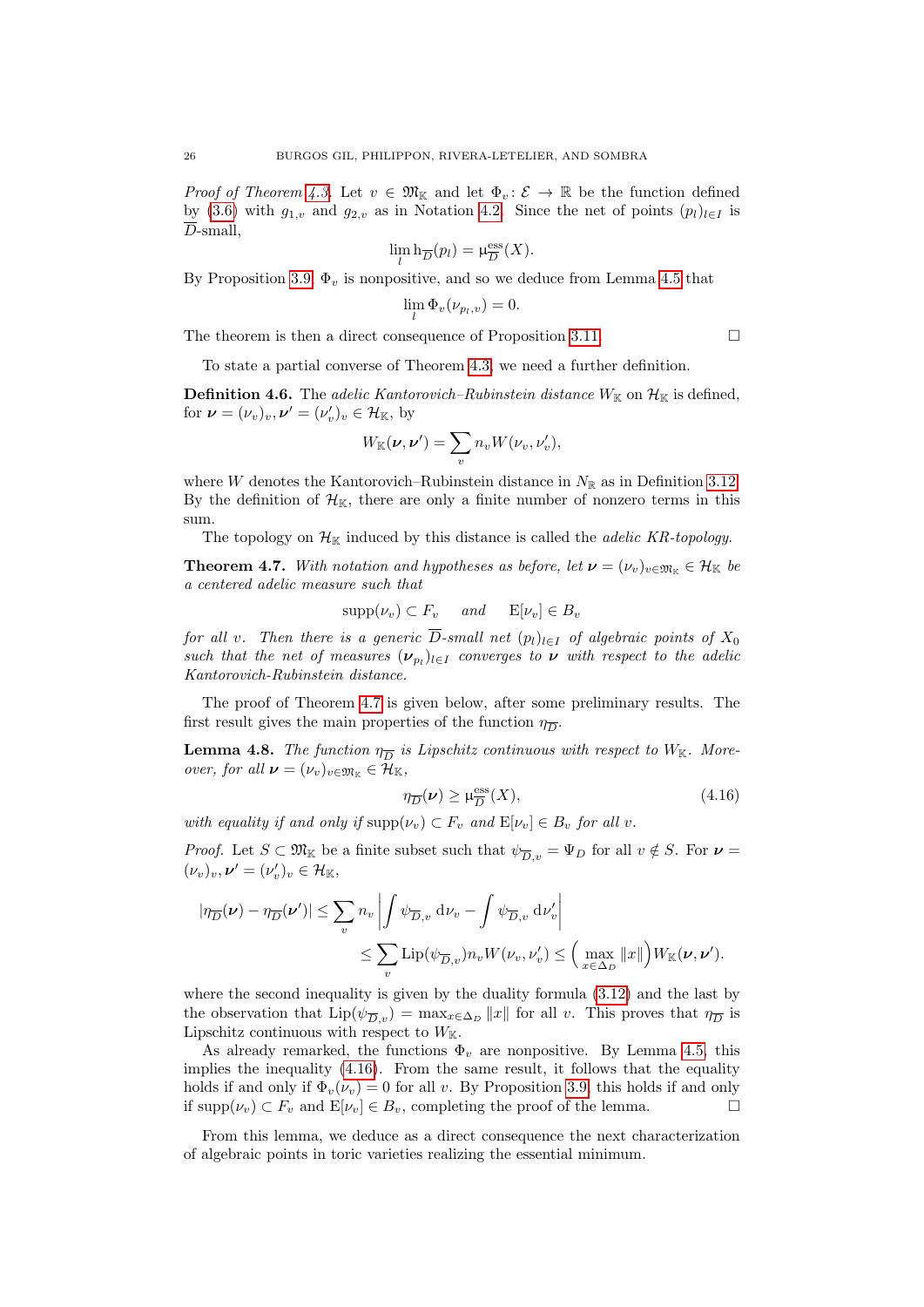*Proof of Theorem [4.3.](#page-23-0)* Let  $v \in \mathfrak{M}_{\mathbb{K}}$  and let  $\Phi_v : \mathcal{E} \to \mathbb{R}$  be the function defined by [\(3.6\)](#page-16-3) with  $g_{1,v}$  and  $g_{2,v}$  as in Notation [4.2.](#page-22-0) Since the net of points  $(p_l)_{l\in I}$  is  $\overline{D}$ -small,

$$
\lim_{l} \mathbf{h}_{\overline{D}}(p_l) = \mu_{\overline{D}}^{\text{ess}}(X).
$$

By Proposition [3.9,](#page-17-0)  $\Phi_v$  is nonpositive, and so we deduce from Lemma [4.5](#page-24-6) that

$$
\lim_{l} \Phi_v(\nu_{p_l,v}) = 0.
$$

The theorem is then a direct consequence of Proposition [3.11.](#page-19-0)  $\Box$ 

To state a partial converse of Theorem [4.3,](#page-23-0) we need a further definition.

**Definition 4.6.** The *adelic Kantorovich–Rubinstein distance*  $W_{K}$  on  $\mathcal{H}_{K}$  is defined, for  $\boldsymbol{\nu} = (\nu_v)_v, \boldsymbol{\nu}' = (\nu_v')_v \in \mathcal{H}_{\mathbb{K}},$  by

$$
W_{\mathbb{K}}(\nu, \nu') = \sum_{v} n_{v} W(\nu_{v}, \nu'_{v}),
$$

where W denotes the Kantorovich–Rubinstein distance in  $N_{\mathbb{R}}$  as in Definition [3.12.](#page-19-1) By the definition of  $\mathcal{H}_{K}$ , there are only a finite number of nonzero terms in this sum.

The topology on  $\mathcal{H}_{\mathbb{K}}$  induced by this distance is called the *adelic KR-topology*.

<span id="page-25-1"></span>**Theorem 4.7.** With notation and hypotheses as before, let  $v = (v_v)_{v \in \mathfrak{M}_{\mathbb{K}}} \in \mathcal{H}_{\mathbb{K}}$  be a centered adelic measure such that

$$
supp(\nu_v) \subset F_v \quad \text{and} \quad \mathcal{E}[\nu_v] \in B_v
$$

for all v. Then there is a generic  $\overline{D}$ -small net  $(p_l)_{l\in I}$  of algebraic points of  $X_0$ such that the net of measures  $(\nu_{p_l})_{l \in I}$  converges to  $\nu$  with respect to the adelic Kantorovich-Rubinstein distance.

The proof of Theorem [4.7](#page-25-1) is given below, after some preliminary results. The first result gives the main properties of the function  $\eta_{\overline{D}}$ .

<span id="page-25-0"></span>**Lemma 4.8.** The function  $\eta_{\overline{D}}$  is Lipschitz continuous with respect to  $W_{\mathbb{K}}$ . More*over, for all*  $\nu = (\nu_v)_{v \in \mathfrak{M}_{\mathbb{K}}} \in \mathcal{H}_{\mathbb{K}}$ ,

<span id="page-25-2"></span>
$$
\eta_{\overline{D}}(\nu) \ge \mu_{\overline{D}}^{\text{ess}}(X),\tag{4.16}
$$

with equality if and only if  $\text{supp}(\nu_v) \subset F_v$  and  $\text{E}[\nu_v] \in B_v$  for all v.

*Proof.* Let  $S \subset \mathfrak{M}_{\mathbb{K}}$  be a finite subset such that  $\psi_{\overline{D},v} = \Psi_D$  for all  $v \notin S$ . For  $v =$  $(\nu_v)_v, \nu' = (\nu'_v)_v \in \mathcal{H}_{\mathbb{K}},$ 

$$
\begin{aligned} |\eta_{\overline{D}}(\nu) - \eta_{\overline{D}}(\nu')| &\leq \sum_{v} n_v \left| \int \psi_{\overline{D},v} \, \mathrm{d}\nu_v - \int \psi_{\overline{D},v} \, \mathrm{d}\nu_v' \right| \\ &\leq \sum_{v} \mathrm{Lip}(\psi_{\overline{D},v}) n_v W(\nu_v, \nu_v') \leq \Big( \max_{x \in \Delta_D} ||x|| \Big) W_{\mathbb{K}}(\nu, \nu'). \end{aligned}
$$

where the second inequality is given by the duality formula [\(3.12\)](#page-20-3) and the last by the observation that  $\text{Lip}(\psi_{\overline{D},v}) = \max_{x \in \Delta_D} ||x||$  for all v. This proves that  $\eta_{\overline{D}}$  is Lipschitz continuous with respect to  $W_{\mathbb{K}}$ .

As already remarked, the functions  $\Phi_v$  are nonpositive. By Lemma [4.5,](#page-24-6) this implies the inequality  $(4.16)$ . From the same result, it follows that the equality holds if and only if  $\Phi_v(\nu_v) = 0$  for all v. By Proposition [3.9,](#page-17-0) this holds if and only if  $\text{supp}(\nu_v) \subset F_v$  and  $E[\nu_v] \in B_v$ , completing the proof of the lemma.

From this lemma, we deduce as a direct consequence the next characterization of algebraic points in toric varieties realizing the essential minimum.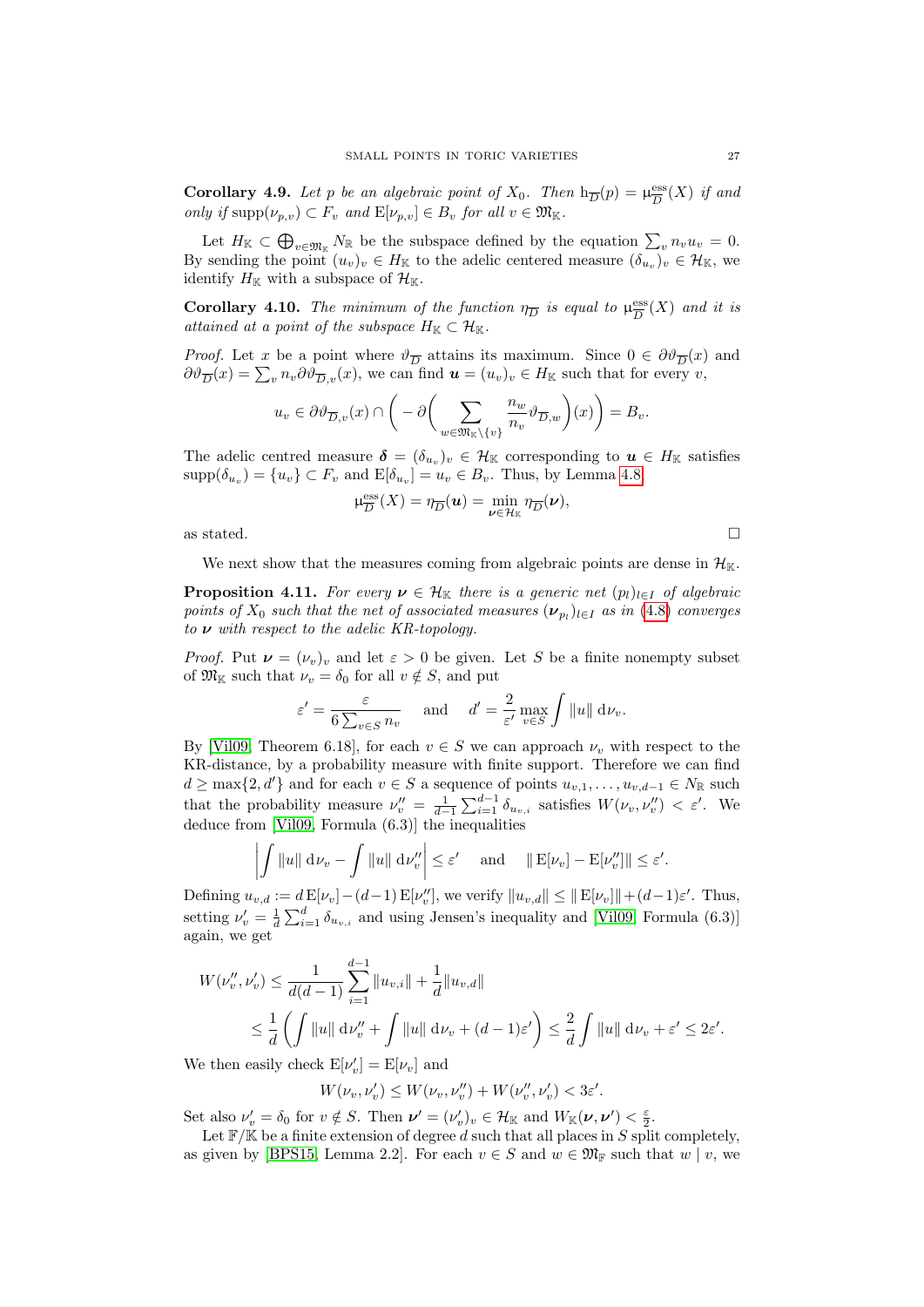<span id="page-26-0"></span>**Corollary 4.9.** Let p be an algebraic point of  $X_0$ . Then  $h_{\overline{D}}(p) = \mu_{\overline{D}}^{\text{ess}}$  $\frac{{\rm ess}}{D}(X)$  if and only if  $\text{supp}(\nu_{p,v}) \subset F_v$  and  $E[\nu_{p,v}] \in B_v$  for all  $v \in \mathfrak{M}_{\mathbb{K}}$ .

Let  $H_{\mathbb{K}} \subset \bigoplus_{v \in \mathfrak{M}_{\mathbb{K}}} N_{\mathbb{R}}$  be the subspace defined by the equation  $\sum_{v} n_v u_v = 0$ . By sending the point  $(u_v)_v \in H_{\mathbb{K}}$  to the adelic centered measure  $(\delta_{u_v})_v \in \mathcal{H}_{\mathbb{K}}$ , we identify  $H_{\mathbb{K}}$  with a subspace of  $\mathcal{H}_{\mathbb{K}}$ .

<span id="page-26-1"></span>**Corollary 4.10.** The minimum of the function  $\eta_{\overline{D}}$  is equal to  $\mu_{\overline{D}}^{\text{ess}}$  $\frac{\text{ess}}{D}(X)$  and it is attained at a point of the subspace  $H_{\mathbb{K}} \subset \mathcal{H}_{\mathbb{K}}$ .

*Proof.* Let x be a point where  $\vartheta_{\overline{D}}$  attains its maximum. Since  $0 \in \partial \vartheta_{\overline{D}}(x)$  and  $\partial \vartheta_{\overline{D}}(x) = \sum_{v} n_v \partial \vartheta_{\overline{D},v}(x)$ , we can find  $\boldsymbol{u} = (u_v)_v \in H_{\mathbb{K}}$  such that for every  $v$ ,

$$
u_v \in \partial \vartheta_{\overline{D},v}(x) \cap \bigg(-\partial \bigg(\sum_{w \in \mathfrak{M}_{\mathbb{K}} \setminus \{v\}} \frac{n_w}{n_v} \vartheta_{\overline{D},w}\bigg)(x)\bigg) = B_v.
$$

The adelic centred measure  $\boldsymbol{\delta} = (\delta_{u_v})_v \in \mathcal{H}_{\mathbb{K}}$  corresponding to  $u \in H_{\mathbb{K}}$  satisfies  $\text{supp}(\delta_{u_v}) = \{u_v\} \subset F_v$  and  $\text{E}[\delta_{u_v}] = u_v \in B_v$ . Thus, by Lemma [4.8,](#page-25-0)

$$
\mu_{\overline{D}}^{\text{ess}}(X) = \eta_{\overline{D}}(\mathbf{u}) = \min_{\mathbf{\nu} \in \mathcal{H}_{K}} \eta_{\overline{D}}(\mathbf{\nu}),
$$

as stated.  $\Box$ 

We next show that the measures coming from algebraic points are dense in  $\mathcal{H}_{\mathbb{K}}$ .

<span id="page-26-2"></span>**Proposition 4.11.** For every  $v \in \mathcal{H}_{\mathbb{K}}$  there is a generic net  $(p_l)_{l \in I}$  of algebraic points of  $X_0$  such that the net of associated measures  $(\boldsymbol{\nu}_{p_l})_{l\in I}$  as in  $(4.8)$  converges to  $\nu$  with respect to the adelic KR-topology.

*Proof.* Put  $\nu = (\nu_v)_v$  and let  $\varepsilon > 0$  be given. Let S be a finite nonempty subset of  $\mathfrak{M}_{\mathbb{K}}$  such that  $\nu_v = \delta_0$  for all  $v \notin S$ , and put

$$
\varepsilon' = \frac{\varepsilon}{6 \sum_{v \in S} n_v} \quad \text{and} \quad d' = \frac{2}{\varepsilon'} \max_{v \in S} \int ||u|| \, \mathrm{d}\nu_v.
$$

By [\[Vil09,](#page-54-8) Theorem 6.18], for each  $v \in S$  we can approach  $\nu_v$  with respect to the KR-distance, by a probability measure with finite support. Therefore we can find  $d \ge \max\{2, d'\}$  and for each  $v \in S$  a sequence of points  $u_{v,1}, \ldots, u_{v,d-1} \in N_{\mathbb{R}}$  such that the probability measure  $\nu''_v = \frac{1}{d-1} \sum_{i=1}^{d-1} \delta_{u_{v,i}}$  satisfies  $W(\nu_v, \nu''_v) < \varepsilon'$ . We deduce from [\[Vil09,](#page-54-8) Formula (6.3)] the inequalities

$$
\left| \int \|u\| \, \mathrm{d}\nu_v - \int \|u\| \, \mathrm{d}\nu_v'' \right| \leq \varepsilon' \quad \text{ and } \quad \|\mathbf{E}[\nu_v] - \mathbf{E}[\nu_v'']\| \leq \varepsilon'.
$$

Defining  $u_{v,d} := d \mathbb{E}[\nu_v] - (d-1) \mathbb{E}[\nu_v'']$ , we verify  $||u_{v,d}|| \le ||\mathbb{E}[\nu_v]|| + (d-1)\varepsilon'.$  Thus, setting  $\nu'_{v} = \frac{1}{d} \sum_{i=1}^{d} \delta_{u_{v,i}}$  and using Jensen's inequality and [\[Vil09,](#page-54-8) Formula (6.3)] again, we get

$$
W(\nu''_v, \nu'_v) \le \frac{1}{d(d-1)} \sum_{i=1}^{d-1} ||u_{v,i}|| + \frac{1}{d} ||u_{v,d}||
$$
  

$$
\le \frac{1}{d} \left( \int ||u|| \, \mathrm{d} \nu''_v + \int ||u|| \, \mathrm{d} \nu_v + (d-1)\varepsilon' \right) \le \frac{2}{d} \int ||u|| \, \mathrm{d} \nu_v + \varepsilon' \le 2\varepsilon'.
$$

We then easily check  $E[\nu'_v] = E[\nu_v]$  and

$$
W(\nu_v, \nu_v') \le W(\nu_v, \nu_v'') + W(\nu_v'', \nu_v') < 3\varepsilon'.
$$

Set also  $\nu'_{v} = \delta_0$  for  $v \notin S$ . Then  $\nu' = (\nu'_{v})_{v} \in \mathcal{H}_{\mathbb{K}}$  and  $W_{\mathbb{K}}(\nu, \nu') < \frac{\varepsilon}{2}$ .

Let  $\mathbb{F}/\mathbb{K}$  be a finite extension of degree d such that all places in S split completely, as given by [\[BPS15,](#page-53-13) Lemma 2.2]. For each  $v \in S$  and  $w \in \mathfrak{M}_{\mathbb{F}}$  such that  $w \mid v$ , we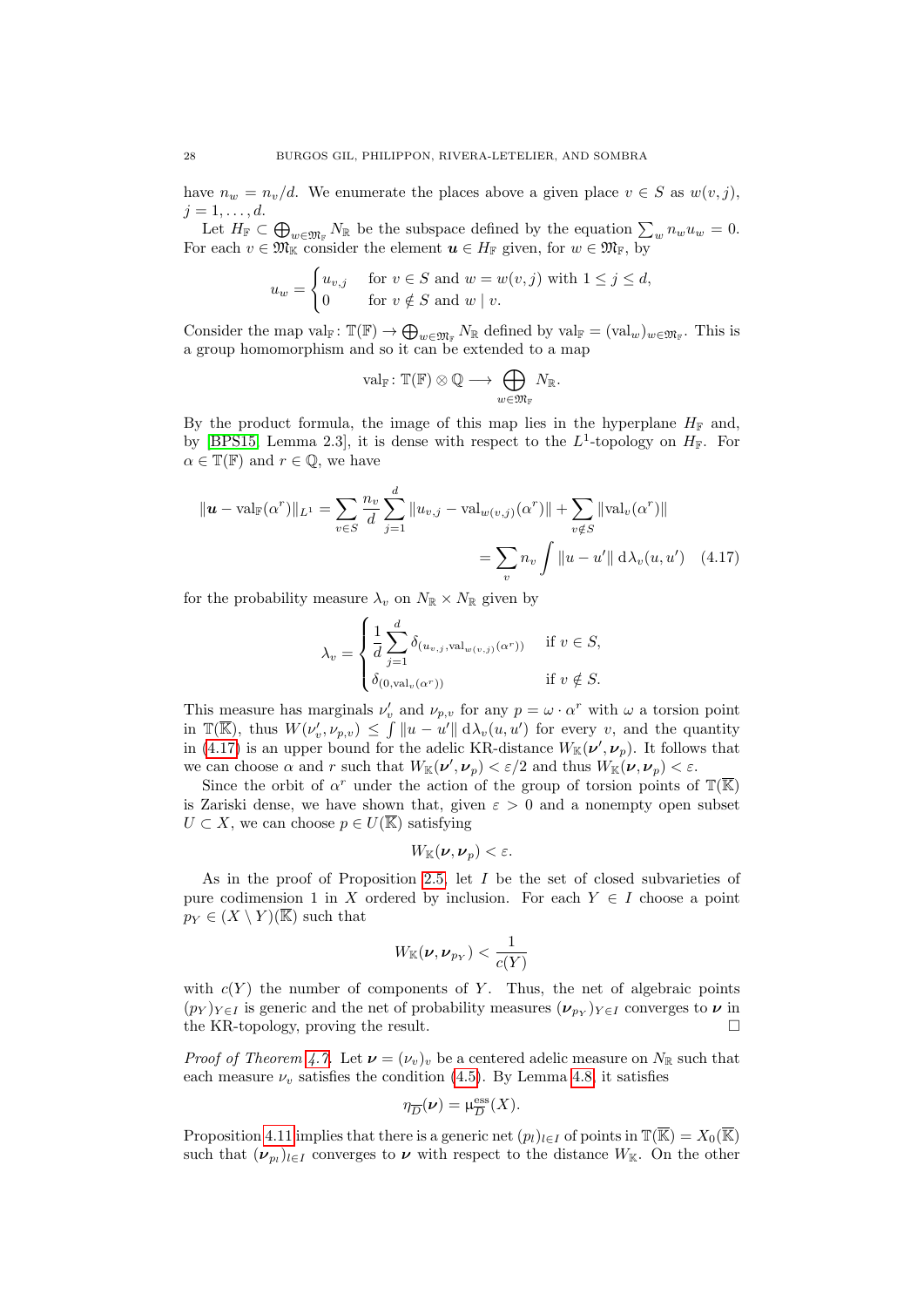have  $n_w = n_v/d$ . We enumerate the places above a given place  $v \in S$  as  $w(v, j)$ ,  $j=1,\ldots,d.$ 

Let  $H_{\mathbb{F}} \subset \bigoplus_{w \in \mathfrak{M}_{\mathbb{F}}} N_{\mathbb{R}}$  be the subspace defined by the equation  $\sum_{w} n_w u_w = 0$ . For each  $v \in \mathfrak{M}_{\mathbb{K}}$  consider the element  $u \in H_{\mathbb{F}}$  given, for  $w \in \mathfrak{M}_{\mathbb{F}}$ , by

$$
u_w = \begin{cases} u_{v,j} & \text{for } v \in S \text{ and } w = w(v,j) \text{ with } 1 \le j \le d, \\ 0 & \text{for } v \notin S \text{ and } w \mid v. \end{cases}
$$

Consider the map  $val_{\mathbb{F}}: \mathbb{T}(\mathbb{F}) \to \bigoplus_{w \in \mathfrak{M}_{\mathbb{F}}} N_{\mathbb{R}}$  defined by  $val_{\mathbb{F}} = (val_w)_{w \in \mathfrak{M}_{\mathbb{F}}}$ . This is a group homomorphism and so it can be extended to a map

<span id="page-27-0"></span>
$$
\mathrm{val}_{\mathbb{F}}\colon \mathbb{T}(\mathbb{F})\otimes \mathbb{Q} \longrightarrow \bigoplus_{w\in \mathfrak{M}_{\mathbb{F}}}N_{\mathbb{R}}.
$$

By the product formula, the image of this map lies in the hyperplane  $H_F$  and, by [\[BPS15,](#page-53-13) Lemma 2.3], it is dense with respect to the  $L^1$ -topology on  $H_{\mathbb{F}}$ . For  $\alpha \in \mathbb{T}(\mathbb{F})$  and  $r \in \mathbb{Q}$ , we have

$$
\|\mathbf{u} - \text{val}_{\mathbb{F}}(\alpha^r)\|_{L^1} = \sum_{v \in S} \frac{n_v}{d} \sum_{j=1}^d \|u_{v,j} - \text{val}_{w(v,j)}(\alpha^r)\| + \sum_{v \notin S} \|\text{val}_v(\alpha^r)\|
$$

$$
= \sum_v n_v \int \|u - u'\| \, d\lambda_v(u, u') \quad (4.17)
$$

for the probability measure  $\lambda_v$  on  $N_{\mathbb{R}} \times N_{\mathbb{R}}$  given by

$$
\lambda_v = \begin{cases} \frac{1}{d} \sum_{j=1}^d \delta_{(u_{v,j}, \text{val}_{w(v,j)}(\alpha^r))} & \text{if } v \in S, \\ \delta_{(0, \text{val}_v(\alpha^r))} & \text{if } v \notin S. \end{cases}
$$

This measure has marginals  $\nu'_{v}$  and  $\nu_{p,v}$  for any  $p = \omega \cdot \alpha^{r}$  with  $\omega$  a torsion point in  $\mathbb{T}(\overline{\mathbb{K}})$ , thus  $W(\nu'_v, \nu_{p,v}) \leq \int ||u - u'|| \, d\lambda_v(u, u')$  for every v, and the quantity in [\(4.17\)](#page-27-0) is an upper bound for the adelic KR-distance  $W_{\mathbb{K}}(\nu', \nu_p)$ . It follows that we can choose  $\alpha$  and r such that  $W_{\mathbb{K}}(\nu', \nu_p) < \varepsilon/2$  and thus  $W_{\mathbb{K}}(\nu, \nu_p) < \varepsilon$ .

Since the orbit of  $\alpha^r$  under the action of the group of torsion points of  $\mathbb{T}(\overline{\mathbb{K}})$ is Zariski dense, we have shown that, given  $\varepsilon > 0$  and a nonempty open subset  $U \subset X$ , we can choose  $p \in U(\overline{\mathbb{K}})$  satisfying

$$
W_{\mathbb{K}}(\nu,\nu_p)<\varepsilon.
$$

As in the proof of Proposition [2.5,](#page-11-1) let  $I$  be the set of closed subvarieties of pure codimension 1 in X ordered by inclusion. For each  $Y \in I$  choose a point  $p_Y \in (X \setminus Y)(\overline{\mathbb{K}})$  such that

$$
W_{\mathbb K}(\nu,\nu_{p_Y})<\frac{1}{c(Y)}
$$

with  $c(Y)$  the number of components of Y. Thus, the net of algebraic points  $(p_Y)_{Y \in I}$  is generic and the net of probability measures  $(\nu_{p_Y})_{Y \in I}$  converges to  $\nu$  in the KR-topology, proving the result.

*Proof of Theorem [4.7.](#page-25-1)* Let  $\mathbf{v} = (\nu_v)_v$  be a centered adelic measure on  $N_{\mathbb{R}}$  such that each measure  $\nu_v$  satisfies the condition [\(4.5\)](#page-23-4). By Lemma [4.8,](#page-25-0) it satisfies

$$
\eta_{\overline{D}}(\nu) = \mu_{\overline{D}}^{\text{ess}}(X).
$$

Proposition [4.11](#page-26-2) implies that there is a generic net  $(p_l)_{l\in I}$  of points in  $\mathbb{T}(\overline{\mathbb{K}}) = X_0(\overline{\mathbb{K}})$ such that  $(\nu_{p_l})_{l \in I}$  converges to  $\nu$  with respect to the distance  $W_{\mathbb{K}}$ . On the other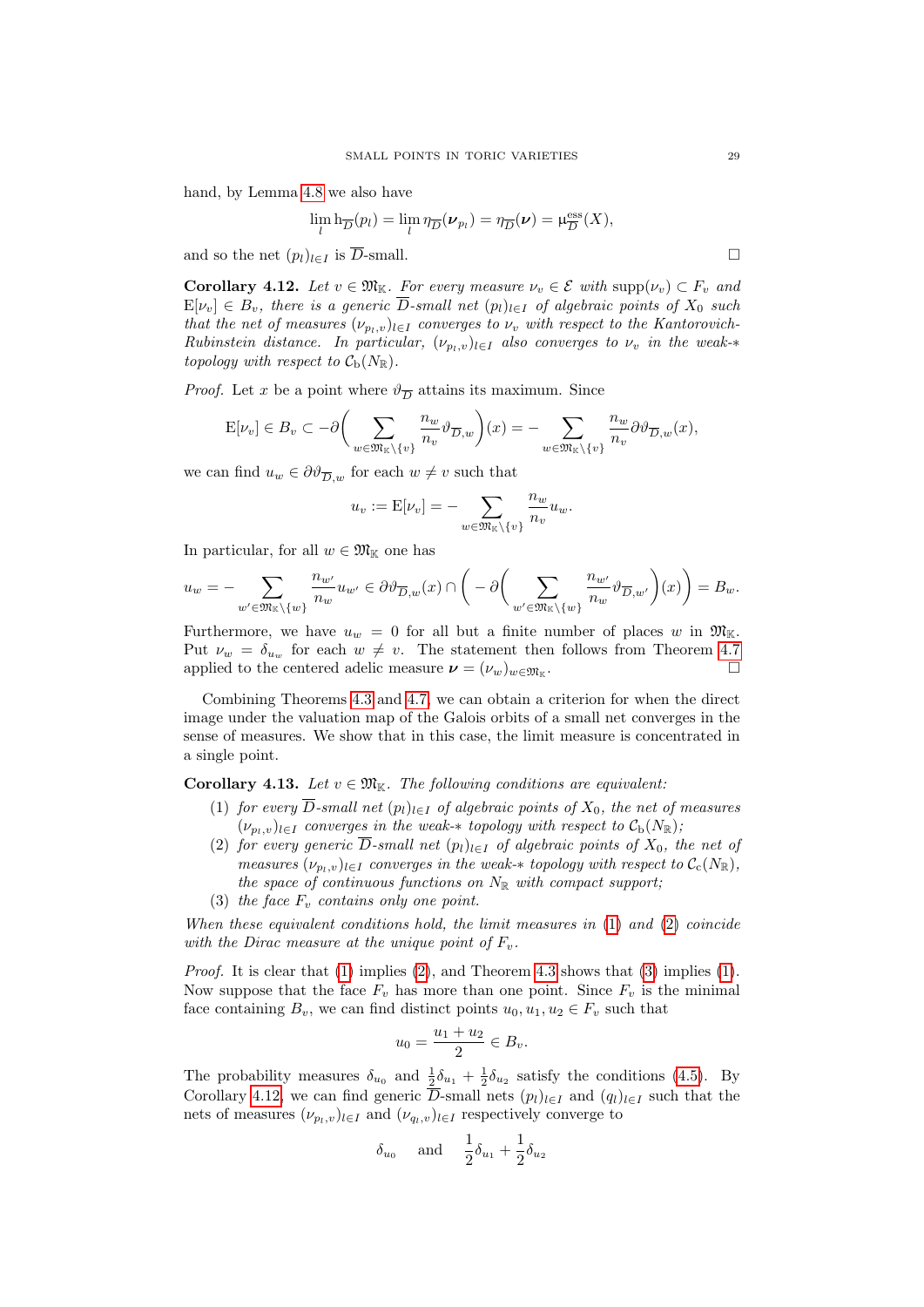hand, by Lemma [4.8](#page-25-0) we also have

$$
\lim_{l} \mathbf{h}_{\overline{D}}(p_l) = \lim_{l} \eta_{\overline{D}}(\boldsymbol{\nu}_{p_l}) = \eta_{\overline{D}}(\boldsymbol{\nu}) = \mu_{\overline{D}}^{\mathrm{ess}}(X),
$$

and so the net  $(p_l)_{l \in I}$  is  $\overline{D}$ -small.

<span id="page-28-0"></span>**Corollary 4.12.** Let  $v \in \mathfrak{M}_{\mathbb{K}}$ . For every measure  $\nu_v \in \mathcal{E}$  with  $\text{supp}(\nu_v) \subset F_v$  and  $E[\nu_v] \in B_v$ , there is a generic  $\overline{D}$ -small net  $(p_l)_{l \in I}$  of algebraic points of  $X_0$  such that the net of measures  $(\nu_{p_l,v})_{l\in I}$  converges to  $\nu_v$  with respect to the Kantorovich-Rubinstein distance. In particular,  $(\nu_{p_l,v})_{l\in I}$  also converges to  $\nu_v$  in the weak-\* topology with respect to  $C_{\rm b}(N_{\mathbb{R}})$ .

*Proof.* Let x be a point where  $\vartheta_{\overline{D}}$  attains its maximum. Since

$$
E[\nu_v] \in B_v \subset -\partial \bigg(\sum_{w \in \mathfrak{M}_{\mathbb{K}} \backslash \{v\}} \frac{n_w}{n_v} \vartheta_{\overline{D},w}\bigg)(x) = -\sum_{w \in \mathfrak{M}_{\mathbb{K}} \backslash \{v\}} \frac{n_w}{n_v} \partial \vartheta_{\overline{D},w}(x),
$$

we can find  $u_w \in \partial \vartheta_{\overline{D}_w}$  for each  $w \neq v$  such that

$$
u_v := \mathbf{E}[\nu_v] = -\sum_{w \in \mathfrak{M}_{\mathbb{K}} \backslash \{v\}} \frac{n_w}{n_v} u_w.
$$

In particular, for all  $w \in \mathfrak{M}_{\mathbb{K}}$  one has

$$
u_w = -\sum_{w' \in \mathfrak{M}_{\mathbb{K}} \backslash \{w\}} \frac{n_{w'}}{n_w} u_{w'} \in \partial \vartheta_{\overline{D},w}(x) \cap \left( -\partial \left( \sum_{w' \in \mathfrak{M}_{\mathbb{K}} \backslash \{w\}} \frac{n_{w'}}{n_w} \vartheta_{\overline{D},w'} \right) (x) \right) = B_w.
$$

Furthermore, we have  $u_w = 0$  for all but a finite number of places w in  $\mathfrak{M}_{\mathbb{K}}$ . Put  $\nu_w = \delta_{u_w}$  for each  $w \neq v$ . The statement then follows from Theorem [4.7](#page-25-1)<br>applied to the centered adelic measure  $\nu = (\nu_e)_{\nu}$  or applied to the centered adelic measure  $\mathbf{v} = (\nu_w)_{w \in \mathfrak{M}_{\mathbb{K}}}$ . .

Combining Theorems [4.3](#page-23-0) and [4.7,](#page-25-1) we can obtain a criterion for when the direct image under the valuation map of the Galois orbits of a small net converges in the sense of measures. We show that in this case, the limit measure is concentrated in a single point.

<span id="page-28-4"></span><span id="page-28-1"></span>Corollary 4.13. Let  $v \in \mathfrak{M}_{\mathbb{K}}$ . The following conditions are equivalent:

- (1) for every  $\overline{D}$ -small net  $(p_l)_{l\in I}$  of algebraic points of  $X_0$ , the net of measures  $(\nu_{p_l,v})_{l \in I}$  converges in the weak- $*$  topology with respect to  $\mathcal{C}_{b}(N_{\mathbb{R}});$
- <span id="page-28-2"></span>(2) for every generic  $\overline{D}$ -small net  $(p_l)_{l\in I}$  of algebraic points of  $X_0$ , the net of measures  $(\nu_{p_l,v})_{l\in I}$  converges in the weak- $*$  topology with respect to  $\mathcal{C}_c(N_{\mathbb{R}})$ , the space of continuous functions on  $N_{\mathbb{R}}$  with compact support;
- (3) the face  $F_v$  contains only one point.

<span id="page-28-3"></span>When these equivalent conditions hold, the limit measures in  $(1)$  and  $(2)$  coincide with the Dirac measure at the unique point of  $F_v$ .

Proof. It is clear that [\(1\)](#page-28-1) implies [\(2\)](#page-28-2), and Theorem [4.3](#page-23-0) shows that [\(3\)](#page-28-3) implies (1). Now suppose that the face  $F_v$  has more than one point. Since  $F_v$  is the minimal face containing  $B_v$ , we can find distinct points  $u_0, u_1, u_2 \in F_v$  such that

$$
u_0=\frac{u_1+u_2}{2}\in B_v.
$$

The probability measures  $\delta_{u_0}$  and  $\frac{1}{2}\delta_{u_1} + \frac{1}{2}\delta_{u_2}$  satisfy the conditions [\(4.5\)](#page-23-4). By Corollary [4.12,](#page-28-0) we can find generic  $\overline{D}$ -small nets  $(p_l)_{l\in I}$  and  $(q_l)_{l\in I}$  such that the nets of measures  $(\nu_{p_l,v})_{l\in I}$  and  $(\nu_{q_l,v})_{l\in I}$  respectively converge to

$$
\delta_{u_0}
$$
 and  $\frac{1}{2}\delta_{u_1} + \frac{1}{2}\delta_{u_2}$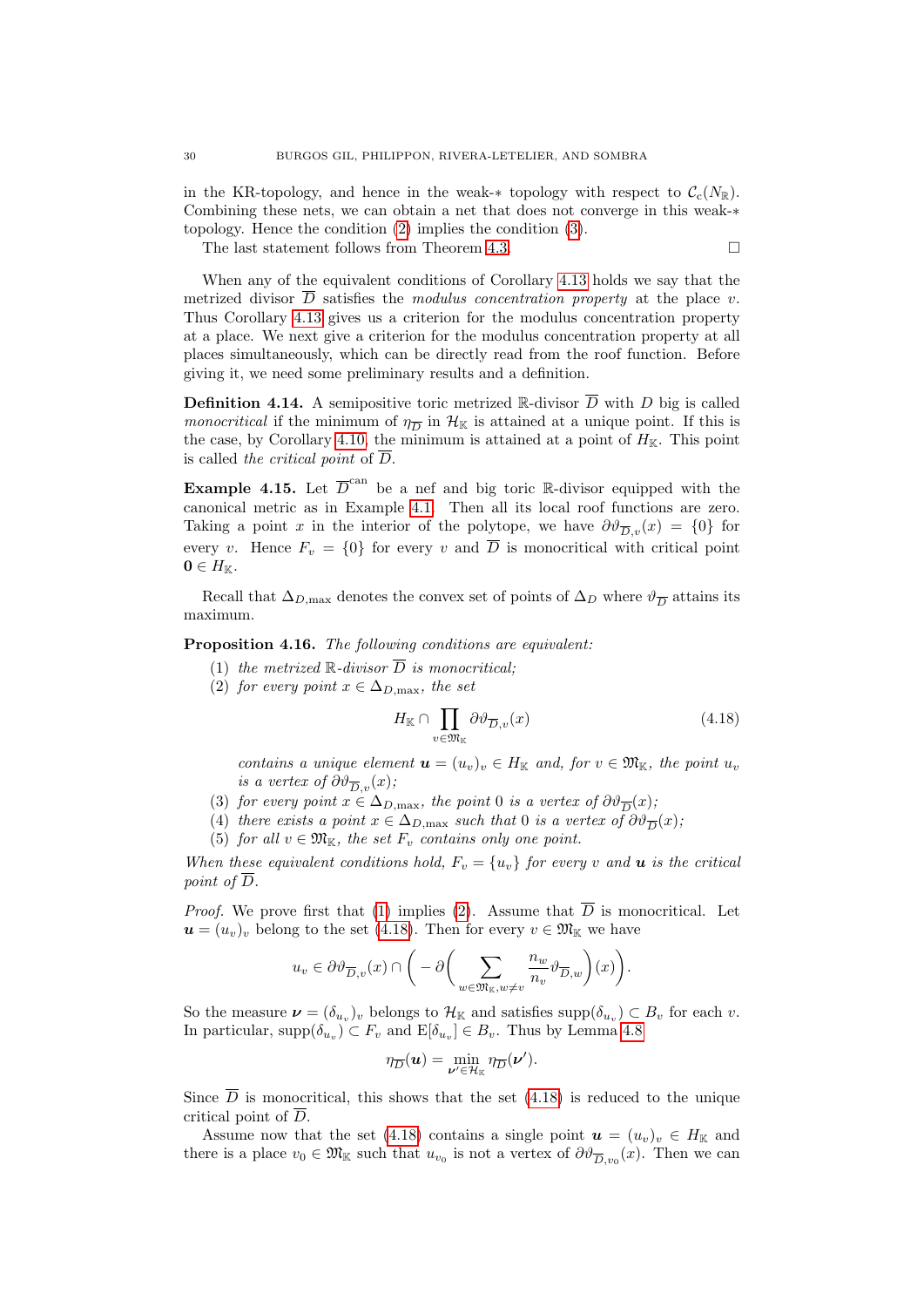in the KR-topology, and hence in the weak-∗ topology with respect to  $\mathcal{C}_c(N_{\mathbb{R}})$ . Combining these nets, we can obtain a net that does not converge in this weak-∗ topology. Hence the condition [\(2\)](#page-28-2) implies the condition [\(3\)](#page-28-3).

The last statement follows from Theorem [4.3.](#page-23-0)

When any of the equivalent conditions of Corollary [4.13](#page-28-4) holds we say that the metrized divisor  $\overline{D}$  satisfies the modulus concentration property at the place v. Thus Corollary [4.13](#page-28-4) gives us a criterion for the modulus concentration property at a place. We next give a criterion for the modulus concentration property at all places simultaneously, which can be directly read from the roof function. Before giving it, we need some preliminary results and a definition.

<span id="page-29-0"></span>**Definition 4.14.** A semipositive toric metrized R-divisor  $\overline{D}$  with D big is called *monocritical* if the minimum of  $\eta_{\overline{D}}$  in  $\mathcal{H}_{\mathbb{K}}$  is attained at a unique point. If this is the case, by Corollary [4.10,](#page-26-1) the minimum is attained at a point of  $H_{\mathbb{K}}$ . This point is called the critical point of  $\overline{D}$ .

<span id="page-29-8"></span>**Example 4.15.** Let  $\overline{D}^{\text{can}}$  be a nef and big toric R-divisor equipped with the canonical metric as in Example [4.1.](#page-22-3) Then all its local roof functions are zero. Taking a point x in the interior of the polytope, we have  $\partial \vartheta_{\overline{D},v}(x) = \{0\}$  for every v. Hence  $F_v = \{0\}$  for every v and  $\overline{D}$  is monocritical with critical point  $0 \in H_{\mathbb{K}}$ .

Recall that  $\Delta_{D,\text{max}}$  denotes the convex set of points of  $\Delta_D$  where  $\vartheta_{\overline{D}}$  attains its maximum.

<span id="page-29-2"></span><span id="page-29-1"></span>Proposition 4.16. The following conditions are equivalent:

- (1) the metrized  $\mathbb{R}$ -divisor  $\overline{D}$  is monocritical;
- <span id="page-29-3"></span>(2) for every point  $x \in \Delta_{D,\max}$ , the set

<span id="page-29-4"></span>
$$
H_{\mathbb{K}} \cap \prod_{v \in \mathfrak{M}_{\mathbb{K}}} \partial \vartheta_{\overline{D}, v}(x) \tag{4.18}
$$

contains a unique element  $\mathbf{u} = (u_v)_v \in H_{\mathbb{K}}$  and, for  $v \in \mathfrak{M}_{\mathbb{K}}$ , the point  $u_v$ is a vertex of  $\partial \vartheta_{\overline{D}_v}(x)$ ;

- <span id="page-29-5"></span>(3) for every point  $x \in \Delta_{D,\max}$ , the point 0 is a vertex of  $\partial \vartheta_{\overline{D}}(x)$ ;
- <span id="page-29-6"></span>(4) there exists a point  $x \in \Delta_{D,\max}$  such that 0 is a vertex of  $\partial \vartheta_{\overline{D}}(x)$ ;
- (5) for all  $v \in \mathfrak{M}_{\mathbb{K}}$ , the set  $F_v$  contains only one point.

<span id="page-29-7"></span>When these equivalent conditions hold,  $F_v = \{u_v\}$  for every v and **u** is the critical point of  $\overline{D}$ .

*Proof.* We prove first that [\(1\)](#page-29-2) implies [\(2\)](#page-29-3). Assume that  $\overline{D}$  is monocritical. Let  $u = (u_v)_v$  belong to the set [\(4.18\)](#page-29-4). Then for every  $v \in \mathfrak{M}_{\mathbb{K}}$  we have

$$
u_v \in \partial \vartheta_{\overline{D},v}(x) \cap \bigg(-\partial \bigg(\sum_{w \in \mathfrak{M}_{\mathbb{K}},w \neq v} \frac{n_w}{n_v} \vartheta_{\overline{D},w}\bigg)(x)\bigg).
$$

So the measure  $\boldsymbol{\nu} = (\delta_{u_v})_v$  belongs to  $\mathcal{H}_{\mathbb{K}}$  and satisfies  $\text{supp}(\delta_{u_v}) \subset B_v$  for each  $v$ . In particular,  $supp(\delta_{u_v}) \subset F_v$  and  $E[\delta_{u_v}] \in B_v$ . Thus by Lemma [4.8](#page-25-0)

$$
\eta_{\overline{D}}(\boldsymbol{u}) = \min_{\boldsymbol{\nu}' \in \mathcal{H}_{\mathbb{K}}} \eta_{\overline{D}}(\boldsymbol{\nu}').
$$

Since  $\overline{D}$  is monocritical, this shows that the set [\(4.18\)](#page-29-4) is reduced to the unique critical point of  $\overline{D}$ .

Assume now that the set [\(4.18\)](#page-29-4) contains a single point  $u = (u_v)_v \in H_{\mathbb{K}}$  and there is a place  $v_0 \in \mathfrak{M}_{\mathbb{K}}$  such that  $u_{v_0}$  is not a vertex of  $\partial \vartheta_{\overline{D}, v_0}(x)$ . Then we can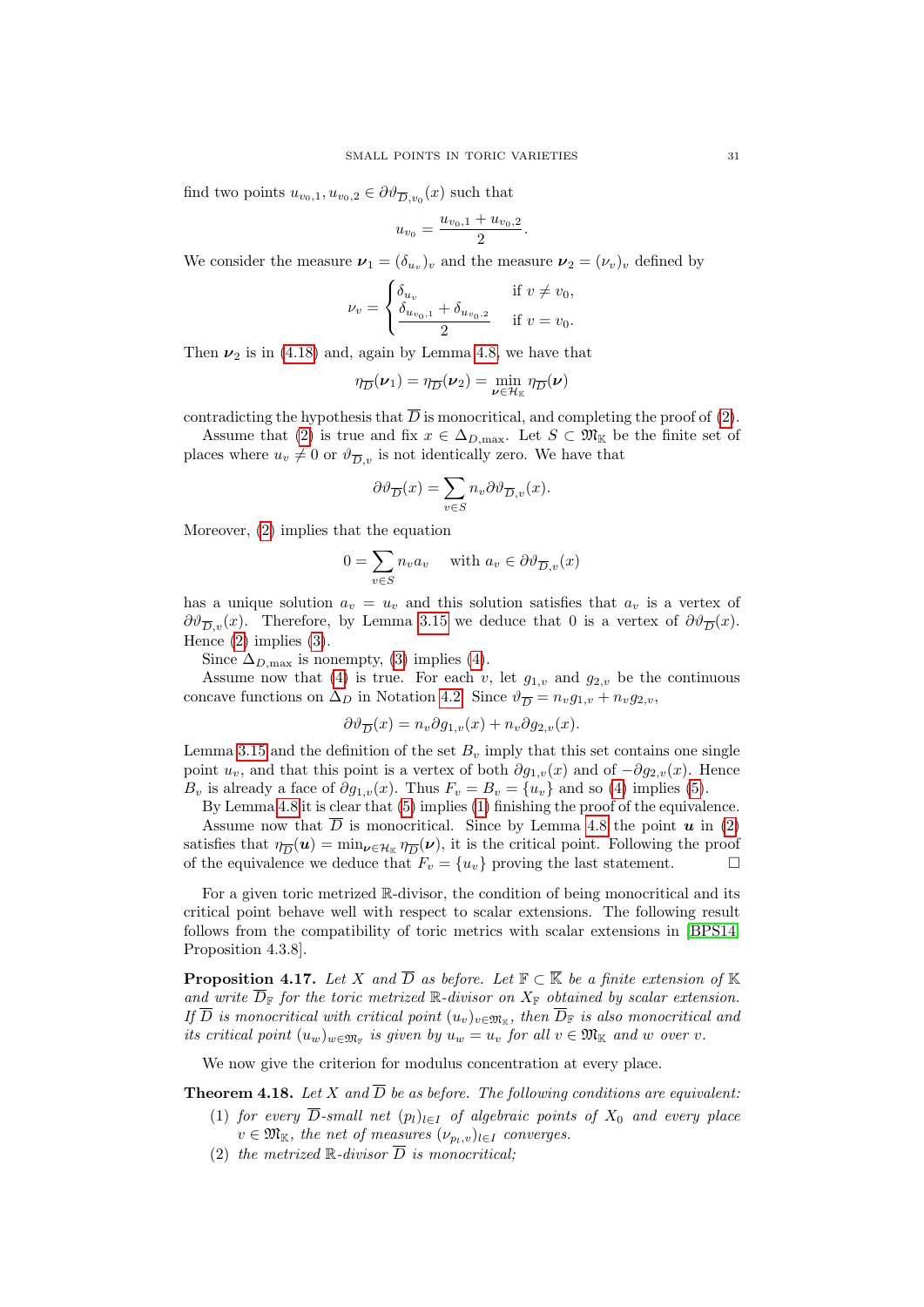find two points  $u_{v_0,1}, u_{v_0,2} \in \partial \vartheta_{\overline{D}, v_0}(x)$  such that

$$
u_{v_0} = \frac{u_{v_0,1} + u_{v_0,2}}{2}.
$$

We consider the measure  $\boldsymbol{\nu}_1 = (\delta_{u_v})_v$  and the measure  $\boldsymbol{\nu}_2 = (\nu_v)_v$  defined by

$$
\nu_v = \begin{cases} \delta_{u_v} & \text{if } v \neq v_0, \\ \frac{\delta_{u_{v_0,1}} + \delta_{u_{v_0,2}}}{2} & \text{if } v = v_0. \end{cases}
$$

Then  $\nu_2$  is in [\(4.18\)](#page-29-4) and, again by Lemma [4.8,](#page-25-0) we have that

$$
\eta_{\overline{D}}(\boldsymbol{\nu}_1) = \eta_{\overline{D}}(\boldsymbol{\nu}_2) = \min_{\boldsymbol{\nu} \in \mathcal{H}_{\mathbb{K}}} \eta_{\overline{D}}(\boldsymbol{\nu})
$$

contradicting the hypothesis that  $\overline{D}$  is monocritical, and completing the proof of [\(2\)](#page-29-3).

Assume that [\(2\)](#page-29-3) is true and fix  $x \in \Delta_{D,\max}$ . Let  $S \subset \mathfrak{M}_{\mathbb{K}}$  be the finite set of places where  $u_v \neq 0$  or  $\vartheta_{\overline{D}_v}$  is not identically zero. We have that

$$
\partial \vartheta_{\overline{D}}(x) = \sum_{v \in S} n_v \partial \vartheta_{\overline{D},v}(x).
$$

Moreover, [\(2\)](#page-29-3) implies that the equation

$$
0 = \sum_{v \in S} n_v a_v \quad \text{ with } a_v \in \partial \vartheta_{\overline{D}, v}(x)
$$

has a unique solution  $a_v = u_v$  and this solution satisfies that  $a_v$  is a vertex of  $\partial \vartheta_{\overline{D},v}(x)$ . Therefore, by Lemma [3.15](#page-20-4) we deduce that 0 is a vertex of  $\partial \vartheta_{\overline{D}}(x)$ . Hence [\(2\)](#page-29-3) implies [\(3\)](#page-29-5).

Since  $\Delta_{D,\text{max}}$  is nonempty, [\(3\)](#page-29-5) implies [\(4\)](#page-29-6).

Assume now that [\(4\)](#page-29-6) is true. For each v, let  $g_{1,v}$  and  $g_{2,v}$  be the continuous concave functions on  $\Delta_D$  in Notation [4.2.](#page-22-0) Since  $\vartheta_{\overline{D}} = n_v g_{1,v} + n_v g_{2,v}$ ,

$$
\partial \vartheta_{\overline{D}}(x) = n_v \partial g_{1,v}(x) + n_v \partial g_{2,v}(x).
$$

Lemma [3.15](#page-20-4) and the definition of the set  $B_v$  imply that this set contains one single point  $u_v$ , and that this point is a vertex of both  $\partial g_{1,v}(x)$  and of  $-\partial g_{2,v}(x)$ . Hence  $B_v$  is already a face of  $\partial g_{1,v}(x)$ . Thus  $F_v = B_v = \{u_v\}$  and so [\(4\)](#page-29-6) implies [\(5\)](#page-29-7).

By Lemma [4.8](#page-25-0) it is clear that [\(5\)](#page-29-7) implies [\(1\)](#page-29-2) finishing the proof of the equivalence. Assume now that  $\overline{D}$  is monocritical. Since by Lemma [4.8](#page-25-0) the point  $u$  in [\(2\)](#page-29-3) satisfies that  $\eta_{\overline{D}}(u) = \min_{\nu \in \mathcal{H}_K} \eta_{\overline{D}}(\nu)$ , it is the critical point. Following the proof of the equivalence we deduce that  $F_v = \{u_v\}$  proving the last statement.

For a given toric metrized R-divisor, the condition of being monocritical and its critical point behave well with respect to scalar extensions. The following result follows from the compatibility of toric metrics with scalar extensions in [\[BPS14,](#page-53-11) Proposition 4.3.8].

<span id="page-30-1"></span>**Proposition 4.17.** Let X and  $\overline{D}$  as before. Let  $\mathbb{F} \subset \overline{\mathbb{K}}$  be a finite extension of  $\mathbb{K}$ and write  $\overline{D}_{\mathbb{F}}$  for the toric metrized  $\mathbb{R}$ -divisor on  $X_{\mathbb{F}}$  obtained by scalar extension. If D is monocritical with critical point  $(u_v)_{v \in \mathfrak{M}_{\mathbb{K}}}$ , then  $D_{\mathbb{F}}$  is also monocritical and its critical point  $(u_w)_{w \in \mathfrak{M}_{\mathbb{F}}}$  is given by  $u_w = u_v$  for all  $v \in \mathfrak{M}_{\mathbb{K}}$  and w over v.

We now give the criterion for modulus concentration at every place.

<span id="page-30-0"></span>**Theorem 4.18.** Let X and  $\overline{D}$  be as before. The following conditions are equivalent:

- (1) for every  $\overline{D}$ -small net  $(p_l)_{l\in I}$  of algebraic points of  $X_0$  and every place  $v \in \mathfrak{M}_{\mathbb{K}}$ , the net of measures  $(\nu_{p_l,v})_{l \in I}$  converges.
- (2) the metrized  $\mathbb R$ -divisor  $\overline{D}$  is monocritical;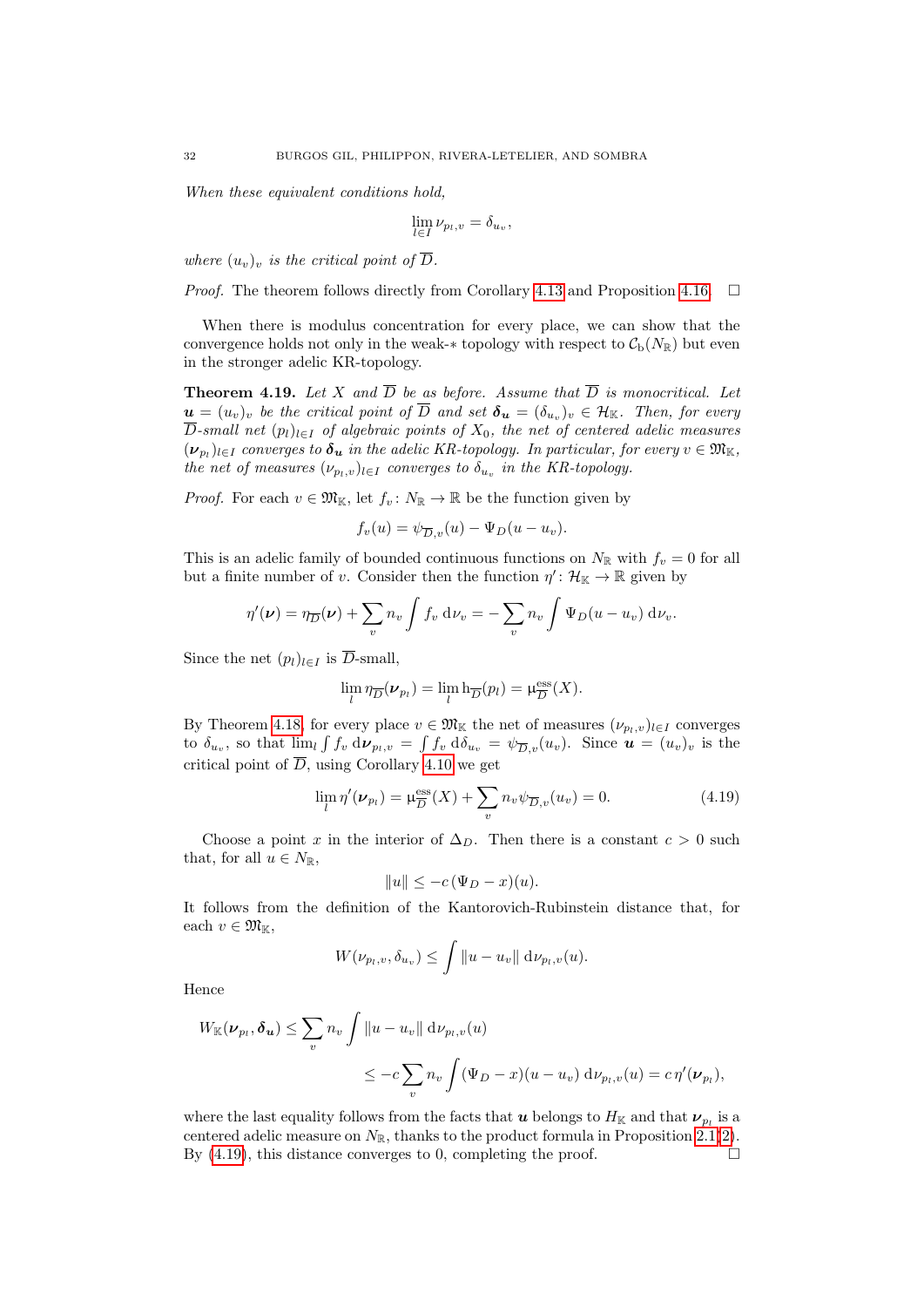When these equivalent conditions hold.

$$
\lim_{l \in I} \nu_{p_l, v} = \delta_{u_v},
$$

where  $(u_v)_v$  is the critical point of  $\overline{D}$ .

*Proof.* The theorem follows directly from Corollary [4.13](#page-28-4) and Proposition [4.16.](#page-29-1)  $\Box$ 

When there is modulus concentration for every place, we can show that the convergence holds not only in the weak-∗ topology with respect to  $C_b(N_{\mathbb{R}})$  but even in the stronger adelic KR-topology.

<span id="page-31-1"></span>**Theorem 4.19.** Let X and  $\overline{D}$  be as before. Assume that  $\overline{D}$  is monocritical. Let  $\bm{u}=(u_v)_v$  be the critical point of  $\overline{D}$  and set  $\bm{\delta_u}=(\delta_{u_v})_v\in\mathcal{H}_\mathbb{K}$ . Then, for every  $\overline{D}$ -small net  $(p_l)_{l\in I}$  of algebraic points of  $X_0$ , the net of centered adelic measures  $(\bm{\nu}_{p_l})_{l\in I}$  converges to  $\bm{\delta_u}$  in the adelic KR-topology. In particular, for every  $v\in \mathfrak{M}_{\mathbb K},$ the net of measures  $(\nu_{p_l,v})_{l \in I}$  converges to  $\delta_{u_v}$  in the KR-topology.

*Proof.* For each  $v \in \mathfrak{M}_{\mathbb{K}}$ , let  $f_v: N_{\mathbb{R}} \to \mathbb{R}$  be the function given by

$$
f_v(u) = \psi_{\overline{D},v}(u) - \Psi_D(u - u_v).
$$

This is an adelic family of bounded continuous functions on  $N_{\mathbb{R}}$  with  $f_v = 0$  for all but a finite number of v. Consider then the function  $\eta' : \mathcal{H}_{\mathbb{K}} \to \mathbb{R}$  given by

$$
\eta'(\nu) = \eta_{\overline{D}}(\nu) + \sum_v n_v \int f_v \, \mathrm{d}\nu_v = -\sum_v n_v \int \Psi_D(u - u_v) \, \mathrm{d}\nu_v.
$$

Since the net  $(p_l)_{l \in I}$  is  $\overline{D}$ -small,

$$
\lim_{l} \eta_{\overline{D}}(\nu_{p_l}) = \lim_{l} \mathrm{h}_{\overline{D}}(p_l) = \mu_{\overline{D}}^{\mathrm{ess}}(X).
$$

By Theorem [4.18,](#page-30-0) for every place  $v \in \mathfrak{M}_{\mathbb{K}}$  the net of measures  $(\nu_{p_l,v})_{l \in I}$  converges to  $\delta_{u_v}$ , so that  $\lim_{l} \int f_v d\nu_{p_l,v} = \int f_v d\delta_{u_v} = \psi_{\overline{D},v}(u_v)$ . Since  $u = (u_v)_v$  is the critical point of  $\overline{D}$ , using Corollary [4.10](#page-26-1) we get

<span id="page-31-0"></span>
$$
\lim_{l} \eta'(\nu_{p_l}) = \mu_{\overline{D}}^{\text{ess}}(X) + \sum_{v} n_v \psi_{\overline{D},v}(u_v) = 0.
$$
 (4.19)

Choose a point x in the interior of  $\Delta_D$ . Then there is a constant  $c > 0$  such that, for all  $u \in N_{\mathbb{R}}$ ,

$$
||u|| \leq -c(\Psi_D - x)(u).
$$

It follows from the definition of the Kantorovich-Rubinstein distance that, for each  $v \in \mathfrak{M}_{\mathbb{K}}$ ,

$$
W(\nu_{p_l,v}, \delta_{u_v}) \leq \int \|u - u_v\| \, \mathrm{d}\nu_{p_l,v}(u).
$$

Hence

$$
W_{\mathbb{K}}(\nu_{p_l}, \delta_u) \leq \sum_v n_v \int \|u - u_v\| \, \mathrm{d}\nu_{p_l, v}(u)
$$
  

$$
\leq -c \sum_v n_v \int (\Psi_D - x)(u - u_v) \, \mathrm{d}\nu_{p_l, v}(u) = c \eta'(\nu_{p_l}),
$$

where the last equality follows from the facts that  $\bm{u}$  belongs to  $H_{\mathbb{K}}$  and that  $\bm{\nu}_{p_l}$  is a centered adelic measure on  $N_{\mathbb{R}}$ , thanks to the product formula in Proposition [2.1](#page-8-3)[\(2\)](#page-8-1). By  $(4.19)$ , this distance converges to 0, completing the proof.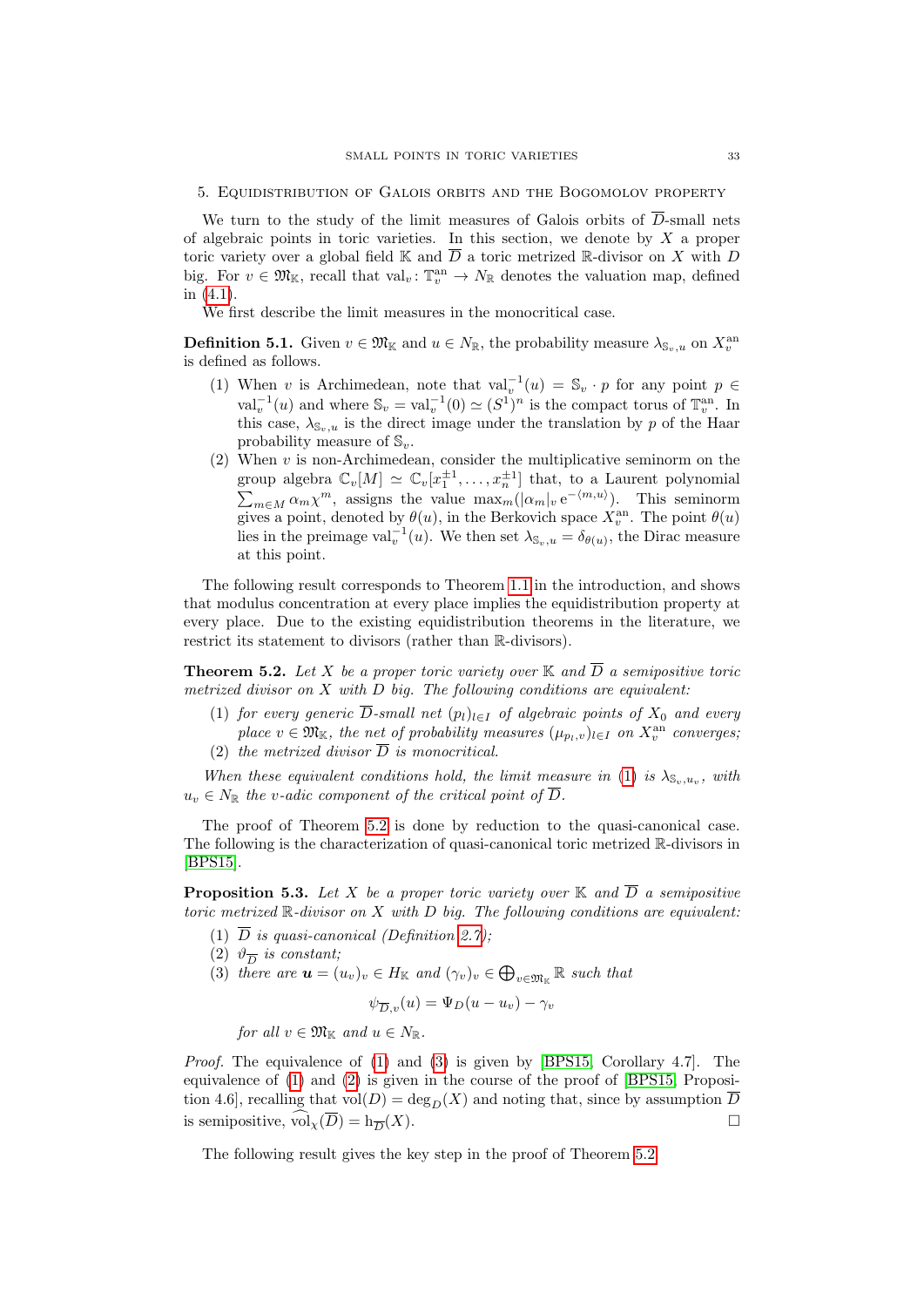<span id="page-32-0"></span>We turn to the study of the limit measures of Galois orbits of  $\overline{D}$ -small nets of algebraic points in toric varieties. In this section, we denote by  $X$  a proper toric variety over a global field K and  $\overline{D}$  a toric metrized R-divisor on X with D big. For  $v \in \mathfrak{M}_{\mathbb{K}}$ , recall that  $val_v: \mathbb{T}_v^{\text{an}} \to N_{\mathbb{R}}$  denotes the valuation map, defined in [\(4.1\)](#page-21-1).

We first describe the limit measures in the monocritical case.

<span id="page-32-2"></span>**Definition 5.1.** Given  $v \in \mathfrak{M}_{\mathbb{K}}$  and  $u \in N_{\mathbb{R}}$ , the probability measure  $\lambda_{\mathbb{S}_v,u}$  on  $X_v^{\text{an}}$ is defined as follows.

- (1) When v is Archimedean, note that  $val_v^{-1}(u) = \mathbb{S}_v \cdot p$  for any point  $p \in$ val<sup>-1</sup>(*u*) and where  $\mathbb{S}_v = \text{val}_v^{-1}(0) \simeq (S^1)^n$  is the compact torus of  $\mathbb{T}_v^{\text{an}}$ . In this case,  $\lambda_{\mathbb{S}_v,u}$  is the direct image under the translation by p of the Haar probability measure of  $\mathbb{S}_v$ .
- (2) When  $v$  is non-Archimedean, consider the multiplicative seminorm on the group algebra  $\mathbb{C}_v[M] \simeq \mathbb{C}_v[x_1^{\pm 1}, \ldots, x_n^{\pm 1}]$  that, to a Laurent polynomial group algebra  $\mathcal{L}_v[M] \cong \mathcal{L}_v[L_1, \ldots, L_n]$  that, to a Lattent polynomial  $\sum_{m \in M} \alpha_m \chi^m$ , assigns the value  $\max_m(|\alpha_m|_v e^{-\langle m, u \rangle})$ . This seminorm gives a point, denoted by  $\theta(u)$ , in the Berkovich space  $X_v^{\text{an}}$ . The point  $\theta(u)$ lies in the preimage val<sup>-1</sup>(*u*). We then set  $\lambda_{\mathbb{S}_v,u} = \delta_{\theta(u)}$ , the Dirac measure at this point.

The following result corresponds to Theorem [1.1](#page-4-1) in the introduction, and shows that modulus concentration at every place implies the equidistribution property at every place. Due to the existing equidistribution theorems in the literature, we restrict its statement to divisors (rather than R-divisors).

<span id="page-32-3"></span>**Theorem 5.2.** Let X be a proper toric variety over  $\mathbb{K}$  and  $\overline{D}$  a semipositive toric metrized divisor on  $X$  with  $D$  big. The following conditions are equivalent:

- <span id="page-32-4"></span>(1) for every generic  $\overline{D}$ -small net  $(p_l)_{l\in I}$  of algebraic points of  $X_0$  and every place  $v \in \mathfrak{M}_{\mathbb{K}}$ , the net of probability measures  $(\mu_{p_l,v})_{l \in I}$  on  $X_v^{\text{an}}$  converges,
- <span id="page-32-8"></span>(2) the metrized divisor  $\overline{D}$  is monocritical.

When these equivalent conditions hold, the limit measure in [\(1\)](#page-32-4) is  $\lambda_{\mathbb{S}_v,u_v}$ , with  $u_v \in N_{\mathbb{R}}$  the v-adic component of the critical point of  $\overline{D}$ .

The proof of Theorem [5.2](#page-32-3) is done by reduction to the quasi-canonical case. The following is the characterization of quasi-canonical toric metrized R-divisors in [\[BPS15\]](#page-53-13).

<span id="page-32-1"></span>**Proposition 5.3.** Let X be a proper toric variety over  $\mathbb{K}$  and  $\overline{D}$  a semipositive toric metrized  $\mathbb{R}$ -divisor on X with D big. The following conditions are equivalent:

- <span id="page-32-5"></span>(1)  $\overline{D}$  is quasi-canonical (Definition [2.7\)](#page-11-0);
- <span id="page-32-7"></span>(2)  $\vartheta_{\overline{D}}$  is constant;
- <span id="page-32-6"></span>(3) there are  $u = (u_v)_v \in H_{\mathbb{K}}$  and  $(\gamma_v)_v \in \bigoplus_{v \in \mathfrak{M}_{\mathbb{K}}} \mathbb{R}$  such that

$$
\psi_{\overline{D},v}(u) = \Psi_D(u - u_v) - \gamma_v
$$

for all  $v \in \mathfrak{M}_{\mathbb{K}}$  and  $u \in N_{\mathbb{R}}$ .

*Proof.* The equivalence of  $(1)$  and  $(3)$  is given by [\[BPS15,](#page-53-13) Corollary 4.7]. The equivalence of [\(1\)](#page-32-5) and [\(2\)](#page-32-7) is given in the course of the proof of [\[BPS15,](#page-53-13) Proposition 4.6], recalling that  $vol(D) = deg_D(X)$  and noting that, since by assumption  $\overline{D}$ is semipositive,  $\widehat{\text{vol}}_{\chi}(\overline{D}) = h_{\overline{D}}(X)$ .

The following result gives the key step in the proof of Theorem [5.2.](#page-32-3)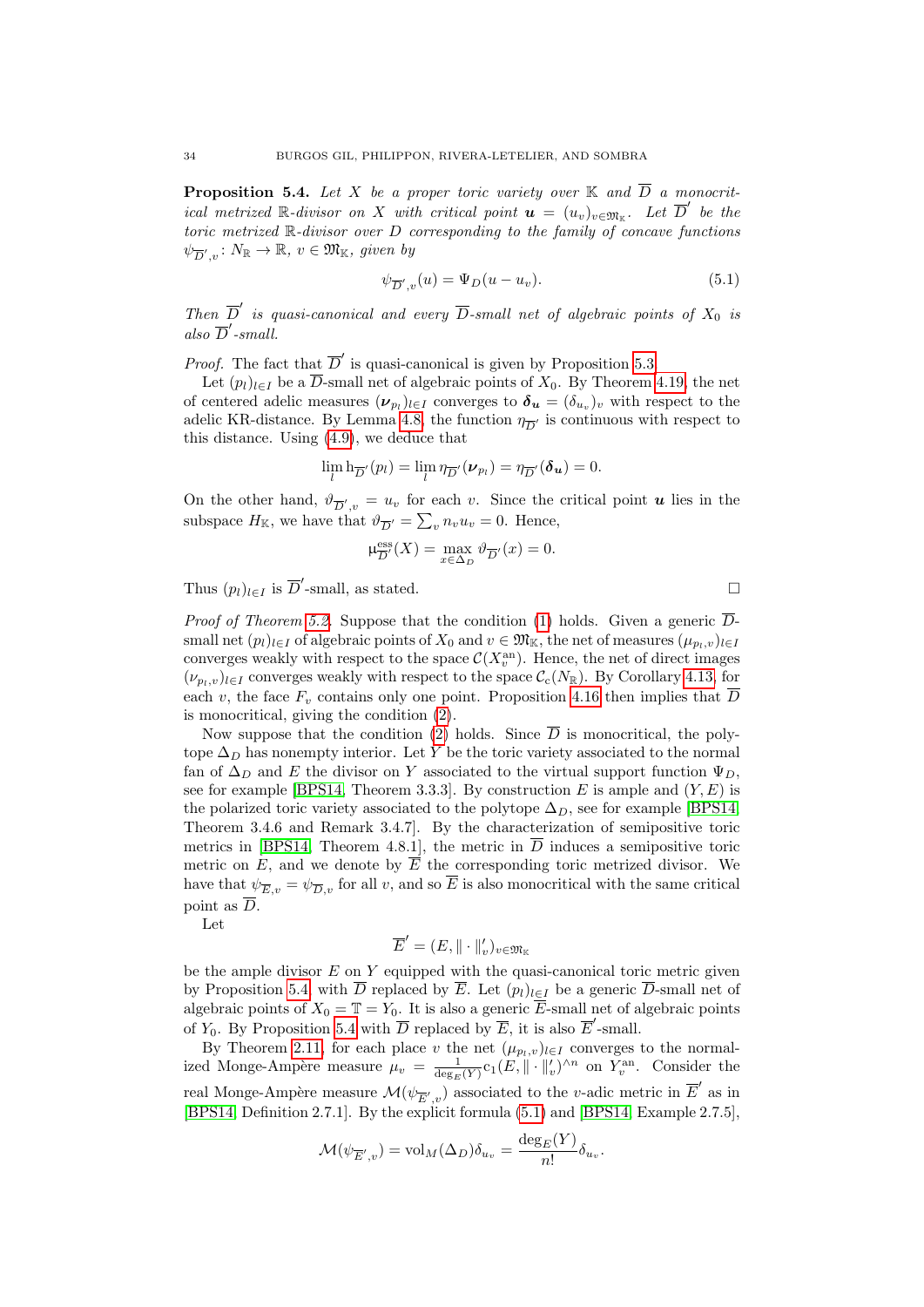<span id="page-33-0"></span>**Proposition 5.4.** Let X be a proper toric variety over  $\mathbb{K}$  and  $\overline{D}$  a monocritical metrized R-divisor on X with critical point  $\mathbf{u} = (u_v)_{v \in \mathfrak{M}_{\mathbb{K}}}$ . Let  $\overline{D}'$  be the toric metrized R-divisor over D corresponding to the family of concave functions  $\psi_{\overline{D}',v} \colon N_{\mathbb{R}} \to \mathbb{R}, v \in \mathfrak{M}_{\mathbb{K}}, \text{ given by}$ 

<span id="page-33-1"></span>
$$
\psi_{\overline{D}',v}(u) = \Psi_D(u - u_v). \tag{5.1}
$$

Then  $\overline{D}'$  is quasi-canonical and every  $\overline{D}$ -small net of algebraic points of  $X_0$  is also  $\overline{D}'$ -small.

*Proof.* The fact that  $\overline{D}'$  is quasi-canonical is given by Proposition [5.3.](#page-32-1)

Let  $(p_l)_{l \in I}$  be a  $\overline{D}$ -small net of algebraic points of  $X_0$ . By Theorem [4.19,](#page-31-1) the net of centered adelic measures  $(\nu_{p_l})_{l \in I}$  converges to  $\boldsymbol{\delta_u} = (\delta_{u_v})_v$  with respect to the adelic KR-distance. By Lemma [4.8,](#page-25-0) the function  $\eta_{\overline{D}'}$  is continuous with respect to this distance. Using [\(4.9\)](#page-23-2), we deduce that

$$
\lim_{l} \mathbf{h}_{\overline{D}'}(p_l) = \lim_{l} \eta_{\overline{D}'}(\boldsymbol{\nu}_{p_l}) = \eta_{\overline{D}'}(\boldsymbol{\delta_u}) = 0.
$$

On the other hand,  $\vartheta_{\overline{D}',v} = u_v$  for each v. Since the critical point **u** lies in the subspace  $H_{\mathbb{K}}$ , we have that  $\vartheta_{\overline{D}'} = \sum_{v} n_v u_v = 0$ . Hence,

$$
\mu_{\overline{D}'}^{\text{ess}}(X) = \max_{x \in \Delta_D} \vartheta_{\overline{D}'}(x) = 0.
$$

Thus  $(p_l)_{l \in I}$  is  $\overline{D}'$ -small, as stated.

*Proof of Theorem [5.2.](#page-32-3)* Suppose that the condition [\(1\)](#page-32-4) holds. Given a generic  $\overline{D}$ small net  $(p_l)_{l\in I}$  of algebraic points of  $X_0$  and  $v \in \mathfrak{M}_{\mathbb{K}}$ , the net of measures  $(\mu_{p_l,v})_{l\in I}$ converges weakly with respect to the space  $\mathcal{C}(X_v^{\text{an}})$ . Hence, the net of direct images  $(\nu_{p_l,v})_{l\in I}$  converges weakly with respect to the space  $\mathcal{C}_c(N_{\mathbb{R}})$ . By Corollary [4.13,](#page-28-4) for each v, the face  $F_v$  contains only one point. Proposition [4.16](#page-29-1) then implies that  $\overline{D}$ is monocritical, giving the condition [\(2\)](#page-32-8).

Now suppose that the condition [\(2\)](#page-32-8) holds. Since  $\overline{D}$  is monocritical, the polytope  $\Delta_D$  has nonempty interior. Let Y be the toric variety associated to the normal fan of  $\Delta_D$  and E the divisor on Y associated to the virtual support function  $\Psi_D$ , see for example [\[BPS14,](#page-53-11) Theorem 3.3.3]. By construction E is ample and  $(Y, E)$  is the polarized toric variety associated to the polytope  $\Delta_D$ , see for example [\[BPS14,](#page-53-11) Theorem 3.4.6 and Remark 3.4.7]. By the characterization of semipositive toric metrics in [\[BPS14,](#page-53-11) Theorem 4.8.1], the metric in  $\overline{D}$  induces a semipositive toric metric on E, and we denote by  $\overline{E}$  the corresponding toric metrized divisor. We have that  $\psi_{\overline{E},v} = \psi_{\overline{D},v}$  for all v, and so  $\overline{E}$  is also monocritical with the same critical point as  $\overline{D}$ .

Let

$$
\overline{E}' = (E, \|\cdot\|_v')_{v \in \mathfrak{M}_{\mathbb{K}}}
$$

be the ample divisor  $E$  on  $Y$  equipped with the quasi-canonical toric metric given by Proposition [5.4,](#page-33-0) with  $\overline{D}$  replaced by  $\overline{E}$ . Let  $(p_l)_{l\in I}$  be a generic  $\overline{D}$ -small net of algebraic points of  $X_0 = \mathbb{T} = Y_0$ . It is also a generic  $\overline{E}$ -small net of algebraic points of  $Y_0$ . By Proposition [5.4](#page-33-0) with  $\overline{D}$  replaced by  $\overline{E}$ , it is also  $\overline{E}'$ -small.

By Theorem [2.11,](#page-12-3) for each place v the net  $(\mu_{p_l,v})_{l\in I}$  converges to the normalized Monge-Ampère measure  $\mu_v = \frac{1}{\deg_E(Y)} c_1(E, ||\cdot||'_v)^{\wedge n}$  on  $Y_v^{\text{an}}$ . Consider the real Monge-Ampère measure  $\mathcal{M}(\psi_{\overline{E}',v})$  associated to the v-adic metric in  $\overline{E}'$  as in [\[BPS14,](#page-53-11) Definition 2.7.1]. By the explicit formula [\(5.1\)](#page-33-1) and [\[BPS14,](#page-53-11) Example 2.7.5],

$$
\mathcal{M}(\psi_{\overline{E}',v}) = \text{vol}_M(\Delta_D)\delta_{u_v} = \frac{\deg_E(Y)}{n!} \delta_{u_v}.
$$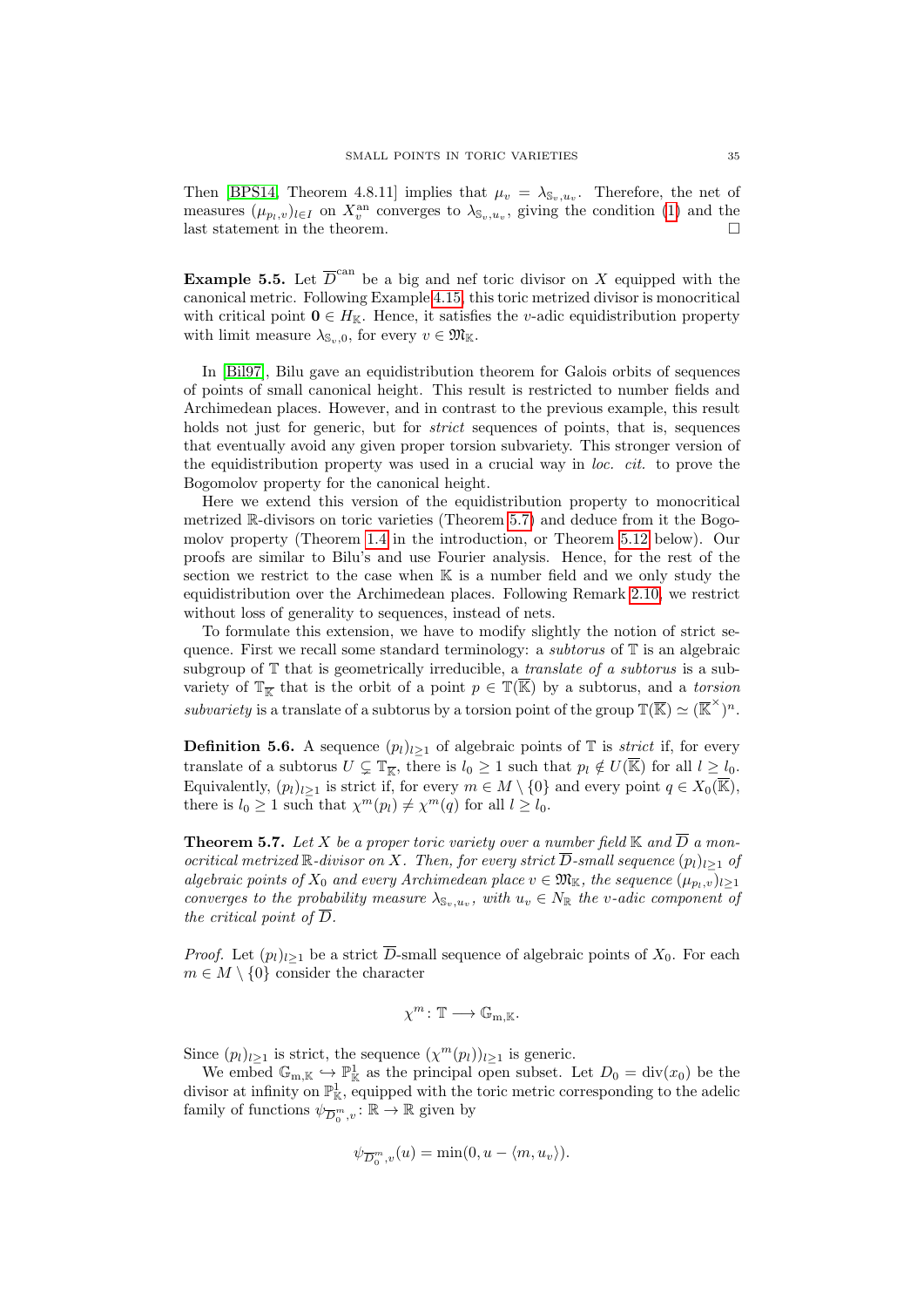Then [\[BPS14,](#page-53-11) Theorem 4.8.11] implies that  $\mu_v = \lambda_{\mathbb{S}_v, u_v}$ . Therefore, the net of measures  $(\mu_{p_l,v})_{l \in I}$  on  $X_v^{\text{an}}$  converges to  $\lambda_{\mathbb{S}_v,u_v}$ , giving the condition [\(1\)](#page-32-4) and the last statement in the theorem.  $\hfill \square$ 

<span id="page-34-2"></span>**Example 5.5.** Let  $\overline{D}^{\text{can}}$  be a big and nef toric divisor on X equipped with the canonical metric. Following Example [4.15,](#page-29-8) this toric metrized divisor is monocritical with critical point  $0 \in H_{\mathbb{K}}$ . Hence, it satisfies the *v*-adic equidistribution property with limit measure  $\lambda_{\mathbb{S}_{\infty},0}$ , for every  $v \in \mathfrak{M}_{\mathbb{K}}$ .

In [\[Bil97\]](#page-53-4), Bilu gave an equidistribution theorem for Galois orbits of sequences of points of small canonical height. This result is restricted to number fields and Archimedean places. However, and in contrast to the previous example, this result holds not just for generic, but for *strict* sequences of points, that is, sequences that eventually avoid any given proper torsion subvariety. This stronger version of the equidistribution property was used in a crucial way in loc. cit. to prove the Bogomolov property for the canonical height.

Here we extend this version of the equidistribution property to monocritical metrized R-divisors on toric varieties (Theorem [5.7\)](#page-34-0) and deduce from it the Bogomolov property (Theorem [1.4](#page-6-0) in the introduction, or Theorem [5.12](#page-36-0) below). Our proofs are similar to Bilu's and use Fourier analysis. Hence, for the rest of the section we restrict to the case when  $\mathbb K$  is a number field and we only study the equidistribution over the Archimedean places. Following Remark [2.10,](#page-12-4) we restrict without loss of generality to sequences, instead of nets.

To formulate this extension, we have to modify slightly the notion of strict sequence. First we recall some standard terminology: a *subtorus* of  $\mathbb T$  is an algebraic subgroup of  $\mathbb T$  that is geometrically irreducible, a *translate of a subtorus* is a subvariety of  $\mathbb{T}_{\overline{\mathbb{K}}}$  that is the orbit of a point  $p \in \mathbb{T}(\overline{\mathbb{K}})$  by a subtorus, and a torsion subvariety is a translate of a subtorus by a torsion point of the group  $\mathbb{T}(\overline{\mathbb{K}}) \simeq (\overline{\mathbb{K}}^{\times})^n$ .

<span id="page-34-1"></span>**Definition 5.6.** A sequence  $(p_l)_{l>1}$  of algebraic points of  $\mathbb T$  is *strict* if, for every translate of a subtorus  $U \subsetneq \mathbb{T}_{\overline{\mathbb{K}}}$ , there is  $l_0 \geq 1$  such that  $p_l \notin U(\overline{\mathbb{K}})$  for all  $l \geq l_0$ . Equivalently,  $(p_l)_{l>1}$  is strict if, for every  $m \in M \setminus \{0\}$  and every point  $q \in X_0(\overline{\mathbb{K}})$ , there is  $l_0 \geq 1$  such that  $\chi^m(p_l) \neq \chi^m(q)$  for all  $l \geq l_0$ .

<span id="page-34-0"></span>**Theorem 5.7.** Let X be a proper toric variety over a number field  $\mathbb{K}$  and  $\overline{D}$  a monocritical metrized R-divisor on X. Then, for every strict  $\overline{D}$ -small sequence  $(p_l)_{l\geq 1}$  of algebraic points of  $X_0$  and every Archimedean place  $v \in \mathfrak{M}_{\mathbb{K}}$ , the sequence  $(\mu_{p_1,v})_{l\geq 1}$ converges to the probability measure  $\lambda_{\mathbb{S}_v,u_v}$ , with  $u_v \in N_{\mathbb{R}}$  the v-adic component of the critical point of  $\overline{D}$ .

*Proof.* Let  $(p_l)_{l>1}$  be a strict  $\overline{D}$ -small sequence of algebraic points of  $X_0$ . For each  $m \in M \setminus \{0\}$  consider the character

$$
\chi^m\colon \mathbb{T}\longrightarrow \mathbb{G}_{m,\mathbb{K}}.
$$

Since  $(p_l)_{l\geq 1}$  is strict, the sequence  $(\chi^m(p_l))_{l\geq 1}$  is generic.

We embed  $\mathbb{G}_{m,\mathbb{K}} \hookrightarrow \mathbb{P}^1_{\mathbb{K}}$  as the principal open subset. Let  $D_0 = \text{div}(x_0)$  be the divisor at infinity on  $\mathbb{P}^1_{\mathbb{K}}$ , equipped with the toric metric corresponding to the adelic family of functions  $\psi_{\overline{D}_0^m,v}^{-1} : \mathbb{R} \to \mathbb{R}$  given by

$$
\psi_{\overline{D}_0^m, v}(u) = \min(0, u - \langle m, u_v \rangle).
$$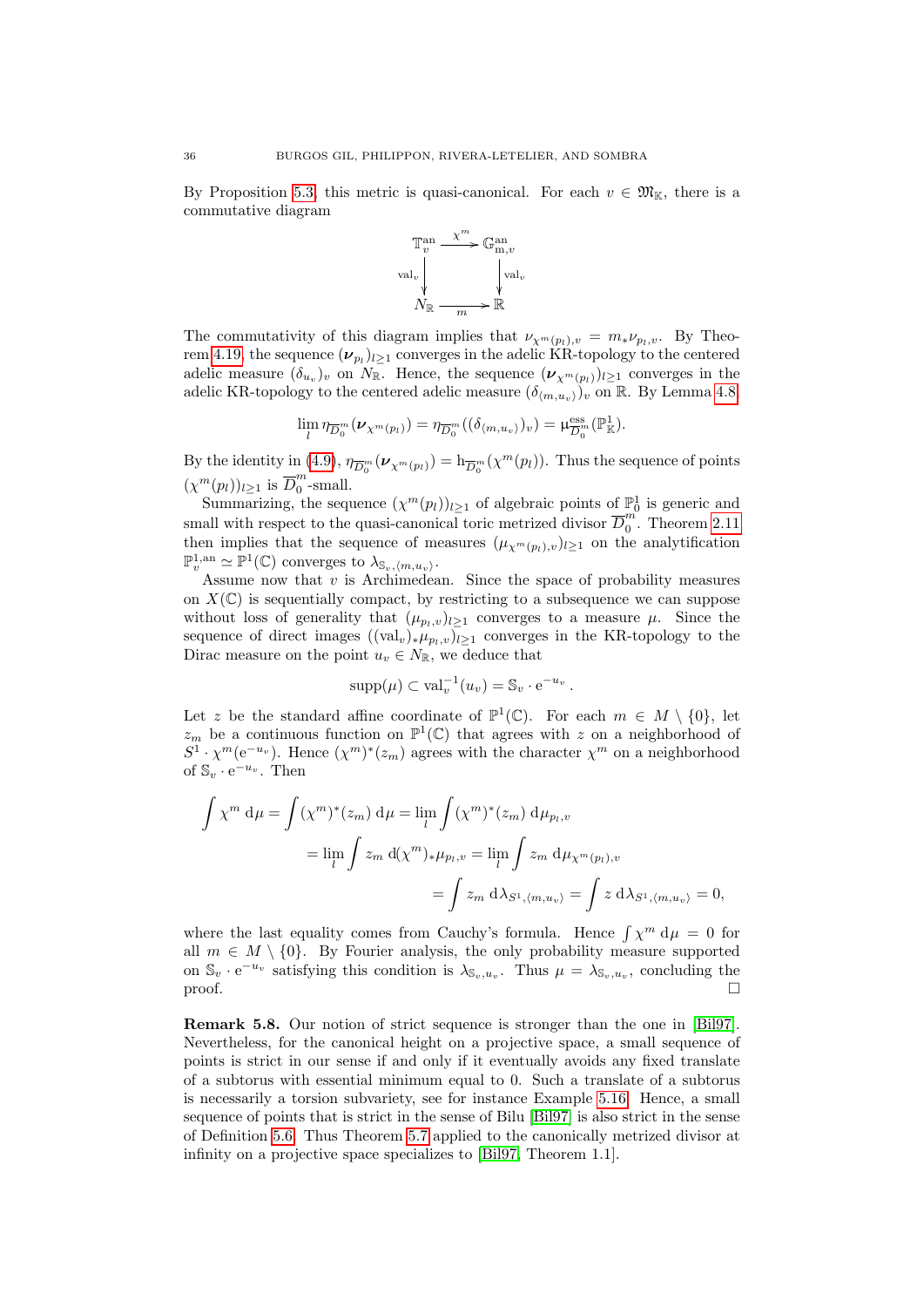By Proposition [5.3,](#page-32-1) this metric is quasi-canonical. For each  $v \in \mathfrak{M}_{\mathbb{K}}$ , there is a commutative diagram



The commutativity of this diagram implies that  $\nu_{\chi^m(p_l),v} = m_* \nu_{p_l,v}$ . By Theo-rem [4.19,](#page-31-1) the sequence  $(\nu_{p_l})_{l \geq 1}$  converges in the adelic KR-topology to the centered adelic measure  $(\delta_{u_v})_v$  on  $N_{\mathbb{R}}$ . Hence, the sequence  $(\nu_{\chi^m(p_l)})_{l\geq 1}$  converges in the adelic KR-topology to the centered adelic measure  $(\delta_{(m,u_v)})_v$  on R. By Lemma [4.8,](#page-25-0)

$$
\lim_{l} \eta_{\overline{D}_0^m}(\nu_{\chi^m(p_l)}) = \eta_{\overline{D}_0^m}((\delta_{\langle m,u_v \rangle})_v) = \mu_{\overline{D}_0^m}^{\text{ess}}(\mathbb{P}^1_{\mathbb{K}}).
$$

By the identity in [\(4.9\)](#page-23-2),  $\eta_{\overline{D}_0^m}(\nu_{\chi^m(p_l)}) = h_{\overline{D}_0^m}(\chi^m(p_l))$ . Thus the sequence of points  $(\chi^m(p_l))_{l\geq 1}$  is  $\overline{D}_0^m$  $\int_{0}^{n}$ -small.

Summarizing, the sequence  $(\chi^m(p_l))_{l\geq 1}$  of algebraic points of  $\mathbb{P}^1_0$  is generic and small with respect to the quasi-canonical toric metrized divisor  $\overline{D}_0^m$  $\int_{0}^{m}$ . Theorem [2.11](#page-12-3) then implies that the sequence of measures  $(\mu_{\chi^m(p_l),v})_{l\geq 1}$  on the analytification  $\mathbb{P}_v^{1,\mathrm{an}} \simeq \mathbb{P}^1(\mathbb{C})$  converges to  $\lambda_{\mathbb{S}_v,\langle m,u_v\rangle}$ .

Assume now that  $v$  is Archimedean. Since the space of probability measures on  $X(\mathbb{C})$  is sequentially compact, by restricting to a subsequence we can suppose without loss of generality that  $(\mu_{p_l,v})_{l\geq 1}$  converges to a measure  $\mu$ . Since the sequence of direct images  $((\text{val}_{v})_{*}\mu_{p_l,v})_{l\geq 1}$  converges in the KR-topology to the Dirac measure on the point  $u_v \in N_{\mathbb{R}}$ , we deduce that

$$
supp(\mu) \subset \text{val}_{v}^{-1}(u_{v}) = \mathbb{S}_{v} \cdot e^{-u_{v}}.
$$

Let z be the standard affine coordinate of  $\mathbb{P}^1(\mathbb{C})$ . For each  $m \in M \setminus \{0\}$ , let  $z_m$  be a continuous function on  $\mathbb{P}^1(\mathbb{C})$  that agrees with z on a neighborhood of  $S^1 \cdot \chi^m(e^{-u_v})$ . Hence  $(\chi^m)^*(z_m)$  agrees with the character  $\chi^m$  on a neighborhood of  $\mathbb{S}_v \cdot e^{-u_v}$ . Then

$$
\int \chi^m d\mu = \int (\chi^m)^*(z_m) d\mu = \lim_l \int (\chi^m)^*(z_m) d\mu_{p_l, v}
$$
  
= 
$$
\lim_l \int z_m d(\chi^m)_* \mu_{p_l, v} = \lim_l \int z_m d\mu_{\chi^m(p_l), v}
$$
  
= 
$$
\int z_m d\lambda_{S^1, \langle m, u_v \rangle} = \int z d\lambda_{S^1, \langle m, u_v \rangle} = 0,
$$

where the last equality comes from Cauchy's formula. Hence  $\int \chi^m d\mu = 0$  for all  $m \in M \setminus \{0\}$ . By Fourier analysis, the only probability measure supported on  $\mathbb{S}_v \cdot e^{-u_v}$  satisfying this condition is  $\lambda_{\mathbb{S}_v,u_v}$ . Thus  $\mu = \lambda_{\mathbb{S}_v,u_v}$ , concluding the  $\Box$ 

Remark 5.8. Our notion of strict sequence is stronger than the one in [\[Bil97\]](#page-53-4). Nevertheless, for the canonical height on a projective space, a small sequence of points is strict in our sense if and only if it eventually avoids any fixed translate of a subtorus with essential minimum equal to 0. Such a translate of a subtorus is necessarily a torsion subvariety, see for instance Example [5.16.](#page-39-1) Hence, a small sequence of points that is strict in the sense of Bilu [\[Bil97\]](#page-53-4) is also strict in the sense of Definition [5.6.](#page-34-1) Thus Theorem [5.7](#page-34-0) applied to the canonically metrized divisor at infinity on a projective space specializes to [\[Bil97,](#page-53-4) Theorem 1.1].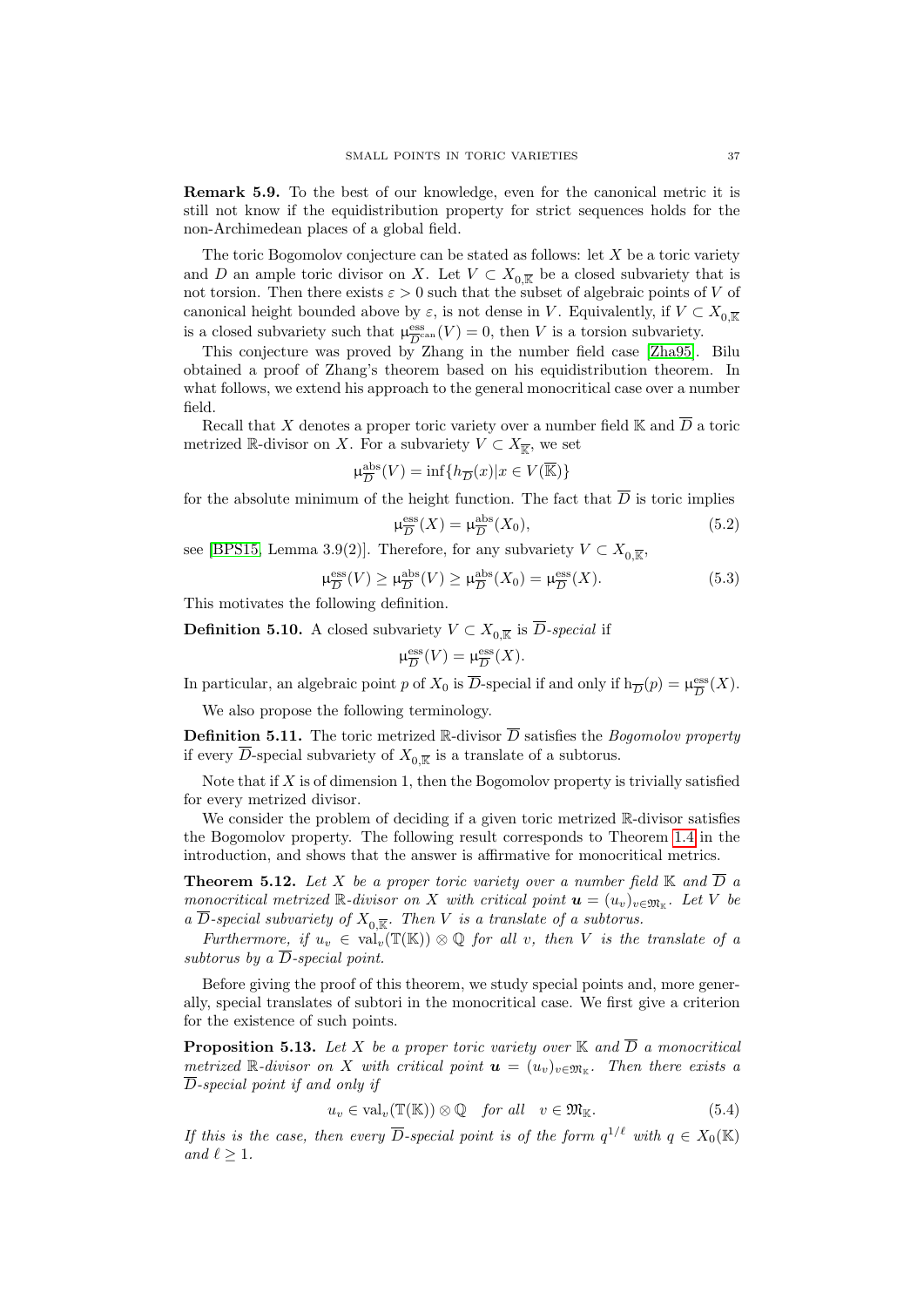Remark 5.9. To the best of our knowledge, even for the canonical metric it is still not know if the equidistribution property for strict sequences holds for the non-Archimedean places of a global field.

The toric Bogomolov conjecture can be stated as follows: let  $X$  be a toric variety and D an ample toric divisor on X. Let  $V \subset X_{0,\overline{K}}$  be a closed subvariety that is not torsion. Then there exists  $\varepsilon > 0$  such that the subset of algebraic points of V of canonical height bounded above by  $\varepsilon$ , is not dense in V. Equivalently, if  $V \subset X_{0,\overline{\mathbb{K}}}$ is a closed subvariety such that  $\mu_{\overline{D}^c}^{\text{ess}}$  $\frac{\text{ess}}{D}^{\text{can}}(V) = 0$ , then V is a torsion subvariety.

This conjecture was proved by Zhang in the number field case [\[Zha95\]](#page-54-6). Bilu obtained a proof of Zhang's theorem based on his equidistribution theorem. In what follows, we extend his approach to the general monocritical case over a number field.

Recall that X denotes a proper toric variety over a number field K and  $\overline{D}$  a toric metrized R-divisor on X. For a subvariety  $V \subset X_{\overline{K}}$ , we set

$$
\mu_{\overline{D}}^{\mathrm{abs}}(V)=\inf\{h_{\overline{D}}(x)|x\in V(\overline{\mathbb{K}})\}
$$

for the absolute minimum of the height function. The fact that  $\overline{D}$  is toric implies

<span id="page-36-4"></span>
$$
\mu_{\overline{D}}^{\text{ess}}(X) = \mu_{\overline{D}}^{\text{abs}}(X_0),\tag{5.2}
$$

see [\[BPS15,](#page-53-13) Lemma 3.9(2)]. Therefore, for any subvariety  $V \subset X_{0,\overline{\mathbb{K}}}$ ,

<span id="page-36-5"></span>
$$
\mu_{\overline{D}}^{\text{ess}}(V) \ge \mu_{\overline{D}}^{\text{abs}}(V) \ge \mu_{\overline{D}}^{\text{abs}}(X_0) = \mu_{\overline{D}}^{\text{ess}}(X). \tag{5.3}
$$

This motivates the following definition.

**Definition 5.10.** A closed subvariety  $V \subset X_{0,\overline{k}}$  is D-special if

$$
\mu_{\overline{D}}^{\text{ess}}(V)=\mu_{\overline{D}}^{\text{ess}}(X).
$$

In particular, an algebraic point p of  $X_0$  is  $\overline{D}$ -special if and only if  $h_{\overline{D}}(p) = \mu_{\overline{D}}^{\text{ess}}$  $\frac{{\rm ess}}{D}(X).$ 

We also propose the following terminology.

<span id="page-36-1"></span>**Definition 5.11.** The toric metrized R-divisor  $\overline{D}$  satisfies the *Bogomolov property* if every D-special subvariety of  $X_{0,\overline{\mathbb{R}}}$  is a translate of a subtorus.

Note that if  $X$  is of dimension 1, then the Bogomolov property is trivially satisfied for every metrized divisor.

We consider the problem of deciding if a given toric metrized R-divisor satisfies the Bogomolov property. The following result corresponds to Theorem [1.4](#page-6-0) in the introduction, and shows that the answer is affirmative for monocritical metrics.

<span id="page-36-0"></span>**Theorem 5.12.** Let X be a proper toric variety over a number field  $\mathbb{K}$  and  $\overline{D}$  a monocritical metrized R-divisor on X with critical point  $\mathbf{u} = (u_v)_{v \in \mathfrak{M}_{\mathbb{K}}}$ . Let V be a D-special subvariety of  $X_{0,\overline{\mathbb{R}}}$ . Then V is a translate of a subtorus.

Furthermore, if  $u_v \in \text{val}_v(\mathbb{T}(\mathbb{K})) \otimes \mathbb{Q}$  for all v, then V is the translate of a subtorus by a  $\overline{D}$ -special point.

Before giving the proof of this theorem, we study special points and, more generally, special translates of subtori in the monocritical case. We first give a criterion for the existence of such points.

<span id="page-36-3"></span>**Proposition 5.13.** Let X be a proper toric variety over  $\mathbb{K}$  and  $\overline{D}$  a monocritical metrized R-divisor on X with critical point  $\mathbf{u} = (u_v)_{v \in \mathfrak{M}_{\mathbb{K}}}$ . Then there exists a D-special point if and only if

<span id="page-36-2"></span>
$$
u_v \in \text{val}_v(\mathbb{T}(\mathbb{K})) \otimes \mathbb{Q} \quad \text{for all} \quad v \in \mathfrak{M}_{\mathbb{K}}.\tag{5.4}
$$

If this is the case, then every  $\overline{D}$ -special point is of the form  $q^{1/\ell}$  with  $q \in X_0(\mathbb{K})$ and  $\ell > 1$ .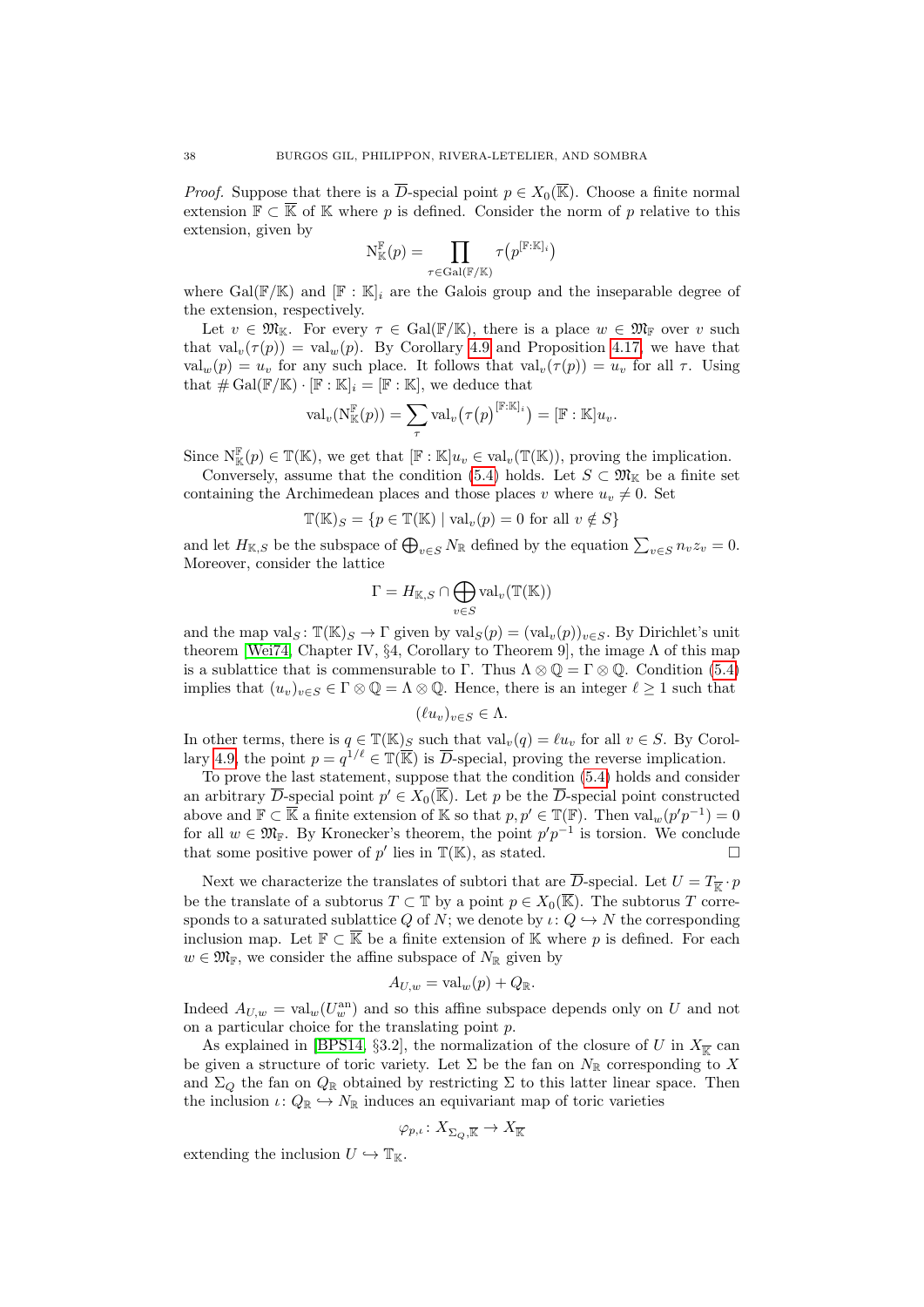*Proof.* Suppose that there is a  $\overline{D}$ -special point  $p \in X_0(\overline{\mathbb{K}})$ . Choose a finite normal extension  $\mathbb{F} \subset \overline{\mathbb{K}}$  of  $\mathbb{K}$  where p is defined. Consider the norm of p relative to this extension, given by

$$
\operatorname{N}_{\mathbb{K}}^{\mathbb{F}}(p)=\prod_{\tau \in \operatorname{Gal}(\mathbb{F}/\mathbb{K})}\tau\big(p^{[\mathbb{F}: \mathbb{K}]_i}\big)
$$

where Gal( $\mathbb{F}/\mathbb{K}$ ) and  $\mathbb{F}:\mathbb{K}|_i$  are the Galois group and the inseparable degree of the extension, respectively.

Let  $v \in \mathfrak{M}_{\mathbb{K}}$ . For every  $\tau \in \text{Gal}(\mathbb{F}/\mathbb{K})$ , there is a place  $w \in \mathfrak{M}_{\mathbb{F}}$  over v such that val<sub>v</sub>( $\tau(p)$ ) = val<sub>w</sub>(p). By Corollary [4.9](#page-26-0) and Proposition [4.17,](#page-30-1) we have that  $val_w(p) = u_v$  for any such place. It follows that  $val_v(\tau(p)) = u_v$  for all  $\tau$ . Using that  $\#\operatorname{Gal}(\mathbb{F}/\mathbb{K}) \cdot [\mathbb{F} : \mathbb{K}]_i = [\mathbb{F} : \mathbb{K}],$  we deduce that

$$
\mathrm{val}_v(\mathrm{N}_{\mathbb{K}}^{\mathbb{F}}(p)) = \sum_{\tau} \mathrm{val}_v\big(\tau\big(p\big)^{[\mathbb{F}:\mathbb{K}]_i}\big) = [\mathbb{F}:\mathbb{K}]u_v.
$$

Since  $\mathcal{N}_{\mathbb{K}}^{\mathbb{F}}(p) \in \mathbb{T}(\mathbb{K})$ , we get that  $[\mathbb{F} : \mathbb{K}]u_v \in \text{val}_v(\mathbb{T}(\mathbb{K}))$ , proving the implication.

Conversely, assume that the condition [\(5.4\)](#page-36-2) holds. Let  $S \subset \mathfrak{M}_{\mathbb{K}}$  be a finite set containing the Archimedean places and those places v where  $u_v \neq 0$ . Set

$$
\mathbb{T}(\mathbb{K})_S = \{ p \in \mathbb{T}(\mathbb{K}) \mid \text{val}_v(p) = 0 \text{ for all } v \notin S \}
$$

and let  $H_{\mathbb{K},S}$  be the subspace of  $\bigoplus_{v\in S}N_{\mathbb{R}}$  defined by the equation  $\sum_{v\in S}n_{v}z_{v}=0$ . Moreover, consider the lattice

$$
\Gamma = H_{\mathbb{K},S} \cap \bigoplus_{v \in S} \mathrm{val}_v(\mathbb{T}(\mathbb{K}))
$$

and the map val<sub>S</sub>:  $\mathbb{T}(\mathbb{K})_S \to \Gamma$  given by val<sub>S</sub> $(p) = (\text{val}_{v}(p))_{v \in S}$ . By Dirichlet's unit theorem [\[Wei74,](#page-54-9) Chapter IV,  $\S 4$ , Corollary to Theorem 9], the image  $\Lambda$  of this map is a sublattice that is commensurable to Γ. Thus  $\Lambda \otimes \mathbb{Q} = \Gamma \otimes \mathbb{Q}$ . Condition [\(5.4\)](#page-36-2) implies that  $(u_v)_{v \in S} \in \Gamma \otimes \mathbb{Q} = \Lambda \otimes \mathbb{Q}$ . Hence, there is an integer  $\ell \geq 1$  such that

$$
(\ell u_v)_{v \in S} \in \Lambda.
$$

In other terms, there is  $q \in \mathbb{T}(\mathbb{K})_S$  such that  $\text{val}_v(q) = \ell u_v$  for all  $v \in S$ . By Corol-lary [4.9,](#page-26-0) the point  $p = q^{1/\ell} \in \mathbb{T}(\overline{\mathbb{K}})$  is  $\overline{D}$ -special, proving the reverse implication.

To prove the last statement, suppose that the condition [\(5.4\)](#page-36-2) holds and consider an arbitrary  $\overline{D}$ -special point  $p' \in X_0(\overline{\mathbb{K}})$ . Let p be the  $\overline{D}$ -special point constructed above and  $\mathbb{F} \subset \overline{\mathbb{K}}$  a finite extension of  $\mathbb{K}$  so that  $p, p' \in \mathbb{T}(\mathbb{F})$ . Then  $\text{val}_{w}(p'p^{-1}) = 0$ for all  $w \in \mathfrak{M}_{\mathbb{F}}$ . By Kronecker's theorem, the point  $p'p^{-1}$  is torsion. We conclude that some positive power of  $p'$  lies in  $\mathbb{T}(\mathbb{K})$ , as stated.

Next we characterize the translates of subtori that are  $\overline{D}$ -special. Let  $U = T_{\overline{K}} \cdot p$ be the translate of a subtorus  $T \subset \mathbb{T}$  by a point  $p \in X_0(\mathbb{K})$ . The subtorus T corresponds to a saturated sublattice Q of N; we denote by  $\iota: Q \hookrightarrow N$  the corresponding inclusion map. Let  $\mathbb{F} \subset \overline{\mathbb{K}}$  be a finite extension of K where p is defined. For each  $w \in \mathfrak{M}_{\mathbb{F}}$ , we consider the affine subspace of  $N_{\mathbb{R}}$  given by

$$
A_{U,w} = \text{val}_w(p) + Q_{\mathbb{R}}.
$$

Indeed  $A_{U,w} = \text{val}_{w}(U_w^{\text{an}})$  and so this affine subspace depends only on U and not on a particular choice for the translating point p.

As explained in [\[BPS14,](#page-53-11) §3.2], the normalization of the closure of U in  $X_{\overline{k}}$  can be given a structure of toric variety. Let  $\Sigma$  be the fan on  $N_{\mathbb{R}}$  corresponding to X and  $\Sigma_Q$  the fan on  $Q_{\mathbb{R}}$  obtained by restricting  $\Sigma$  to this latter linear space. Then the inclusion  $\iota: Q_{\mathbb{R}} \hookrightarrow N_{\mathbb{R}}$  induces an equivariant map of toric varieties

$$
\varphi_{p,\iota}\colon X_{\Sigma_Q,\overline{\mathbb{K}}}\rightarrow X_{\overline{\mathbb{K}}}
$$

extending the inclusion  $U \hookrightarrow \mathbb{T}_{\mathbb{K}}$ .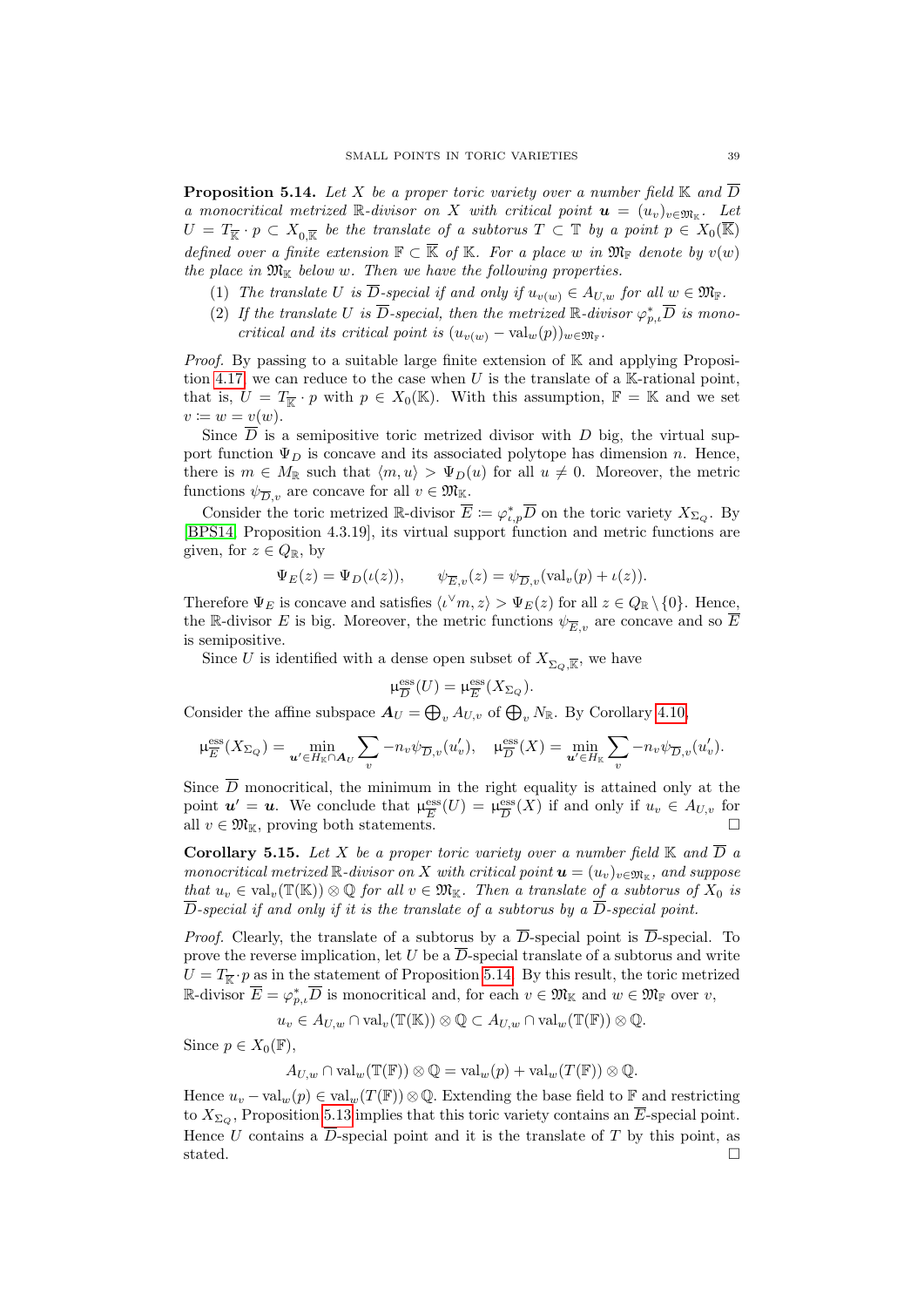<span id="page-38-0"></span>**Proposition 5.14.** Let X be a proper toric variety over a number field  $\mathbb{K}$  and  $\overline{D}$ a monocritical metrized R-divisor on X with critical point  $\mathbf{u} = (u_v)_{v \in \mathfrak{M}_{\mathbb{K}}}$ . Let  $U = T_{\overline{\mathbb{K}}} \cdot p \subset X_{0,\overline{\mathbb{K}}}$  be the translate of a subtorus  $T \subset \mathbb{T}$  by a point  $p \in X_0(\overline{\mathbb{K}})$ defined over a finite extension  $\mathbb{F} \subset \overline{\mathbb{K}}$  of K. For a place w in  $\mathfrak{M}_{\mathbb{F}}$  denote by  $v(w)$ the place in  $\mathfrak{M}_{\mathbb{K}}$  below w. Then we have the following properties.

- (1) The translate U is  $\overline{D}$ -special if and only if  $u_{v(w)} \in A_{U,w}$  for all  $w \in \mathfrak{M}_{\mathbb{F}}$ .
- <span id="page-38-2"></span>(2) If the translate U is  $\overline{D}$ -special, then the metrized  $\mathbb{R}$ -divisor  $\varphi_{p,\iota}^* \overline{D}$  is monocritical and its critical point is  $(u_{v(w)} - \text{val}_w(p))_{w \in \mathfrak{M}_{\mathbb{F}}}$ .

*Proof.* By passing to a suitable large finite extension of  $K$  and applying Proposi-tion [4.17,](#page-30-1) we can reduce to the case when U is the translate of a  $K$ -rational point. that is,  $U = T_{\overline{\mathbb{K}}} \cdot p$  with  $p \in X_0(\mathbb{K})$ . With this assumption,  $\mathbb{F} = \mathbb{K}$  and we set  $v \coloneqq w = v(w).$ 

Since  $\overline{D}$  is a semipositive toric metrized divisor with D big, the virtual support function  $\Psi_D$  is concave and its associated polytope has dimension n. Hence, there is  $m \in M_{\mathbb{R}}$  such that  $\langle m, u \rangle > \Psi_D(u)$  for all  $u \neq 0$ . Moreover, the metric functions  $\psi_{\overline{D},v}$  are concave for all  $v \in \mathfrak{M}_{\mathbb{K}}$ .

Consider the toric metrized R-divisor  $\overline{E} := \varphi_{t,p}^* \overline{D}$  on the toric variety  $X_{\Sigma_Q}$ . By [\[BPS14,](#page-53-11) Proposition 4.3.19], its virtual support function and metric functions are given, for  $z \in Q_{\mathbb{R}}$ , by

$$
\Psi_E(z) = \Psi_D(\iota(z)), \qquad \psi_{\overline{E},v}(z) = \psi_{\overline{D},v}(\text{val}_v(p) + \iota(z)).
$$

Therefore  $\Psi_E$  is concave and satisfies  $\langle v \rangle_m$ ,  $z \rangle > \Psi_E(z)$  for all  $z \in Q_{\mathbb{R}} \setminus \{0\}$ . Hence, the R-divisor E is big. Moreover, the metric functions  $\psi_{\overline{E}_v}$  are concave and so  $\overline{E}$ is semipositive.

Since U is identified with a dense open subset of  $X_{\Sigma_Q, \overline{\mathbb{K}}}$ , we have

$$
\mu_{\overline{D}}^{\mathrm{ess}}(U)=\mu_{\overline{E}}^{\mathrm{ess}}(X_{\Sigma_Q}).
$$

Consider the affine subspace  $A_U = \bigoplus_v A_{U,v}$  of  $\bigoplus_v N_{\mathbb{R}}$ . By Corollary [4.10,](#page-26-1)

$$
\mu_{\overline{E}}^{\text{ess}}(X_{\Sigma_Q}) = \min_{\mathbf{u}' \in H_{\mathbb{K}} \cap \mathbf{A}_U} \sum_v -n_v \psi_{\overline{D},v}(u'_v), \quad \mu_{\overline{D}}^{\text{ess}}(X) = \min_{\mathbf{u}' \in H_{\mathbb{K}}} \sum_v -n_v \psi_{\overline{D},v}(u'_v).
$$

Since  $\overline{D}$  monocritical, the minimum in the right equality is attained only at the point  $u' = u$ . We conclude that  $\mu_{\overline{E}}^{\text{ess}}$  $\frac{\text{ess}}{E}(U) = \mu_{\overline{D}}^{\text{ess}}$  $\frac{\text{ess}}{D}(X)$  if and only if  $u_v \in A_{U,v}$  for all  $v \in \mathfrak{M}_{\mathbb{K}}$ , proving both statements.

<span id="page-38-1"></span>**Corollary 5.15.** Let X be a proper toric variety over a number field  $\mathbb{K}$  and  $\overline{D}$  a monocritical metrized R-divisor on X with critical point  $\mathbf{u} = (u_v)_{v \in \mathfrak{M}_{\mathbb{K}}}$ , and suppose that  $u_v \in val_v(\mathbb{T}(\mathbb{K})) \otimes \mathbb{Q}$  for all  $v \in \mathfrak{M}_{\mathbb{K}}$ . Then a translate of a subtorus of  $X_0$  is  $\overline{D}$ -special if and only if it is the translate of a subtorus by a  $\overline{D}$ -special point.

*Proof.* Clearly, the translate of a subtorus by a  $\overline{D}$ -special point is  $\overline{D}$ -special. To prove the reverse implication, let U be a  $\overline{D}$ -special translate of a subtorus and write  $U = T_{\overline{\mathbb{K}}} \cdot p$  as in the statement of Proposition [5.14.](#page-38-0) By this result, the toric metrized R-divisor  $\overline{E} = \varphi_{p,\iota}^* \overline{D}$  is monocritical and, for each  $v \in \mathfrak{M}_{\mathbb{K}}$  and  $w \in \mathfrak{M}_{\mathbb{F}}$  over  $v$ ,

$$
u_v \in A_{U,w} \cap \mathrm{val}_v(\mathbb{T}(\mathbb{K})) \otimes \mathbb{Q} \subset A_{U,w} \cap \mathrm{val}_w(\mathbb{T}(\mathbb{F})) \otimes \mathbb{Q}.
$$

Since  $p \in X_0(\mathbb{F}),$ 

$$
A_{U,w} \cap \mathrm{val}_w(\mathbb{T}(\mathbb{F})) \otimes \mathbb{Q} = \mathrm{val}_w(p) + \mathrm{val}_w(T(\mathbb{F})) \otimes \mathbb{Q}.
$$

Hence  $u_v - \text{val}_w(p) \in \text{val}_w(T(\mathbb{F})) \otimes \mathbb{Q}$ . Extending the base field to  $\mathbb{F}$  and restricting to  $X_{\Sigma_O}$ , Proposition [5.13](#page-36-3) implies that this toric variety contains an  $\overline{E}$ -special point. Hence U contains a  $\overline{D}$ -special point and it is the translate of T by this point, as stated.  $\Box$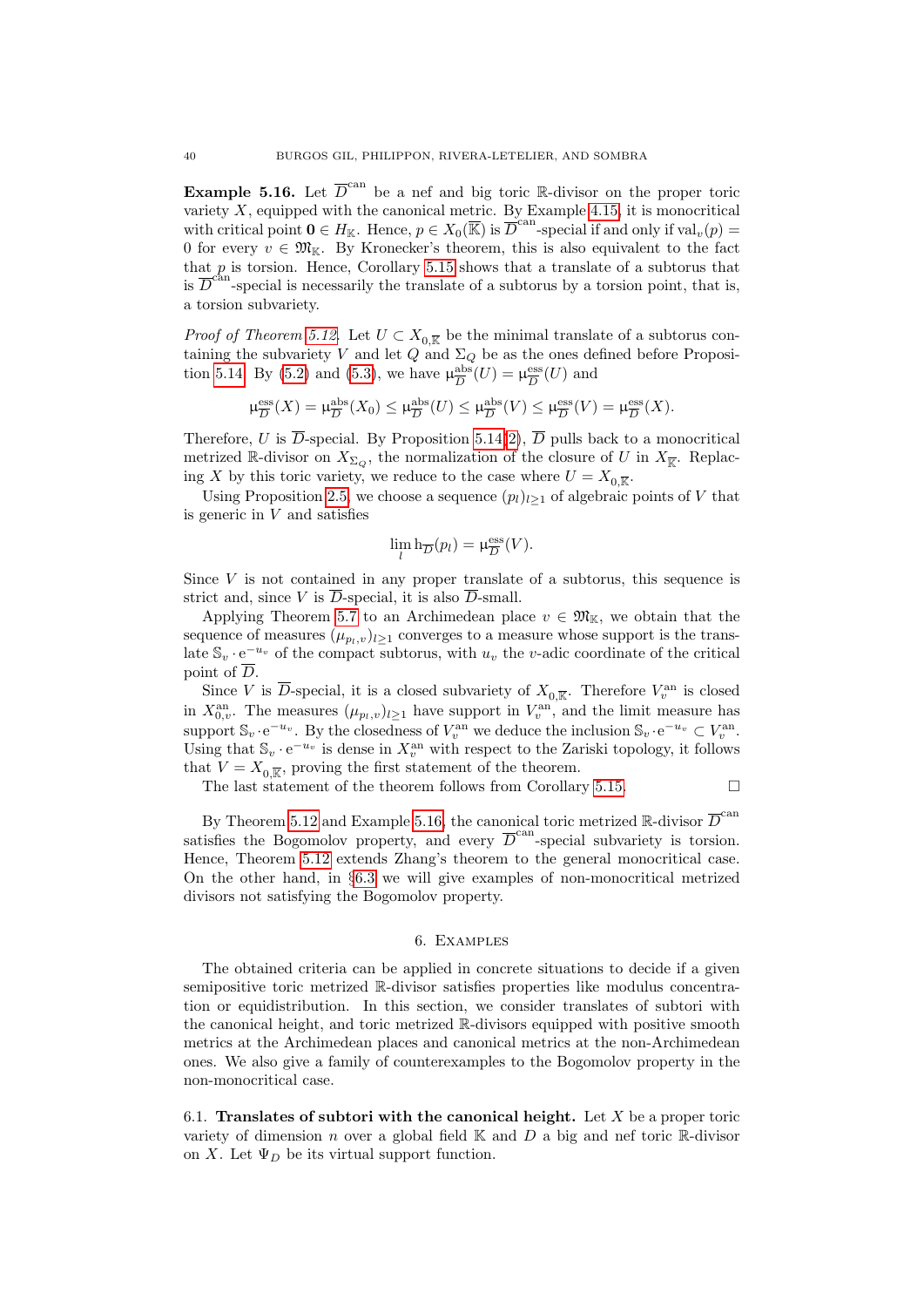<span id="page-39-1"></span>**Example 5.16.** Let  $\overline{D}^{\text{can}}$  be a nef and big toric R-divisor on the proper toric variety  $X$ , equipped with the canonical metric. By Example [4.15,](#page-29-8) it is monocritical with critical point  $\mathbf{0} \in H_{\mathbb{K}}$ . Hence,  $p \in X_0(\overline{\mathbb{K}})$  is  $\overline{\overline{D}}^{\text{can}}$ -special if and only if  $\text{val}_v(p)$ 0 for every  $v \in \mathfrak{M}_{\mathbb{K}}$ . By Kronecker's theorem, this is also equivalent to the fact that  $p$  is torsion. Hence, Corollary [5.15](#page-38-1) shows that a translate of a subtorus that is  $\overline{D}^{\text{can}}$ -special is necessarily the translate of a subtorus by a torsion point, that is, a torsion subvariety.

*Proof of Theorem [5.12.](#page-36-0)* Let  $U \subset X_{0,\overline{k}}$  be the minimal translate of a subtorus containing the subvariety V and let  $Q$  and  $\Sigma_Q$  be as the ones defined before Proposi-tion [5.14.](#page-38-0) By [\(5.2\)](#page-36-4) and [\(5.3\)](#page-36-5), we have  $\mu_{\overline{D}}^{\text{abs}}$  $\frac{\text{abs}}{D}(U) = \mu_{\overline{D}}^{\text{ess}}$  $\frac{\text{ess}}{D}(U)$  and

$$
\mu_{\overline{D}}^{\mathrm{ess}}(X) = \mu_{\overline{D}}^{\mathrm{abs}}(X_0) \le \mu_{\overline{D}}^{\mathrm{abs}}(U) \le \mu_{\overline{D}}^{\mathrm{abs}}(V) \le \mu_{\overline{D}}^{\mathrm{ess}}(V) = \mu_{\overline{D}}^{\mathrm{ess}}(X).
$$

Therefore, U is  $\overline{D}$ -special. By Proposition [5.14\(](#page-38-0)[2\)](#page-38-2),  $\overline{D}$  pulls back to a monocritical metrized R-divisor on  $X_{\Sigma_Q}$ , the normalization of the closure of U in  $X_{\overline{K}}$ . Replacing X by this toric variety, we reduce to the case where  $U = X_{0,\overline{k}}$ .

Using Proposition [2.5,](#page-11-1) we choose a sequence  $(p_l)_{l\geq 1}$  of algebraic points of V that is generic in  $V$  and satisfies

$$
\lim_{l} \mathbf{h}_{\overline{D}}(p_l) = \mu_{\overline{D}}^{\text{ess}}(V).
$$

Since  $V$  is not contained in any proper translate of a subtorus, this sequence is strict and, since V is  $\overline{D}$ -special, it is also  $\overline{D}$ -small.

Applying Theorem [5.7](#page-34-0) to an Archimedean place  $v \in \mathfrak{M}_{\mathbb{K}}$ , we obtain that the sequence of measures  $(\mu_{p_l,v})_{l\geq 1}$  converges to a measure whose support is the translate  $\mathbb{S}_v \cdot e^{-u_v}$  of the compact subtorus, with  $u_v$  the v-adic coordinate of the critical point of  $\overline{D}$ .

Since V is  $\overline{D}$ -special, it is a closed subvariety of  $X_{0,\overline{k}}$ . Therefore  $V_v^{\text{an}}$  is closed in  $X_{0,v}^{\text{an}}$ . The measures  $(\mu_{p_l,v})_{l\geq 1}$  have support in  $V_v^{\text{an}}$ , and the limit measure has support  $\mathbb{S}_v \cdot e^{-u_v}$ . By the closedness of  $V_v^{\text{an}}$  we deduce the inclusion  $\mathbb{S}_v \cdot e^{-u_v} \subset V_v^{\text{an}}$ . Using that  $\mathbb{S}_v \cdot e^{-u_v}$  is dense in  $X_v^{\text{an}}$  with respect to the Zariski topology, it follows that  $V = X_{0,\overline{\mathbb{K}}}$ , proving the first statement of the theorem.

The last statement of the theorem follows from Corollary [5.15.](#page-38-1)  $\Box$ 

By Theorem [5.12](#page-36-0) and Example [5.16,](#page-39-1) the canonical toric metrized R-divisor  $\overline{D}^{\text{can}}$ satisfies the Bogomolov property, and every  $\overline{D}^{\text{can}}$ -special subvariety is torsion. Hence, Theorem [5.12](#page-36-0) extends Zhang's theorem to the general monocritical case. On the other hand, in §[6.3](#page-44-1) we will give examples of non-monocritical metrized divisors not satisfying the Bogomolov property.

#### 6. Examples

<span id="page-39-0"></span>The obtained criteria can be applied in concrete situations to decide if a given semipositive toric metrized R-divisor satisfies properties like modulus concentration or equidistribution. In this section, we consider translates of subtori with the canonical height, and toric metrized R-divisors equipped with positive smooth metrics at the Archimedean places and canonical metrics at the non-Archimedean ones. We also give a family of counterexamples to the Bogomolov property in the non-monocritical case.

<span id="page-39-2"></span>6.1. Translates of subtori with the canonical height. Let  $X$  be a proper toric variety of dimension n over a global field  $\mathbb K$  and  $D$  a big and nef toric  $\mathbb R$ -divisor on X. Let  $\Psi_D$  be its virtual support function.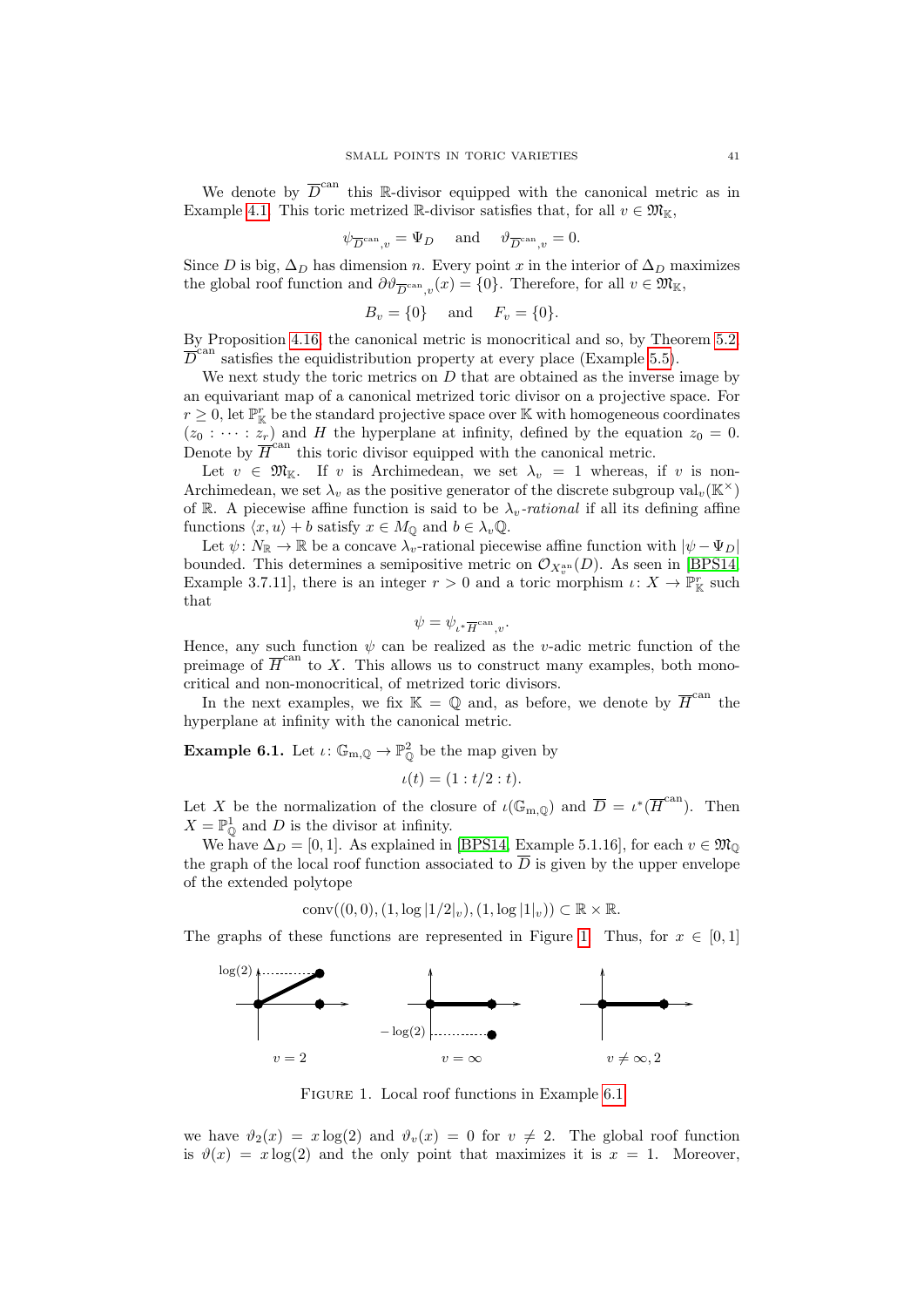We denote by  $\overline{D}^{\text{can}}$  this R-divisor equipped with the canonical metric as in Example [4.1.](#page-22-3) This toric metrized R-divisor satisfies that, for all  $v \in \mathfrak{M}_{\mathbb{K}}$ ,

$$
\psi_{\overline{D}^{\mathrm{can}},v} = \Psi_D \quad \text{ and } \quad \vartheta_{\overline{D}^{\mathrm{can}},v} = 0.
$$

Since D is big,  $\Delta_D$  has dimension n. Every point x in the interior of  $\Delta_D$  maximizes the global roof function and  $\partial \vartheta_{\overline{D}^{\text{can}},v}(x) = \{0\}$ . Therefore, for all  $v \in \mathfrak{M}_{\mathbb{K}}$ ,

$$
B_v = \{0\} \quad \text{and} \quad F_v = \{0\}.
$$

By Proposition [4.16,](#page-29-1) the canonical metric is monocritical and so, by Theorem [5.2,](#page-32-3)  $\overline{D}^{\text{can}}$  satisfies the equidistribution property at every place (Example [5.5\)](#page-34-2).

We next study the toric metrics on  $D$  that are obtained as the inverse image by an equivariant map of a canonical metrized toric divisor on a projective space. For  $r \geq 0$ , let  $\mathbb{P}^r_{\mathbb{K}}$  be the standard projective space over  $\mathbb{K}$  with homogeneous coordinates  $(z_0 : \cdots : z_r)$  and H the hyperplane at infinity, defined by the equation  $z_0 = 0$ . Denote by  $\overline{H}^{\text{can}}$  this toric divisor equipped with the canonical metric.

Let  $v \in \mathfrak{M}_{\mathbb{K}}$ . If v is Archimedean, we set  $\lambda_v = 1$  whereas, if v is non-Archimedean, we set  $\lambda_v$  as the positive generator of the discrete subgroup val<sub>v</sub>(K<sup>×</sup>) of R. A piecewise affine function is said to be  $\lambda_v$ -rational if all its defining affine functions  $\langle x, u \rangle + b$  satisfy  $x \in M_{\mathbb{Q}}$  and  $b \in \lambda_v \mathbb{Q}$ .

Let  $\psi: N_{\mathbb{R}} \to \mathbb{R}$  be a concave  $\lambda_v$ -rational piecewise affine function with  $|\psi - \Psi_D|$ bounded. This determines a semipositive metric on  $\mathcal{O}_{X_v^{\text{an}}}(D)$ . As seen in [\[BPS14,](#page-53-11) Example 3.7.11], there is an integer  $r > 0$  and a toric morphism  $\iota: X \to \mathbb{P}^r_{\mathbb{K}}$  such that

$$
\psi=\psi_{\iota^*\overline{H}^{\mathrm{can}},v}.
$$

Hence, any such function  $\psi$  can be realized as the *v*-adic metric function of the preimage of  $\overline{H}^{\text{can}}$  to X. This allows us to construct many examples, both monocritical and non-monocritical, of metrized toric divisors.

In the next examples, we fix  $\mathbb{K} = \mathbb{Q}$  and, as before, we denote by  $\overline{H}^{\text{can}}$  the hyperplane at infinity with the canonical metric.

<span id="page-40-0"></span>**Example 6.1.** Let  $\iota: \mathbb{G}_{m,\mathbb{Q}} \to \mathbb{P}_{\mathbb{Q}}^2$  be the map given by

$$
\iota(t)=(1:t/2:t).
$$

Let X be the normalization of the closure of  $\iota(\mathbb{G}_{m,\mathbb{Q}})$  and  $\overline{D} = \iota^*(\overline{H}^{\text{can}})$ . Then  $X = \mathbb{P}_{\mathbb{Q}}^1$  and D is the divisor at infinity.

We have  $\Delta_D = [0, 1]$ . As explained in [\[BPS14,](#page-53-11) Example 5.1.16], for each  $v \in \mathfrak{M}_{\mathbb{Q}}$ the graph of the local roof function associated to  $\overline{D}$  is given by the upper envelope of the extended polytope

conv $((0, 0), (1, \log |1/2|_v), (1, \log |1|_v)) \subset \mathbb{R} \times \mathbb{R}$ .

The graphs of these functions are represented in Figure [1.](#page-40-1) Thus, for  $x \in [0,1]$ 

<span id="page-40-1"></span>

Figure 1. Local roof functions in Example [6.1](#page-40-0)

we have  $\vartheta_2(x) = x \log(2)$  and  $\vartheta_v(x) = 0$  for  $v \neq 2$ . The global roof function is  $\vartheta(x) = x \log(2)$  and the only point that maximizes it is  $x = 1$ . Moreover,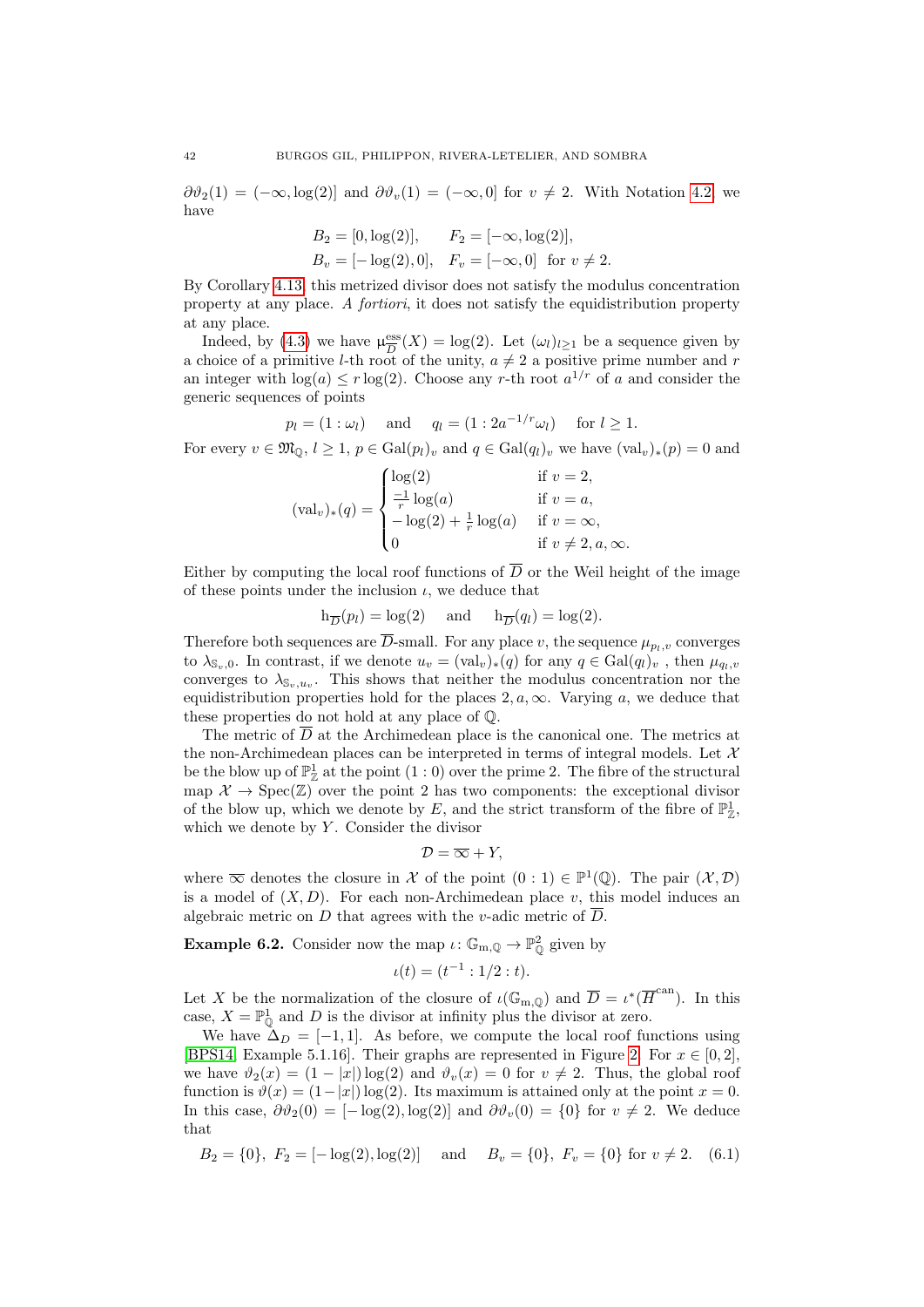$\partial \vartheta_2(1) = (-\infty, \log(2))$  and  $\partial \vartheta_v(1) = (-\infty, 0]$  for  $v \neq 2$ . With Notation [4.2,](#page-22-0) we have

$$
B_2 = [0, \log(2)], \qquad F_2 = [-\infty, \log(2)],
$$
  
\n
$$
B_v = [-\log(2), 0], \quad F_v = [-\infty, 0] \text{ for } v \neq 2.
$$

By Corollary [4.13,](#page-28-4) this metrized divisor does not satisfy the modulus concentration property at any place. A fortiori, it does not satisfy the equidistribution property at any place.

Indeed, by [\(4.3\)](#page-22-2) we have  $\mu_{\overline{D}}^{\text{ess}}$  $\frac{\text{ess}}{D}(X) = \log(2)$ . Let  $(\omega_l)_{l \geq 1}$  be a sequence given by a choice of a primitive *l*-th root of the unity,  $a \neq 2$  a positive prime number and r an integer with  $log(a) \leq r log(2)$ . Choose any r-th root  $a^{1/r}$  of a and consider the generic sequences of points

$$
p_l = (1 : \omega_l)
$$
 and  $q_l = (1 : 2a^{-1/r} \omega_l)$  for  $l \ge 1$ .

For every  $v \in \mathfrak{M}_0, l \geq 1, p \in \text{Gal}(p_l)_v$  and  $q \in \text{Gal}(q_l)_v$  we have  $(\text{val}_v)_*(p) = 0$  and

$$
(\text{val}_v)_*(q) = \begin{cases} \log(2) & \text{if } v = 2, \\ \frac{-1}{r} \log(a) & \text{if } v = a, \\ -\log(2) + \frac{1}{r} \log(a) & \text{if } v = \infty, \\ 0 & \text{if } v \neq 2, a, \infty. \end{cases}
$$

Either by computing the local roof functions of  $\overline{D}$  or the Weil height of the image of these points under the inclusion  $\iota$ , we deduce that

$$
h_{\overline{D}}(p_l) = \log(2)
$$
 and  $h_{\overline{D}}(q_l) = \log(2)$ .

Therefore both sequences are  $\overline{D}$ -small. For any place v, the sequence  $\mu_{p_l,v}$  converges to  $\lambda_{\mathbb{S}_n,0}$ . In contrast, if we denote  $u_v = (\text{val}_v)_*(q)$  for any  $q \in \text{Gal}(q_l)_v$ , then  $\mu_{q_l,v}$ converges to  $\lambda_{\mathbb{S}_v,u_v}$ . This shows that neither the modulus concentration nor the equidistribution properties hold for the places  $2, a, \infty$ . Varying a, we deduce that these properties do not hold at any place of Q.

The metric of D at the Archimedean place is the canonical one. The metrics at the non-Archimedean places can be interpreted in terms of integral models. Let  $\mathcal X$ be the blow up of  $\mathbb{P}^1_{\mathbb{Z}}$  at the point  $(1:0)$  over the prime 2. The fibre of the structural map  $\mathcal{X} \to \text{Spec}(\mathbb{Z})$  over the point 2 has two components: the exceptional divisor of the blow up, which we denote by E, and the strict transform of the fibre of  $\mathbb{P}^1_{\mathbb{Z}}$ , which we denote by  $Y$ . Consider the divisor

$$
\mathcal{D} = \overline{\infty} + Y,
$$

where  $\overline{\infty}$  denotes the closure in X of the point  $(0:1) \in \mathbb{P}^1(\mathbb{Q})$ . The pair  $(\mathcal{X}, \mathcal{D})$ is a model of  $(X, D)$ . For each non-Archimedean place v, this model induces an algebraic metric on D that agrees with the v-adic metric of  $\overline{D}$ .

<span id="page-41-0"></span>**Example 6.2.** Consider now the map  $\iota: \mathbb{G}_{m,\mathbb{Q}} \to \mathbb{P}_{\mathbb{Q}}^2$  given by

$$
\iota(t) = (t^{-1} : 1/2 : t).
$$

Let X be the normalization of the closure of  $\iota(\mathbb{G}_{m,\mathbb{Q}})$  and  $\overline{D} = \iota^*(\overline{H}^{\text{can}})$ . In this case,  $X = \mathbb{P}_{\mathbb{Q}}^1$  and D is the divisor at infinity plus the divisor at zero.

We have  $\Delta_D = [-1, 1]$ . As before, we compute the local roof functions using [\[BPS14,](#page-53-11) Example 5.1.16]. Their graphs are represented in Figure [2.](#page-42-0) For  $x \in [0,2]$ , we have  $\vartheta_2(x) = (1 - |x|) \log(2)$  and  $\vartheta_v(x) = 0$  for  $v \neq 2$ . Thus, the global roof function is  $\vartheta(x) = (1-|x|) \log(2)$ . Its maximum is attained only at the point  $x = 0$ . In this case,  $\partial \vartheta_2(0) = [-\log(2), \log(2)]$  and  $\partial \vartheta_n(0) = \{0\}$  for  $v \neq 2$ . We deduce that

<span id="page-41-1"></span>
$$
B_2 = \{0\}, F_2 = [-\log(2), \log(2)]
$$
 and  $B_v = \{0\}, F_v = \{0\}$  for  $v \neq 2$ . (6.1)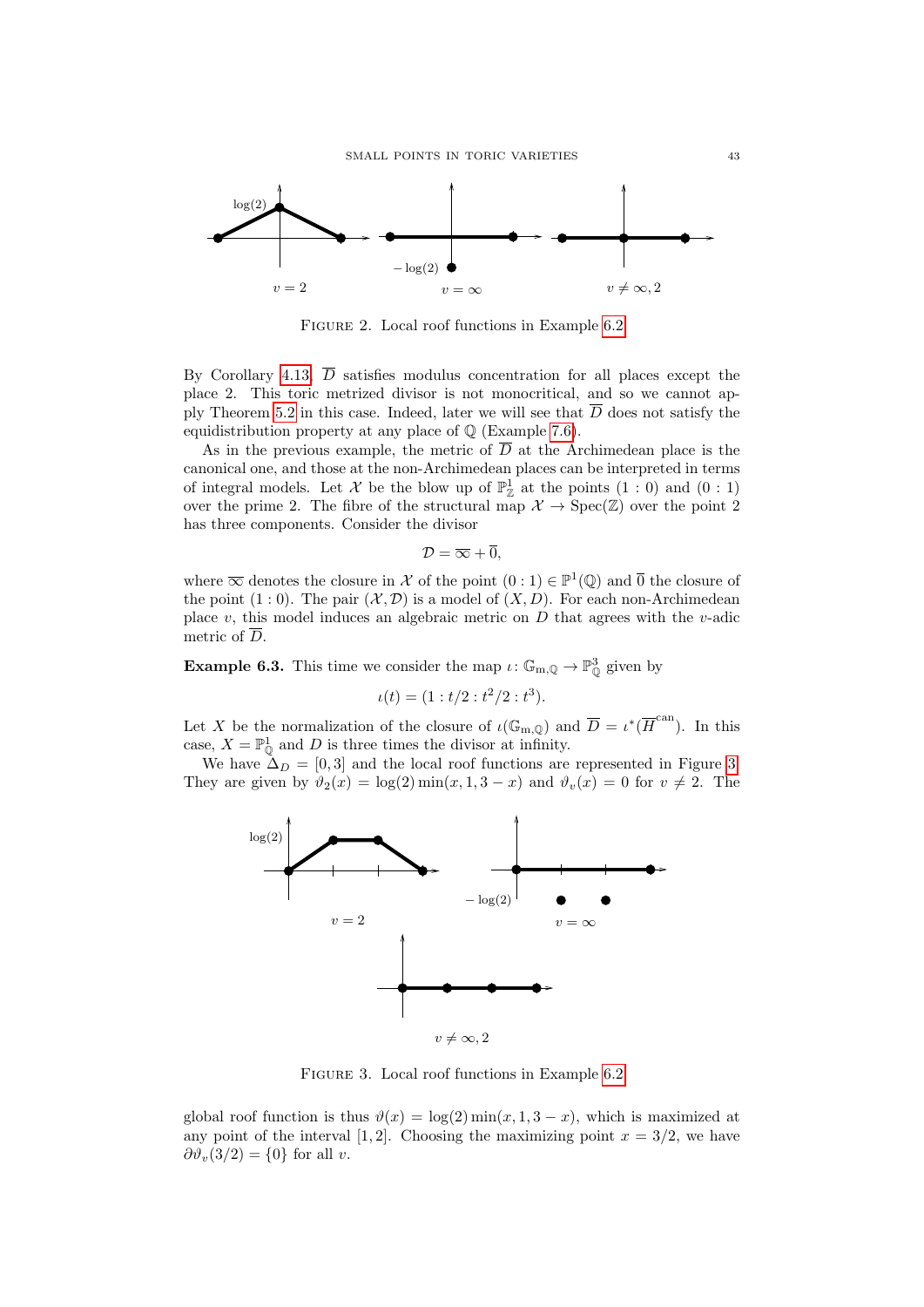<span id="page-42-0"></span>

Figure 2. Local roof functions in Example [6.2](#page-41-0)

By Corollary [4.13,](#page-28-4)  $\overline{D}$  satisfies modulus concentration for all places except the place 2. This toric metrized divisor is not monocritical, and so we cannot ap-ply Theorem [5.2](#page-32-3) in this case. Indeed, later we will see that  $\overline{D}$  does not satisfy the equidistribution property at any place of  $\mathbb Q$  (Example [7.6\)](#page-52-0).

As in the previous example, the metric of  $\overline{D}$  at the Archimedean place is the canonical one, and those at the non-Archimedean places can be interpreted in terms of integral models. Let X be the blow up of  $\mathbb{P}^1_{\mathbb{Z}}$  at the points  $(1:0)$  and  $(0:1)$ over the prime 2. The fibre of the structural map  $\mathcal{X} \to \text{Spec}(\mathbb{Z})$  over the point 2 has three components. Consider the divisor

$$
\mathcal{D}=\overline{\infty}+\overline{0},
$$

where  $\overline{\infty}$  denotes the closure in X of the point  $(0:1) \in \mathbb{P}^1(\mathbb{Q})$  and  $\overline{0}$  the closure of the point  $(1:0)$ . The pair  $(\mathcal{X}, \mathcal{D})$  is a model of  $(X, D)$ . For each non-Archimedean place v, this model induces an algebraic metric on  $D$  that agrees with the v-adic metric of  $\overline{D}$ .

**Example 6.3.** This time we consider the map  $\iota: \mathbb{G}_{m,\mathbb{Q}} \to \mathbb{P}^3_0$  given by

$$
\iota(t) = (1 : t/2 : t^2/2 : t^3).
$$

Let X be the normalization of the closure of  $\iota(\mathbb{G}_{m,\mathbb{Q}})$  and  $\overline{D} = \iota^*(\overline{H}^{\text{can}})$ . In this case,  $X = \mathbb{P}_{\mathbb{Q}}^1$  and D is three times the divisor at infinity.

We have  $\Delta_D = [0, 3]$  and the local roof functions are represented in Figure [3.](#page-42-1) They are given by  $\vartheta_2(x) = \log(2) \min(x, 1, 3 - x)$  and  $\vartheta_v(x) = 0$  for  $v \neq 2$ . The

<span id="page-42-1"></span>

Figure 3. Local roof functions in Example [6.2](#page-41-0)

global roof function is thus  $\vartheta(x) = \log(2) \min(x, 1, 3 - x)$ , which is maximized at any point of the interval [1, 2]. Choosing the maximizing point  $x = 3/2$ , we have  $\partial \vartheta_v(3/2) = \{0\}$  for all v.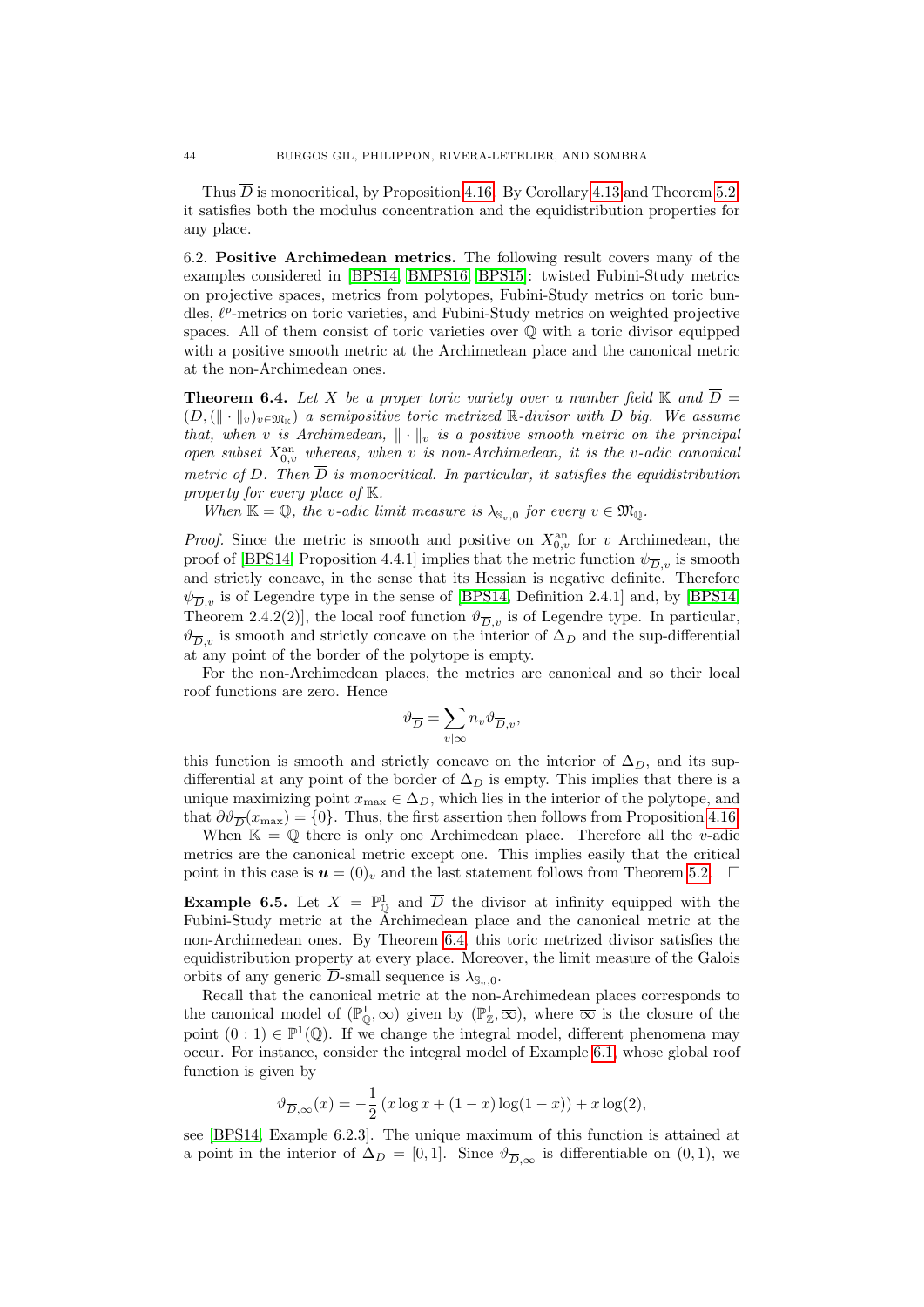Thus  $\overline{D}$  is monocritical, by Proposition [4.16.](#page-29-1) By Corollary [4.13](#page-28-4) and Theorem [5.2,](#page-32-3) it satisfies both the modulus concentration and the equidistribution properties for any place.

<span id="page-43-1"></span>6.2. Positive Archimedean metrics. The following result covers many of the examples considered in [\[BPS14,](#page-53-11) [BMPS16,](#page-53-12) [BPS15\]](#page-53-13): twisted Fubini-Study metrics on projective spaces, metrics from polytopes, Fubini-Study metrics on toric bundles,  $\ell^p$ -metrics on toric varieties, and Fubini-Study metrics on weighted projective spaces. All of them consist of toric varieties over Q with a toric divisor equipped with a positive smooth metric at the Archimedean place and the canonical metric at the non-Archimedean ones.

<span id="page-43-0"></span>**Theorem 6.4.** Let X be a proper toric variety over a number field  $\mathbb{K}$  and  $\overline{D}$  =  $(D, (|| \cdot ||_v)_{v \in \mathfrak{M}_{\mathbb{K}}})$  a semipositive toric metrized  $\mathbb{R}$ -divisor with D big. We assume that, when v is Archimedean,  $\|\cdot\|_v$  is a positive smooth metric on the principal open subset  $X_{0,v}^{\text{an}}$  whereas, when v is non-Archimedean, it is the v-adic canonical metric of D. Then  $\overline{D}$  is monocritical. In particular, it satisfies the equidistribution property for every place of K.

When  $\mathbb{K} = \mathbb{Q}$ , the v-adic limit measure is  $\lambda_{\mathbb{S}_n,0}$  for every  $v \in \mathfrak{M}_0$ .

*Proof.* Since the metric is smooth and positive on  $X_{0,v}^{\text{an}}$  for v Archimedean, the proof of [\[BPS14,](#page-53-11) Proposition 4.4.1] implies that the metric function  $\psi_{\overline{D},v}$  is smooth and strictly concave, in the sense that its Hessian is negative definite. Therefore  $\psi_{\overline{D},v}$  is of Legendre type in the sense of [\[BPS14,](#page-53-11) Definition 2.4.1] and, by [BPS14, Theorem 2.4.2(2)], the local roof function  $\vartheta_{\overline{D},v}$  is of Legendre type. In particular,  $\vartheta_{\overline{D},v}$  is smooth and strictly concave on the interior of  $\Delta_D$  and the sup-differential at any point of the border of the polytope is empty.

For the non-Archimedean places, the metrics are canonical and so their local roof functions are zero. Hence

$$
\vartheta_{\overline{D}}=\sum_{v|\infty}n_v\vartheta_{\overline{D},v},
$$

this function is smooth and strictly concave on the interior of  $\Delta_D$ , and its supdifferential at any point of the border of  $\Delta_D$  is empty. This implies that there is a unique maximizing point  $x_{\text{max}} \in \Delta_D$ , which lies in the interior of the polytope, and that  $\partial \vartheta_{\overline{D}}(x_{\max}) = \{0\}$ . Thus, the first assertion then follows from Proposition [4.16.](#page-29-1)

When  $\mathbb{K} = \mathbb{Q}$  there is only one Archimedean place. Therefore all the v-adic metrics are the canonical metric except one. This implies easily that the critical point in this case is  $u = (0)_v$  and the last statement follows from Theorem [5.2.](#page-32-3)  $\Box$ 

<span id="page-43-2"></span>**Example 6.5.** Let  $X = \mathbb{P}_{\mathbb{Q}}^1$  and  $\overline{D}$  the divisor at infinity equipped with the Fubini-Study metric at the Archimedean place and the canonical metric at the non-Archimedean ones. By Theorem [6.4,](#page-43-0) this toric metrized divisor satisfies the equidistribution property at every place. Moreover, the limit measure of the Galois orbits of any generic  $\overline{D}$ -small sequence is  $\lambda_{\mathbb{S}_n,0}$ .

Recall that the canonical metric at the non-Archimedean places corresponds to the canonical model of  $(\mathbb{P}^1_{\mathbb{Q}}, \infty)$  given by  $(\mathbb{P}^1_{\mathbb{Z}}, \overline{\infty})$ , where  $\overline{\infty}$  is the closure of the point  $(0:1) \in \mathbb{P}^1(\mathbb{Q})$ . If we change the integral model, different phenomena may occur. For instance, consider the integral model of Example [6.1,](#page-40-0) whose global roof function is given by

$$
\vartheta_{\overline{D},\infty}(x) = -\frac{1}{2} (x \log x + (1 - x) \log(1 - x)) + x \log(2),
$$

see [\[BPS14,](#page-53-11) Example 6.2.3]. The unique maximum of this function is attained at a point in the interior of  $\Delta_D = [0, 1]$ . Since  $\vartheta_{\overline{D}, \infty}$  is differentiable on  $(0, 1)$ , we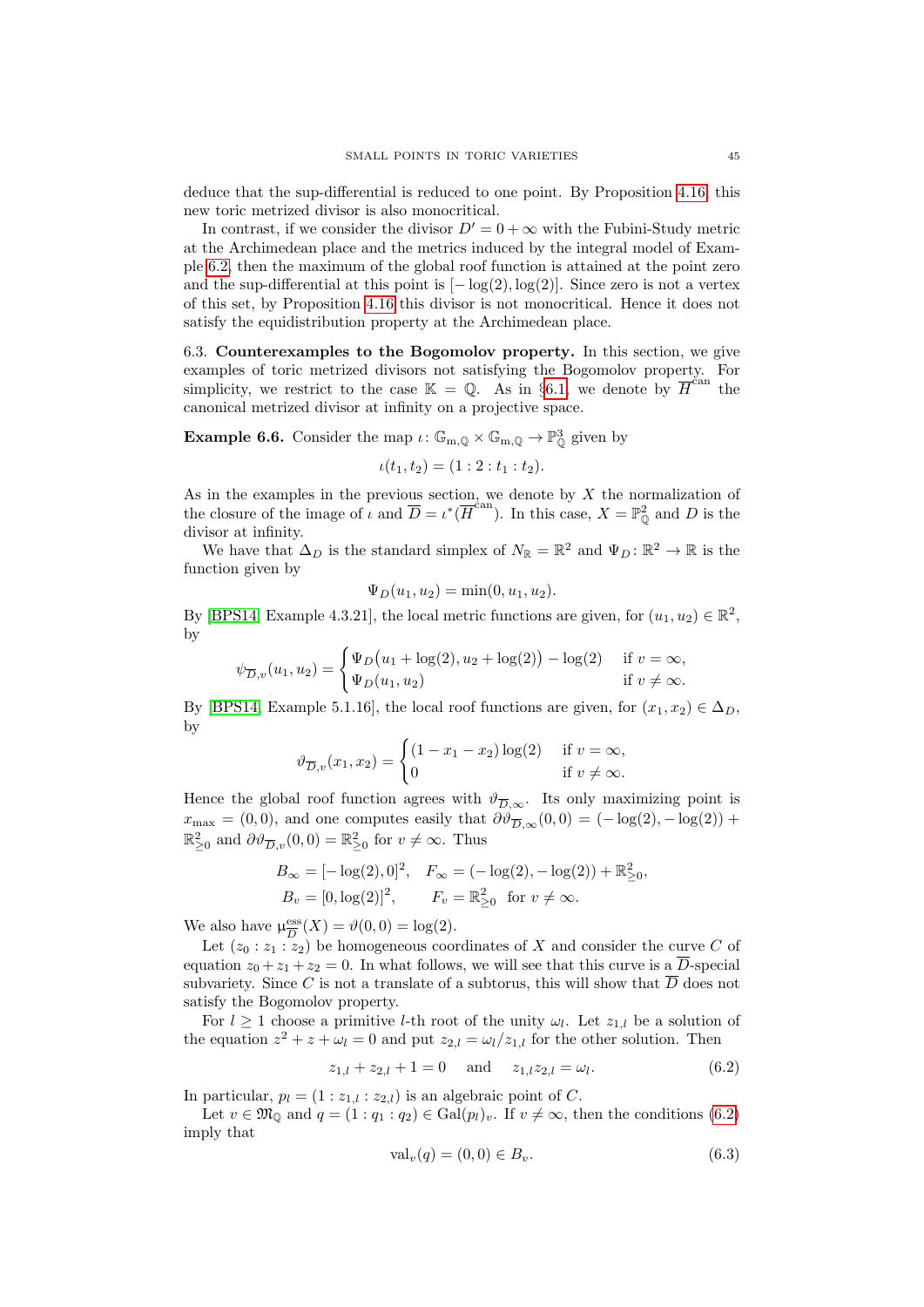deduce that the sup-differential is reduced to one point. By Proposition [4.16,](#page-29-1) this new toric metrized divisor is also monocritical.

In contrast, if we consider the divisor  $D' = 0 + \infty$  with the Fubini-Study metric at the Archimedean place and the metrics induced by the integral model of Example [6.2,](#page-41-0) then the maximum of the global roof function is attained at the point zero and the sup-differential at this point is  $[-\log(2), \log(2)]$ . Since zero is not a vertex of this set, by Proposition [4.16](#page-29-1) this divisor is not monocritical. Hence it does not satisfy the equidistribution property at the Archimedean place.

<span id="page-44-1"></span>6.3. Counterexamples to the Bogomolov property. In this section, we give examples of toric metrized divisors not satisfying the Bogomolov property. For simplicity, we restrict to the case  $\mathbb{K} = \mathbb{Q}$ . As in §[6.1,](#page-39-2) we denote by  $\overline{H}^{\text{can}}$  the canonical metrized divisor at infinity on a projective space.

<span id="page-44-0"></span>**Example 6.6.** Consider the map  $\iota: \mathbb{G}_{m,\mathbb{Q}} \times \mathbb{G}_{m,\mathbb{Q}} \to \mathbb{P}_{\mathbb{Q}}^3$  given by

$$
\iota(t_1, t_2) = (1:2: t_1: t_2).
$$

As in the examples in the previous section, we denote by  $X$  the normalization of the closure of the image of  $\iota$  and  $\overline{D} = \iota^*(\overline{H}^{\text{can}})$ . In this case,  $X = \mathbb{P}^2_{\mathbb{Q}}$  and  $D$  is the divisor at infinity.

We have that  $\Delta_D$  is the standard simplex of  $N_{\mathbb{R}} = \mathbb{R}^2$  and  $\Psi_D \colon \mathbb{R}^2 \to \mathbb{R}$  is the function given by

$$
\Psi_D(u_1, u_2) = \min(0, u_1, u_2).
$$

By [\[BPS14,](#page-53-11) Example 4.3.21], the local metric functions are given, for  $(u_1, u_2) \in \mathbb{R}^2$ , by

$$
\psi_{\overline{D},v}(u_1, u_2) = \begin{cases} \Psi_D(u_1 + \log(2), u_2 + \log(2)) - \log(2) & \text{if } v = \infty, \\ \Psi_D(u_1, u_2) & \text{if } v \neq \infty. \end{cases}
$$

By [\[BPS14,](#page-53-11) Example 5.1.16], the local roof functions are given, for  $(x_1, x_2) \in \Delta_D$ . by

$$
\vartheta_{\overline{D},v}(x_1,x_2) = \begin{cases} (1-x_1-x_2)\log(2) & \text{if } v = \infty, \\ 0 & \text{if } v \neq \infty. \end{cases}
$$

Hence the global roof function agrees with  $\vartheta_{\overline{D}, \infty}$ . Its only maximizing point is  $x_{\text{max}} = (0, 0)$ , and one computes easily that  $\partial \vartheta_{\overline{D}, \infty}(0, 0) = (-\log(2), -\log(2))$  +  $\mathbb{R}_{\geq 0}^2$  and  $\partial \vartheta_{\overline{D},v}(0,0) = \mathbb{R}_{\geq 0}^2$  for  $v \neq \infty$ . Thus

$$
B_{\infty} = [-\log(2), 0]^2, \quad F_{\infty} = (-\log(2), -\log(2)) + \mathbb{R}_{\geq 0}^2,
$$
  

$$
B_v = [0, \log(2)]^2, \qquad F_v = \mathbb{R}_{\geq 0}^2 \quad \text{for } v \neq \infty.
$$

We also have  $\mu_{\overline{D}}^{\text{ess}}$  $\frac{\text{ess}}{D}(X) = \vartheta(0,0) = \log(2).$ 

Let  $(z_0 : z_1 : z_2)$  be homogeneous coordinates of X and consider the curve C of equation  $z_0 + z_1 + z_2 = 0$ . In what follows, we will see that this curve is a  $\overline{D}$ -special subvariety. Since C is not a translate of a subtorus, this will show that  $\overline{D}$  does not satisfy the Bogomolov property.

For  $l \geq 1$  choose a primitive *l*-th root of the unity  $\omega_l$ . Let  $z_{1,l}$  be a solution of the equation  $z^2 + z + \omega_l = 0$  and put  $z_{2,l} = \omega_l/z_{1,l}$  for the other solution. Then

<span id="page-44-2"></span>
$$
z_{1,l} + z_{2,l} + 1 = 0 \quad \text{and} \quad z_{1,l} z_{2,l} = \omega_l. \tag{6.2}
$$

In particular,  $p_l = (1 : z_{1,l} : z_{2,l})$  is an algebraic point of C.

Let  $v \in \mathfrak{M}_{\mathbb{Q}}$  and  $q = (1: q_1: q_2) \in \text{Gal}(p_l)_v$ . If  $v \neq \infty$ , then the conditions [\(6.2\)](#page-44-2) imply that

<span id="page-44-3"></span>
$$
\text{val}_v(q) = (0,0) \in B_v. \tag{6.3}
$$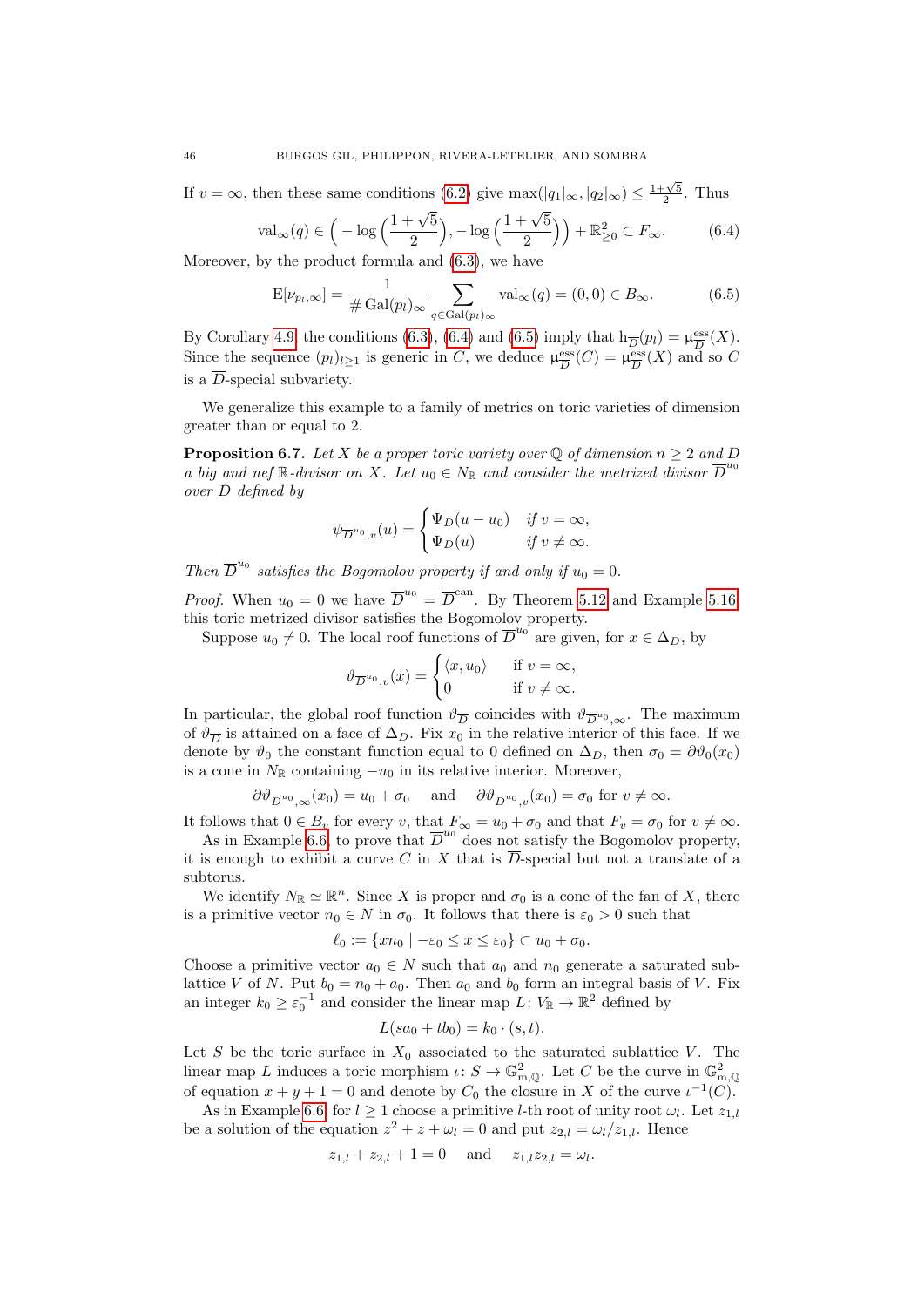If  $v = \infty$ , then these same conditions [\(6.2\)](#page-44-2) give  $\max(|q_1|_{\infty}, |q_2|_{\infty}) \leq \frac{1+\sqrt{5}}{2}$ . Thus

<span id="page-45-1"></span>
$$
\text{val}_{\infty}(q) \in \left( -\log\left(\frac{1+\sqrt{5}}{2}\right), -\log\left(\frac{1+\sqrt{5}}{2}\right) \right) + \mathbb{R}_{\geq 0}^2 \subset F_{\infty}.\tag{6.4}
$$

Moreover, by the product formula and [\(6.3\)](#page-44-3), we have

<span id="page-45-2"></span>
$$
E[\nu_{p_l,\infty}] = \frac{1}{\#\operatorname{Gal}(p_l)_{\infty}} \sum_{q \in \operatorname{Gal}(p_l)_{\infty}} \operatorname{val}_{\infty}(q) = (0,0) \in B_{\infty}.
$$
 (6.5)

By Corollary [4.9,](#page-26-0) the conditions [\(6.3\)](#page-44-3), [\(6.4\)](#page-45-1) and [\(6.5\)](#page-45-2) imply that  $h_{\overline{D}}(p_l) = \mu_{\overline{D}}^{\text{ess}}$  $\frac{\operatorname{ess}}{D}(X).$ Since the sequence  $(p_l)_{l\geq 1}$  is generic in C, we deduce  $\mu_{\overline{D}}^{\text{ess}}$  $\frac{\text{ess}}{D}(C) = \mu_{\overline{D}}^{\text{ess}}$  $\frac{\text{ess}}{D}(X)$  and so C is a  $\overline{D}$ -special subvariety.

We generalize this example to a family of metrics on toric varieties of dimension greater than or equal to 2.

<span id="page-45-0"></span>**Proposition 6.7.** Let X be a proper toric variety over  $\mathbb{O}$  of dimension  $n \geq 2$  and D a big and nef R-divisor on X. Let  $u_0 \in N_{\mathbb{R}}$  and consider the metrized divisor  $\overline{D}^{u_0}$ over D defined by

$$
\psi_{\overline{D}^{u_0},v}(u) = \begin{cases} \Psi_D(u - u_0) & \text{if } v = \infty, \\ \Psi_D(u) & \text{if } v \neq \infty. \end{cases}
$$

Then  $\overline{D}^{u_0}$  satisfies the Bogomolov property if and only if  $u_0 = 0$ .

*Proof.* When  $u_0 = 0$  we have  $\overline{D}^{u_0} = \overline{D}^{can}$ . By Theorem [5.12](#page-36-0) and Example [5.16,](#page-39-1) this toric metrized divisor satisfies the Bogomolov property.

Suppose  $u_0 \neq 0$ . The local roof functions of  $\overline{D}^{u_0}$  are given, for  $x \in \Delta_D$ , by

$$
\vartheta_{\overline{D}^{u_0},v}(x) = \begin{cases} \langle x, u_0 \rangle & \text{if } v = \infty, \\ 0 & \text{if } v \neq \infty. \end{cases}
$$

In particular, the global roof function  $\vartheta_{\overline{D}}$  coincides with  $\vartheta_{\overline{D}^{u_0},\infty}$ . The maximum of  $\vartheta_{\overline{D}}$  is attained on a face of  $\Delta_D$ . Fix  $x_0$  in the relative interior of this face. If we denote by  $\vartheta_0$  the constant function equal to 0 defined on  $\Delta_D$ , then  $\sigma_0 = \partial \vartheta_0(x_0)$ is a cone in  $N_{\mathbb{R}}$  containing  $-u_0$  in its relative interior. Moreover,

$$
\partial \vartheta_{\overline{D}^{u_0},\infty}(x_0) = u_0 + \sigma_0
$$
 and  $\partial \vartheta_{\overline{D}^{u_0},v}(x_0) = \sigma_0$  for  $v \neq \infty$ .

It follows that  $0 \in B_v$  for every v, that  $F_{\infty} = u_0 + \sigma_0$  and that  $F_v = \sigma_0$  for  $v \neq \infty$ . As in Example [6.6,](#page-44-0) to prove that  $\overline{D}^{u_0}$  does not satisfy the Bogomolov property,

it is enough to exhibit a curve C in X that is  $\overline{D}$ -special but not a translate of a subtorus.

We identify  $N_{\mathbb{R}} \simeq \mathbb{R}^n$ . Since X is proper and  $\sigma_0$  is a cone of the fan of X, there is a primitive vector  $n_0 \in N$  in  $\sigma_0$ . It follows that there is  $\varepsilon_0 > 0$  such that

$$
\ell_0 := \{ xn_0 \mid -\varepsilon_0 \le x \le \varepsilon_0\} \subset u_0 + \sigma_0.
$$

Choose a primitive vector  $a_0 \in N$  such that  $a_0$  and  $n_0$  generate a saturated sublattice V of N. Put  $b_0 = n_0 + a_0$ . Then  $a_0$  and  $b_0$  form an integral basis of V. Fix an integer  $k_0 \geq \varepsilon_0^{-1}$  and consider the linear map  $L: V_{\mathbb{R}} \to \mathbb{R}^2$  defined by

$$
L(sa_0+tb_0)=k_0\cdot (s,t).
$$

Let S be the toric surface in  $X_0$  associated to the saturated sublattice V. The linear map L induces a toric morphism  $\iota: S \to \mathbb{G}_{m,\mathbb{Q}}^2$ . Let C be the curve in  $\mathbb{G}_{m,\mathbb{Q}}^2$ of equation  $x + y + 1 = 0$  and denote by  $C_0$  the closure in X of the curve  $\iota^{-1}(C)$ .

As in Example [6.6,](#page-44-0) for  $l \geq 1$  choose a primitive l-th root of unity root  $\omega_l$ . Let  $z_{1,l}$ be a solution of the equation  $z^2 + z + \omega_l = 0$  and put  $z_{2,l} = \omega_l/z_{1,l}$ . Hence

$$
z_{1,l} + z_{2,l} + 1 = 0
$$
 and  $z_{1,l}z_{2,l} = \omega_l$ .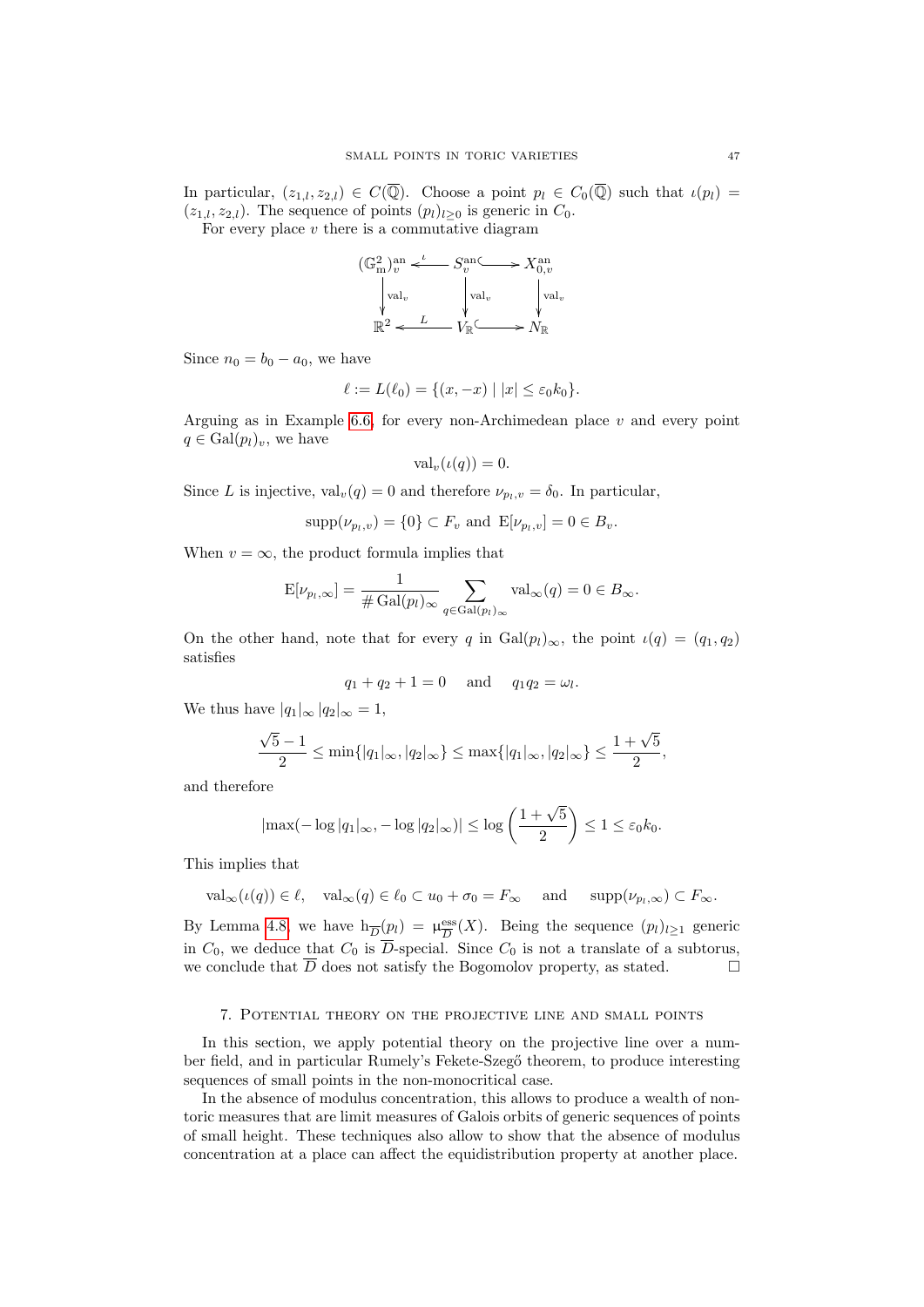In particular,  $(z_{1,l}, z_{2,l}) \in C(\overline{\mathbb{Q}})$ . Choose a point  $p_l \in C_0(\overline{\mathbb{Q}})$  such that  $\iota(p_l)$  $(z_{1,l}, z_{2,l})$ . The sequence of points  $(p_l)_{l>0}$  is generic in  $C_0$ .

For every place  $v$  there is a commutative diagram



Since  $n_0 = b_0 - a_0$ , we have

$$
\ell := L(\ell_0) = \{(x, -x) \mid |x| \le \varepsilon_0 k_0\}.
$$

Arguing as in Example [6.6,](#page-44-0) for every non-Archimedean place  $v$  and every point  $q \in \text{Gal}(p_l)_v$ , we have

$$
\text{val}_v(\iota(q)) = 0.
$$

Since L is injective,  $val_v(q) = 0$  and therefore  $\nu_{p_i,v} = \delta_0$ . In particular,

$$
supp(\nu_{p_l,v}) = \{0\} \subset F_v
$$
 and  $E[\nu_{p_l,v}] = 0 \in B_v$ .

When  $v = \infty$ , the product formula implies that

$$
E[\nu_{p_l,\infty}] = \frac{1}{\#\operatorname{Gal}(p_l)_{\infty}} \sum_{q \in \operatorname{Gal}(p_l)_{\infty}} \operatorname{val}_{\infty}(q) = 0 \in B_{\infty}.
$$

On the other hand, note that for every q in  $Gal(p_l)_{\infty}$ , the point  $\iota(q) = (q_1, q_2)$ satisfies

$$
q_1 + q_2 + 1 = 0
$$
 and  $q_1 q_2 = \omega_l$ .

We thus have  $|q_1|_{\infty} |q_2|_{\infty} = 1$ ,

$$
\frac{\sqrt{5}-1}{2} \le \min\{|q_1|_{\infty}, |q_2|_{\infty}\} \le \max\{|q_1|_{\infty}, |q_2|_{\infty}\} \le \frac{1+\sqrt{5}}{2},
$$

and therefore

$$
|\max(-\log|q_1|_{\infty}, -\log|q_2|_{\infty})| \le \log\left(\frac{1+\sqrt{5}}{2}\right) \le 1 \le \varepsilon_0 k_0.
$$

This implies that

 $val_{\infty}(\iota(q)) \in \ell, \text{ val}_{\infty}(q) \in \ell_0 \subset u_0 + \sigma_0 = F_{\infty} \text{ and } \text{supp}(\nu_{p_l,\infty}) \subset F_{\infty}.$ 

By Lemma [4.8,](#page-25-0) we have  $h_{\overline{D}}(p_l) = \mu_{\overline{D}}^{\text{ess}}$  $\frac{\text{ess}}{D}(X)$ . Being the sequence  $(p_l)_{l\geq 1}$  generic in  $C_0$ , we deduce that  $C_0$  is  $\overline{D}$ -special. Since  $C_0$  is not a translate of a subtorus, we conclude that  $\overline{D}$  does not satisfy the Bogomolov property, as stated.

#### 7. Potential theory on the projective line and small points

<span id="page-46-0"></span>In this section, we apply potential theory on the projective line over a number field, and in particular Rumely's Fekete-Szegő theorem, to produce interesting sequences of small points in the non-monocritical case.

In the absence of modulus concentration, this allows to produce a wealth of nontoric measures that are limit measures of Galois orbits of generic sequences of points of small height. These techniques also allow to show that the absence of modulus concentration at a place can affect the equidistribution property at another place.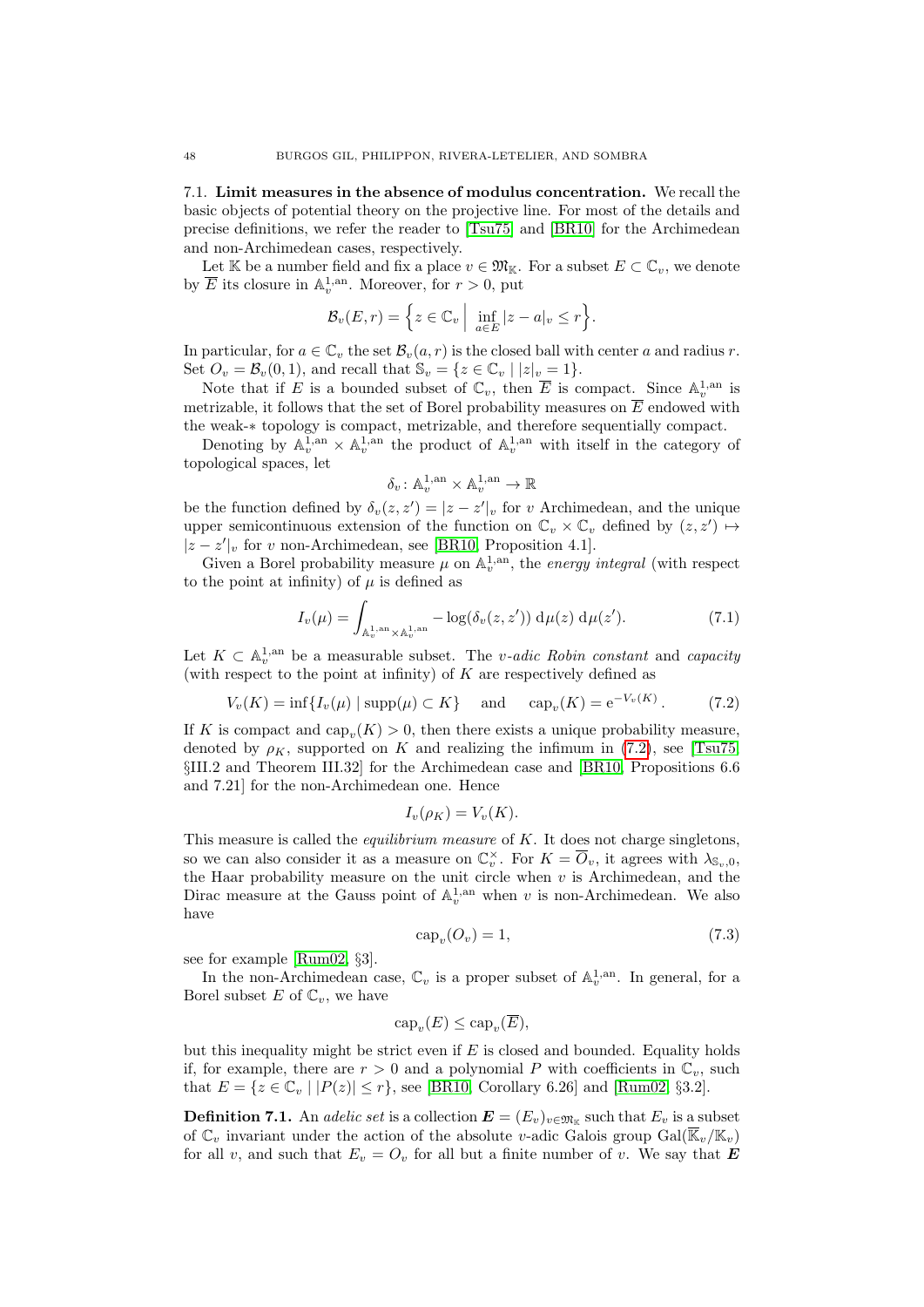7.1. Limit measures in the absence of modulus concentration. We recall the basic objects of potential theory on the projective line. For most of the details and precise definitions, we refer the reader to [\[Tsu75\]](#page-54-10) and [\[BR10\]](#page-53-24) for the Archimedean and non-Archimedean cases, respectively.

Let K be a number field and fix a place  $v \in \mathfrak{M}_{\mathbb{K}}$ . For a subset  $E \subset \mathbb{C}_v$ , we denote by  $\overline{E}$  its closure in  $\mathbb{A}_v^{1,\text{an}}$ . Moreover, for  $r > 0$ , put

$$
\mathcal{B}_{v}(E,r) = \left\{ z \in \mathbb{C}_{v} \mid \inf_{a \in E} |z - a|_{v} \leq r \right\}.
$$

In particular, for  $a \in \mathbb{C}_v$  the set  $\mathcal{B}_v(a, r)$  is the closed ball with center a and radius r. Set  $O_v = \mathcal{B}_v(0,1)$ , and recall that  $\mathbb{S}_v = \{z \in \mathbb{C}_v \mid |z|_v = 1\}.$ 

Note that if E is a bounded subset of  $\mathbb{C}_v$ , then  $\overline{E}$  is compact. Since  $\mathbb{A}_v^{1,\text{an}}$  is metrizable, it follows that the set of Borel probability measures on  $\overline{E}$  endowed with the weak-∗ topology is compact, metrizable, and therefore sequentially compact.

Denoting by  $\mathbb{A}_v^{1,\text{an}} \times \mathbb{A}_v^{1,\text{an}}$  the product of  $\mathbb{A}_v^{1,\text{an}}$  with itself in the category of topological spaces, let

$$
\delta_v\colon {\mathbb A}^{1,\mathrm{an}}_v\times {\mathbb A}^{1,\mathrm{an}}_v\to {\mathbb R}
$$

be the function defined by  $\delta_v(z, z') = |z - z'|_v$  for v Archimedean, and the unique upper semicontinuous extension of the function on  $\mathbb{C}_v \times \mathbb{C}_v$  defined by  $(z, z') \mapsto$  $|z - z'|$ , for v non-Archimedean, see [\[BR10,](#page-53-24) Proposition 4.1].

Given a Borel probability measure  $\mu$  on  $\mathbb{A}_v^{1,an}$ , the energy integral (with respect to the point at infinity) of  $\mu$  is defined as

$$
I_v(\mu) = \int_{\mathbb{A}_v^{1,\mathrm{an}} \times \mathbb{A}_v^{1,\mathrm{an}}} -\log(\delta_v(z, z')) \, \mathrm{d}\mu(z) \, \mathrm{d}\mu(z'). \tag{7.1}
$$

Let  $K \subset \mathbb{A}_v^{1,\text{an}}$  be a measurable subset. The *v*-adic Robin constant and capacity (with respect to the point at infinity) of  $K$  are respectively defined as

<span id="page-47-0"></span>
$$
V_v(K) = \inf \{ I_v(\mu) \mid \text{supp}(\mu) \subset K \} \quad \text{and} \quad \text{cap}_v(K) = e^{-V_v(K)}.
$$
 (7.2)

If K is compact and  $\text{cap}_{v}(K) > 0$ , then there exists a unique probability measure, denoted by  $\rho_K$ , supported on K and realizing the infimum in [\(7.2\)](#page-47-0), see [\[Tsu75,](#page-54-10) §III.2 and Theorem III.32] for the Archimedean case and [\[BR10,](#page-53-24) Propositions 6.6 and 7.21] for the non-Archimedean one. Hence

$$
I_v(\rho_K) = V_v(K).
$$

This measure is called the *equilibrium measure* of  $K$ . It does not charge singletons, so we can also consider it as a measure on  $\mathbb{C}_v^{\times}$ . For  $K = \overline{O}_v$ , it agrees with  $\lambda_{\mathbb{S}_v,0}$ , the Haar probability measure on the unit circle when  $v$  is Archimedean, and the Dirac measure at the Gauss point of  $\mathbb{A}_v^{1,an}$  when v is non-Archimedean. We also have

<span id="page-47-1"></span>
$$
cap_v(O_v) = 1,\t\t(7.3)
$$

see for example [\[Rum02,](#page-54-7) §3].

In the non-Archimedean case,  $\mathbb{C}_v$  is a proper subset of  $\mathbb{A}_v^{1,\mathrm{an}}$ . In general, for a Borel subset E of  $\mathbb{C}_v$ , we have

$$
cap_v(E) \le cap_v(\overline{E}),
$$

but this inequality might be strict even if  $E$  is closed and bounded. Equality holds if, for example, there are  $r > 0$  and a polynomial P with coefficients in  $\mathbb{C}_v$ , such that  $E = \{z \in \mathbb{C}_v \mid |P(z)| \le r\}$ , see [\[BR10,](#page-53-24) Corollary 6.26] and [\[Rum02,](#page-54-7) §3.2].

**Definition 7.1.** An *adelic set* is a collection  $\mathbf{E} = (E_v)_{v \in \mathfrak{M}_{\mathbb{K}}}$  such that  $E_v$  is a subset of  $\mathbb{C}_v$  invariant under the action of the absolute v-adic Galois group  $Gal(\overline{\mathbb{K}}_v/\mathbb{K}_v)$ for all v, and such that  $E_v = O_v$  for all but a finite number of v. We say that **E**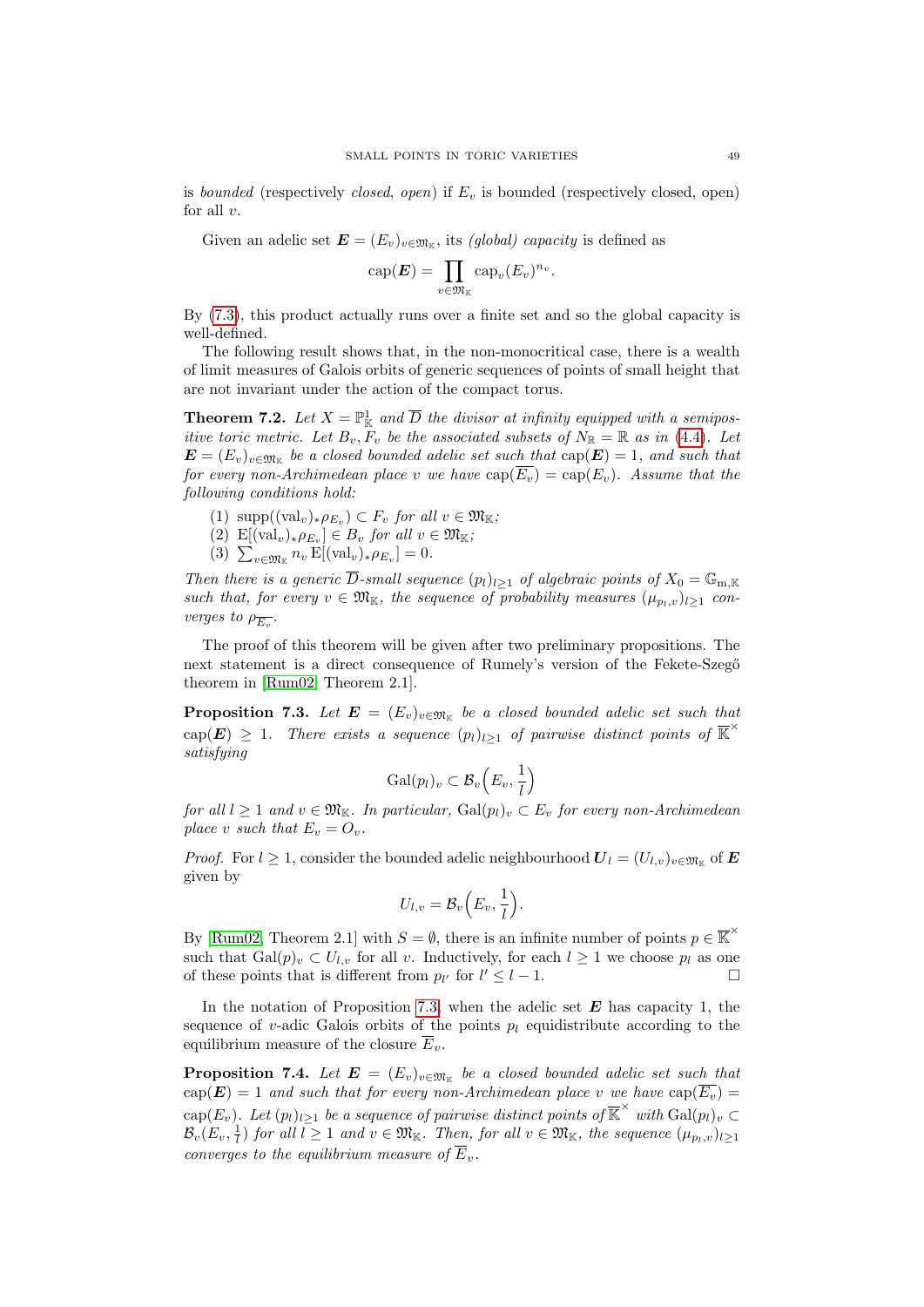is bounded (respectively closed, open) if  $E_v$  is bounded (respectively closed, open) for all  $v$ .

Given an adelic set  $\mathbf{E} = (E_v)_{v \in \mathfrak{M}_{\mathbb{K}}}$ , its *(global) capacity* is defined as

$$
cap(\boldsymbol{E}) = \prod_{v \in \mathfrak{M}_{\mathbb{K}}} cap_{v}(E_{v})^{n_{v}}.
$$

By [\(7.3\)](#page-47-1), this product actually runs over a finite set and so the global capacity is well-defined.

The following result shows that, in the non-monocritical case, there is a wealth of limit measures of Galois orbits of generic sequences of points of small height that are not invariant under the action of the compact torus.

<span id="page-48-0"></span>**Theorem 7.2.** Let  $X = \mathbb{P}^1_{\mathbb{K}}$  and  $\overline{D}$  the divisor at infinity equipped with a semipositive toric metric. Let  $B_v, F_v$  be the associated subsets of  $N_{\mathbb{R}} = \mathbb{R}$  as in [\(4.4\)](#page-23-5). Let  $\bm{E}=(E_v)_{v\in\mathfrak{M}_\mathbb{K}}$  be a closed bounded adelic set such that  $\mathrm{cap}(\bm{E})=1,$  and such that for every non-Archimedean place v we have  $cap(\overline{E_v}) = cap(E_v)$ . Assume that the following conditions hold:

- <span id="page-48-4"></span>(1)  $\text{supp}((\text{val}_{v})_{\ast}\rho_{E_{v}}) \subset F_{v}$  for all  $v \in \mathfrak{M}_{\mathbb{K}}$ ;
- <span id="page-48-5"></span> $(2)$   $\text{E}[(\text{val}_v)_*\rho_{E_v}] \in B_v$  for all  $v \in \mathfrak{M}_{\mathbb{K}};$
- (3)  $\sum_{v \in \mathfrak{M}_{\mathbb{K}}} n_v \mathop{\mathrm{E}}[(\text{val}_v)_* \rho_{E_v}] = 0.$

<span id="page-48-3"></span>Then there is a generic  $\overline{D}$ -small sequence  $(p_l)_{l\geq 1}$  of algebraic points of  $X_0 = \mathbb{G}_{m,\mathbb{K}}$ such that, for every  $v \in \mathfrak{M}_{\mathbb{K}}$ , the sequence of probability measures  $(\mu_{p_l,v})_{l\geq 1}$  converges to  $\rho_{\overline{E_v}}$ .

The proof of this theorem will be given after two preliminary propositions. The next statement is a direct consequence of Rumely's version of the Fekete-Szegő theorem in [\[Rum02,](#page-54-7) Theorem 2.1].

<span id="page-48-1"></span>**Proposition 7.3.** Let  $\mathbf{E} = (E_v)_{v \in \mathfrak{M}_{\mathbb{K}}}$  be a closed bounded adelic set such that  $\text{cap}(E) \geq 1$ . There exists a sequence  $(p_l)_{l \geq 1}$  of pairwise distinct points of  $\overline{\mathbb{K}}^{\times}$ satisfying

$$
\mathrm{Gal}(p_l)_v \subset \mathcal{B}_v\left(E_v, \frac{1}{l}\right)
$$

for all  $l \geq 1$  and  $v \in \mathfrak{M}_{\mathbb{K}}$ . In particular,  $Gal(p_l)_v \subset E_v$  for every non-Archimedean place v such that  $E_v = O_v$ .

*Proof.* For  $l \geq 1$ , consider the bounded adelic neighbourhood  $\boldsymbol{U}_l = (U_{l,v})_{v \in \mathfrak{M}_{\mathbb{K}}}$  of  $\boldsymbol{E}$ given by

$$
U_{l,v} = \mathcal{B}_v\left(E_v, \frac{1}{l}\right).
$$

By [\[Rum02,](#page-54-7) Theorem 2.1] with  $S = \emptyset$ , there is an infinite number of points  $p \in \overline{K}^{\times}$ such that  $Gal(p)_v \subset U_{l,v}$  for all v. Inductively, for each  $l \geq 1$  we choose  $p_l$  as one of these points that is different from  $p_{l'}$  for  $l' \leq l - 1$ .

In the notation of Proposition [7.3,](#page-48-1) when the adelic set  $E$  has capacity 1, the sequence of v-adic Galois orbits of the points  $p_l$  equidistribute according to the equilibrium measure of the closure  $\overline{E}_v$ .

<span id="page-48-2"></span>**Proposition 7.4.** Let  $\mathbf{E} = (E_v)_{v \in \mathfrak{M}_{\mathbb{K}}}$  be a closed bounded adelic set such that  $cap(E) = 1$  and such that for every non-Archimedean place v we have  $cap(\overline{E_v}) =$  $\text{cap}(E_v)$ . Let  $(p_l)_{l\geq 1}$  be a sequence of pairwise distinct points of  $\overline{\mathbb{K}}^{\times}$  with  $\text{Gal}(p_l)_v \subset$  $\mathcal{B}_v(E_v, \frac{1}{l})$  for all  $l \geq 1$  and  $v \in \mathfrak{M}_{\mathbb{K}}$ . Then, for all  $v \in \mathfrak{M}_{\mathbb{K}}$ , the sequence  $(\mu_{p_l}, v)_{l \geq 1}$ converges to the equilibrium measure of  $\overline{E}_v$ .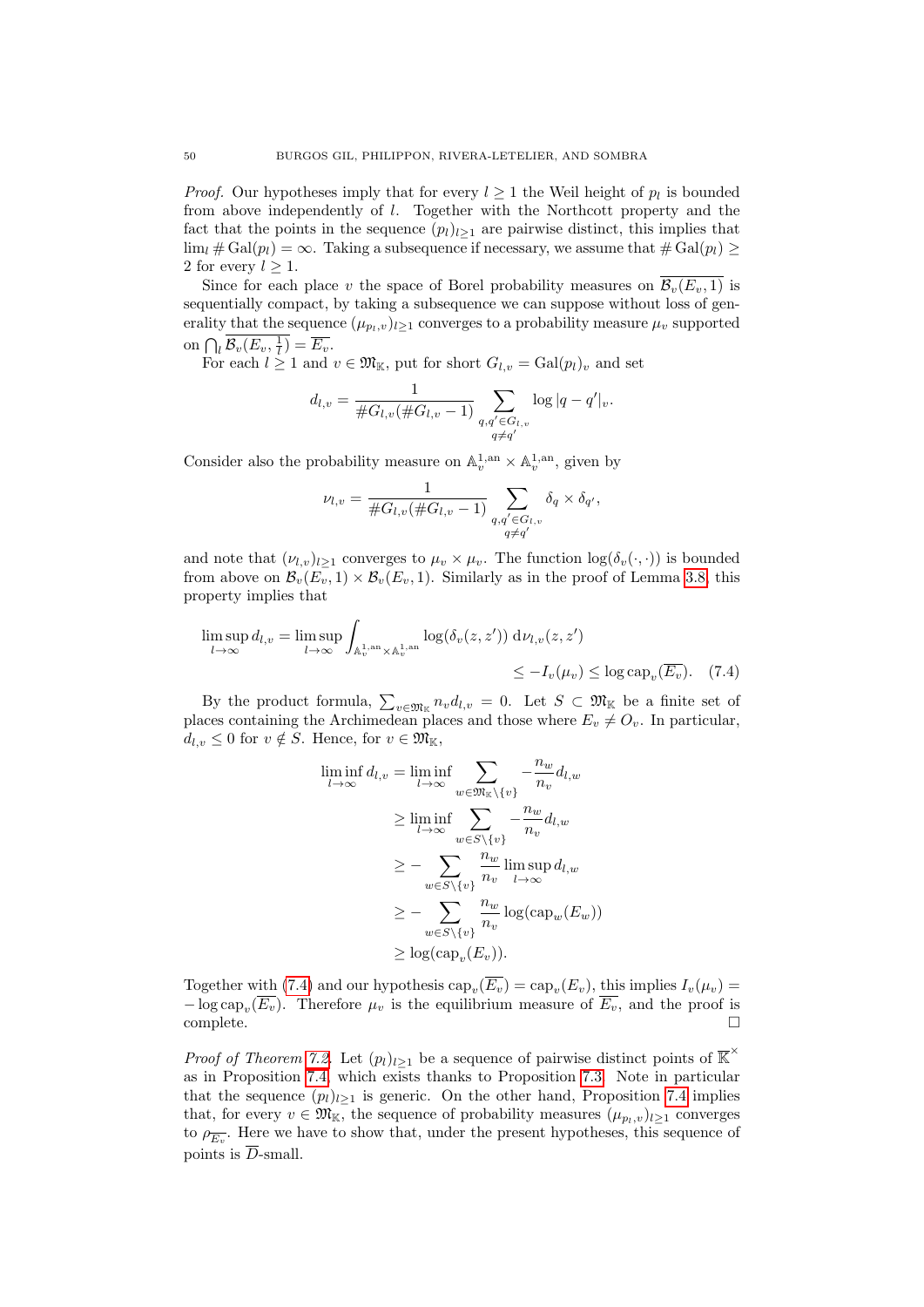*Proof.* Our hypotheses imply that for every  $l \geq 1$  the Weil height of  $p_l$  is bounded from above independently of l. Together with the Northcott property and the fact that the points in the sequence  $(p_l)_{l\geq 1}$  are pairwise distinct, this implies that  $\lim_{l} \# \text{Gal}(p_l) = \infty$ . Taking a subsequence if necessary, we assume that  $\# \text{Gal}(p_l) \ge$ 2 for every  $l > 1$ .

Since for each place v the space of Borel probability measures on  $\overline{\mathcal{B}_v(E_v, 1)}$  is sequentially compact, by taking a subsequence we can suppose without loss of generality that the sequence  $(\mu_{p_l,v})_{l\geq 1}$  converges to a probability measure  $\mu_v$  supported on  $\bigcap_l \mathcal{B}_v(E_v, \frac{1}{l}) = \overline{E_v}$ .

For each  $l \geq 1$  and  $v \in \mathfrak{M}_{\mathbb{K}}$ , put for short  $G_{l,v} = \text{Gal}(p_l)_v$  and set

$$
d_{l,v} = \frac{1}{\#G_{l,v}(\#G_{l,v}-1)} \sum_{\substack{q,q' \in G_{l,v} \\ q \neq q'}} \log|q-q'|_v.
$$

Consider also the probability measure on  $\mathbb{A}_v^{1,\mathrm{an}}\times \mathbb{A}_v^{1,\mathrm{an}},$  given by

$$
\nu_{l,v} = \frac{1}{\#G_{l,v}(\#G_{l,v}-1)} \sum_{\substack{q,q' \in G_{l,v} \\ q \neq q'}} \delta_q \times \delta_{q'},
$$

and note that  $(\nu_{l,v})_{l\geq 1}$  converges to  $\mu_v \times \mu_v$ . The function  $\log(\delta_v(\cdot,\cdot))$  is bounded from above on  $\mathcal{B}_{v}(E_v, 1) \times \mathcal{B}_{v}(E_v, 1)$ . Similarly as in the proof of Lemma [3.8,](#page-16-1) this property implies that

$$
\limsup_{l \to \infty} d_{l,v} = \limsup_{l \to \infty} \int_{\mathbb{A}_v^{1,\mathrm{an}} \times \mathbb{A}_v^{1,\mathrm{an}}} \log(\delta_v(z, z')) \, \mathrm{d}\nu_{l,v}(z, z') \le -I_v(\mu_v) \le \log \mathrm{cap}_v(\overline{E_v}). \tag{7.4}
$$

By the product formula,  $\sum_{v \in \mathfrak{M}_{\mathbb{K}}} n_v d_{l,v} = 0$ . Let  $S \subset \mathfrak{M}_{\mathbb{K}}$  be a finite set of places containing the Archimedean places and those where  $E_v \neq O_v$ . In particular,  $d_{l,v} \leq 0$  for  $v \notin S$ . Hence, for  $v \in \mathfrak{M}_{\mathbb{K}}$ ,

<span id="page-49-0"></span>
$$
\liminf_{l \to \infty} d_{l,v} = \liminf_{l \to \infty} \sum_{w \in \mathfrak{M}_{\mathbb{K}} \setminus \{v\}} -\frac{n_w}{n_v} d_{l,w}
$$
\n
$$
\geq \liminf_{l \to \infty} \sum_{w \in S \setminus \{v\}} -\frac{n_w}{n_v} d_{l,w}
$$
\n
$$
\geq -\sum_{w \in S \setminus \{v\}} \frac{n_w}{n_v} \limsup_{l \to \infty} d_{l,w}
$$
\n
$$
\geq -\sum_{w \in S \setminus \{v\}} \frac{n_w}{n_v} \log(\text{cap}_w(E_w))
$$
\n
$$
\geq \log(\text{cap}_v(E_v)).
$$

Together with [\(7.4\)](#page-49-0) and our hypothesis  $\text{cap}_v(E_v) = \text{cap}_v(E_v)$ , this implies  $I_v(\mu_v) =$  $-\log \text{cap}_{v}(E_v)$ . Therefore  $\mu_v$  is the equilibrium measure of  $E_v$ , and the proof is complete.

*Proof of Theorem [7.2.](#page-48-0)* Let  $(p_l)_{l\geq 1}$  be a sequence of pairwise distinct points of  $\overline{\mathbb{K}}^{\times}$ as in Proposition [7.4,](#page-48-2) which exists thanks to Proposition [7.3.](#page-48-1) Note in particular that the sequence  $(p_l)_{l>1}$  is generic. On the other hand, Proposition [7.4](#page-48-2) implies that, for every  $v \in \mathfrak{M}_{\mathbb{K}}$ , the sequence of probability measures  $(\mu_{p_l,v})_{l\geq 1}$  converges to  $\rho_{\overline{E_v}}$ . Here we have to show that, under the present hypotheses, this sequence of points is  $\overline{D}$ -small.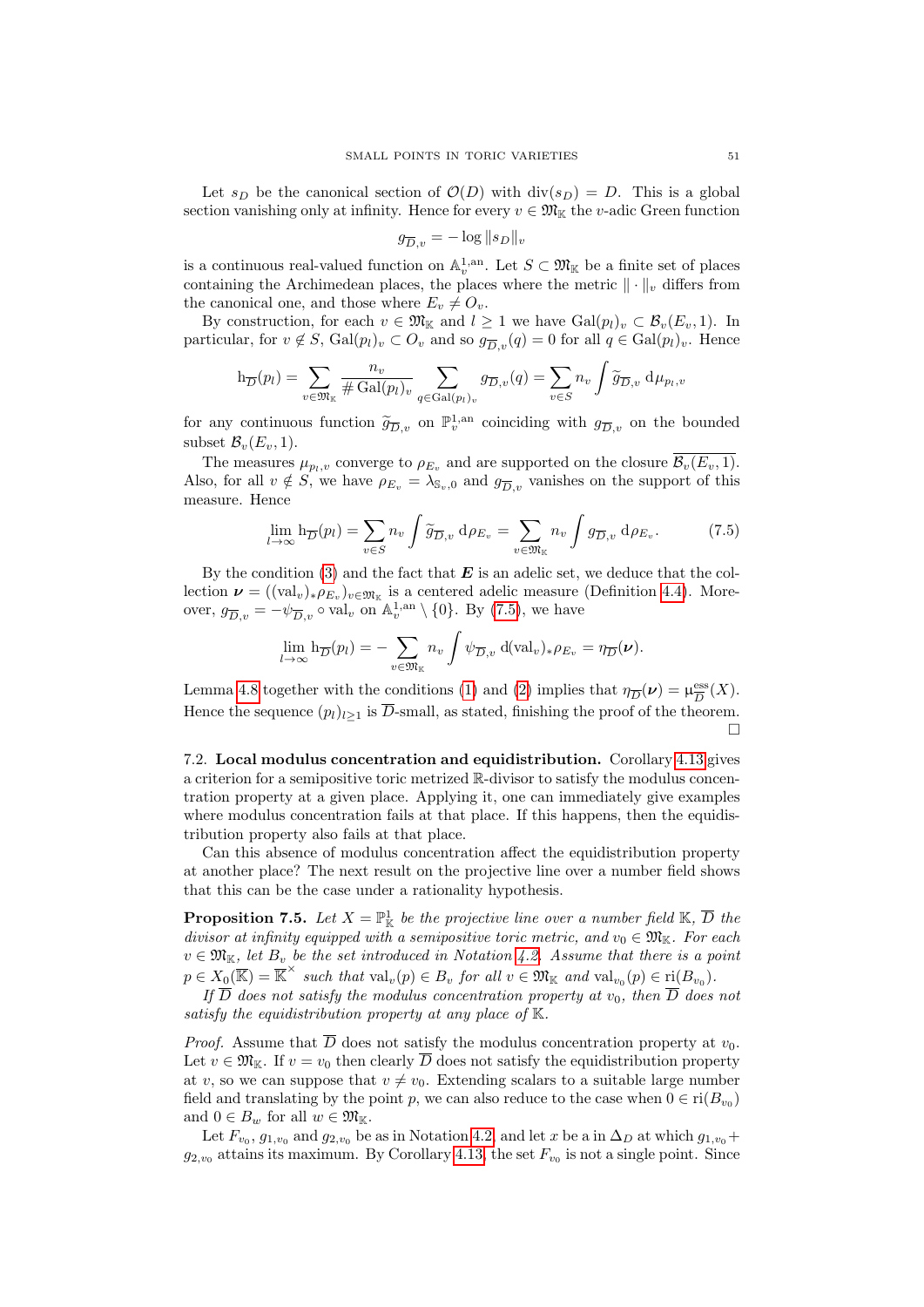Let  $s_D$  be the canonical section of  $\mathcal{O}(D)$  with  $\text{div}(s_D) = D$ . This is a global section vanishing only at infinity. Hence for every  $v \in \mathfrak{M}_{\mathbb{K}}$  the v-adic Green function

$$
g_{\overline{D},v} = -\log \|s_D\|_v
$$

is a continuous real-valued function on  $\mathbb{A}_v^{1,\text{an}}$ . Let  $S \subset \mathfrak{M}_{\mathbb{K}}$  be a finite set of places containing the Archimedean places, the places where the metric  $\|\cdot\|_v$  differs from the canonical one, and those where  $E_v \neq O_v$ .

By construction, for each  $v \in \mathfrak{M}_{\mathbb{K}}$  and  $l \geq 1$  we have  $Gal(p_l)_v \subset \mathcal{B}_v(E_v, 1)$ . In particular, for  $v \notin S$ ,  $Gal(p_l)_v \subset O_v$  and so  $g_{\overline{D}_v}(q) = 0$  for all  $q \in Gal(p_l)_v$ . Hence

$$
h_{\overline{D}}(p_l) = \sum_{v \in \mathfrak{M}_{\mathbb{K}}} \frac{n_v}{\# \operatorname{Gal}(p_l)_v} \sum_{q \in \operatorname{Gal}(p_l)_v} g_{\overline{D},v}(q) = \sum_{v \in S} n_v \int \widetilde{g}_{\overline{D},v} d\mu_{p_l,v}
$$

for any continuous function  $\widetilde{g}_{\overline{D},v}$  on  $\mathbb{P}_v^{1,an}$  coinciding with  $g_{\overline{D},v}$  on the bounded subset  $\mathcal{B}_v(E_v, 1)$ .

The measures  $\mu_{p_l,v}$  converge to  $\rho_{E_v}$  and are supported on the closure  $\mathcal{B}_v(E_v, 1)$ . Also, for all  $v \notin S$ , we have  $\rho_{E_v} = \lambda_{\mathbb{S}_v,0}$  and  $g_{\overline{D},v}$  vanishes on the support of this measure. Hence

<span id="page-50-1"></span>
$$
\lim_{l \to \infty} \mathbf{h}_{\overline{D}}(p_l) = \sum_{v \in S} n_v \int \widetilde{g}_{\overline{D}, v} \, d\rho_{E_v} = \sum_{v \in \mathfrak{M}_{\mathbb{K}}} n_v \int g_{\overline{D}, v} \, d\rho_{E_v}.
$$
 (7.5)

By the condition  $(3)$  and the fact that **E** is an adelic set, we deduce that the collection  $\mathbf{\nu} = ((\text{val}_v)_*\rho_{E_v})_{v \in \mathfrak{M}_{\mathbb{K}}}$  is a centered adelic measure (Definition [4.4\)](#page-23-6). Moreover,  $g_{\overline{D},v} = -\psi_{\overline{D},v} \circ \text{val}_v$  on  $\mathbb{A}_v^{1,\text{an}} \setminus \{0\}$ . By [\(7.5\)](#page-50-1), we have

$$
\lim_{l\to\infty} \mathbf{h}_{\overline{D}}(p_l) = -\sum_{v\in\mathfrak{M}_{\mathbb{K}}} n_v \int \psi_{\overline{D},v} \, d(\mathbf{val}_v)_*\rho_{E_v} = \eta_{\overline{D}}(\nu).
$$

Lemma [4.8](#page-25-0) together with the conditions [\(1\)](#page-48-4) and [\(2\)](#page-48-5) implies that  $\eta_{\overline{D}}(\nu) = \mu_{\overline{D}}^{\text{ess}}$  $\frac{{\rm ess}}{D}(X).$ Hence the sequence  $(p_l)_{l>1}$  is  $\overline{D}$ -small, as stated, finishing the proof of the theorem. Г

7.2. Local modulus concentration and equidistribution. Corollary [4.13](#page-28-4) gives a criterion for a semipositive toric metrized R-divisor to satisfy the modulus concentration property at a given place. Applying it, one can immediately give examples where modulus concentration fails at that place. If this happens, then the equidistribution property also fails at that place.

Can this absence of modulus concentration affect the equidistribution property at another place? The next result on the projective line over a number field shows that this can be the case under a rationality hypothesis.

<span id="page-50-0"></span>**Proposition 7.5.** Let  $X = \mathbb{P}^1_{\mathbb{K}}$  be the projective line over a number field  $\mathbb{K}, \overline{D}$  the divisor at infinity equipped with a semipositive toric metric, and  $v_0 \in \mathfrak{M}_{\mathbb{K}}$ . For each  $v \in \mathfrak{M}_{\mathbb{K}}$ , let  $B_v$  be the set introduced in Notation [4.2.](#page-22-0) Assume that there is a point  $p \in X_0(\overline{\mathbb{K}}) = \overline{\mathbb{K}}^{\times}$  such that  $\text{val}_{v}(p) \in B_v$  for all  $v \in \mathfrak{M}_{\mathbb{K}}$  and  $\text{val}_{v_0}(p) \in \text{ri}(B_{v_0})$ .

If  $D$  does not satisfy the modulus concentration property at  $v_0$ , then  $D$  does not satisfy the equidistribution property at any place of  $K$ .

*Proof.* Assume that  $\overline{D}$  does not satisfy the modulus concentration property at  $v_0$ . Let  $v \in \mathfrak{M}_{\mathbb{K}}$ . If  $v = v_0$  then clearly  $\overline{D}$  does not satisfy the equidistribution property at v, so we can suppose that  $v \neq v_0$ . Extending scalars to a suitable large number field and translating by the point p, we can also reduce to the case when  $0 \in \text{ri}(B_{v_0})$ and  $0 \in B_w$  for all  $w \in \mathfrak{M}_{\mathbb{K}}$ .

Let  $F_{v_0}$ ,  $g_{1,v_0}$  and  $g_{2,v_0}$  be as in Notation [4.2,](#page-22-0) and let x be a in  $\Delta_D$  at which  $g_{1,v_0}$ +  $g_{2,v_0}$  attains its maximum. By Corollary [4.13,](#page-28-4) the set  $F_{v_0}$  is not a single point. Since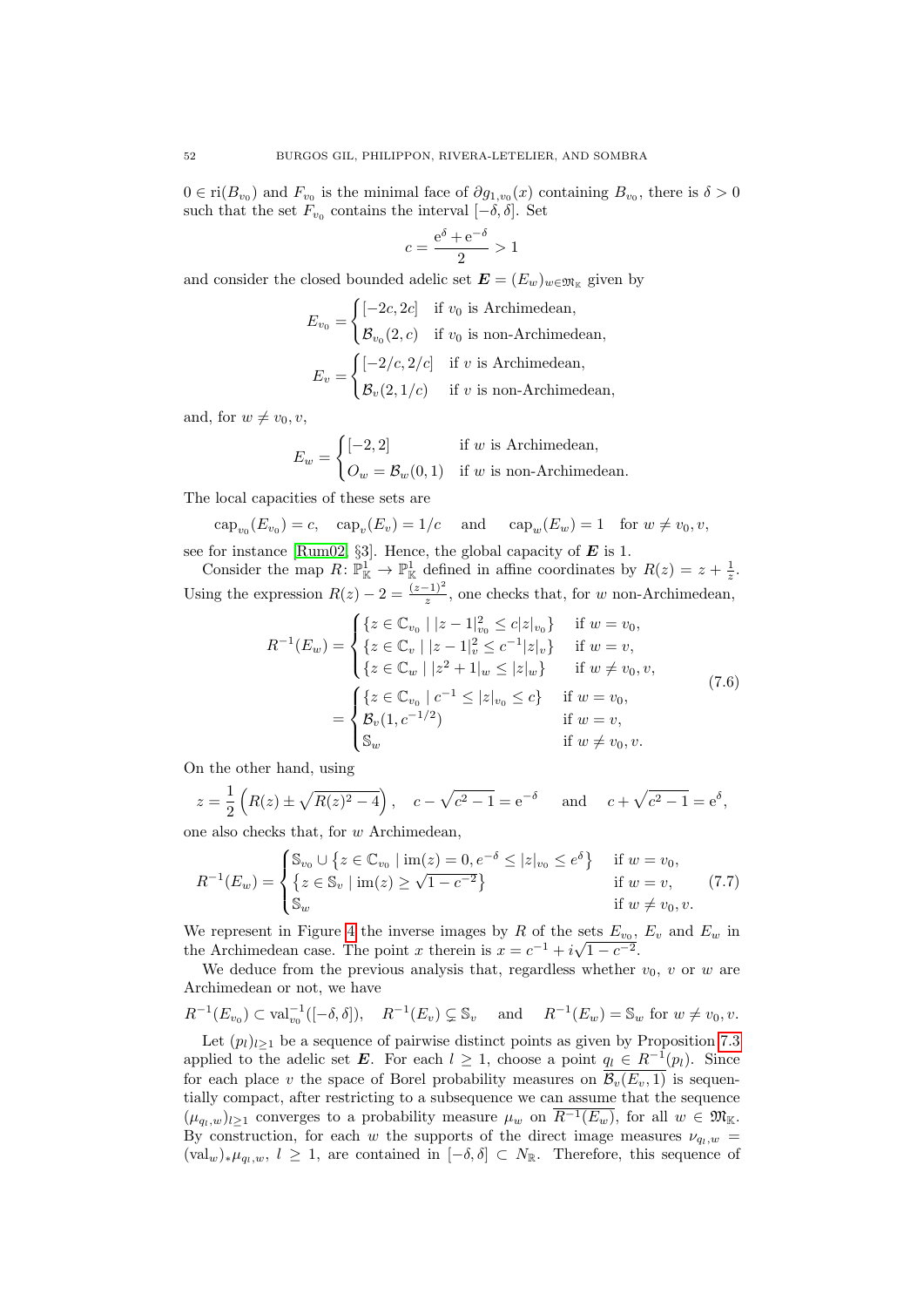$0 \in \text{ri}(B_{v_0})$  and  $F_{v_0}$  is the minimal face of  $\partial g_{1,v_0}(x)$  containing  $B_{v_0}$ , there is  $\delta > 0$ such that the set  $F_{v_0}$  contains the interval  $[-\delta, \delta]$ . Set

$$
c = \frac{e^{\delta} + e^{-\delta}}{2} > 1
$$

and consider the closed bounded adelic set  $\mathbf{E} = (E_w)_{w \in \mathfrak{M}_{\mathbb{K}}}$  given by

$$
E_{v_0} = \begin{cases} [-2c, 2c] & \text{if } v_0 \text{ is Archimedean,} \\ \mathcal{B}_{v_0}(2, c) & \text{if } v_0 \text{ is non-Archimedean,} \end{cases}
$$

$$
E_v = \begin{cases} [-2/c, 2/c] & \text{if } v \text{ is Archimedean,} \\ \mathcal{B}_v(2, 1/c) & \text{if } v \text{ is non-Archimedean,} \end{cases}
$$

and, for  $w \neq v_0, v$ ,

$$
E_w = \begin{cases} [-2,2] & \text{if } w \text{ is Archimedean,} \\ O_w = B_w(0,1) & \text{if } w \text{ is non-Archimedean.} \end{cases}
$$

The local capacities of these sets are

$$
cap_{v_0}(E_{v_0}) = c
$$
,  $cap_v(E_v) = 1/c$  and  $cap_w(E_w) = 1$  for  $w \neq v_0, v$ ,  
for instance [Dume09–S2] Hence the global capacity of **E** is 1.

see for instance [\[Rum02,](#page-54-7) §3]. Hence, the global capacity of  $E$  is 1.

Consider the map  $R: \mathbb{P}^1_{\mathbb{K}} \to \mathbb{P}^1_{\mathbb{K}}$  defined in affine coordinates by  $R(z) = z + \frac{1}{z}$ . Using the expression  $R(z) - 2 = \frac{(z-1)^2}{z}$ , one checks that, for w non-Archimedean,

$$
R^{-1}(E_w) = \begin{cases} \{z \in \mathbb{C}_{v_0} \mid |z - 1|_{v_0}^2 \le c|z|_{v_0}\} & \text{if } w = v_0, \\ \{z \in \mathbb{C}_v \mid |z - 1|_v^2 \le c^{-1}|z|_v\} & \text{if } w = v, \\ \{z \in \mathbb{C}_w \mid |z^2 + 1|_w \le |z|_w\} & \text{if } w \ne v_0, v, \\ \{z \in \mathbb{C}_{v_0} \mid c^{-1} \le |z|_{v_0} \le c\} & \text{if } w = v_0, \\ \mathcal{B}_v(1, c^{-1/2}) & \text{if } w = v, \\ \mathbb{S}_w & \text{if } w \ne v_0, v. \end{cases}
$$
(7.6)

<span id="page-51-0"></span>On the other hand, using

$$
z = \frac{1}{2} \left( R(z) \pm \sqrt{R(z)^2 - 4} \right), \quad c - \sqrt{c^2 - 1} = e^{-\delta} \quad \text{and} \quad c + \sqrt{c^2 - 1} = e^{\delta},
$$

one also checks that, for w Archimedean,

<span id="page-51-1"></span>
$$
R^{-1}(E_w) = \begin{cases} \mathbb{S}_{v_0} \cup \{ z \in \mathbb{C}_{v_0} \mid \text{im}(z) = 0, e^{-\delta} \le |z|_{v_0} \le e^{\delta} \} & \text{if } w = v_0, \\ \{ z \in \mathbb{S}_v \mid \text{im}(z) \ge \sqrt{1 - c^{-2}} \} & \text{if } w = v, \\ \mathbb{S}_w & \text{if } w \neq v_0, v. \end{cases}
$$
(7.7)

We represent in Figure [4](#page-52-1) the inverse images by R of the sets  $E_{v_0}$ ,  $E_v$  and  $E_w$  in We represent in rigure 4 the inverse images by R of the sets  $E_{v_0}$ ,<br>the Archimedean case. The point x therein is  $x = c^{-1} + i\sqrt{1 - c^{-2}}$ .

We deduce from the previous analysis that, regardless whether  $v_0$ , v or w are Archimedean or not, we have

$$
R^{-1}(E_{v_0}) \subset \text{val}_{v_0}^{-1}([-\delta, \delta]), \quad R^{-1}(E_v) \subsetneq \mathbb{S}_v \quad \text{and} \quad R^{-1}(E_w) = \mathbb{S}_w \text{ for } w \neq v_0, v.
$$

Let  $(p_l)_{l\geq 1}$  be a sequence of pairwise distinct points as given by Proposition [7.3](#page-48-1) applied to the adelic set E. For each  $l \geq 1$ , choose a point  $q_l \in R^{-1}(p_l)$ . Since for each place v the space of Borel probability measures on  $\overline{\mathcal{B}_v(E_v, 1)}$  is sequentially compact, after restricting to a subsequence we can assume that the sequence  $(\mu_{q_1,w})_{l>1}$  converges to a probability measure  $\mu_w$  on  $\overline{R^{-1}(E_w)}$ , for all  $w \in \mathfrak{M}_{\mathbb{K}}$ . By construction, for each w the supports of the direct image measures  $\nu_{q_1,w}$  =  $(\text{val}_w)_*\mu_{q_l,w}, l \geq 1$ , are contained in  $[-\delta, \delta] \subset N_{\mathbb{R}}$ . Therefore, this sequence of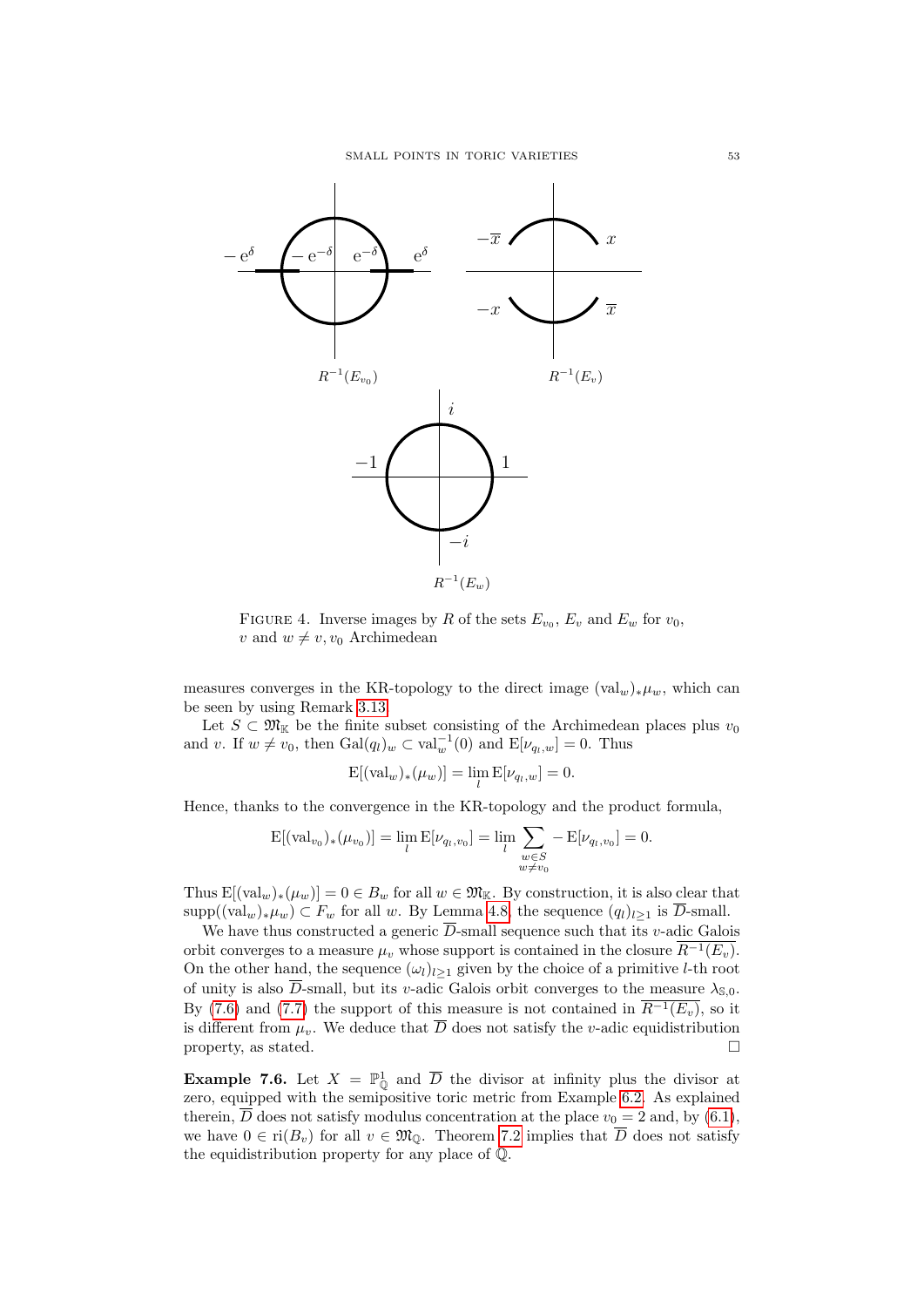<span id="page-52-1"></span>

FIGURE 4. Inverse images by R of the sets  $E_{v_0}$ ,  $E_v$  and  $E_w$  for  $v_0$ , v and  $w \neq v, v_0$  Archimedean

measures converges in the KR-topology to the direct image  $(\text{val}_w)_*\mu_w$ , which can be seen by using Remark [3.13.](#page-20-0)

Let  $S \subset \mathfrak{M}_{\mathbb{K}}$  be the finite subset consisting of the Archimedean places plus  $v_0$ and v. If  $w \neq v_0$ , then  $Gal(q_l)_w \subset val_w^{-1}(0)$  and  $E[\nu_{q_l,w}] = 0$ . Thus

$$
\mathrm{E}[(\mathrm{val}_w)_*(\mu_w)] = \lim_l \mathrm{E}[\nu_{q_l,w}] = 0.
$$

Hence, thanks to the convergence in the KR-topology and the product formula,

$$
E[(\text{val}_{v_0})_*(\mu_{v_0})] = \lim_{l} E[\nu_{q_l, v_0}] = \lim_{l} \sum_{\substack{w \in S \\ w \neq v_0}} -E[\nu_{q_l, v_0}] = 0.
$$

Thus  $E[(val_w)_*(\mu_w)] = 0 \in B_w$  for all  $w \in \mathfrak{M}_{\mathbb{K}}$ . By construction, it is also clear that  $\text{supp}((\text{val}_w)_*\mu_w) \subset F_w$  for all w. By Lemma [4.8,](#page-25-0) the sequence  $(q_l)_{l>1}$  is  $\overline{D}$ -small.

We have thus constructed a generic  $\overline{D}$ -small sequence such that its v-adic Galois orbit converges to a measure  $\mu_v$  whose support is contained in the closure  $\overline{R^{-1}(E_v)}$ . On the other hand, the sequence  $(\omega_l)_{l>1}$  given by the choice of a primitive *l*-th root of unity is also  $\overline{D}$ -small, but its v-adic Galois orbit converges to the measure  $\lambda_{\mathbb{S},0}$ . By [\(7.6\)](#page-51-0) and [\(7.7\)](#page-51-1) the support of this measure is not contained in  $\overline{R^{-1}(E_v)}$ , so it is different from  $\mu_v$ . We deduce that  $\overline{D}$  does not satisfy the v-adic equidistribution property, as stated.  $\square$ 

<span id="page-52-0"></span>**Example 7.6.** Let  $X = \mathbb{P}_{\mathbb{Q}}^1$  and  $\overline{D}$  the divisor at infinity plus the divisor at zero, equipped with the semipositive toric metric from Example [6.2.](#page-41-0) As explained therein,  $\overline{D}$  does not satisfy modulus concentration at the place  $v_0 = 2$  and, by [\(6.1\)](#page-41-1), we have  $0 \in \text{ri}(B_v)$  for all  $v \in \mathfrak{M}_0$ . Theorem [7.2](#page-48-0) implies that  $\overline{D}$  does not satisfy the equidistribution property for any place of Q.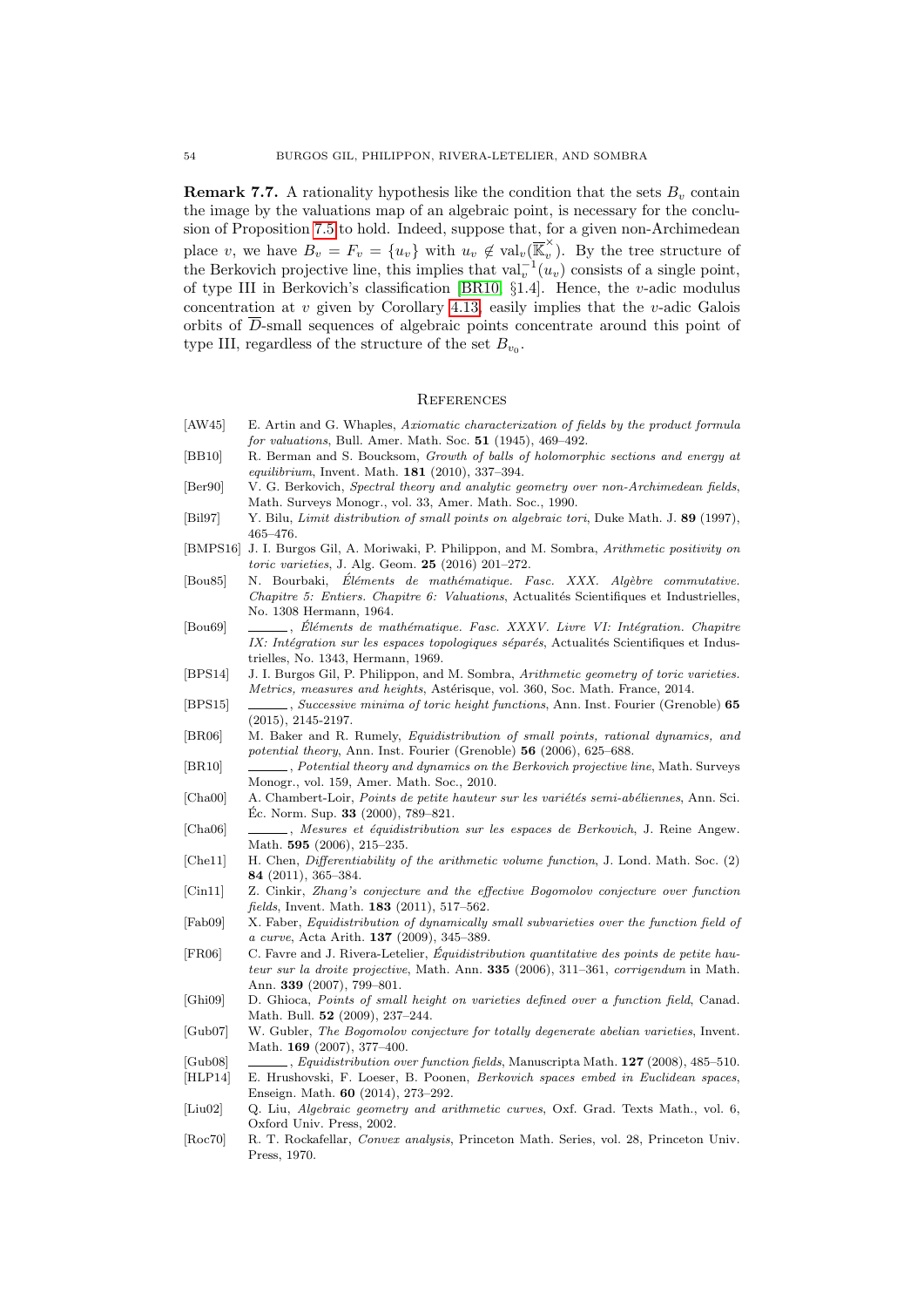<span id="page-53-16"></span>**Remark 7.7.** A rationality hypothesis like the condition that the sets  $B<sub>v</sub>$  contain the image by the valuations map of an algebraic point, is necessary for the conclusion of Proposition [7.5](#page-50-0) to hold. Indeed, suppose that, for a given non-Archimedean place v, we have  $B_v = F_v = \{u_v\}$  with  $u_v \notin val_v(\overline{\mathbb{K}}_v^{\times})$  $\hat{v}$ ). By the tree structure of the Berkovich projective line, this implies that  $\text{val}_v^{-1}(u_v)$  consists of a single point, of type III in Berkovich's classification [\[BR10,](#page-53-24) §1.4]. Hence, the v-adic modulus concentration at v given by Corollary [4.13,](#page-28-4) easily implies that the v-adic Galois orbits of D-small sequences of algebraic points concentrate around this point of type III, regardless of the structure of the set  $B_{v_0}$ .

## <span id="page-53-0"></span>**REFERENCES**

- <span id="page-53-17"></span>[AW45] E. Artin and G. Whaples, Axiomatic characterization of fields by the product formula for valuations, Bull. Amer. Math. Soc. 51 (1945), 469–492.
- <span id="page-53-9"></span>[BB10] R. Berman and S. Boucksom, Growth of balls of holomorphic sections and energy at equilibrium, Invent. Math. 181 (2010), 337–394.
- <span id="page-53-20"></span>[Ber90] V. G. Berkovich, Spectral theory and analytic geometry over non-Archimedean fields, Math. Surveys Monogr., vol. 33, Amer. Math. Soc., 1990.
- <span id="page-53-4"></span>[Bil97] Y. Bilu, Limit distribution of small points on algebraic tori, Duke Math. J. 89 (1997), 465–476.
- <span id="page-53-12"></span>[BMPS16] J. I. Burgos Gil, A. Moriwaki, P. Philippon, and M. Sombra, Arithmetic positivity on toric varieties, J. Alg. Geom. 25 (2016) 201–272.
- <span id="page-53-19"></span>[Bou85] N. Bourbaki, Éléments de mathématique. Fasc. XXX. Algèbre commutative. Chapitre 5: Entiers. Chapitre 6: Valuations, Actualités Scientifiques et Industrielles, No. 1308 Hermann, 1964.
- <span id="page-53-22"></span>[Bou69] , Éléments de mathématique. Fasc. XXXV. Livre VI: Intégration. Chapitre IX: Intégration sur les espaces topologiques séparés, Actualités Scientifiques et Industrielles, No. 1343, Hermann, 1969.
- <span id="page-53-11"></span>[BPS14] J. I. Burgos Gil, P. Philippon, and M. Sombra, Arithmetic geometry of toric varieties. Metrics, measures and heights, Astérisque, vol. 360, Soc. Math. France, 2014.
- <span id="page-53-13"></span>[BPS15] , Successive minima of toric height functions, Ann. Inst. Fourier (Grenoble) 65 (2015), 2145-2197.
- <span id="page-53-8"></span>[BR06] M. Baker and R. Rumely, Equidistribution of small points, rational dynamics, and potential theory, Ann. Inst. Fourier (Grenoble) 56 (2006), 625–688.
- <span id="page-53-24"></span>[BR10] , Potential theory and dynamics on the Berkovich projective line, Math. Surveys Monogr., vol. 159, Amer. Math. Soc., 2010.
- <span id="page-53-5"></span>[Cha00] A. Chambert-Loir, *Points de petite hauteur sur les variétés semi-abéliennes*, Ann. Sci.  $\text{Éc. Norm. Sup. } 33 \text{ (2000), } 789-821.$
- <span id="page-53-7"></span>[Cha06] , Mesures et équidistribution sur les espaces de Berkovich, J. Reine Angew. Math. 595 (2006), 215–235.
- <span id="page-53-10"></span>[Che11] H. Chen, Differentiability of the arithmetic volume function, J. Lond. Math. Soc. (2) 84 (2011), 365–384.
- <span id="page-53-1"></span>[Cin11] Z. Cinkir, Zhang's conjecture and the effective Bogomolov conjecture over function fields, Invent. Math. 183 (2011), 517–562.
- <span id="page-53-15"></span>[Fab09] X. Faber, Equidistribution of dynamically small subvarieties over the function field of a curve, Acta Arith. 137 (2009), 345–389.
- <span id="page-53-6"></span>[FR06] C. Favre and J. Rivera-Letelier, Equidistribution quantitative des points de petite hau- ´ teur sur la droite projective, Math. Ann. 335 (2006), 311–361, corrigendum in Math. Ann. 339 (2007), 799–801.
- <span id="page-53-2"></span>[Ghi09] D. Ghioca, Points of small height on varieties defined over a function field, Canad. Math. Bull. 52 (2009), 237–244.
- <span id="page-53-3"></span>[Gub07] W. Gubler, The Bogomolov conjecture for totally degenerate abelian varieties, Invent. Math. 169 (2007), 377–400.
- <span id="page-53-21"></span><span id="page-53-14"></span>[Gub08] , Equidistribution over function fields, Manuscripta Math. 127 (2008), 485–510. [HLP14] E. Hrushovski, F. Loeser, B. Poonen, Berkovich spaces embed in Euclidean spaces,
- <span id="page-53-18"></span>Enseign. Math. 60 (2014), 273–292. [Liu02] Q. Liu, Algebraic geometry and arithmetic curves, Oxf. Grad. Texts Math., vol. 6,
- Oxford Univ. Press, 2002.
- <span id="page-53-23"></span>[Roc70] R. T. Rockafellar, Convex analysis, Princeton Math. Series, vol. 28, Princeton Univ. Press, 1970.